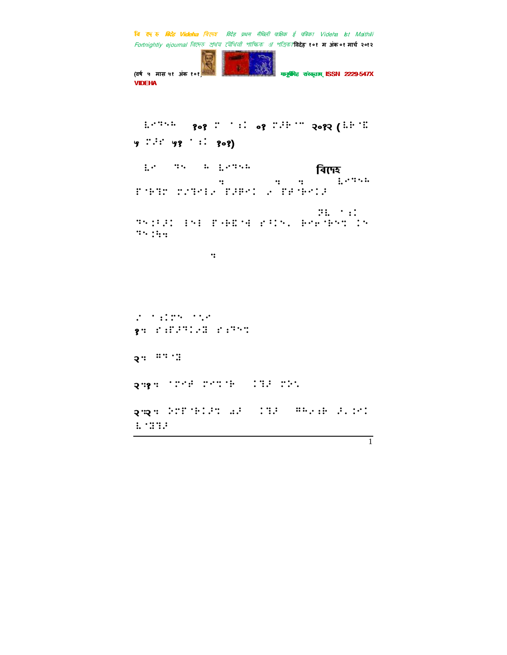$\frac{1}{2}$  : ::  $\frac{1}{2}$  ::  $\frac{1}{2}$  ::  $\frac{1}{2}$  ::  $\frac{1}{2}$  ::  $\frac{1}{2}$  ::  $\frac{1}{2}$  :: **Allen de la provincia de la provincia de la provincia de la provincia de la provincia de la provincia de la p** বিদেহ n n Esta  $\dddot{\cdot}$ PORT TYPES FRES & PROPORT  $\mathbb{R}^n \times \mathbb{R}^n$ TRIED IN PARTY FIN, POPMER IN  $\mathbb{C}^{2}\times\left\{ \mathbb{I}_{1}\right\} ,$  $\ddot{\cdot}$  $\mathcal{L} = \{1,2,3,\ldots,2,3\}$ 99 FEEPILE FIRTY  $2:$   $8:$   $8:$   $12:$ 2888 1008 00018 1008 000 gmg mi STESHOLPT (aP) (1998) PROSECTION  $1.13377$  $\overline{1}$ 

मानुब्रीह संस्कृतम् ISSN 2229-547X (वर्ष ५ मास ५१ अंक १० **VIDEHA** 

 $\frac{1}{2}$ ,  $\frac{1}{2}$ ,  $\frac{1}{2}$ ,  $\frac{1}{2}$ ,  $\frac{1}{2}$  ,  $\frac{1}{2}$  ,  $\frac{1}{2}$  ,  $\frac{1}{2}$  ,  $\frac{1}{2}$  ,  $\frac{1}{2}$  ,  $\frac{1}{2}$  ,  $\frac{1}{2}$  ,  $\frac{1}{2}$  ,  $\frac{1}{2}$  ,  $\frac{1}{2}$  ,  $\frac{1}{2}$ 

बि एक स्टेड Videha विएक विदेह प्रथम मैथिली पाक्षिक ई पत्रिका Videha Ist Maithili Fortnightly ejournal রিদেহ প্রথম মৌথিনী পাক্ষিক প্র পত্রিকা**'বিदेह' १०१ म अंक०१ मार्च २०१२**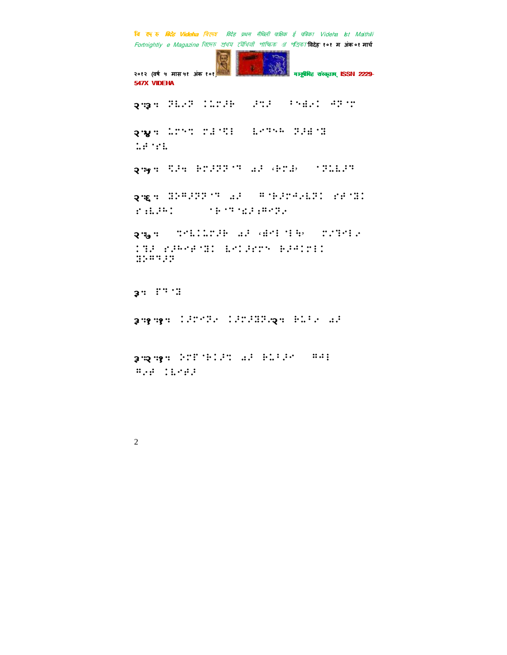

547X VIDEHA

२⣒३⣒!⢽⣇⢴⢽!⣅⢼⢷!#⢼⣉⢼#.B⣞⢴!⢺⢽!

२४ २ अ. २००१ - २३ अ. २४ अ. २४ अ. २४ अ. २४ अ. २४ अ. २४ अ. २४ अ. २४ अ. २४ अ. २४ अ. २४ अ. २४ अ. २४ अ. २४ अ. २४ अ.  $L:=$ 

२७५ : प्रस्तः ESRP (P. 48) (ESR) - (P.1189)

२⣒६⣒!⣝⢵⢻⢼⢽⢽⢹!⣔⢼-!⢻⢷⢼⢺⢴⣇⢽! ⢾⣝! ⣐⣇⢼⢳!;;!⢷⢹⣎⢼⣐⢻⢽⢴!

२७७ : १९६२%१२% वर्तनी सेना १९७८ : १२३०  $^{\prime}$  TH represents to the second second second second second second second second second second second second second second second second second second second second second second second second second second second secon ⣝⢵⢻⢹⢼⢽!!

 $3: "$ 

३⣒१⣒१⣒!⢼⢽⢴!⢼⢼⣝⢽⢴२⣒!⢷⣅B⢴!⣔⢼!

३ भ२ भ3 प । २००० मा २००० मा २००० मा २००० मा २००० मा २००० मा २००० मा २००० मा २००० मा २००० मा २००० मा २००० मा २०<br>इ.स.च्या २० व्या २० व्या २००० मा २००० मा २००० मा २००० मा २००० मा २००० मा २००० मा २००० मा २००० मा २००० मा २०० ⢻⢴⢾.⣇⢾⢼!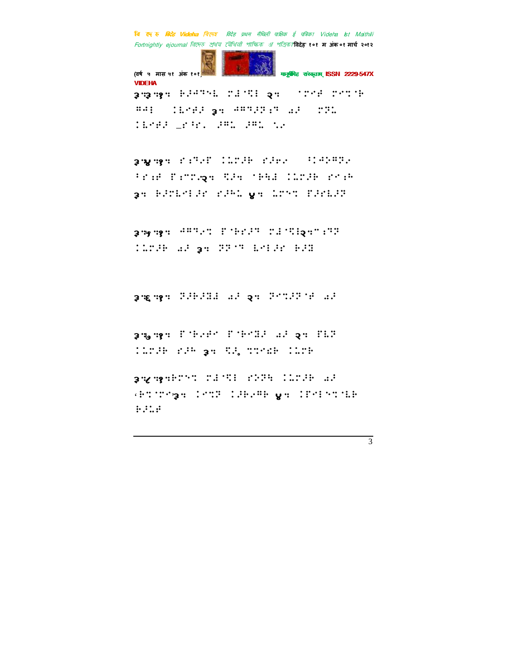(वर्ष ५ मास ५१ अंक १०१) मानुसिंह संस्कृताम् ISSN 2229-547X VIDEHA ३⣒३⣒१⣒!⢷⢼⢺⢹⣇!⣜⣋3!२⣒!!⢾!⣉⢷.! ⢻⢺3!.⣇⢾⢼!३⣒!⢺⢻⢹⢼⢽⣐⢹!⣔⢼!(⢽⣅(! ⣇⢾⢼!– ⢸ F!⢼⢻⣅!⢼⢻⣅!⣁⢴!

३⣒४⣒१⣒! ⣐⢹⢴0!⣅⢼⢷! ⢼⢶⢴.!⢸⢺⢵⢻⢽⢴0! B C O C O C O C O C O C O C O C ३⣒!⢷⢼⣇3⢼ ! ⢼⢳⣅!४⣒!⣅⣉!0⢼ ⣇⢼⢽!

३⣒५⣒१⣒!⢺⢻⢹⢴⣉!0⢷ ⢼⢹!⣜⣋3२⣒⣐⢹⢽! ⣅⢼⢷!⣔⢼!३⣒!⢽⢽⢹!⣇3⢼ !⢷⢼⣝!

३⣒६⣒१⣒!⢽⢼⢷⢼⣝⣜!⣔⢼!२⣒!⢽⣉⢼⢽⢾!⣔⢼!

३⣒७⣒१⣒!0⢷⢴⢾!0⢷⣝⢼!⣔⢼!२⣒!0⣇⢽! ⣅⢼⢷! ⢼⢳!३⣒!⣋⢼॰ ⣉⣉⣎⢷!⣅⢷!

३⣒८⣒१⣒⢷⣉!⣜⣋3! ⢵⢽⣓!⣅⢼⢷!⣔⢼! '⢷⣉'३⣒!⣉⢽!⢼⢷⢴⢻⢷!४⣒!03⣉⣇⢷! ⢷⢼⣅⢾!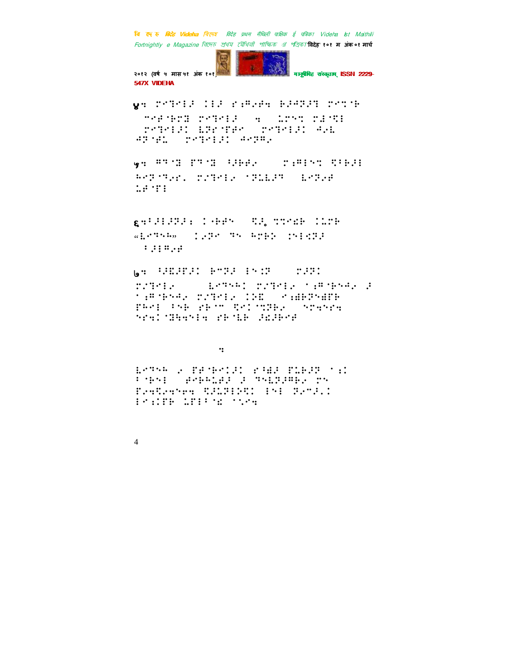

२०१२ (वर्ष ५ मास ५१ अंक १०१ सम्बंध में सम्बंधित संस्कृतम् ISSN 2229-547X VIDEHA

४⣒!⣙3⢼!3⢼. ⣐⢻⢴⢾⣒!⢷⢼⢺⢽⢼⣙!⣉⢷! )⢾⢷⣝!⣙3⢼\*!⣒!!⣅⣉!⣜⣋3! )⣙3⢼!⣇⢽ 0⢾0!⣙3⢼!⢺⢴⣇. ⢺⢽⢾⣅0!⣙3⢼!⢺⢽⢻⢴\*!

५⣒!⢻⢹⣝.0⢹⣝!⢸⢼⢷⢾⢴;!!⣐⢻3⣉!⣋B⢷⢼3.!  $\overline{+}$ ⣅⢾03!

 $\epsilon$ s:Bilisis: User Sigurian Curn "⣇⢹⢳".!⢴⢽!⢹!⢳⢷⢵!⣈3⣊⢽⢼!  $\Box$ 

ि : अध्यातः १७३३ (१९०९ - १३३)

2⣙3⢴^-!\⣇⢹⢳!2⣙3⢴.⣐⢻⢷⢺⢴!⢼! ⣐⢻⢷⢺⢴!2⣙3⢴!⢵⣏!)⣐⣞⢷⢽⣞0⢷! PRAI PAR PROTECT TORAGE ⣒⣝⣓⣒3⣒! ⢷⣇⢷!⢼⣎⢼⢷⢾!.Cbtfe!

Ejduje – pobsze pod proces pod proces pod proces pod proces pod proces pod proces pod proces pod proces pod pr<br>Ejduje – pod proces pod proces pod proces pod proces pod proces pod proces pod proces pod proces pod proces po

L'INE DE L'OND EN CONNOIC EN CONNOIC EN CONNOIC EN CONNOIC EN CONNOIC EN CONNOIC EN CONNOIC EN CONNOIC EN CONN B⢷3-!⢾⢷⢳⣅⢾⢼!⢼!⢹⣇⢽⢼⢻⢷⢴!!\*! 0⢴⣒⣋⢴⣒⢶⣒!⣋⢼⣅⢽3⢵⣋!33!⢽⢴⢼F! 3⣐0⢷!⣅03B⣎!⣁⣒!Bmm!uif!pme!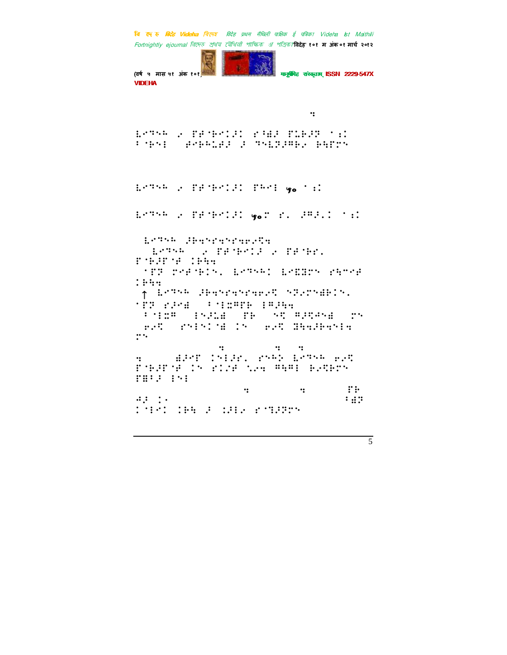(वर्ष ५ मास ५१ अंक १०१) मानुसार में मानुसार संस्कृतम् ISSN 2229-547X

bu!uif!gpmmpxjoh!mjol⣒!!

⣇⢹⢳!⢴.0⢾⢷⢼! ⢸⣞⢼!0⣅⢷⢼⢽!⣐! B⢷3-!⢾⢷⢳⣅⢾⢼!⢼!⢹⣇⢽⢼⢻⢷⢴!⢷⣓0!

LANSA DE TRADE PRAI 40 º 10

VIDEHA

LATAR & PROPERTY WORLD FRAME ON ST

!⣇⢹⢳!⢼⢷⣒ ⣒ ⣒⢶⢴⣋⣒! !#⣇⢹⢳#!⢴.0⢾⢷⢼!⢴.0⢾⢷ F! 0⢷⢼0⢾!⢷⣓⣒! !0⢽!⢾⢷F!⣇⢹⢳!⣇⣏⣝! ⣓⢾! ⢷⣓⣒! ↑!⣇⢹⢳!⢼⢷⣒ ⣒ ⣒⢶⢴⣋!⢽⢴⣞⢷F! 0⢽! ⢼⣞0!B3⣍⢻0⢷!3⢻⢼⣓⣒!! !B3⣍⢻!#3⢼⣅⣞#!0⢷!#⣋!⢻⢼⣋⢺⣞#!! #⢶⢴⣋#! 3⣞!!#⢶⢴⣋!⣝⣓⣒⢼⢷⣒3⣒#! !!!

iuuq;00xxx⣒wjefib⣒dp⣒jo0joefy yn , defni inffr, rnei brine eli 0⢷⢼0⢾!! 2⢾!⣁⢴⣒!⢻⣓⢻3!⢷⢴⣋⢷! post particle ius;00sfbefsqhpphmfdpn0.00sfbefsqhpphmfdpn0.00sfbefs  $\mathbf{H}$ ee bij beeld in twee bij beeld in twee bij beeld in twee bij beeld in twee bij beeld in twee bij beeld

3!⢷⣓!⢼!⣈⢼3⢴! ⣙⢼⢽!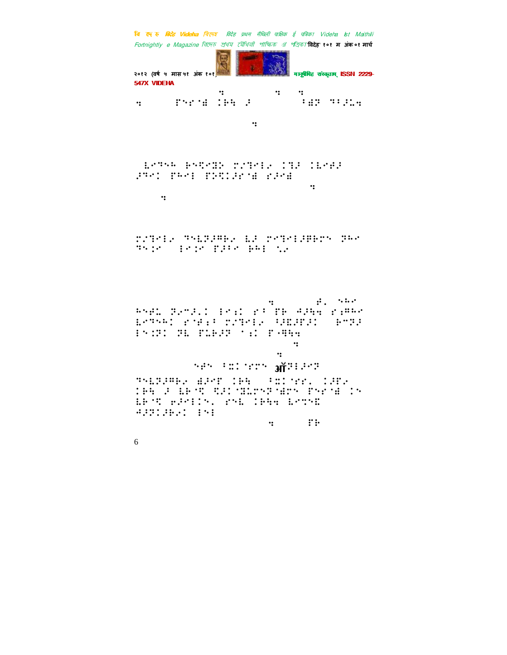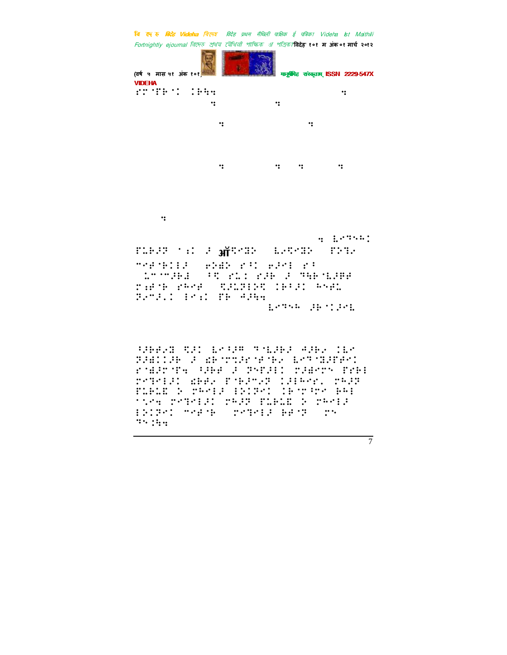**No. 1999** - Maria Barat and Maria Barat and Maria Barat and Maria Barat and Maria Barat and Maria Barat and Maria Barat and Maria Barat and Maria Barat and Maria Barat and Maria Barat and Maria Barat and Maria Barat and M

| (वर्ष ५ मास ५१ अंक १०१ सालको<br><b>VIDEHA</b><br>$\frac{1}{2}$ , $\frac{1}{2}$ , $\frac{1}{2}$ , $\frac{1}{2}$ , $\frac{1}{2}$ , $\frac{1}{2}$ , $\frac{1}{2}$ , $\frac{1}{2}$ , $\frac{1}{2}$ |  | मानुब्रीह संस्कृतम् ISSN 2229-547X |
|------------------------------------------------------------------------------------------------------------------------------------------------------------------------------------------------|--|------------------------------------|
|                                                                                                                                                                                                |  |                                    |
|                                                                                                                                                                                                |  |                                    |
|                                                                                                                                                                                                |  |                                    |

 $\alpha=1.033544$  ( FLERE THE P WORLD ERGED FROM nerakitz (edeb est ezet est.<br>Consmited (st edit eze z mersozge) rath res Summer (892) est Parall Brit Ph<sup>2</sup>4244 ESTAR SESTINE

 $\dddot{\mathbf{r}}$ 

SPEED RED LOSPE TOLPES APEN TLO THILLE J BETTERTETE LTTURE ridaring the a pyndictratery new rededal dega poeanta ladeer, reap<br>Pleib Soreeda dicael leorger eed Mine referr refr field & refr ENIRG TEACH COSTALL BEST CON  $\mathbb{S}^{n}$  (iii)

 $\overline{7}$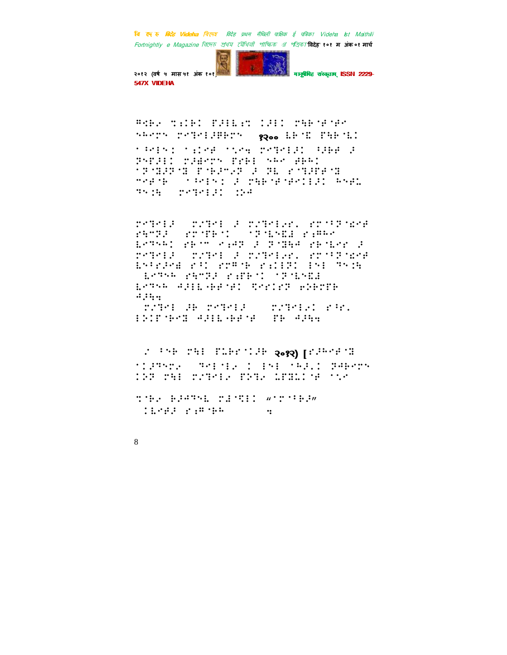

२०१२ (वर्ष ५ मास ५१ अंक १०१ सम्बंध में सम्बंधित संस्कृतम् ISSN 2229-547X VIDEHA

⢻⣊⢷⢴.⣉⣐⢷!0⢼3⣇⣐⣉!⢼3!⣓⢷⢾⢾-! SHATS TATALHERT QQ00 WEST THESE ⢸3⣈!⣐⢾!⣁⣒!⣙3⢼!⢸⢼⢷⢾!⢼! SAPSI SAPAN SERI SARA SERI ⢽⣝⢼⢽⣝!0⢷⢼⢴⢽!⢼!⢽⣇! ⣙⢼0⢾⣝-!  $^{\prime\prime}$   $^{\prime\prime}$   $^{\prime\prime}$   $^{\prime\prime}$   $^{\prime\prime}$   $^{\prime\prime}$   $^{\prime\prime}$   $^{\prime\prime}$   $^{\prime\prime}$   $^{\prime\prime}$   $^{\prime\prime}$   $^{\prime\prime}$   $^{\prime\prime}$   $^{\prime\prime}$   $^{\prime\prime}$   $^{\prime\prime}$   $^{\prime\prime}$   $^{\prime\prime}$   $^{\prime\prime}$   $^{\prime\prime}$   $^{\prime\prime}$   $^{\prime\prime}$   $^{\prime\prime}$   $^{\prime\prime}$   $^{\prime\prime$ Ship (23) (23)

⣙3⢼-!2⣙3!⢼!2⣙3⢴ F! B⢽⣎⢾! ⣓⢽⢼-! 0⢷-!⢽⣇⣏⣜! ⣐⢻⢳! ⣇⢹⢳! ⢷.⣐⢺⢽!⢼!⢽⣝⣓⢺! ⢷⣇ !⢼! ⣙3⢼-!2⣙3!⢼!2⣙3⢴ F! B⢽⣎⢾! L'ESPAR E EL PRIME PARTIES (1941-1992)  $H$ ⣇⢹⢳!⢺⢼3⣇C⢷⢾⢾!⣋ ⢽!⢶⢵⢷0⢷!  $\mathbf{d}$   $\mathbf{d}$  :

#2⣙3!⢼⢷!⣙3⢼#!)2⣙3⢴! ⢸ F!  $3\%$  . The state of  $\sim$  0  $\sim$  0  $\sim$  0  $\sim$  0  $\sim$  0  $\sim$  0  $\sim$  0  $\sim$  0  $\sim$  0  $\sim$  0  $\sim$  0  $\sim$  0  $\sim$  0  $\sim$  0  $\sim$  0  $\sim$  0  $\sim$  0  $\sim$  0  $\sim$  0  $\sim$  0  $\sim$  0  $\sim$  0  $\sim$  0  $\sim$  0  $\sim$  0  $\sim$  0  $\sim$  0  $\sim$  0  $\sim$ 

!2!B⢷!⣓3!0⣅⢷ ⢼⢷)२०१२) [ ⢼⢳⢾⣝! ⢼⢹⢴-!⢹33⢴^!33!⢳⢼F!⢽⢺⢷! ⢵⢽!⣓3!2⣙3⢴!0⢵⣙⢴!⣅0⣝⣅⢾!⣁!@!

⣉⢷⢴!⢷⢼⢺⢹⣇!⣜⣋3!"B⢷⢼" )⣇⢾⢼. ⣐⢻⢷⢳\*!!24⣒93&!!!!!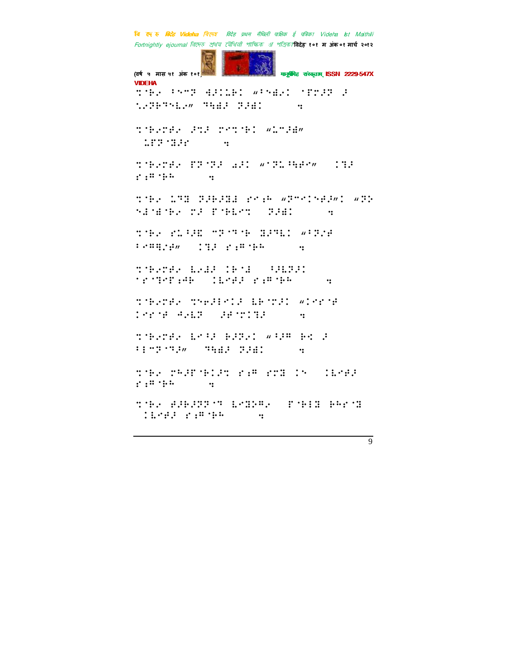मानूबीह संस्कृतम् ISSN 2229-547X (वर्ष ५ मास ५१ अंक १०१) **VIDEHA** the Profession where Trees **WARRANTY MANUFACTURER**  $\dddot{\mathbf{r}}$ **TORONTO PER PROPER WAS READ**  $\mathbf{1}$ there frit an whiney the  $\mathbf{r}$ the 198 SPRING Pressure with the Second Str Similar to Pompet (2001) a THE PLACE TRIPLE BRAIN WARPS **COMPANY STAR SECTION COMPANY** there is: Thi (2000) **MONEY CONSTRUCTS**  $\mathcal{L} = \mathcal{L}$ TTERTER THREETIE LETTIC WITCH **Terne Albert (BSCCCCCC)**  $\dddot{\mathbf{r}}$ TTERMED LOGE BETRI WARR BE I **BETHE THE BILL**  $\mathbf{r}$ THE PREPRIED FER PPE IN TERRE  $2.143344$  $\dddot{\mathbf{r}}$ the BRBS TEMPS THE BRIDGE TEPHP rimmer  $\ddot{\phantom{1}}$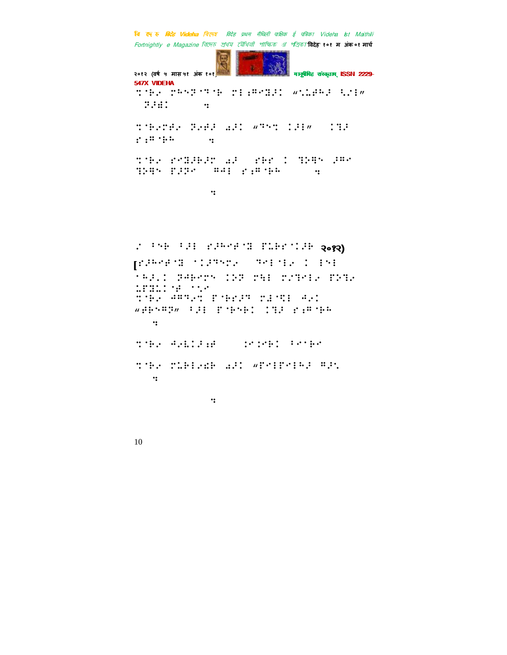चि एत् रू मिन्हे Videha निएन्थ विदेह प्रथम मैथिली पाक्षिक ई पत्रिका Videha Ist Maithili Fortnightly e Magazine রিদেহ প্রথম মৌথিনী পাক্ষিক প্র পত্রিকা**'বিदेह १०१ म अंक०१ मार्च Country** २०१२ (वर्ष ५ मास ५१ अंक १०१) मानुसारी मानुसार संस्कृतम् ISSN 2229-547X VIDEHA ⣉⢷⢴!⢳⢽⢹⢷!3⣐⢻⣝⢼!"⣁⣅⢾⢳⢼!⣃23" )⢽⢼⣞\*!!7⣒:2&!!!!! ⣉⢷⢴⢾⢴!⢽⢴⢾⢼!⣔⢼!"⢹⣉.⢼3"!)⣙⢼. ⣐⢻⢷⢳\*!!7⣒66&!!!!!  $^{\prime}$   $^{\prime}$   $^{\prime}$   $^{\prime}$   $^{\prime}$   $^{\prime}$   $^{\prime}$   $^{\prime}$   $^{\prime}$   $^{\prime}$   $^{\prime}$   $^{\prime}$   $^{\prime}$   $^{\prime}$   $^{\prime}$   $^{\prime}$   $^{\prime}$   $^{\prime}$   $^{\prime}$   $^{\prime}$   $^{\prime}$   $^{\prime}$   $^{\prime}$   $^{\prime}$   $^{\prime}$   $^{\prime}$   $^{\prime}$   $^{\prime}$   $^{\prime}$   $^{\prime}$   $^{\prime}$   $^{\prime}$ NGE ISBN 991-29988-000  $\frac{1}{4}$  and  $\frac{1}{4}$  and  $\frac{1}{4}$  and  $\frac{1}{4}$  and  $\frac{1}{4}$  and  $\frac{1}{4}$  and  $\frac{1}{4}$  and  $\frac{1}{4}$  and  $\frac{1}{4}$  and  $\frac{1}{4}$  and  $\frac{1}{4}$  and  $\frac{1}{4}$  and  $\frac{1}{4}$  and  $\frac{1}{4}$  and  $\frac{1}{4}$  and  $\frac{1}{4}$  a 2!B⢷!B⢼3! ⢼⢳⢾⣝!0⣅⢷ ⢼⢷)२०१२) [  $\frac{1}{3}$   $\frac{1}{3}$   $\frac{1}{3}$   $\frac{1}{3}$   $\frac{1}{3}$   $\frac{1}{3}$   $\frac{1}{3}$   $\frac{1}{3}$   $\frac{1}{3}$   $\frac{1}{3}$   $\frac{1}{3}$   $\frac{1}{3}$   $\frac{1}{3}$   $\frac{1}{3}$   $\frac{1}{3}$   $\frac{1}{3}$   $\frac{1}{3}$   $\frac{1}{3}$   $\frac{1}{3}$   $\frac{1}{3}$   $\frac{1}{3}$   $\frac{1}{3}$  ⢳⢼F!⢽⢺⢷!⢵⢽!⣓3!2⣙3⢴!0⢵⣙⢴! **GPELINE MAY** ⣉⢷⢴!⢺⢻⢹⢴⣉!0⢷ ⢼⢹!⣜⣋3!⢺⢴! WHIPS IS THE STREET  $\frac{68}{2}$ ⣉⢷⢴!⢺⢴⣇⢼⣐⢾!.!⣈⣈⢷!B⢷!!36&!!!! ⣉⢷⢴!⣅⢷3⢴⣎⢷!⣔⢼!"0303⢳⢼!⢻⢼⣁!!  $29$ Puifs; in the second purchase of the second purchase of the second purchase of the second purchase of the second purchase of the second purchase of the second purchase of the second purchase of the second purchase of the s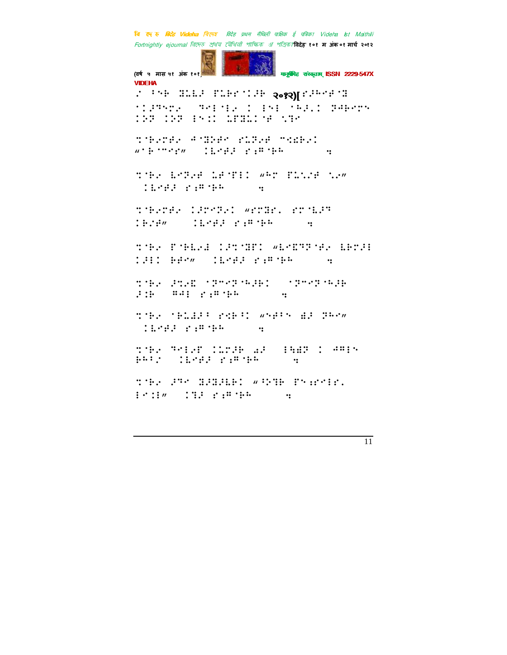

**VIDEHA** 

मानुबेदि संस्कृतम् ISSN 2229-547X

THE BLEF FLETTHE RORDER FEET SIPPOS TRESPOSE SALVARI PARTS **THE INF INST LEBATE NEW** 

TTRING ANDAM INCH MIRI  $\mathbf{w}^{\star}$  is the space  $\mathbf{y}^{\star}$  and  $\mathbf{y}^{\star}$  is the space of  $\mathbf{y}^{\star}$  and  $\mathbf{y}^{\star}$  $\dddot{\mathbf{r}}$ 

the behad defiil who filed the CLAPP P.P.P.  $\mathbf{r}$ 

there large work ander  $13.14$   $\mu$   $13.144$   $\mu$   $14.44$  $\dddot{\bullet}$ 

the Philed Cathris, Nierrand Geral 1911 Berg (1658) ri<sup>m (</sup>BR)  $\mathbf{r}$ 

TORY STAR OSPOSOBJE: OSPOSOBJE din Mar Pinth  $\ddot{\phantom{1}}$ 

the thing edit were no para **TEMPER PERMIT RESPONSE** 

the Prish Close as (1982) (SARIN pary (11-82 rim-part  $\dddot{\phantom{1}}$ 

the PP EBBB: WOHERTHIE  $\begin{minipage}{0.9\linewidth} \begin{tabular}{lccccccc} \multicolumn{2}{c}{\textbf{\emph{1}}}&\multicolumn{2}{c}{\textbf{\emph{2}}} &\multicolumn{2}{c}{\textbf{\emph{3}}} &\multicolumn{2}{c}{\textbf{\emph{4}}} &\multicolumn{2}{c}{\textbf{\emph{5}}} &\multicolumn{2}{c}{\textbf{\emph{6}}} &\multicolumn{2}{c}{\textbf{\emph{7}}} &\multicolumn{2}{c}{\textbf{\emph{8}}} &\multicolumn{2}{c}{\textbf{\emph{9}}} &\multicolumn{2}{c}{\textbf{\emph{9}}} &\multicolumn{2}{$ 

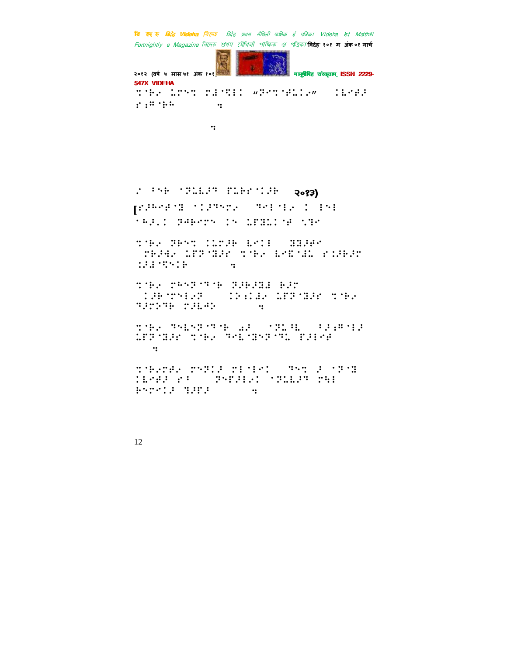बि एक स्टेड Videha विएक विदेह प्रथम मैथिली पाक्षिक ई पत्रिका Videha Ist Maithili Fortnightly e Magazine রিদেত প্রথম মৌথিনী পাক্ষিক প্র পত্রিকা'**বিदेह' १०१ म अंक ०१ मार्च CONTRACT** 多  $\mathbf{g}$  . मानुबेमिह संस्कृतम् ISSN 2229-२०१२ (वर्ष ५ मास ५१ अंक १०१) **547X VIDEHA** the LTST MESE: WPSTELLS (BMER  $\mathcal{C}:\mathbb{R}^{n\times n\times n}$  .  $\dddot{\mathbf{r}}$ 

 $\dddot{\bullet}$ 

2015年 1914年 FLEETIFE 2033)

prement clement which is the **MARIN PARKON IN LEBLINE NTK** 

the Hest Chris Left (HH)Ar CORPORATION TO THE BOOK OF THE START  $\dddot{\mathbf{r}}$ 

THE THITTE THEM BIT THOSE IS THE MOVING THE T WEDNEY MENT  $\mathbf{r}$ 

the President all them cleaned MPP SERVICES CREATEST SERVER  $\dddot{\mathbf{r}}$ 

THERE PARIS PENEL THI 2 MET TERRITE CONFRESS SPALES SAL **BATALE NEWS**  $\dddot{\mathbf{r}}$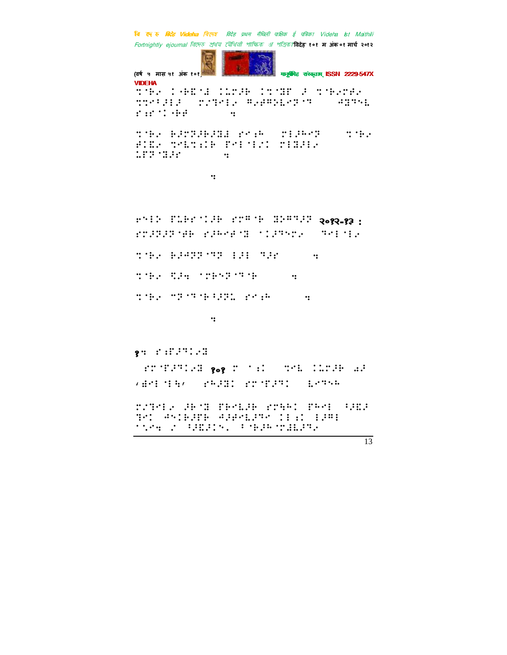Fortnightly ejournal রিদেত প্রথম মৌথিনী পাক্ষিক প্র পত্রিকা**'বিदेह' १०१ म अंक०१ मार्च २०१२** (वर्ष ५ मास ५१ अंक १०१) मान<sup>ुक्रम</sup> मानुस्कार संस्कृताम् ISSN 2229-547X VIDEHA ⣉⢷⢴!C⢷⣏⣜!⣅⢼⢷!⣉⣝0!⢼!⣉⢷⢴⢾⢴! ⣉⣉B⢼3⢼.!2⣙3⢴!⢻⢴⢾⢻⢵⣇⢽⢹!)!⢺⣝⢹⣇! ⣐ C⢷⢾\*!!22⣒54&!!!!! ⣉⢷⢴!⢷⢼⢽⢼⢷⢼⣝⣜! ⣐⢳!#3⢼⢳⢽#!)⣉⢷⢴! #IEA TELECHE PETER TELECH ⣅0⢽⣝⢼ \*!!23⣒97&!!!!!  $\frac{2}{5}$ 

चि एत् रू मिन्हे Videha निएन्थ विदेह प्रथम मैथिली पाक्षिक ई पत्रिका Videha Ist Maithili

⢶3⢵!0⣅⢷ ⢼⢷. ⢻⢷!⣝⢵⢻⢹⢼⢽!२०१२-१३ : ⢼⢽⢼⢽⢾⢷! ⢼⢳⢾⣝!⢼⢹⢴-!⢹33⢴! ⣉⢷⢴!⢷⢼⢺⢽⢽⢹⢽!3⢼3!⢹⢼ !!67⣒97&!!!!! ⣉⢷⢴!⣋⢼⣒!⢷⢽⢹⢷!!28⣒76&!!!!! ⣉⢷⢴!⢽⢹⢷⢸⢼⢽⣅! ⣐⢳!!34⣒64&!!!!!

Puifs;!!2⣒:7&!!!!!

१⣒! ⣐0⢼⢹⢴⣝!

) 00 10291203 303 00 101 101 102 102 102 102 103 '⣞33⣓'-! ⢳⢼⣝! 0⢼⢹-!⣇⢹⢳\*!

2⣙3⢴!⢼⢷⣝!0⢷⣇⢼⢷! ⣓⢳!0⢳3!⢸⢼⣏⢼!  $^{\circ}$  30  $^{\circ}$  30  $^{\circ}$  30  $^{\circ}$  30  $^{\circ}$  30  $^{\circ}$  30  $^{\circ}$  30  $^{\circ}$  30  $^{\circ}$  30  $^{\circ}$  31  $^{\circ}$  31  $^{\circ}$  31  $^{\circ}$  31  $^{\circ}$  31  $^{\circ}$  31  $^{\circ}$  31  $^{\circ}$  31  $^{\circ}$  31  $^{\circ}$  31  $^{\circ}$  31  $^{\circ}$  31  $^{\circ}$  31  $^$ ⣁⣒!2!⢸⢼⣏⢼F!B⢷⢼⢳⣜⣇⢼⢹⢴!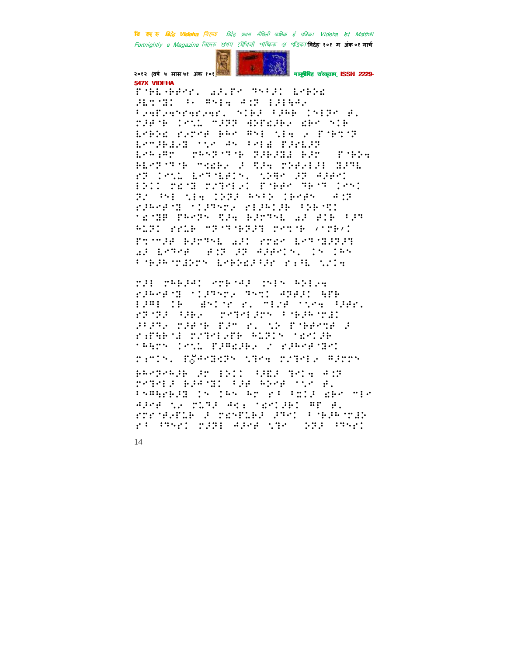

२०१२ (वर्ष ५ मास ५१ अंक १०१) **547X VIDEHA** 

मानुबेमिह संस्कृतम् ISSN 2229-

Poblikers, aller mythologika Hrt I Hanne an Bibe. Paulaundurant, nibi Pihk 1982 A. nafor 1951 maggi Argeary ero Sir ESPAC PATSE PRO PSE MER 2 FMPT7 ESTIBINE TO AN PRIN FINED Erbert (Margine Schich Ber **Sidney** HATTE TONA J CA THAIN SUT PRODUCED LORDERS (1988) SPORTS it: fri strik: Pee 'eft' BY PHONE: 1983 RSP (Bees of B ranger offency riange (pe-2) **MANIE PROTH THE BENNA AS BIB FER** RUSI MALE STORIES PROTE VIEWS rowar barth, all cred bythanin AF ESTAF (FIR FR) AFFAIN, IN 195 Popular departe ril titl

THE THEFAI STEAMS INEN ANISE rawers (1852) 755 4383 ABR EPRESE BRIGHT PLOTER STREAMER FRONT WHO COMPANYS PORTHOLD anany pakim-panjelong pimenne a range de romeilen Galmo (sekolg) **TREPS ISLE PIRAIRS 2 SIRES MAC** rinth. Mõgemene vare riariik girre

PROPORT IN STILL SHE SON AND reded bland (be aber the B. PARAGED IN INV NO FRONTIE ERS MIR APPE to mine Are marier Ar B. stringerig a rendige and cheadness ri Harry rigg alam nga 1993 (Parry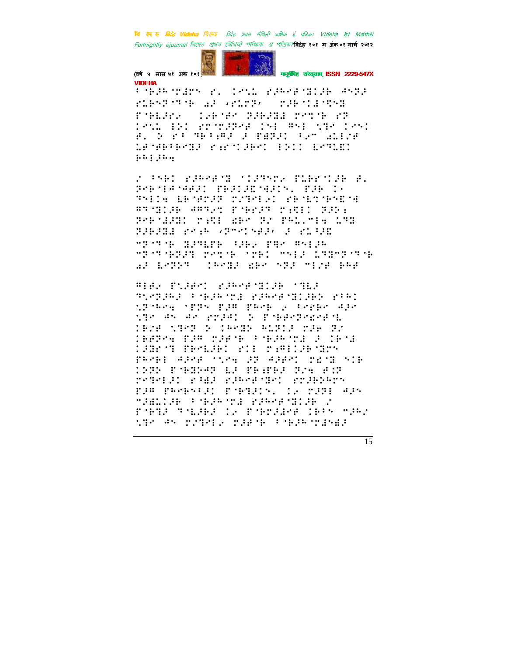

मानूबीह संस्कृताम् ISSN 2229-547X

(वर्ष ५ मास ५१ अंक १०१) **VIDEHA** 

Poble many and nothing about the cases rubsports ar vrupy (pabolaces) remark there makes receive Crub (ESC) romager (SE) And (SAR) CrnC k. S 20 grafi i natu (selasta LEMERERSE PAPMORES ERIC ESTLEC  $1.1111...$ 

20 FSB1 22PP438 S12PS22 PLB2312B B. Presidenti Dello Stelle Poetic THIS LEGENE CORE COPENDATION #57128 ##525 P7Br25 MARIL  $P: P: P$ PORTSHIP SHIP ART PATHWAYS AND BBBBB rock (PorteB) 3 files "THE THREE CHAINS TO **MEATHER THIS ATE MALE LEEMEATH** ad bench (nema abe she siya bad

#192 PUBMI KAPAPAINA SALA Straine freming parrenger plan there's president and the second state the an ar road in Pobertered L CRIB STRI & CARDE ALICE TIP IS CAPPA PPP MPP P PRPPM 2 CAN DERMI PROBLEM SIL MARIDENIM PROBL APORT TOOK PP APPOI TECH SIR retern raf ramentel rrabber THE PROPERTY POPINS 12 2271 425 MARIJA POBANCI KAPMENIJE Z PARE TALRE IS PARENT INT MER the As provide place for a provided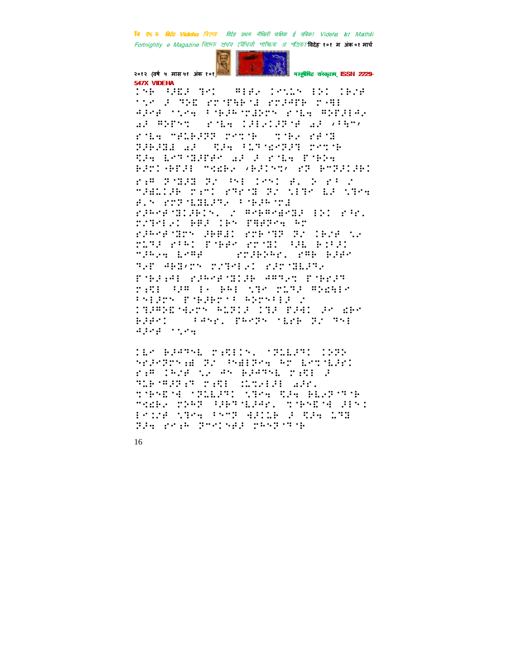

२०१२ (वर्ष ५ मास ५१ अंक १०१ ) **547X VIDEHA** 

मानुबेमिह संस्कृतम् ISSN 2229-

158 HADA MAT ( WEAR IPSIN EDI IBJA **MACE THE PENTHENE PERMIT EARL** APAR TYPE FORPHOTENTS ROBE ANDERS af Avrys (rim 19121974 af View) rim management **STORY PRODUCT** PARAGA AA SAARA FINSANAR PATSE the betempt and remaining BATISHING TEMPORATION AT BTRAINED ram Pomam Rr (PE 1851 B. D. r.C.r MARIJA PAMI PROTEST NEROKE NTMA **B. S. PERMILLER PROPERTY!** 

rance diagonic concentracial and ranc rothers and the radius ar rabnenzho abea: rrbhze zr (bre na MIRA PART PORPO PROBLEMA ROAD mining deng **START STRAIGHT** TAP ARGAIN CATALAI PACAGEATA rogan rassang ang rora ran um po employed mangered PAIDER PARAGUSE ANDREIS D **THIRDENESS REPORT ONE PIRE IP WHO** BIGHT (TRANS PROPR TEST PD PN)  $\label{eq:reduced} \begin{split} \mathcal{L}_{\mathcal{A}}^{\mathcal{A}}\mathcal{L}_{\mathcal{B}}\mathcal{L}_{\mathcal{B}}^{\mathcal{A}}&=\mathcal{L}_{\mathcal{A}}^{\mathcal{A}}\mathcal{L}_{\mathcal{B}}^{\mathcal{A}}\end{split}$ 

<u> 160 BASAN MARIN (MILPS 190</u> SEPTIES ALCOHOLISTS AN ESTIMAT rim Chreck an Blank ring d TLE TRIPAT (MARI) (LOVICI ARM).<br>O'ESEME (MILLIT) (STAV RIA) ELVICTOR MARE MIRE SHERINGE, MIRENE HOST Prize Sara Programine a Gaariga Big real Benjami proporti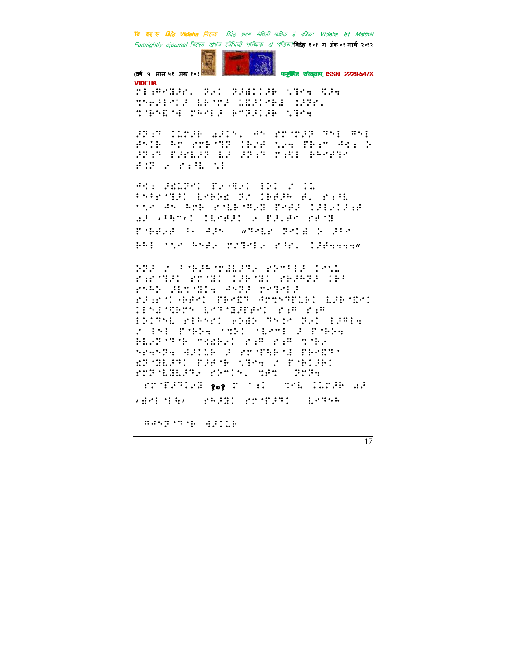**JEAN COMPANY, CONTRACT COMPANY** PNIE AT PTEMIE IEZE NAM TEAM ANA D STAT CALOR LE STAT TATE BRYERY

मानूबीह संस्कृताम् ISSN 2229-547X

(वर्ष ५ मास ५१ अंक १०१) **VIDEHA** rismedic S. Saltania (See Sae rediction in the distribution of the tiking the Pathership (Bre

Arr Book Crack College

Principal Lebba Roofbeam B. Pick the An App polyogal Pepp (Sicher

AP VERMI IEMPRI 2 PRIPM 2878 rnee war war portra PRESSURE ROBERT TITLE TO A PERSONAL

SEE 2 FORESTRIERS SYSTEM IN randa redo (And Akaal De

HORTHON ESTMERT FRONT

ragrigueri preproducent adribi

ERITAL REPART WREN TRIM TWO EPHER 2 Information (1981) (Exhibit Politics BLARING SCHAFT PARTICULAR Srange Addie d'Erfogend person SPORTS THORNIGHT STORES FTP ANDRE FRAME THAT TEPH

FUNDAMENTAL ROBERT CONTROL CONTROLLER

 $\sqrt{2}$  and  $\sqrt{2}$  and  $\sqrt{2}$  and  $\sqrt{2}$  and  $\sqrt{2}$  and  $\sqrt{2}$  and  $\sqrt{2}$  and  $\sqrt{2}$  and  $\sqrt{2}$  and  $\sqrt{2}$  and  $\sqrt{2}$  and  $\sqrt{2}$  and  $\sqrt{2}$  and  $\sqrt{2}$  and  $\sqrt{2}$  and  $\sqrt{2}$  and  $\sqrt{2}$  and  $\sqrt{2}$  and  $\sqrt{2$ 

PAR HITH AND PORT

17

nasyers gaing

**FOR SERVICE**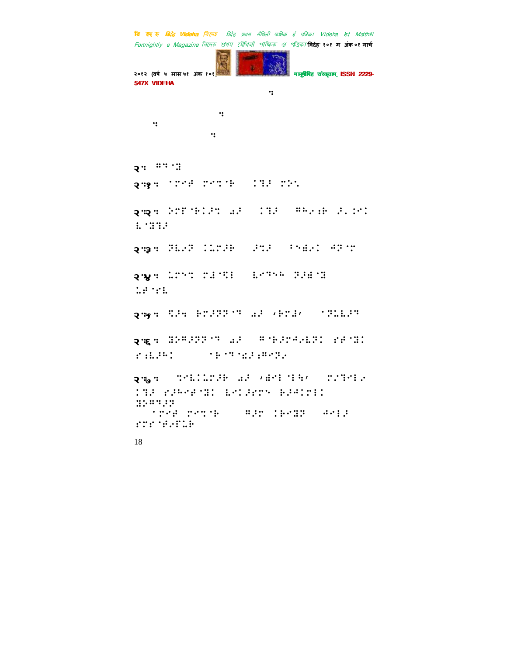चि एत् रू मिन्हे Videha निएन्थ विदेह प्रथम मैथिली पाक्षिक ई पत्रिका Videha Ist Maithili Fortnightly e Magazine রিদেহ প্রথম মৌথিনী পাক্ষিক প্র পত্রিকা**'বিदेह १०१ म अंक०१ मार्च** २०१२ (वर्ष ५ मास ५१ अंक १०१) मानुषामह संस्कृतम् ISSN 2229-547X VIDEHA 18 hekawiefiburie banden die banden van die banden van die banden van die banden van die banden van die banden va<br>Die banden van die banden van die banden van die banden van die banden van die banden van die banden van die b iuuq;00xxx⣒nbjuijmjmflibltbo high control of the control of the control of the control of the control of the control of the control of the control of the control of the control of the control of the control of the control of the control of the control  $q_2$  and  $q_3$  if  $q_4$  if  $q_5$  if  $q_6$  if  $q_7$  $2: "$   $"$   $"$ २%९ '८८९ CONSERVE STREET २⣒२⣒!⢵0⢷⢼⣉!⣔⢼.!⣙⢼.!⢻⢳⢴⣐⢷!⢼F⣈! ⣇⣝⣙⢼! २⣒३⣒!⢽⣇⢴⢽!⣅⢼⢷!#⢼⣉⢼#.B⣞⢴!⢺⢽! २७४ व प्रेमण प्राप्त प्रथम अस्ति ।  $L:=$   $\mathbb{R}$ २⣒५⣒!⣋⢼⣒!⢷⢼⢽⢽⢹!⣔⢼!'⢷⣜'.!⢽⣅⣇⢼⢹! २७६० अस्ति । अस्ति अस्ति । अस्ति । अस्ति । अस्ति । अस्ति । अस्ति । अस्ति । अस्ति । अस्ति । अस्ति । अस्ति । अस्<br>दुःख् ⣐⣇⢼⢳!;;!⢷⢹⣎⢼⣐⢻⢽⢴! २८७९ : STEDDOR al vertical construction ⣙⢼! ⢼⢳⢾⣝!⣇⢼ !⢷⢼⢺3! ⣝⢵⢻⢹⢼⢽!! !!⢾!⣉⢷!-!⢻⢼.⢷⣝⢽-!⢺3⢼!. ⢾⢴0⣅⢷!!!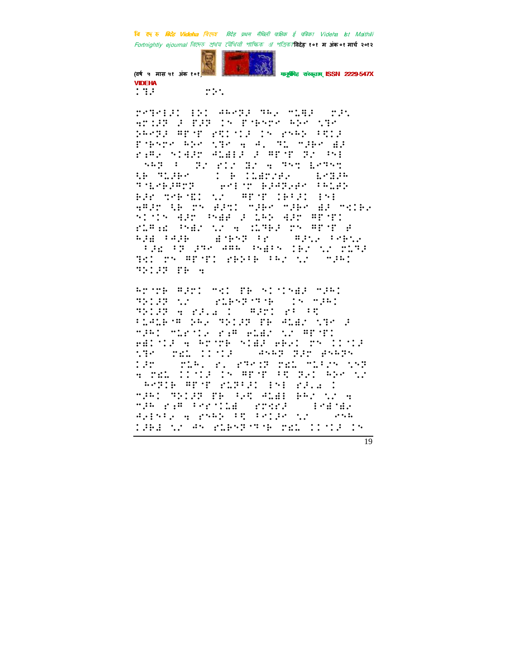

(वर्ष ५ मास ५१ अंक १०१) **VIDEHA**  $\frac{1}{2}$  :  $\frac{1}{2}$  :  $:::$  मानुब्रीह संस्कृतम् ISSN 2229-547X

SATALI EN ARAÇI TRA MITI (SI)<br>ASSIM I EIR (S. Entany Ria NTA) SAPER WE'T PEINIP IN PARK WELF Portro the spring A. St. Sire ar rama sigur gugua a mpap da asp ings (1992) atau dan Anggregory.<br>Neugaran ini tina tiwatak ini badag the miller **Sidewall Septembridge State** BAR MARTED NZ ( PETER DRAAD 151 ARAD SE DN BANI MARK MARK BA MAIRA SIMS ARE PAR POINT ARE APPOINT rian bar transfer many research RAB PAAR () BYEST PECK ARANG PARTA nam shark yang pada 1941 yang lalawigan.<br>Salah alpunya dan sengai tersebut pinan This was working and the fact of the model **TELET TRACK** 

Roome Additional BB Siciledd MdA: TRIP OF STREET THE IN THI TRIPP A PRIA I (PRED 28 SP) FLALE OF SAY MOSCAR PROALER STROUP make mission saw alar no write WALTER ANTHONOGRAPHY IS NOT the branch field of dead die aeabe  $1.32<sub>1</sub>$ **STORY PLAYPED TEL TORY 197** A ran if the limited of sell and the SHAPIB WE'T PLPPAL INE PALAT mand management and did by the m mak ram berning (rock) (Begnad  $\mathcal{A}_{\mathcal{B}}\left\{ \left\{ \mathcal{A}_{\mathcal{B}}\right\} \right\} =\left\{ \mathcal{A}_{\mathcal{B}}\right\} \left\{ \left\{ \mathcal{A}_{\mathcal{B}}\right\} \right\} =\left\{ \mathcal{A}_{\mathcal{B}}\right\} \left\{ \mathcal{A}_{\mathcal{B}}\right\} \left\{ \mathcal{A}_{\mathcal{B}}\right\} =\left\{ \mathcal{A}_{\mathcal{B}}\right\} \left\{ \mathcal{A}_{\mathcal{B}}\right\} =\left\{ \mathcal{A}_{\mathcal{B}}\right\} \left\{ \mathcal{$ THE STORY PERSON'S TELLIGATION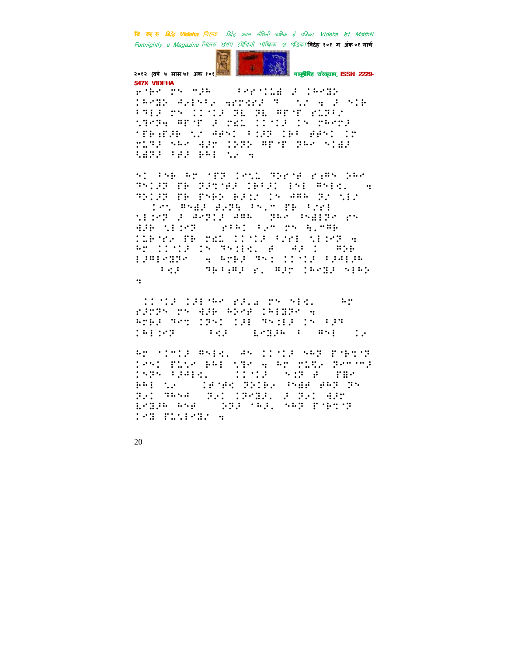

२०१२ (वर्ष ५ मास ५१ अंक १०१) **547X VIDEHA** 

मानुबेमिह संस्कृतम् ISSN 2229-

FOR THE TEACHER STATE E TEMPER TRANS ARENER ARTARD TO SIGN DO NIR 1912 PY LINE DE DE MENE KLOVE<br>NORDE MENE 2 PAL 11912 IN PRAPA **TERRIB NO APSI FIRE IPF BPSI IP** ring and agreement proposed **1892 182 801 1202** 

SI PSE RO MER ISLA TEENE FIRE ERS skiep pe perfect (Afort 151 Aniel – 4 mouse the read again is well and Wir THY PART REPAIRS THAT PEOPL SERMI PAMPIR ARE (PRM) PABERY PY  $\mathcal{L}^{\text{H}}\left(\mathbb{R}^{2}\right)=\mathbb{R}^{2}\left(\mathbb{R}^{2}\right)=\mathbb{R}^{2}\left(\mathbb{R}^{2}\right)=\mathbb{R}^{2}\left(\mathbb{R}^{2}\right)=\mathbb{R}^{2}\left(\mathbb{R}^{2}\right)=\mathbb{R}^{2}\left(\mathbb{R}^{2}\right)=\mathbb{R}^{2}\left(\mathbb{R}^{2}\right)=\mathbb{R}^{2}\left(\mathbb{R}^{2}\right)=\mathbb{R}^{2}\left(\mathbb{R}^{2}\right)=\mathbb{R}^{2}\left(\mathbb{R}^{2}\right)=\mathbb{R}$ 428 51107 Clenny Te rais (1931) (2018) (1957) 4 AP (1919) 1579-1142 a 774, 1777 Agal<br>1991-1992 - Angele Mointine, fysike **SPARE THERE EVERY THANK SING**  $\dddot{\bullet}$ 

COSTA CAPTER EALWORK SERVICE RD range ne gan bren loggare g RPER Red 1951 121 R5112 15 FRR **ANGLES COMPANY**  $144.143$  $\mathcal{L} \in \mathcal{L}$  $\dddot{\phantom{0}}$ .

RESTRIE RNEWS RN IINIE NRP PORTE Temp Playe BAB (1980) A Architect Perchip 144 (Paul Volto) korf (me PRI NA 1 TEMPO PRIPA PARE PRP PR ali mese (ali iasmal a ali ear)<br>Lomae ese ((201) sea (sea robota **THE PERSONS A**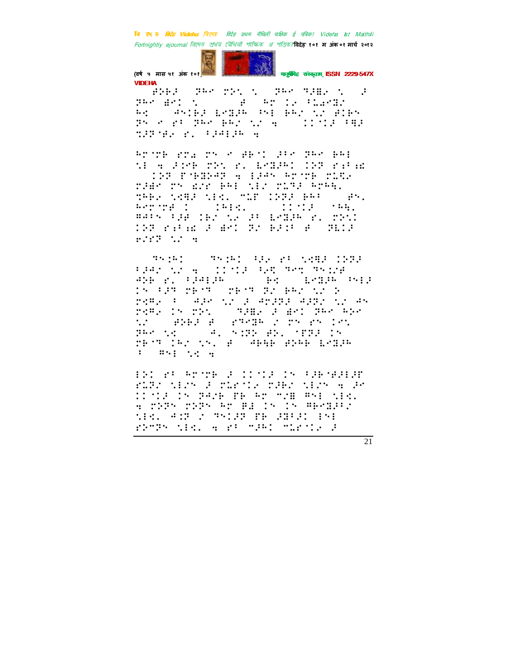

(वर्ष ५ मास ५१ अंक १०१) **VIDEHA** 

मानूबीह संस्कृताम् ISSN 2229-547X

1988-1988 PRODUCT 1988 PRESIDENT PRO BOI NOTES (B) PRO DE PLANBE Resources and the second second stand an e priame mar a l'illia Ama 10010 1. 194196 a

ROOTE POWERS A BEST JEA TRACERE the Post of P. Belled Cor retar **198 FABRAS 4 1945 AM ME MICH** rage re dir BRI dir ring ArAG. TREA NORF NEOL TIP CAPA BREAK WAY Report I (1999) (1997) (1998) 1991 adslid terslik at man rol 197 ritur 2 del 72 B235 e (7612)  $H^1$  and  $H^1$  and  $H^1$  and  $H^1$  and  $H^1$ 

Thin, Thin, H. P. M. M. M. tang ng Asilina na mga mga mgang.<br>Ang ang tangan **ALTER STATE** 15 FP 28 7 28 7 28 7 82 852 52 8 rang i Gale (2013) anggot algo (2014)<br>rang isl ris (1984) anggot asi pelilas MO PREP BOOKSER 2015 PS ISS **BRACKS AND MEDICAL PERPORT** PROTOGRAPHY AND REAR ROAD ESTA 

ESI PROPENDO INTERNACIONALEMENTE rification foriedly reaching the IS MUS IN TAME TE AT MUS ANE MES. a chan chan ac ea lu 13 meadhl the Admirator Parameter Admirator remark that a resonance manufacturer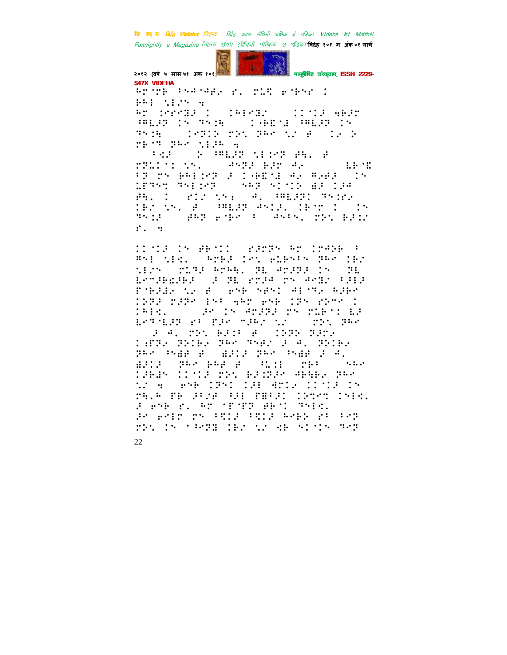

२०१२ (वर्ष ५ मास ५१ अंक १०१) **547X VIDEHA** 

Roomb Presented B. Mill Bobro I **PHI WISH RD** Roserval (1918), 11712-4620<br>(Halpo Scotching (1968), 1961 THIS CONTINUES THE SAME CASE

TE T THE SILE 4

**FAR DE PERFORMER PESSE** an i sir she a. Anggotang. TEN NAV BOOTBERG ANIFER IBOT IO IN This and any analysis and the state and the  $\mathbf{f}$ .  $\mathbf{f}$ 

ID MORTING WENDER CONSTRUCTION OF THE RESERVE Bri tid, Arba Ist elbath Bas Ibr the streethead on association on ESTARDARA (A PE POAR OS REDO PALA ESPAGNON E COMPOSITATIST PAPE 1983. – Jenis Ardžanski, rubit 10 bergham an pak manying (1992-1982)<br>1989: Pan Basil Booster Mary<br>1987: Milky Mee Mean Polis Milky par mas e agliciare mas por 8212 PRO PRESENTATION PRO CORP **TARIN IIMIA MST BAYRAN ABABA MAR** tra emb 1951 181 anix 11/18 15 PROFILER SPORT PARTIERS IN 1988.<br>Standard Sport Profiler 1, 1988. There Inde. de aein na Frid Frid Aeab et Fer TRI IN TREE IES IN GENERALE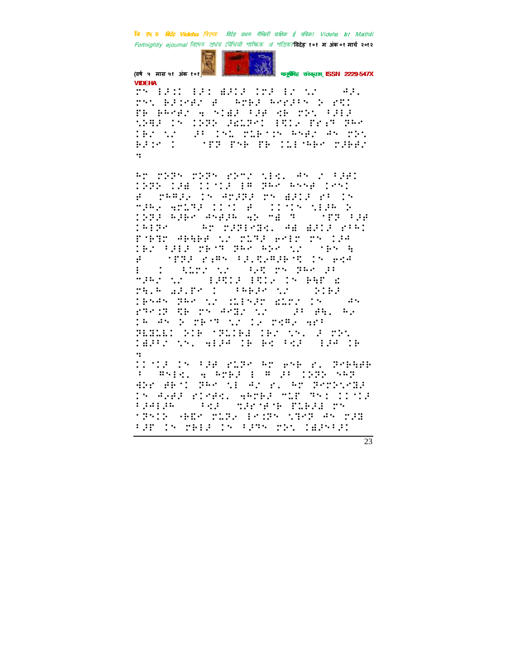

(वर्ष ५ मास ५१ अंक १०१) **VIDEHA** 

मानुब्रीह संस्कृतम् ISSN 2229-547X

ry dair dai mara tra dr tr'  $\mathbb{R}^2$  .  $\mathbb{R}^2$  ,  $\mathbb{R}^2$  ,  $\mathbb{R}^2$ THI BEINED BY ATES ANYSEN IN PEI TR RAMES A STAR CRE MR TRS CREP 1983 IN 1982 SECRET BELL BEEN BAY TROOPS OF THE PLAYER AND AN PEC BER I **STORY IN THE CONTRACT STATE**  $\dddot{\mathbf{z}}$ 

ar roba roba eoro viel an 2014<br>1989 1980 11719 imperiadore 1951  $\cdot$  : : : : : # TRAPPLY IN AMPRESSMENTER PROIN MPA AMIRA ILMI BU ILMIN NEPUS tivi Albe angle as ng mas Miriga <sup>11</sup> ar Bagear. Ae eala rae  $14124$ rand gees would ear dy 199<br>1920-911 deal de Species would  $\mathbb{R}^n \times \mathbb{R}^n \times \mathbb{R}^n$ B THE TERM PARK OF PLANE HE RESEARCHED TO A BANK  $\mathbf{H}^{\text{max}}$ i (1981) Albert (1989) (1989) (1989) (1989)<br>Series (1989) (1981) (1981) (1989) (1989) (1989) PROPOSEDED IN THEFT NO. 2008 Gesas der Sindstadt günn 1877 as FROM RECONSIMENTATION FOR SALES 14 AN S MEST NO 12 MARS AND PERED COMPOSED ORDER CONTROL 18882 NS. 9184 IB BX 838 | 184 IB  $\dddot{\cdot}$ 

IT MAS IN THE PLAN AN ENE PLOTPABER **F. WHE. A WEEL B.W. INC. NAP** 400 ABS: PROSE AN P. AM PONCORP In Ager ploed, amount man illnin PARTNE PRI TAPORE PLEAD TO 19515 HER MIRE PROPERTIES MAR FAR IN MEER IN FARN MAN TERFER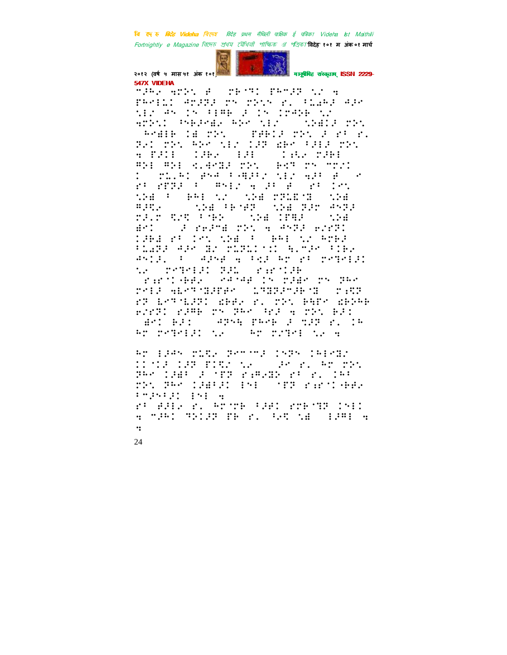

२०१२ (वर्ष ५ मास ५१ अंक १०१) **547X VIDEHA** 

मानुबेमिह संस्कृतम् ISSN 2229-

MARY ADDN # CORONY PRMAR NZ A PROBLEM REPRESENTATION FLORIDA PRO MP AN IN FEAR FOINGITABLE IN ATRIC PERPER ARM NEW CONSELF TRI **Ardie (d Th. THELE Th. Part 2)** Belongs and the 198 mad (1919) not  $1.344 \pm 1.34$  $\mathbf{H}$  :  $\mathbf{H}$  :  $\mathbf{H}$  :  $\mathbf{H}$ **CONSTRUCTION** #PE #PE KLAMBE MIN. BKW MN MML De Silki and Fogger nir age a ch 31 3773 1 3733 4 31 3 31 3  $\cdots$ WE FORE WOODEREE WE **South Committee Committee And Advertising Committee Committee Committee Committee**  $\mathbf{H}^{\ast}_{\mathbf{A}}\mathbf{H}^{\ast}_{\mathbf{A}}$  , and TACT RIR FORM (1988-1988) (198 Bri (B refractivo e Anglacero THE PROTOCER POSED OF BUSI Plike ar in Western Augustie. 4513. F. 4258 A. FER AT 27 TEMPERI ta (proboblical and tab.<br>Spanit Gala (reche in plan produc We report EE rela Alemonarde (1988) de Sant FROM HORIZON ARREO FLOTON PAPP ARDER BOOT PARK THE REPORT OF THE BAY **SAPAR PROF 2 MIR 2. IR**  $\mathbf{H}^{\text{eff}}$   $\mathbf{H}^{\text{eff}}$ An nemetic to the **Ar read to a** 

RE BRAN MIRE BROOMS INFN IRBRED INSTRUCTION OF THE WORLD PRO CABLE A STR REPORT RESOURCE  $\mathbf{1}$ TRI PRO LEBRED 191 (193 FarileBe PHPHP1 191 9 PROBLEMS ANOTHOLOGIC PORTIE INEI A MARI TELAT TE PLOSET NEO 1981 A  $\ddot{\cdot}$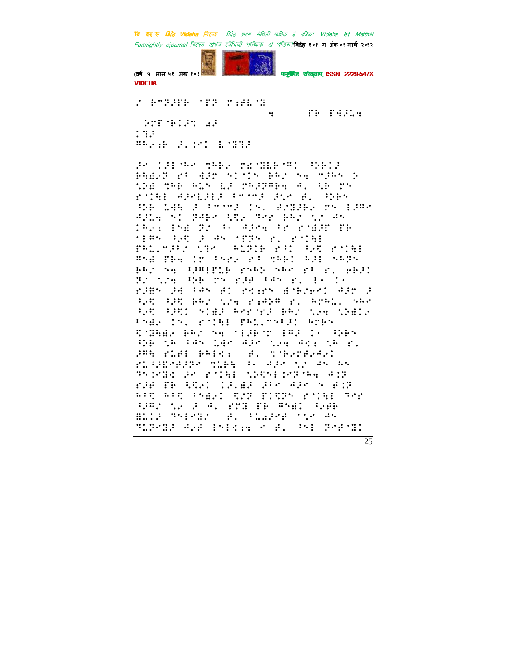

(वर्ष ५ मास ५१ अंक १०१ **VIDEHA** 

**SAMPADE STRATEGIE Sandwich School School**  $\ddot{\mathbf{u}}$ **Service Constant**  $1.311$ **BRACH ACTS RATES** 

Professional members of the control of the Canada control of the Canada control of the Canada control of the C PREST PROGRESS STORY PROCESSING the the Alt is response A. Ge rt role APRIER Pond Pro A. Ster THE LABOR FOOTE IN SECRIBLE ON 1988 **APLA NI BABA RES TAY BAY NY AN** TRAG ENE PA (P) Adam from Medit TR time the four streets of primi PALLMARK ARE ALBIBLE FAIL AND FAIRS Brd Phe Co Provide chapt Add raps pay sa disiple real saw rise, apil British OSB 25 238 995 21 Bri rams ag tes el romas d'event ear a ART APP BAY NYA YAPPAT PI AMALI SAS AST AST STEP REPORT BROOKER WEEKS Pres In. Prima PRL mate: Aren COMMA PROVISING MENUTURE CONTROL THE SPOT FROM LEASE REPORTED HIS ENDING: 286 PLAT BATA: "A. T'B2TA2421 rishmente chem scape quasto an Thirds an ender watherness and ran ne thui laidh ann aan sopin AND AND INSELTISE STORE THE THE 3282 12 2 3 41 223 36 8581 3286 HILL THEFH. H. CLEAR STR. 45 SLPME SHE INFORM MORE  $194.79933$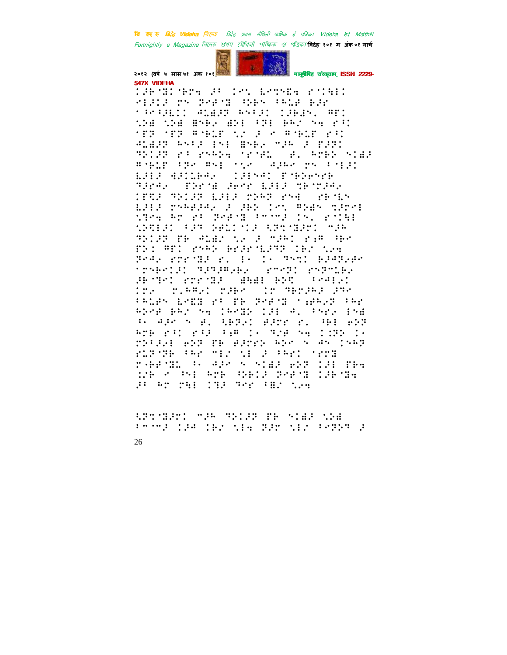

२०१२ (वर्ष ५ मास ५१ अंक १०१) **547X VIDEHA** 

मानुबेमिह संस्कृतम् ISSN 2229-

ISBNEDGERALSMUNK ERTMEALENIBEI KIDIS TH BREAK SHEN FALE BIR **TRIBILI REAR RAIR CHEEK, AND** the the Byer Abe (22) PRY Se 23) TER TER RIGHT OF 2 PORTHER EST ALARD ANDER THE BNAS MEASURERS TRIAR ET ENGINE SESEIL (A. GERRANIA) #SELP (Pro#Siconal Sire) (#PRP) ps (PSIPI)<br>1212 (#211642) (121541) PoBlesheB SPAR TREAD BRY EBS SPORT IFSA SVIP ERR 2247 254 (28/65 EPER CHARREN R PAN IPN ANDHO SPORT the Ar Property Front Ch. Pole: SANDAR PAR SALISTA RANSNADI SAR TRIP OF BLACK I MAN FAR AR FRI ANI PAAR BRAPTLAND IBZ SAN Pres roroma ri le le Technol Baegier freedli skaker root resour **SECTED FOR THE BURGET PROPERT** IS. T.AR. THE IT BELAW IN PALAS LADE 25 PR PARTE TAPAR THE ANGE BAY NG IAMIN ISE A. Phry 158 A APROVAL MATED APPROXIMATIONS Ara 291 292 998 16 522 54 1996  $\ddots$ rrans er frænser brog av 1963 PLEMENT FAR MEDICAL CALLERATION PRE reach a search what when the rea WE KIND ATE RED PREMI DEPAT **31 AT THE INS New FRY 129** 

APTERFIELT AND TRIPP THE SIGN AND Proma 194 (Br Nie 39r Nir Proma a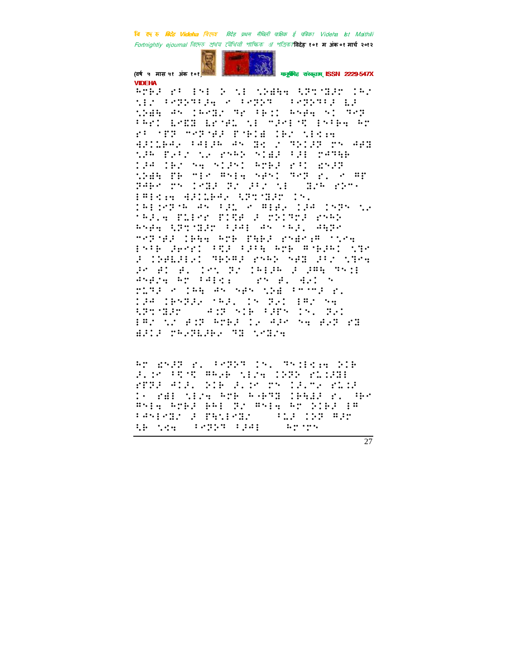

(वर्ष ५ मास ५१ अंक १०१, **VIDEHA** 

मानुब्रीह संस्कृतम् ISSN 2229-547X

ROBE 23 INF 2 NE NOWHA SPONGED IRO the compact of compact compact in thes an isome mr (Feil angel ni mor PART LADE LEARL AF MOREAN ENCHA AN PROTECTORES ESPIRODENTALES 4211842 FALPA AN BE 2 PRIPE 2N APR the fact the speed bigs can seper 194 (Br na night Arba rai mhar than the mix which have made at a wor PARK ON THE PUBLIC OF SECRETARY PREse APILPAR APTILP IN IAE SARTA (AN CERL ON AEER) IRA (1989) NS TRAGEDIAN FIRE A MAIRMA PARA 8599 X2551225 X241 45 5821 4925 medinal lagge grave staal sharkage tire prie Gerriche (Piel ere Arend  $\mathbb{R}^n$ F CHALABY: MANAGE RNAN NAG (FC 1984 PO BI B. 185 BY 1918 2 285 9511 45824 Ap (4881) **Similar State** ring a the second theory at 194 (produk negovin odgovino)<br>Administrativnih funkcija dul PROCO BORONDER CA APPOINTMENT PR 

RT ENFR F. PRRET IN. Thildin 218 F. Scherer Welk (1234 INST) FLORE FTRA ALA, DIE ALIM THOIALTA FLIA In the serve are against the serve #514 AMBJ BA1 B2 #514 AM 21BJ 1# **FANISHING E PROPERTY AND AND BEE** We the Control Company  $\sim$  1. 10  $\sim$  10  $\sim$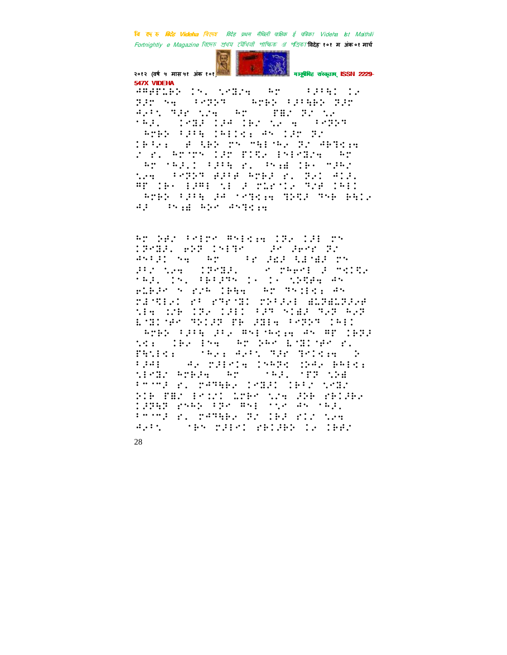

२०१२ (वर्ष ५ मास ५१ अंक १०१) **547X VIDEHA** 

अन्ति ।<br>अन्न अस्ति संस्कृतम् ISSN 2229-

ARRIER IN NATION AP STREET IN BR SA FRONT THOS FRAGE BRD APPLICATION AT THE TECHNIC tel, 1818-194 161 to a compre **APER FREE INITED AN IRM RAD** TERAIN # REN 25 MAINE, RZ APTEAR 2 r. André 19n FIRA (SigBas) An SAM SAPILISERA EL PREMIER MERI ter (Province Adda Arad r. o.) Ald. WE IRR BUMBER 2 STARTING TIME INDI SPER PROFILE CONTROL TREP THE BAIL al shake ang ang

Ro Ser Price Anidae (P. 191 ch 19882. AVR 19896 - JR JARE 92. ANISI NA SATUR PE SAS RENER TN atriche (1988), concepted acts<br>1932–1932 telato 1971–1972–198 **Second President Profits** FIRST SCRIPTING (PT TERR) 45 randa: 29 292-31 209304 ALPALDOG the choice children side man man ENDNA MAIR OR CORR FACT (AI) **ATEN PROFINE ARE SERIES AN SERIES** the Clear Engine that the Engineering Petro (1961-425 APR ASSAM ) FRANCO AR MANETE CHARA CHAR BANK:  $\cdots$  .  $\cdots$   $\cdots$ MISHE BERGH SP Proma B. Pename (PBA) IRPS Nobe PIR TEZ ESIZI LTRS NZA 200 TRI20.<br>1990: PSPN 198 PSE SNA PS SPN. From P. Scheenby Rootel Richard **MER MARKI MELARY IS IRRY**  $\mathcal{A}_1, \mathcal{A}_2, \ldots$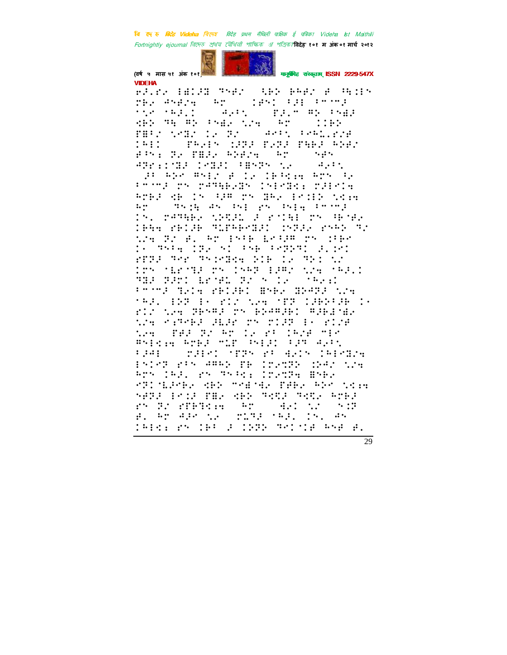

(वर्ष ५ मास ५१ अंक १०१, **VIDEHA** 

मानुब्रीह संस्कृतम् ISSN 2229-547X

EASY TELM THAN ARE PHANE MAIN TEA PARA (PT) (1851-FRE)Pring  $\mathcal{L} = \mathcal{L}_\mathcal{D} \mathcal{L}_\mathcal{D} \mathcal{L}_\mathcal{D} = \mathcal{L}_\mathcal{D} \mathcal{L}_\mathcal{D} \mathcal{L}_\mathcal{D} + \mathcal{L}_\mathcal{D} \mathcal{L}_\mathcal{D} \mathcal{L}_\mathcal{D}$  $\label{eq:3} \mathcal{F}(\mathcal{G},\mathcal{F})=\mathcal{F}(\mathcal{G},\mathcal{F})\mathcal{F}(\mathcal{F})$ 4B2 78 82 35Hz 124 327  $\ddots \ddots$ FBREAKTHEATH (1989) PARTY PARLEYS **STATES OFFICERS PHERICASE**  $1411$ FRIDE MARK REPAIR ROLL  $\ddots$  is the set of  $\ddotsc$ AREAS NEWS ARRESTS AND  $\mathcal{L}$  ,  $\mathcal{L}$  ,  $\mathcal{L}$ PROPERTY BOILDING THREE POSTS tészles régéves (siski raisis RTEA RE IN APP TN BRA FRIEN NOW age with probabilities and companies are con-IN TRANSPORTATION AND THE TANK AND THE MAIN IPAN YRIJP MICHPHOLI (MIJ) YMPD MY when Birlies (Art Engle Englework) (Fen  $\left(\cdot\right)$  and  $\left(\cdot\right)$  and  $\left(\cdot\right)$  and  $\left(\cdot\right)$  and  $\left(\cdot\right)$  and  $\left(\cdot\right)$ FFRA THE TRIMBER DIR IN THI WA int decle by the egg who that MER BROT ERNEL BY NOTE (TRANS Prona Bala Waldal Braz Braga (24 TRAVING IN BIZ NAM TEG 1982-08 IN rtr was Besky os examper moderate the common deducts class in class the Code of Arcib at IRM Mar Bridge Antil Min Prill (28 Apr) **COMMERCIAL SERVICE DE PERSONAL**  $\mathbf{1}$   $\mathbf{2}$   $\mathbf{3}$   $\mathbf{3}$ Priem ris aman ma irrent char tra RON CRAIN ON THACK CONSTRUERENT KRIMERSEN MEN MKEMEN PREN SYN NASA SARA LEAD THE SAN TANK TANK AND ry Roserbach ar Sant Const  $\mu_1$  , and  $\mu_2$  and  $\mu_3$  , and  $\mu_4$  , and  $\mu_5$  , and  $\mu_6$  , and  $\mu_7$ IRESE PROTECT INTO THIS PRESENT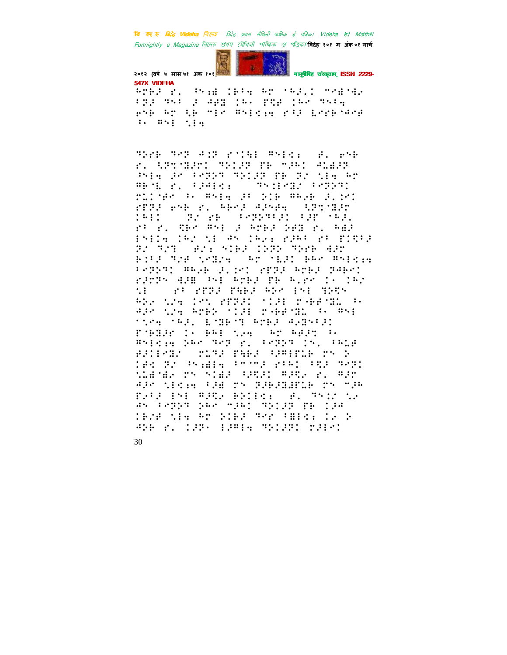

२०१२ (वर्ष ५ मास ५१ अंक १०१ ) **547X VIDEHA** 

मानुबेमिह संस्कृतम् ISSN 2229-

Robert S. Pred (BPA Ro 1882) medide FRANCIS AND THE PRESENTATION PSE AT LE MIR PSICHE PAR LRPP SAMP  $\mathbf{1}$ .  $\mathbf{2}$   $\mathbf{3}$ .  $\mathbf{1}$   $\mathbf{1}$ .

SPER SMP AND ROOM! ANIXE SALSANA r. Chimani melah menjadikan Pere de Perry Stir Thorn the Ro BECK PLOTERER ( PRIPER FREET) riche (6 maggig 26 bie mage 2010) FFRA 656 F. A653 A2586 (A25-122) 1911 - Brugh Segnedict (Brugh) rt r. Mer And J Ares Sem r. Ada Endia (Roche Ancikel Barrophonica) bi bin 'ai' say' biy biss an BOOK TAR NATAR AT MESS BRACENTAIN Peppi maga lute erna arag paas: range admissioner for elektrisk **SO PERPORTER AND INE THIN**  $\ddot{\cdot}$  : RNA NOR DEN BERRI MIRI BARAHIMI PA APP NOW ATEN TIPE THEFTS AN ARE tics that bomen boad gemeans POBBY In BRE New SPORERT P #51014 288 #82 21 F822# 151 F812 BRIEFRY TEMPE PHER SPAINLE THEN ter browledge (showledge) (by mod) tidinal ry ylaf (PRI) APRY 2. APR APP SERIA FRE TR TRESHING TR TP PACE ENE WARE BRIEGE (B. TNIC 12 as tepps par elar spile project TRIE SIE AM DIRE MAR FEICH IN D AND Y. 1850 BARBA MNIANI MARKI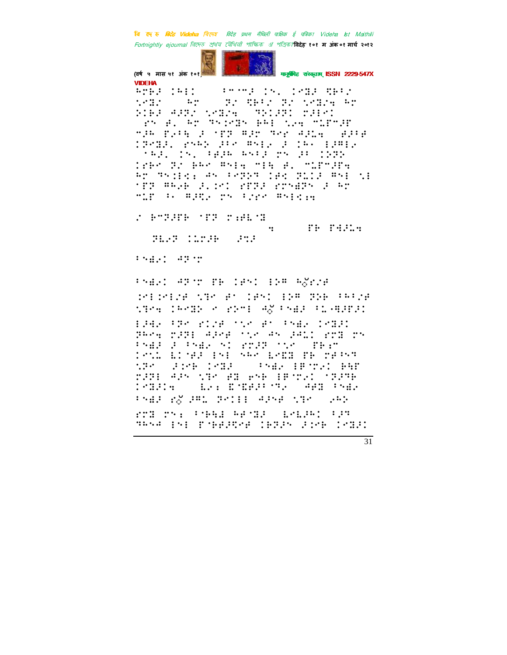**Service** (वर्ष ५ मास ५१ अंक १०१)



मानूबीह संस्कृताम् ISSN 2229-547X

**VIDEHA**  $\sim$  (none in the set) **STEP (SEE)**  $5.932 - 52$ **MACHINE SECTION AND** FIER ARRY SPEPE ( PRIPED MREP) Who alleg synchrome the side minute man by the control man mer walls of date 1989. PAR PROBAGO DA BRIA 782. In: 9828 8593 85 39 1000 Tren Br ean Angelmae al michica Ar solid: as term led rill well to tra Abeb 2.101 erni drugadu 2 br min : #20, my throwship

President in 1951 198 Ağrıd SMESMENT STRUCK SENSOR END THE PROPERTY the leggy of produces and clapped PAGE FROM PICE STOCK AN ANGEL COMPI They will also the as lab: rule w

SPORTING CONSTRUCTION

Press Apro

 $\mathcal{L}(\mathbb{R}^n)$ 

*SAMPAIN STRAINS* 

 $\dddot{\mathbf{r}}$ **PLAP CLTPE**  $\mathcal{L}^{\text{max}}$ 

PABELS PABEL AT STUPP TO COPEST ISMA ELMER ENE NAS ESER PROPERT

MARE ARR NEW BELLEVE IBOMAL CRIPE 108214 | Lei BoBelton, Aem Ché PREF 20 PRI PRIE APRE 1980 (AR) rn ry: Pea Article (Article) (25 TRSA (SE PORATOR CRISS SOCK CONS)

**THE PAPER**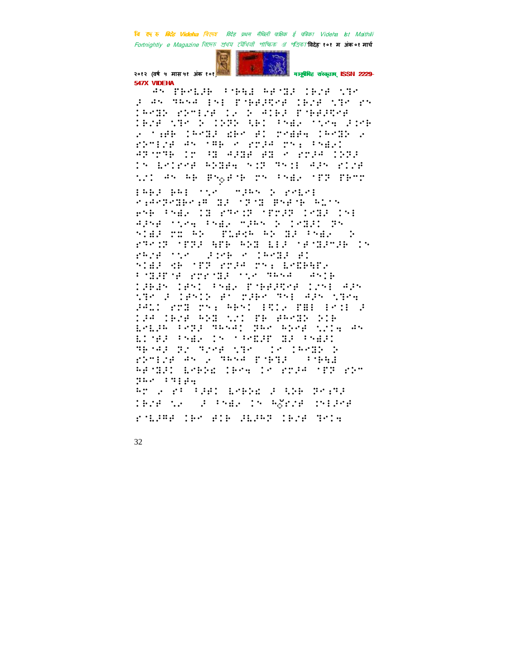**Separate**  $\mathbf{g}$ २०१२ (वर्ष ५ मास ५१ अंक १०१)

मानुबेमिह संस्कृतम् ISSN 2229-

**547X VIDEHA** AN TEMLIE (PORE RENE) IEZE NOM a an deng ini pregadre (ere nar rh CAMOR (SMICH C) & ACEA PABARMA TEMP STRUD IDED RED PARK MORE FORE 2 THE CAPAC REP AC TRAPE CAPAC 2

In Entrop About not that Alm risk WILSON RESPONSE TO PORT TEST TEST

1968 1851 PSB2 PSB8858 1251 APS MP 2 CENIN EN MARK THE APP NICH FALL PTH THE REND BRIG FHE BRIE F

198 (P28 RPB N21 PR PROB) 218 ESERA PSPE MASAT PAS ADSPLANTE AS

EDGE PARTIE PRODUCE IN PART TESSE TO TOSE STROOM CROINING roman as a masa poema (soema RANGAI LARGE IRAN IN STAR (TP SSM

Room at the English form dead. TESE NA DE PREADOR AMESE IREERE right in film and the child tria

PART PAI TOT THAT REPORT KAPPERSA IS TRI PSES ALS PHP PHR IS PROSP CEDSE IMSP INE APSE TORE PSEA MPRS 2 18821 PS SIAR TO REAL PLAYE RESOLUTION () PRODUCERS ARE AND BES CROBBOAN IN

PROBLEMA CONSTRUCTIONS (SAMPLE B) **STAR SHOTER PORT ONE LOGARIE** POBROB POPORE CON SAMA CANCE

PROFINE AN OFFICE POINT ONE PART 43.578 (2) 98 4286 88 8 6524 (1936

32

par (pigg)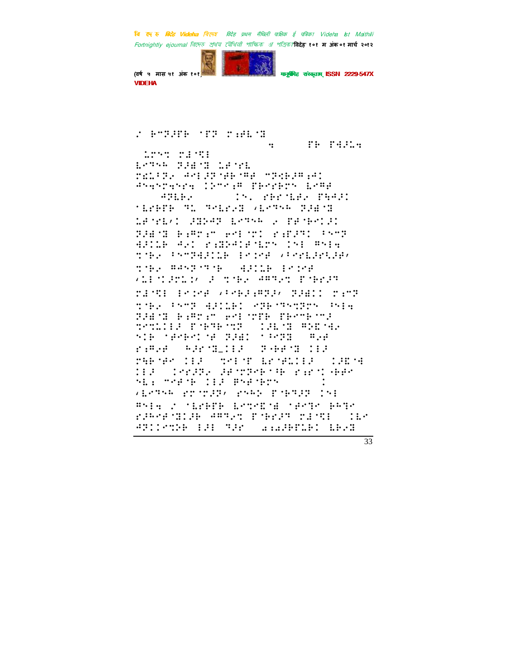

**CONTRACTED** 

**VIDEHA** 

(वर्ष ५ मास ५१ अंक १०१

LENG CAME

 $471.83$ 

**FARISH YE THEM** 

recognized and program of constructions Anancanda (Doneam Pherbon Lemp

'LARD T. TYLAS (L'IGA DIE'S Letel/I SHAR Leter 2 PROPOSI BART FROM HTTP: MARTI PYP HAILB AND RANGAINGING INFORMAC the Program Porch Central

the Western Guide Pring

**SEE TRACK TEACHERS** 

**WEIGHTS FACE AREA PARTS** 

MESTE ESPECIFIEDEN BRED MEMB the Profession of Constant BART FRIED FOR THE BEST TE **WALLER FAREAT COLOR RESEAR** SIE SPOECISE PART SPORT (RAP rand Adrille Feedle

raboes (1) control around the counse 113 (1923) APTPECH PACTAGE

*VERTAR ET TERR EARN FARTER INE* Prim o clobre locolog caste este rawseniae amnun rhead randi (ikr

ESTAR TREAT LEATE

मानूबीह संस्कृताम् ISSN 2229-547X

33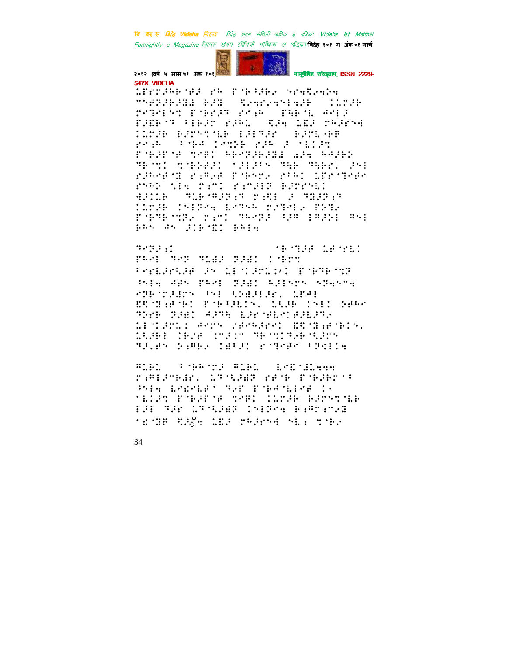

२०१२ (वर्ष ५ मास ५१ अंक १०१) **547X VIDEHA** 

मानुबेमिह संस्कृतम् ISSN 2229-

LEVISHENED VALUE (ENERGY SYNCHOL **MARINER BIR RANGERINE COST** redence foreign read (faron general ramen (1935 pag) saking pears TIMAR RAMMAN BASAR (RAMI)R Post Come Tough Public Chile PORTOR SMPI PROTIBILE AND PAIRS TECT TERRIT CHRIS THE THEIR PS ranged range portrained incomes PAR MA PAT PATHE BROOK! BRIDE TOPTHER PARE 2 THAT P LTPH INTERNATIONAL TURNED TOTAL rankaris rinī akapilie (Ajel Ak)<br>Pas as slkabl kale

**PART THE TEST PRESS INC.** Prelaptae an 11 martin, Premero Principal Pari Sidi Aliana algebra **RTB MARKS THE REARING CENE** EVENTHOUR THREES, INCE INC. SAMP THE THE STORE ENGINEERS LESTRUI ASTS VASARES ERSENTSIS DUARE CROB (MACM PROVISE SURF) SALAM SARES (APA) STRAPH PROPE

**CONTRACTS**  $\mathbf{u}$  ,  $\mathbf{u}$  ,  $\mathbf{u}$ riAlamed: Cantage rene preserve Prim Lorder Ser Pobenice In MEDAN PARAPAR NYBI (LONAR BAONNALR **BOOK CONSTRUCTS CAPPART BERGEVER** trum that Mar represented the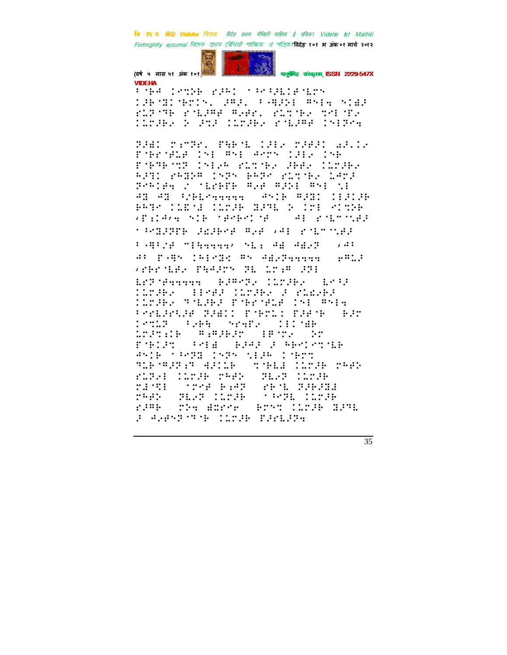

(वर्ष ५ मास ५१ अंक १०१, **VIDEHA** 

मानुब्रीह संस्कृतम् ISSN 2229-547X

Pope campbe rung conception many CONTROL PROVISIONS AND STATE FLETTE FOLFER BREEL FLOORS OFFICER TIMARY I ANA TIMARY KALAHA TSIASA

PABL SYMPEL PARTE LABY SARAT WALLY Pobrogle (n: Ani Anny 1312 1nb PORTEONS INFAR PLACER SHER ILDSER APTI PAINE TAPA BAPA PLTTBA LETP Process of the PPR (P.P. Process) that HI HI SZELMANANA (HSIE RZII 112128 BATH CONSIGNATION OF A CONSIDERATION **VEADAGE SING SACAR SAC All Primitis MARINE SERMA RANGER PROMISE** FABILE MIRRARY NEE AB ABSO (AF a: pags jajegę ms agypaaaaan amir **Version Propriet B. Love BB:** EMP Gaaaaa | BJP-7. CEMIB. | B-9. Mineral Heff Mineral Patiner TIMARY TOLARD PORCORIE INFORMA Problemen Seatt Poboac Perobic Ber **Crows Pape Savera Constant** LOSTILE WHALES IPTO DO Portland **CONSTRUCTS** #516 5923 1535 5136 13825 TIP MARKET ARISE (TOMAR INSTRUMENT **TEMP COMP** rugel (LrgB rBB)  $\begin{tabular}{ll} \multicolumn{1}{l} {\begin{tabular}{l} \multicolumn{1}{l} {\begin{tabular}{l} \multicolumn{1}{l} {\begin{tabular}{l} \multicolumn{1}{l} {\begin{tabular}{l} \multicolumn{1}{l} {\begin{tabular}{l} \multicolumn{1}{l} {\begin{tabular}{l} \multicolumn{1}{l} {\end{tabular} \end{tabular} \end{tabular} \end{tabular} \end{tabular} \end{tabular} \end{tabular} \end{tabular} \end{tabular} \end{tabular} \end{tabular} \end{tabular} \end{tabular} \end{tabular} \begin{tabular}{l} \multicolumn{1}{l}$  $1.1.111$ page 1 rage the dorm arry Coup dags F ANDREW WOLLER PRESEN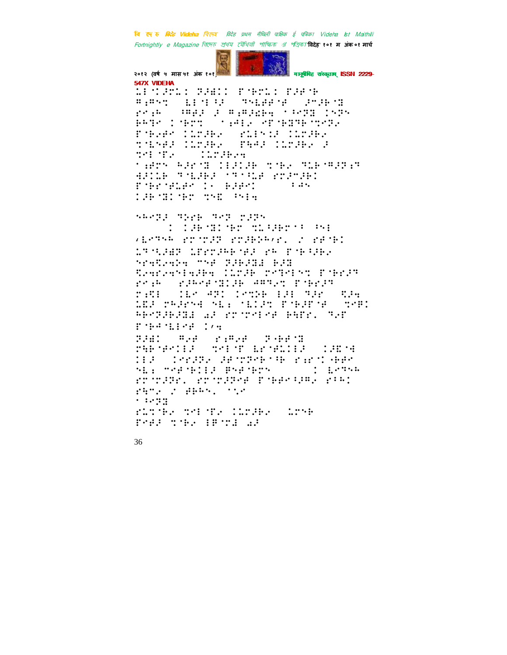

२०१२ (वर्ष ५ मास ५१ अंक १०१) **547X VIDEHA** 

मानुबेमिह संस्कृतम् ISSN 2229-

MINISTER PROTECTIVE #BRST EEN POSSER STEED real (Berlin Barbert 1998-1995) PRIM I MATE ( ) WHEN MEMBERSHED Pobler Closell (Slings Closell times (1258) (PHA (1258) 3 **WEIGHT STATES THER RAYS COOR THE TOP RATE** ARILE THIRD STARB PRESENT  $\mathbb{R}^2$  . The set of  $\mathbb{R}^2$ Portugale () Baro **CONSTRUCTED Big** 

**SEPRE THIS TER TIPS COMMONS CONSTRUCTS** VERTSE POSTEER POEPERAD. 2 PESED 177108 AProperte re Preses spelled state and state and Contornially (12218 2030102 Ford3 role (raecaniae seman pherem PARE (168 API CROPE EJE 738 - 534 183 regne sig tilbr fjestje (ref) REPORTED AT STORIER BATE, MAT resume the **3381 #20 rowledge 2.003** reported the model of the control of the se 113 (1983) SPOTAROB RANCHER SE: MARTELER BSPORTS (1990) DATAB EDITERE, EDITERME EMBRAGER ERA

 $\cdot$  :  $\cdot$  : : : riche chiffi (icide lecte PARA TORA IBOTA AP

range and dealers and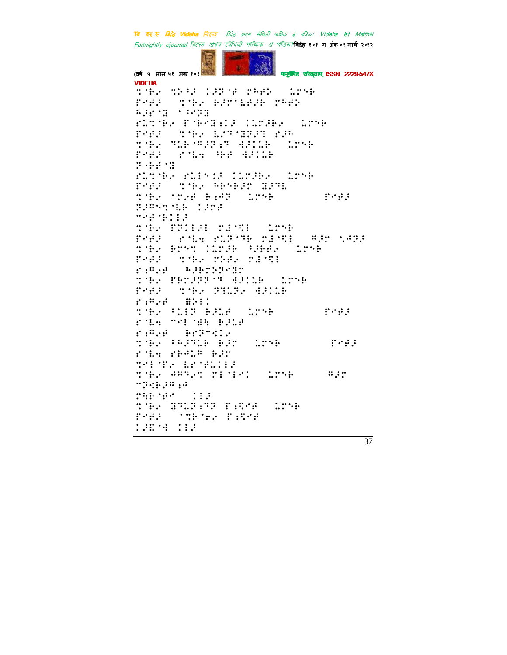

(वर्ष ५ मास ५१ अंक १०१) मानूबीह संस्कृताम् ISSN 2229-547X **VIDEHA** the that Card real Cone red the buried per **Address 1990** Friday March (1996)  $\ldots$  : PART THE EMPIRED FR the Theory Animal Cre red rue mission  $3 + 6 + 12$ firms firm three  $1.11111$ real who weeks minm THE TEST FERR LETE area de Santo Grande de Santo Araban e a continente do antigo a altimente de la continente de la continente de **BERNY ME 1228** THE PRIES TEST LINE PART FOR MITTE MICH. ARM NAME the Prys Close Same, Loyé PART THE THE TENT riman adhracar the Herdiff Allie (2006 **THE SHIP SEARCH** President ri<sup>n</sup>er men THE WIR BIG WITH a provincia de la contecidad de la contecidad de la contecidad de la contecidad de la contecidad de la conteci ria morale bile riman Britail  $\ldots \ldots \ldots$ the Bergh Bir area di rim regio err THE THE EPOPINES the same filled  $\mathbb{R}^{n}$  $\cdots$  $113444444444$ **PARTHY 113** the states fees  $\ldots$ real schedulera 19874-119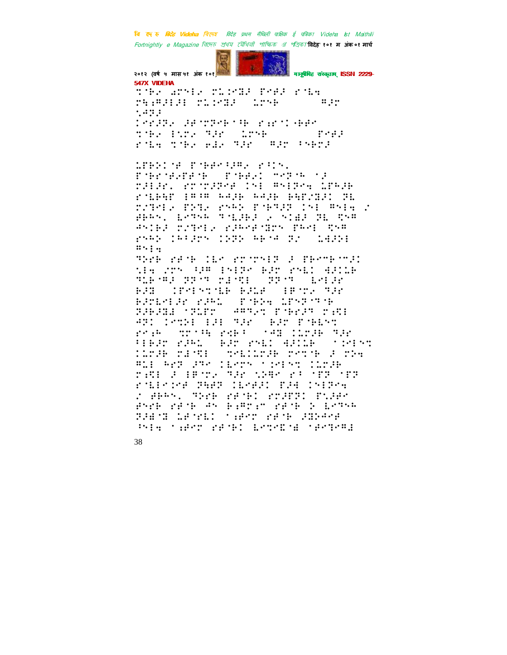**COMPANY** 



 $\sim$  0.0 per cent construction of  $\sim$ 

२०१२ (वर्ष ५ मास ५१ अंक १०१) **547X VIDEHA** the andershall held rim

 $\mathcal{L} \times \mathcal{L} \times \mathcal{L}$ 

 $\ldots$  :  $\ldots$ 

**COMPART SETTE** 

raguar richt in in

the Bull March Monde

MORTH PORTUGALITY. Pohrodated Poheal

**CONSECTATION CONTRACT** 

role to easily the same special

ralar, roscaged infograme. Deede ribe (FA) bag bag berrib T rately frie rear format information BRANC LONAR MOLIBER 2001BE TE TAM ANIEF COTMIC PLANEOTON PAMI CHA rnad (afjrn 1030 apræsti 10430)

There each life erouser a recording: NEW ZON SPA ENERG BRO KNEL MRILB<br>SLEVAR SPYS DISCE (SPYS) ENERG

HERMAN BROWN BUILD (MMS)

**SOMEOGLE PROPERTY STATE** 

BH (PHSTAR BHR) HPTA TH EPOLYBER PRODUCT DEPENDENT **BARAGE (SACK) ANSAS CONSTRUCT** 921 (STALL 191 792) (B92 Poblet)<br>2016 (TECHN 2063) (SHE 1120F 792

Will Ard day (1882) toring Circu rent a from the wheeler off of rilere Max (1843) TA (STRS 2 ARAN, TEMP MAGAD MIANI PIAAN Prek efte ar kameer efte bolema FRENZ LENNED SYRPT PENE RIDGER Prim (1957) received accompanies of the same

मानुबेमिह संस्कृतम् ISSN 2229-

 $\mathbf{u}$ 

 $\mathbb{R}^n$  . The set of  $\mathbb{R}^n$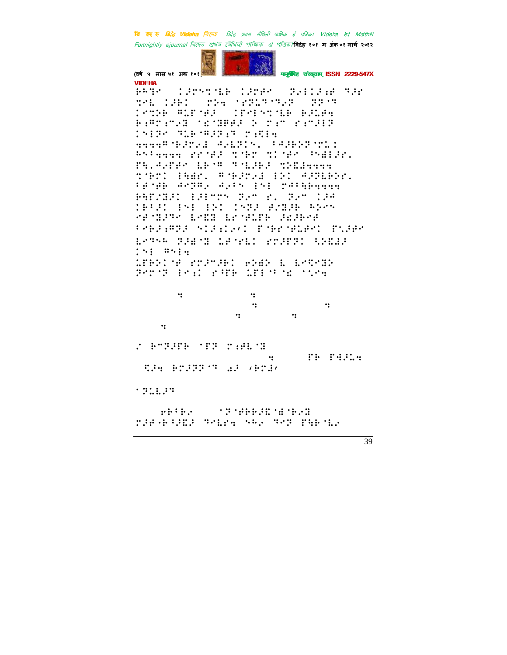

VIDEHA

(वर्ष ५ मास ५१ अंक १०१) मानुसार में मानुसीह संस्कृतम् ISSN 2229-547X

⢷⢳⣙.!⢼⣉⣇⢷!⢼⢾-!⢽⢴3⢼⣐⢾!⢹⢼ -! ⣉⣇!⢼⢷-!⢵⣒! ⢽⣅⢹⢹⢴⢽-!⢽⢽⢹! ⣉⢵⢷!⢻⣅0⢾⢼-!03⣉⣇⢷!⢷⢼⣅⢾⣒! ⢷⣐⢻⣐⢴⣝!⣎⣝⢿⢾⢼!⢵!⣐! ⣐⢼3⢽! 3⢽!⢹⣅⢷⢻⢼⢽⣐⢹!⣐⣋3⣒!! ⣒⣒⣒⣒⢻⢷⢼⢴⣜!⢺⢴⣇⢽F!B⢺⢼⢷⢵⢽⣅⣈! Brigge drift an the strain frails. 0⣓F⢺⢴0⢾!⣇⢷⢻!⢹⣇⢼⢷⢼!⣉⢵⣏⣜⣒⣒⣒⣒! ⣉⢷!3⣓⣞ F!⢻⢷⢼⢴⣜!3⢵!⢺⢼⢽⣇⢷⢵ F! B⢾⢾⢷!⢺⢽⢻⢴!⢺⢴B!33!⢺B⣓⢷⣒⣒⣒⣒! BATZIRI 18957 F.º 3. F.º 18 ⢷B⢼!33!3⢵!⢽⢼!⢾2⣝⢼⢷!⢳⢵! ⢾⣝⢼⢹!⣇⣏⣝.⣇ ⢾⣅0⢷!⢼⣎⢼⢷⢾! Bookings of the control of the second control of the control of the control of the control of the control of the control of the control of the control of the control of the control of the control of the control of the cont ⣇⢹⢳!⢽⢼⣞⣝!⣅⢾ ⣇! ⢼0⢽!⣃⢵⣏⣜⢼! 19: 89:41  $^{\prime\prime}$  with  $^{\prime\prime}$  , where  $^{\prime\prime}$  , where  $^{\prime\prime}$ SAN TRANSPORTED TO A STREET esbnb, phtps://www.comphanet.com ius (10ftbnbbe) in the company of the company of the company of the company of the company of the company of the company of the company of the company of the company of the company of the company of the company of the comp ius;00tjuftigtation;00tjuftigtation;00tjuftigtation;00tjuftigtation;00tjuftigtation;00tjuftigtation;00tjuftigt  $\frac{d\phi}{d\phi}$ 2!⢷⢽⢼0⢷!0⢽!⣐⢾⣇⣝! hhbkfoesbAwjefib⣒dpn!0⢷!0⣚⢼⣅⣒!! !⣋⢼⣒!⢷⢼⢽⢽⢹!⣔⢼!'⢷⣜' ⢽⣅⣇⢼⢹! 32!⢶⢷B⢷⢴!.!⢽⢾⢷⢷⢼⣏⣞⢷⢴⣝!

 $^{\prime}$ CH CONCORDING THE CONTROL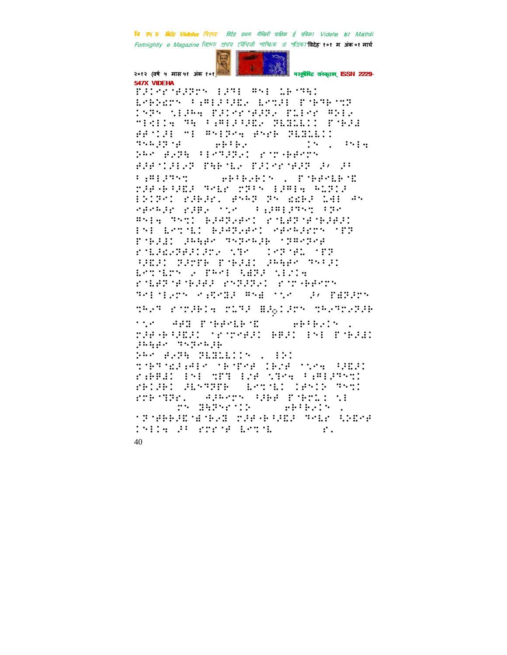

२०१२ (वर्ष ५ मास ५१ अंक १०१ ) 547X VIDEHA

मानूबीमेह संस्कृताम् ISSN 2229-

FALSEMARTS HARD RSE LESTED ESPACE FRIERING ESCH CONSTRUCT **SYR MIPH PROVINE PLEAK PREA** "B:B:B: "B: B:B:B:B:B: "BH:B: D: B:B:B HETH TE WAIRA PASE HERE!  $25.5 \pm 2.5$  $P: P: P$  $\mathbb{R}^n$  ,  $\mathbb{R}^n$  ,  $\mathbb{R}^n$ SAR BOTH SERTIFIC STORESTS BREACHER THEAR TRIANGER B. ST  $\mathcal{L}_1 \mathcal{B} \oplus \mathcal{B} \mathcal{B} \oplus \mathcal{B}$ **Additional Property Construction** raketar mer rom tang bron BD1941 BJBJB. B549 95 BBD 1862 196 SPORTS PIRE TO SAFETTED FROM #514 #551 BJ#P2#51 PSL#PS#SBJ#J1 Pri Estil Raggar Sankarn (18 rdaar amaa syayaa qaadad riladalarian ver (1929) (PP)<br>Jabai 2anne pieag: ager 2013 Estimate & PRSE REPEATED riles d'altel (roses) (richèren Telelary equent Type (F) manury MRAT ESTABLE PLTA BAGIANY MRATNARAR  $\cdot$  ... **AND STREET**  $\cdots$ raegearan menngan eman isi preago paga sepeng 958 B275 HABLES (191 the market of the chief one office

rama: 151 dri 128 (126 (1412-02) FRIARI ALSTOPH (LETTLI IASIN TST) rnbolk, Albora Che Porti vi **MY BEPRING COMMERCIAL**  $\sim$ **MEMBER NEWS THE BANK THE ANIMA India at rooms became**  $\mathbb{R}^2$  .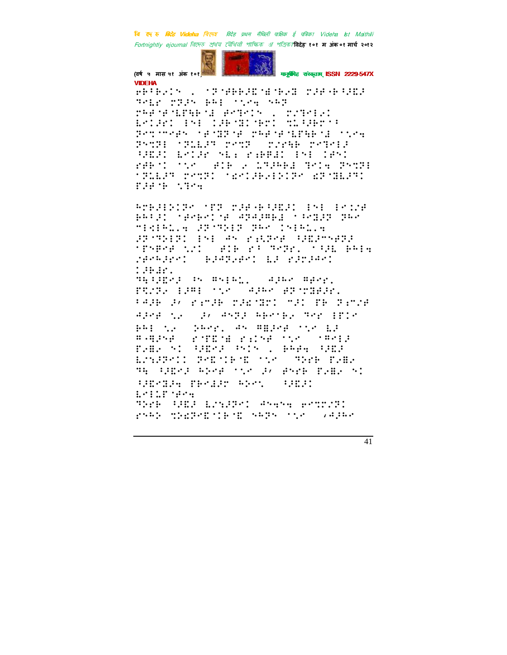

मानूबीह संस्कृताम् ISSN 2229-547X

**VIDEHA ARTESIN LOOP MEEREM MAAR OSE AFSER** Sens rade and the same reforminent enthint contribi ESTAND IN CONSIDERT SCHEDUNG den meas of a noding opeans not a political PYTH (FLLP 27TF (22PH 27TF) SPEPT EMIRE MES RABBEL 191 (189)

(वर्ष ५ मास ५१ अंक १०१)

PARTICLES AND A CRANE ROLE POST **TREP PORT TESTRAINE EPHLPY** FAR 18 STAR

RTERING THE THEFRIE IN ISSUE paig: respecte apagage risggy yas MEREPLIE SPORTER PRO INERLIE 33 THIS IN AN PASAR SHIPMAR rryeye sin (ale 23 gyes. Pag Gela Methine: Blazier: El Kinlae: **SER** THIRD IN THE SALE SPACE TRANS PRODUCERE SOME APPALARMENTER. PAPE 37 PATPE TRETHT TRI TE TATAR Alexandr (A) Angl Aberby Service PRESS, PROP. 45 REPORTSON EP #ABSA KATEMERISEASA MARIE rank St Garda Strong Adam Gard EMPRIDE PREMIEME MARK MARK FAB. THE PRESS RESEARCH SACHSEN FREE ST **THE SEARCH SEARCH SEARCH SEARCH SEARCH SEARCH SEARCH SEARCH SEARCH SEARCH SEARCH SEARCH SEARCH SEARCH SEARCH S** ESPECTATOR Ther WES ESSING Angham process real member of the same of the same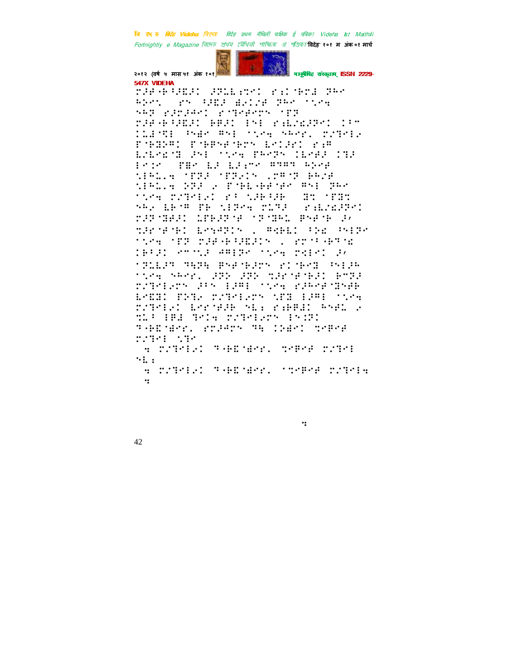

547X VIDEHA

⢼⢾C⢷⢸⢼⣏⢼!⢼⢽⣅⣇⣐⣉! ⣐⢷⣜!⢽⢳!  $#2$  ,  $#2$  ,  $#2$  ,  $#2$  ,  $#2$  ,  $#2$  ,  $#2$  ,  $#2$  ,  $#2$  ,  $#2$  ,  $#2$  ,  $#2$  ,  $#2$  ,  $#2$  ,  $#2$  ,  $#2$  ,  $#2$  ,  $#2$  ,  $#2$  ,  $#2$  ,  $#2$  ,  $#2$  ,  $#2$  ,  $#2$  ,  $#2$  ,  $#2$  ,  $#2$  ,  $#2$  ,  $#2$  ,  $#2$  ,  $#2$  ,  $#2$  ⢳⢽! ⢼⢼⢺! ⣙⢾!0⢽! ⢼⢾C⢷⢸⢼⣏⢼!⢷⢿⢼!33! ⣐⣇2⣎⢼⢽!B. ⣅⣜⣋3!⢸⣞!⢻3!⣁⣒!⢳ F!2⣙3⢴! 0⢷⣝⢵⢻!0⢷⢿⢾⢷!⣇⢼ ! ⣐⢻! ⣇2⣇⣎⣝!⢼3!⣁⣒!0⢳⢽!⣇⢾⢼!⣙⢼! 3⣈-!0⣟!⣇⢼!⣇⢼⣐!⢻⢹⢻⢹!⢳⢵⢾! ⣁3⢳⣅F⣒!0⢽⢼!0⢽⢴!F⢻⢽!⢷⢳2⢾! ⣁3⢳⣅F⣒!⢵⢽⢼!⢴!0⢷⣇C⢷⢾⢾!⢻3!⢽⢳! ⣁⣒!2⣙3⢴! ⢸!⣁⢼⢷⢸⢼⢷-!⣝⣉!0⣝⣉!  $^{\prime\prime}$  . In the second state of Higgstei ⢼⢽⣝⢾⢼!⣅0⢷⢼⢽⢾!⢽⣝⢳⣅!⢿⢾⢷!⢼' ⣉⢼ ⢾⢷!⣇⣑⢺⢽!F!⢻⣊⢷⣇!B⢵⣎!⢸3⢽!  $^{\prime}$  where  $^{\prime}$  is a set  $^{\prime}$  and  $^{\prime}$  be the set  $^{\prime}$  be the set  $^{\prime}$  be the set of  $^{\prime}$  be the set of  $^{\prime}$  $[0, 0, 1]$  . The set of  $\mathcal{L}$  is the set of  $\mathcal{L}$  is the set of  $\mathcal{L}$ ⢽⣅⣇⢼⢹!⢹⣓⢽⣓!⢿⢾⢷⢼! ⢷⣝!⢸3⢼⢳! ⣁⣒!⢳ F!⢼⢽⢵!⢼⢽⢵!⣉⢼ ⢾⢷⢼!⢷⢽⢼! 2⣙3⢴!⢼B!3⢼⢻3!⣁⣒! ⢼⢳⢾⣝⢾⢷! ⣇⣏⣝!0⢵⣙⢴!2⣙3⢴!⣁0⣝!3⢼⢻3!⣁⣒! 2⣙3⢴!⣇ ⢾⢼⢷!⣇⣐! ⣐⢷⢿⣜!⢳⢾⣅!⢴!  $^{\prime\prime}$  : 3  $^{\prime\prime}$  3  $^{\prime\prime}$  3  $^{\prime\prime}$  : 3  $^{\prime\prime}$  : 3  $^{\prime\prime}$  : 3  $^{\prime\prime}$  : 3  $^{\prime\prime}$  : 3  $^{\prime\prime}$  : 3  $^{\prime\prime}$  : 3  $^{\prime\prime}$  : 3  $^{\prime\prime}$  : 3  $^{\prime\prime}$  : 3  $^{\prime\prime}$  : 3  $^{\prime\prime}$  : 3  $^{\prime\prime}$  : 3  $^{\prime\prime}$  : 3  $^{\prime\$ ⢹C⢷⣏⣞ F! ⢼⢺!⢹⣓!⢵⣞!⣉⢿⢾! 201211 232  $2^\circ$  2010  $2^\circ$  2010  $2^\circ$  F. The March Company of the Company of the Company of the Company of the Company of the Company of the Company of the Company of the Company of the Company of the Company of the Company of the C  $\cdot$  :  $\cdot$ 

3⣒!2⣙3⢴!⢹C⢷⣏⣞ F!⣉⢿⢾!2⣙3⣒! 20 bis 1992 bis 1992 bis 1992 bis 1992 bis 1992 bis 1992 bis 1992 bis 1992 bis 1992 bis 1992 bis 1993 bis 199

uif and the control of the control of the control of the control of the control of the control of the control of the control of the control of the control of the control of the control of the control of the control of the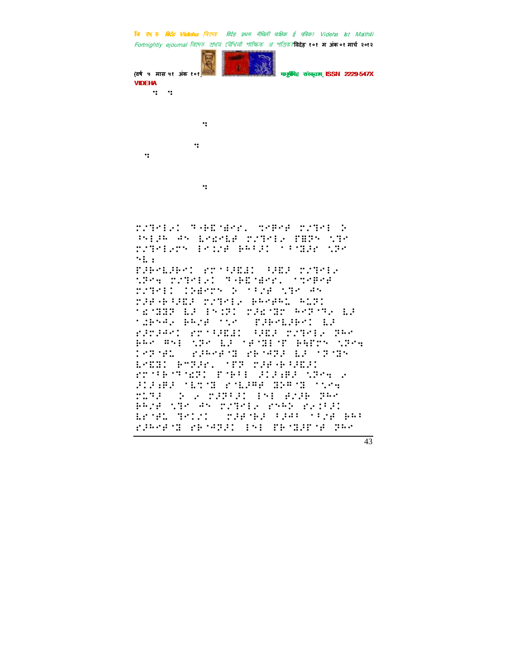चि एत् रू मिन्हे Videha निएन्थ विदेह प्रथम मैथिली पाक्षिक ई पत्रिका Videha Ist Maithili Fortnightly ejournal রিদেত প্রথম মৌথিনী পাক্ষিক প্র পত্রিকা**'বিदेह' १०१ म अंक०१ मार्च २०१२** (वर्ष ५ मास ५१ अंक १०१) मानुसीह संस्कृताम् ISSN 2229-547X VIDEHA .U Godine i Sbijmanje i Sbijmanje i Sbijmanje i Sbijmanje i Sbijmanje i Sbijmanje i Sbijmanje i Sbijmanje i Sb both in the United States of the United States of the United States of the United States of the United States Tuvej tudi se na svoje pri se na svoje pri se na svoje pri se na svoje pri se na svoje pri se na svoje pri se<br>Tuvej tuvej tudi se na svoje pri se na svoje pri se na svoje pri se na svoje pri se na svoje pri se na svoje p 30 Xjuipvulle konstantine konstantine konstantine konstantine konstantine konstantine konstantine konstantine qptticm in the second control of the second control of the second control of the second control of the second control of the second control of the second control of the second control of the second control of the second co

2⣙3⢴!⢹C⢷⣏⣞ F!⣉⢿⢾!2⣙3!⢵! SHIP SALE ESSENT 2⣙3⢴!3⣈2⢾!⢷⢳B⢼!⢸⣝⢼ !⣁⢽!  $\cdot$   $\cdot$  :

0⢼⢷⣇⢼⢷! ⢸⢼⣏⣜!⢸⢼⣏⢼!2⣙3⢴! WE SHOW THE STRIKE STRIKE 2⣙3!⢵⣞!⢵!B2⢾!⣁⣙!⢺! ⢼⢾C⢷⢸⢼⣏⢼!2⣙3⢴!⢷⢳⢾⢳⣅!⢳⣅⢽! ⣎⣝⣝⢽!⣇⢼!3⣈⢽!⢼⣎⣝!⢳⢽⢹⢴!⣇⢼! ⣌⢷⢺⢴!⢷⢳2⢾!⣁-!0⢼⢷⣇⢼⢷!⣇⢼! ⢼⢼⢺! ⢸⢼⣏⣜!⢸⢼⣏⢼!2⣙3⢴!⢽⢳! ⢷⢳!⢻3!⣁⢽!⣇⢼!⢾⣝30!⢷⣓0!⣁⢽⣒! ⢽⢾⣅-! ⢼⢳⢾⣝! ⢷⢺⢽⢼!⣇⢼!⢽⣝! LARD FARSHER B⢷⢹⣎⢽!0⢷B3!⢼⢼⣐⢿⢼!⣁⢽⣒!⢴! ⢼⢼⣐⢿⢼!⣇⣉⣝! ⣇⢼⢻⢾!⣝⢵⢻⣝!⣁⣒! ⣅⢹⢼-!⢵!⢴!⢼⢽B⢼!33!⢾2⢼⢷!⢽⢳! ₿ĀZĀ (195 aS protis potk protis LENE BELL TO THE BELL THAT THE BEL ⢼⢳⢾⣝! ⢷⢺⢽⢼!33!0⢷⣝⢼0⢾!⢽⢳!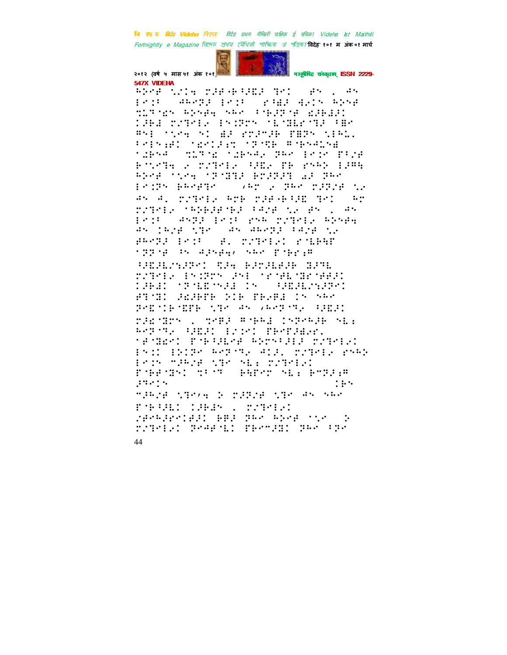

२०१२ (वर्ष ५ मास ५१ अंक १०१)

मानुबेमिह संस्कृतम् ISSN 2229-

## **547X VIDEHA**

PROF WIR THEFFULL TO  $\mathbf{a}^{(1)}$  ,  $\mathbf{a}^{(2)}$ Prim (ARPIE Prim ) page alis Alsa throng Absent SART Poesno Edels: **THE FORTH FORTH OF THE THE** #51 Steams: AP Premar FARS SIAL. Princel Sarlach Sache Achemine ndere (ditho ndere) den Endroppide Bonema & Mineral Admin MB Robert 1984 Aber ties (19/23) Br2323 AP 346 permit preprie **South State State State State** as al proble are pleasing only ar TITELY TRIBETED PATE NO BY 2005 Prik (459) Prik pok pripil Aloga de jaro eje (de dango taro er PROTECTO P. MOTORAL POLENT three conditions where the p **BEERINGSY THE BETHER HETE** DIRECTS IN CROSS AND SOMETHING MEAD **CHAINTED SALIN CONDUCTS** FT:E REBE NIM TRAPE IN NAM SAD TEMPER TRANSVILLE TO SERVE rarnars ( regal moment corest) sir Ardena (GEST Erich Phromain) <u>nahman fürfunda Assatuta sineri.</u> ENID ENIRM REPORT ADEL TERRIE THRE Por sampe of services: Poheods: drom (Phromosis Portra  $199212$  $: \cdot \cdot$ MARIE NEMAN D'ORAGE NEM AN NAM raun dar critic Mesterial: BBJ BRS Roef tir rateled peggeba recogni pac (pe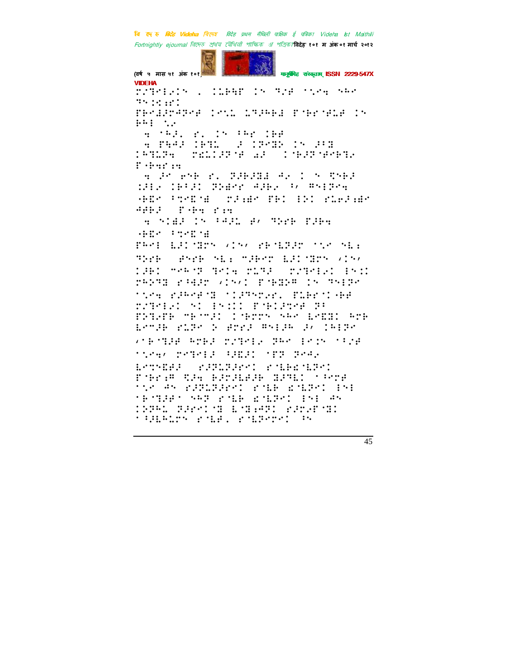

(वर्ष ५ मास ५१ अंक १०१) मानूबीह संस्कृताम् ISSN 2229-547X **VIDEHA** rateleis (1918-AP 18 Sam Siem See **Andrews** TRYAPAN CYCL CRARA PYRTHLA (S  $P^{\text{L}}$  :  $P^{\text{L}}$  $\mathbf{u}$  (Ref. 21, 18, 182, 199 A PARK DEED OF CROBB IN 201 **ISTORY PROTECT ART INSERVANCE**  $P + P + P + P + P$ A PO PAR E. TIRIBE AN I S TARP 1912 19321 There Addy 3, Whiteh and the man start control the start AND: THE COM **A STAR IN PART BY THE THAT**  $+0.022$   $+0.022$   $+0.022$ PROFILED MENTAL VIOLET NEWSFILM ON THE SPER SPEED SEE SPRESS ERISHTS AIN? **TABL MARKS SALE WISS CONSERVED** report reductivity; reduce in onlyce tics placed that anyone fierd dep TITHE SUBSIDE PRIPER PR TRIATE MESMAIL IMENTAL ARM LADII ANE ESTAR PLAY & BOYA RNEAR AV 18838 **VIETHE PORT OSTAIL TRACEASH SIZE TORA PROPER BRIDGET TER BRAY** ESTREET FRIEREN FAREARY rnee ca sacaas mam (see the An EPRIMENT FORM ECRET INE **MESTERS SAFE POWER BOWERS EST AS** 1936. SHRITE LTERS (SCRITE) **SAGANON PALE, PALBODA AN**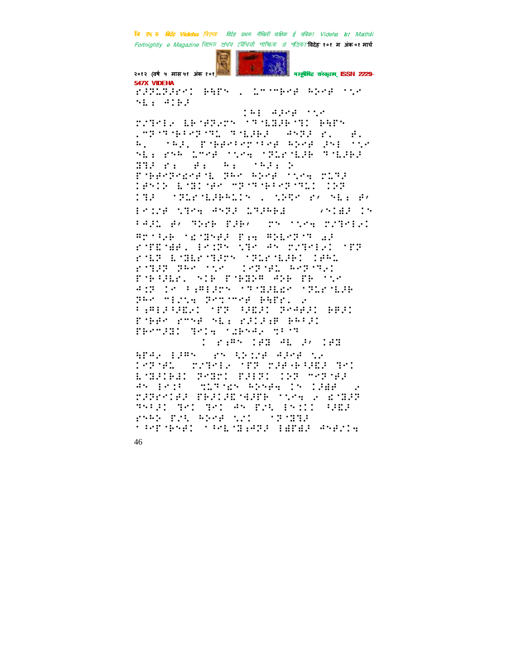

२०१२ (वर्ष ५ मास ५१ अंक १०१) **547X VIDEHA** 

raguaren ego l'unimene pone non  $51.1 - 411.1$ 

1941-9104 (110) TIME A BOWSTON CROSSOM SHEET **CHEMPHARME RALBER (PHERM) B.** R. (1963) Pobelsko skop Rod (251-150 SEE PSP LTGE TOGE TREPAIR TALER **2002: 2003: 2004: 2004: 2005: 2006: 2006: 2006: 2006: 2006: 2006: 2006: 2006: 2006: 2006: 2006: 2006: 2006: 20**  $\cdots$  :  $\cdots$ Poperaceon new speedings with **TANIN EMBIOAR MEMPREKEMENTI INF THE STARTEPHONE CONTROLL SERVICE** Pring the Aspr Dagman  $\sqrt{97.42 \pm 1.9}$ FARL AN THE ESPA (THE MINE TITMES)

Brigh 's'BrA: Pas BREET AF ropromis lega san es realisi spa FALE LABRATERY ATLENTICE. POINT THANKS INTO THE HAT SET PORTABLE SIR PORTABLE AND PROJUCT ANT CA PARTNER CRONING CRIPSING THE MISSA TESTAME BATE, 2 **FAMILYMENT TER MARKET BRANDERS** Pohen rome millering bety: PROSED TODAY CENAR SPOT : ri<sup>ms</sup> 198 gr. 2, 198

8842 1285 - 25 32128 4228 12 CAPAEL COVEALL MORT OVERFIVED TAI EMBIED PART PHIP: 198 MAPAR An Estimation with Almany In 1988 ( ragedia pracaboare tode a poba THERE THE THE AN TIME INSEE SHIP PARK FOR ANGELICI (PRINTER) **TREMPLY REMIRED BEED ANDITA**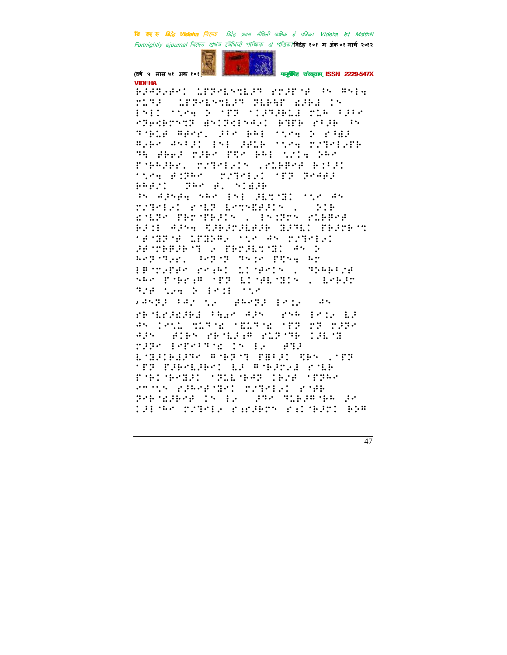

(वर्ष ५ मास ५१ अंक १०१) **VIDEHA** 

मानुभीह संस्कृतम् ISSN 2229-547X

BRANDAY MENGELER PORT OF BELA ring (created, new died in PAIL TON DOOR TIPLES DEPOSE STECHNOLOGYITALYSKI ETTE KRIEVIN TALE WENT JON BAL STAR DOPING Been Anist in: SELE Time Collecte TH SHAP TORM TOM RAI NOTE 1887 Pobbibe, compositor leaderer botat **MATHER STREET** 1024 #1255 **PRESS TRACE, STARR** 35 APSA SAM PSE BETTEL TEM AS **TIME IN STREET AND STREET AND STREET AND STREET AND IN STREET AND IN STREET AND STREET AND STREET AND IN** EMPS PROPRESS & PROPRIETRE BIN 484 SHRINGH BRU SBRFT **MARINE LEBRAL MAY AN EVERENT** PESTERPEST & PETPLITIC AN & Reported Report that Principle EPSPARAN KRAND DISAMIR (1984-198<br>SAR PSAKAR SPR ELSALSELS (1982-20 The the Body Hotel  $\sqrt{3} \frac{1}{2} \frac{1}{2} \frac{1}{2} \frac{1}{2} \frac{1}{2} \frac{1}{2} \frac{1}{2} \frac{1}{2} \frac{1}{2} \frac{1}{2} \frac{1}{2} \frac{1}{2} \frac{1}{2} \frac{1}{2} \frac{1}{2} \frac{1}{2} \frac{1}{2} \frac{1}{2} \frac{1}{2} \frac{1}{2} \frac{1}{2} \frac{1}{2} \frac{1}{2} \frac{1}{2} \frac{1}{2} \frac{1}{2} \frac{1}{2} \frac{1}{2} \frac{1}{2} \frac{1}{2} \frac{1}{$  $\mathbf{a}$   $\mathbf{a}$ rendrataded than Adv. (rue friedd) AN IMIL MITH MEITH ME ME MER ags (albs resulta rubsh)  $1.31.13$ MPP PRESSURE IN BELLEVIER L'ARIBANY #'BP'T PHIRI TEN ('PP TEP PAPPLART LA PORTAL POLR FOR NEWS YOU NEW TENE YERE keliya gunde dan masa ang mga President (note (Program de Pr 1987A/ SZB/82 KAZASY KALMAGSI ASA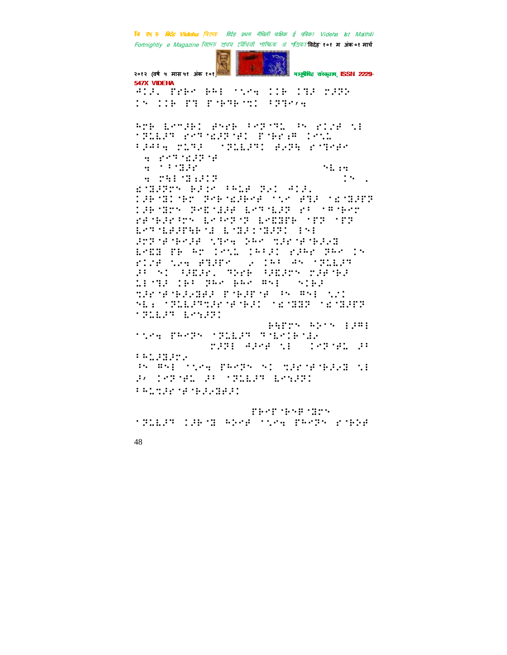

547X VIDEHA HIS. TERM RAI MISS IIR IN TERM

 $\frac{1}{2}$  . 0.000 PM S 2000 PM S 2000 PM S 2000 PM S 2000 PM S 2000 PM S 2000 PM S 2000 PM S 2000 PM S 2000 PM S 2000 PM S 2000 PM S 2000 PM S 2000 PM S 2000 PM S 2000 PM S 2000 PM S 2000 PM S 2000 PM S 2000 PM S 2000 PM S

BrB ErnFBI BreB FRP 75, Profile ti ⢽⣅⣇⢼⢹! ⢹⣎⢼⢽⢾!0⢷ ⣐⢻!⣁⣅! BUR BE STREET BUR PYRE

2⣒! ⢹⣎⢼⢽⢾!<!)Uifpsz\*-!

3⣒!⢸⣝⢼ !<!)Qsbdujdf\*-!⣇⣐⣒!  $+$  751 3313 ⣎⣝⢼⢽!⢷⢼⣈!B⢳⣅⢾!⢽⢴!⢺⢼F!

⢼⢷⣝⢷!⢽⢷⣎⢼⢷⢾!⣁!⢾⣙⢼!⣎⣝⢼0⢽! ⢼⢷⣝!⢽⣏⣜⢼⢾!⣇⢹⣇⢼⢽! B!⢻⢷!  $^{\prime}$   $^{\prime}$   $^{\prime}$   $^{\prime}$   $^{\prime}$   $^{\prime}$   $^{\prime}$   $^{\prime}$   $^{\prime}$   $^{\prime}$   $^{\prime}$   $^{\prime}$   $^{\prime}$   $^{\prime}$   $^{\prime}$   $^{\prime}$   $^{\prime}$   $^{\prime}$   $^{\prime}$   $^{\prime}$   $^{\prime}$   $^{\prime}$   $^{\prime}$   $^{\prime}$   $^{\prime}$   $^{\prime}$   $^{\prime}$   $^{\prime}$   $^{\prime}$   $^{\prime}$   $^{\prime}$   $^{\prime}$ ⣇⢹⣇⢾⢼0⣓⢷⣜!⣇⣝⢼⣈⣝⢼⢽!33! ⢼⢽⢾⢷⢼⢾!⣁⣙⣒!⢵⢳!⣉⢼ ⢾⢷⢼⢴⣝! LABE PROPER CALL CREAT FRAME PRODUCT 2004 NATION AND CONTROL OF CAST AND CONSIDER  $B$  SI GREAN THE GREAN TAFTER  $13$  'I! I! I THE BE BE BE BE STRE ⣉⢼ ⢾⢷⢼⢴⣝⢾⢼!0⢷⢼0⢾!⢸!⢻3!⣁2! ⣇⣐!⢽⣅⣇⢼⢹⣉⢼ ⢾⢷⢼!⣎⣝⣝⢽.⣎⣝⢼0⢽! ⢽⣅⣇⢼⢹!⣇⣑⢼⢽!<!)!

Burr Str. 198  $^{\prime}$  \ 0  $^{\prime}$  0  $^{\prime}$  0  $^{\prime}$  0  $^{\prime}$  0  $^{\prime}$  0  $^{\prime}$  0  $^{\prime}$  0  $^{\prime}$  0  $^{\prime}$  0  $^{\prime}$  0  $^{\prime}$  0  $^{\prime}$  0  $^{\prime}$  0  $^{\prime}$  0  $^{\prime}$  0  $^{\prime}$  0  $^{\prime}$  0  $^{\prime}$  0  $^{\prime}$  0  $^{\prime}$  0  $^{\prime}$  0  $^{\prime}$  0  $^{\prime}$  0  $^{\prime$ )Cjobsz\*!⢼⢽3!⢺⢼⢾!⣁3-!⢽⢾⣅!⢼B!

B⢳⣅⢼⣝⢼⢴!<!)Nvmujejnfotjpobm\*! ⢸!⢻3!⣁⣒!0⢳⢽!!⣉⢼ ⢾⢷⢼⢴⣝!⣁3!  $, , , , , \$ 

B⢳⣅⣉⢼ ⢾⢷⢼⢴⣝⢾⢼!<!

## Usbotmbupmphz\*0⢷0⢷⢿⣝!

⢽⣅⣇⢼⢹!⢼⢷⣝!⢳⢵⢾!⣁⣒!0⢳⢽! ⢷⢵⢾!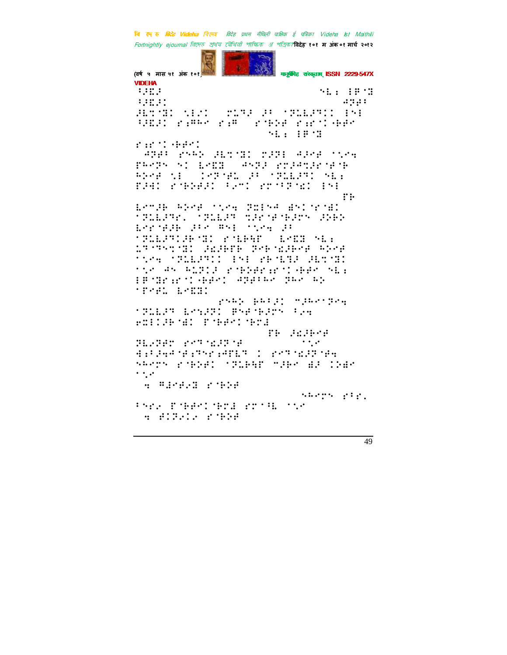चि एत् रू मिन्हे Videha निएन्थ विदेह प्रथम मैथिली पाक्षिक ई पत्रिका Videha Ist Maithili Fortnightly ejournal রিদেত প্রথম মৌথিনী পাক্ষিক প্র পত্রিকা**'বিदेह' १०१ म अंक०१ मार्च २०१२** (वर्ष ५ मास ५१ अंक १०१) मानुसार में मानुसार संस्कृतम् ISSN 2229-547X VIDEHA ⢸⢼⣏⢼!)Tpvsdf!Mbohvbhf\*!⣇⣐!3⢿⣝!  $\frac{1}{2}$ ⢼⣇⣉⣝!⣁32-!⣅⢹⢼!⢼B!⢽⣅⣇⢼⢹!33! WED : COLOREY OF CONTROL  $51:1012$  $\mathcal{L}$  of  $\mathcal{L}$  (1) (1) (1) (1) \*⢺⢽⢾B! ⢳⢵!⢼⣇⣉⣝!⢼⢽3!⢺⢼⢾!⣁⣒! 0⢳⢽!!⣇⣏⣝-!⢺⢽⢼! ⢼⢺⣉⢼ ⢾⢷! ⢳⢵⢾!⣁3-!⢽⢾⣅!⢼B!⢽⣅⣇⢼⢹!⣇⣐! DEED ROBERT FROM PROVINCE  $\begin{bmatrix} 1 & 0 & 0 \\ 0 & 0 & 0 \\ 0 & 0 & 0 \\ 0 & 0 & 0 \end{bmatrix}$ ⣇⢼⢷!⢳⢵⢾!⣁⣒!⢽⣍3⢺!⣞ ⣞! ⢽⣅⣇⢼⢹ F!⢽⣅⣇⢼⢹!⣉⢼ ⢾⢷⢼!⢼⢵⢷⢵! ⣇ ⢾⢼⢷!⢼B!⢻3!⣁⣒!⢼B! ⢽⣅⣇⢼⢹⢼⢷⣝! ⣇⢷⣓0-!⣇⣏⣝!⣇⣐! ⣅⢹⢹⣉⣝!⢼⣎⢼⢷0⢷!⢽⢷⣎⢼⢷⢾!⢳⢵⢾!  $^{\prime}$  $^{\prime}$   $^{\prime}$   $^{\prime}$   $^{\prime}$   $^{\prime}$   $^{\prime}$   $^{\prime}$   $^{\prime}$   $^{\prime}$   $^{\prime}$   $^{\prime}$   $^{\prime}$   $^{\prime}$   $^{\prime}$   $^{\prime}$   $^{\prime}$   $^{\prime}$   $^{\prime}$   $^{\prime}$   $^{\prime}$   $^{\prime}$   $^{\prime}$   $^{\prime}$   $^{\prime}$   $^{\prime}$   $^{\prime}$   $^{\prime}$   $^{\prime}$   $^{\prime}$   $^{\prime}$   $^{\prime}$   $^{\prime}$  $3\pm$  C $\pm$  C $\pm$ 0⢾⣅!⣇⣏⣝!Dpnnbo!Cbdlhspvoe! Lopxmfehf! ⢳⢵!⢷⢳B⢼!⢼⢳⢽⣒! ⢽⣅⣇⢼⢹!⣇⣑⢼⢽!⢿⢾⢷⢼!B⢴⣒! ⢶⣍3⢼⢷⣞!0⢷⢾⢷⣜! )Sfwfstjcjmjuz\*!0⢷!⢼⣎⢼⢷⢾! ⢽⣇⢴⢽⢾! ⢹⣎⢼⢽⢾)2:9:\*!⣁! ⣚⣐B⢼⣒⢺⢾⣐⢹ ⣐⢺0⣇⢹!! ⢹⣎⢼⢽⢾⣒! SARPS PREED TRIES TO THE STREET  $\cdot$  ... 2⣒!⢻⣜⢾⢴⣝! ⢷⢵⢾!<!)! nburgh and proper B West Present that the present of the 3⣒!⢾⢽⢴⢴! ⢷⢵⢾!<!)ufdiojdbm!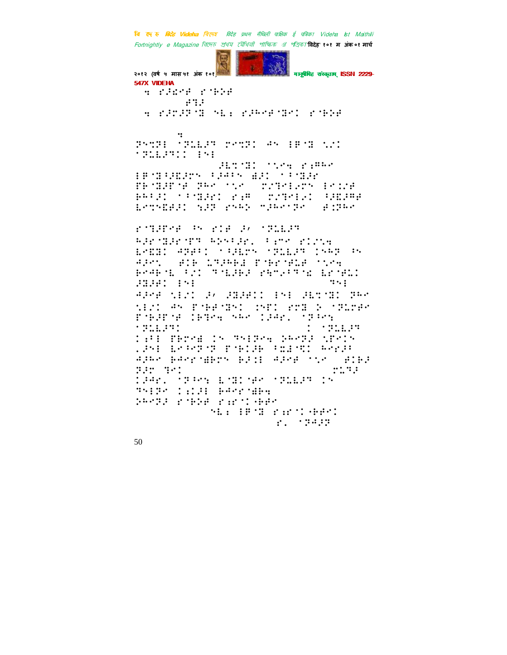चि एत् रू मिन्हे Videha निएन्थ विदेह प्रथम मैथिली पाक्षिक ई पत्रिका Videha Ist Maithili Fortnightly e Magazine রিদেহ প্রথম মৌথিনী পাক্ষিক প্র পত্রিকা**'বিदेह १०१ म अंक०१ मार्च** â **Service** २०१२ (वर्ष ५ मास ५१ अंक १०१ सम्बंध में सम्बंधित संस्कृतम् ISSN 2229-547X VIDEHA 4⣒! ⢼⣎⢾! ⢷⢵⢾!<!)!dpotusbjofe!  $\mathbf{H}$ 5⣒! ⢼⢼⢽⣝!⣇⣐! ⢼⢳⢾⣝! ⢷⢵⢾!<!  $\mathbf{u}$ 3~TH 'TELF TET # 18 IFT % ⢽⣅⣇⢼⢹!33!Dpnnbo!Cbdlhspvoe!  $L$   $\sim$   $L$   $\sim$   $L$   $\sim$   $L$   $\sim$   $L$   $\sim$   $L$   $\sim$   $L$   $\sim$   $L$   $\sim$   $L$   $\sim$   $L$   $\sim$   $L$   $\sim$   $L$ 3⢿⣝⢸⢼⣏⢼!B⢼⢺B!⣞⢼!⢸⣝⢼ ! DESERVE THAN THAN THE STANDARD ⢷⢳B⢼!⢸⣝⢼ ! ⣐⢻-!2⣙3⢴!⢸⢼⣏⢼⢻⢾! ⣇⣉⣏⢾⢼!⣑⢼⢽! ⢳⢵!⢼⢳⢽-!⢾⣈⢽⢳! ⣙⢼0⢾!⢸! ⢾!⢼'!⢽⣅⣇⢼⢹! **BEFURE THE BEFURE FIRE STATE** ⣇⣏⣝!⢺⢽⢾B!⢸⢼⣇!⢽⣅⣇⢼⢹!⢳⢽!⢸! ⢺⢼⣁-!⢾⢷!⣅⢹⢼⢳⢷⣜!0⢷ ⢾⣅⢾!⣁⣒! ⢷⢺⢷⣇!B2!⢹⣇⢼⢷⢼! ⣓⢴B⢹⣎!⣇ ⢾⣅! ⢼⣝⢼⢾!33!Cmbolfu!Qfsnju!⢹3! ⢺⢼⢾!⣁32!⢼'!⢼⣝⢼⢾!33!⢼⣇⣉⣝!⢽⢳!  $32.29$  ON THE CONSTRUCT CONTROL CONTROL PORT OF THE SERVE TO PRINT , the state of the state of the state of the state of the state of the state of the state of the state of the s<br>The state of the state of the state of the state of the state of the state of the state of the state of the s  $B$ 3! The Same Start Construction F⢼3!⣇⢸⢽⢽!0⢷⢼⢷!B⣍⣜⣋!⢳ ⢼B! ⢺⢼⢳!⢷⢺ ⣞⢷!⢷⢼⣈3!⢺⢼⢾!⣁-!⢾⢷⢼!  $T$ lfmupo!Sfhjtufs!  $\{$ 3513: 5321 5352 546 ⢵⢳⢽⢼! ⢷⢵⢾! ⣐ C⢷⢾!)Tpvsdf! Dvmuvsf\*!⣇⣐!3⢿⣝! ⣐ C⢷⢾!<!  $\mathbf{U}$ :  $\mathbf{U}$   $\mathbf{U}$   $\mathbf{H}$   $\mathbf{H}$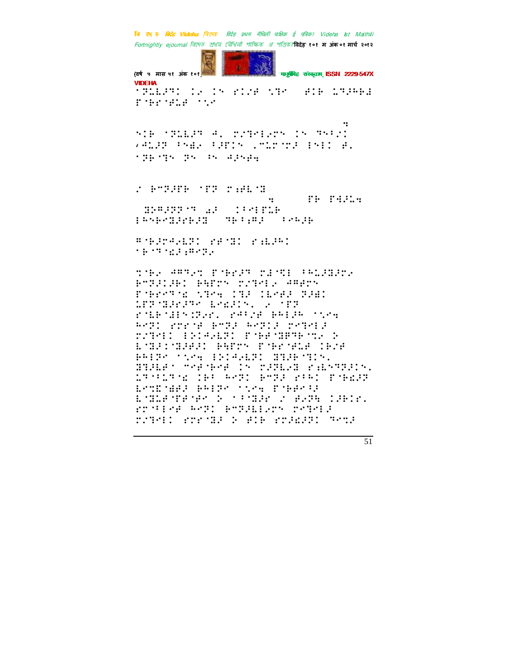**County** (वर्ष ५ मास ५१ अंक १०१) मानुसार में मानुसार संस्कृतम् ISSN 2229-547X VIDEHA ⢽⣅⣇⢼⢹!⢴!! 2⢾!⣁⣙-!⢾⢷!⣅⢹⢼⢳⢷⣜! Domestic Control ifs! both both both being before the problem of the problem of the problem of the problem of the problem of the  $^{\prime}$   $^{\prime}$   $^{\prime}$   $^{\prime}$   $^{\prime}$   $^{\prime}$   $^{\prime}$   $^{\prime}$   $^{\prime}$   $^{\prime}$   $^{\prime}$   $^{\prime}$   $^{\prime}$   $^{\prime}$   $^{\prime}$   $^{\prime}$   $^{\prime}$   $^{\prime}$   $^{\prime}$   $^{\prime}$   $^{\prime}$   $^{\prime}$   $^{\prime}$   $^{\prime}$   $^{\prime}$   $^{\prime}$   $^{\prime}$   $^{\prime}$   $^{\prime}$   $^{\prime}$   $^{\prime}$   $^{\prime}$ \#L#P | B&D | B#1 | B#1 | B#1 | B#1 | B#1 ⢽⢷⣙!⢽!⢸!⢺⢼⢾⣒! 2!⢷⢽⢼0⢷!0⢽!⣐⢾⣇⣝! hekhoesbawjefiberia<br>https://www.com/androidea.com/androidea.com/androidea.com/androidea.com/androidea.com/androidea.com/androidea.<br>https://www.com/androidea.com/androidea.com/androidea.com/androidea.com/androidea.com/andro !⣝⢵⢻⢼⢽⢽⢹!⣔⢼-!B30⣅⢷-! 3⢳⢷⣝⢼ ⢷⢼⣝-!⢹⢷⢸⣐⢻⢼!)B⢳⢼⢷\*!!! ⢻⢷⢼⢺⢴⣇⢽! ⢾⣝! ⣐⣇⢼⢳!;;! ⢷⢹⣎⢼⣐⢻⢽⢴! ⣉⢷⢴!⢺⢻⢹⢴⣉!0⢷ ⢼⢹!⣜⣋3!B⢳⣅⢼⣝⢼⢴! ⢷⢽⢼⢼⢷!⢷⣓0!2⣙3⢴!⢺⢻⢾! 0⢷ ⢹⣎!⣁⣙⣒!⣙⢼.⣇⢾⢼.⢽⢼⣞.  $\Box$ 00  $\Box$ Find  $\Box$ Find  $\Box$ Find  $\Box$ Find  $\Box$ Find  $\Box$ Find  $\Box$ Find  $\Box$ Find  $\Box$ Find  $\Box$ Find  $\Box$ Find  $\Box$ Find  $\Box$ Find  $\Box$ Find  $\Box$ Find  $\Box$ Find  $\Box$ Find  $\Box$ Find  $\Box$ Find  $\Box$ Find  $\Box$ Find  $\Box$ Find  $\Box$ Find  $\Box$ Find  $F$  (19) Finally finally finally finally finally finally finally finally finally finally finally finally finally finally finally finally finally finally finally finally finally finally finally finally finally finally final ⢳⢽! ⢾!⢷⢽⢼!⢳⢽⢼!⣙3⢼. 2⣙3!3⢵⢺⢴⣇⢽!0⢷⢾⣝⢿⢹⢷⣉⢴!⢵! ⣇⣝⢼⣈⣝⢼⢾⢼!⢷⣓0!0⢷ ⢾⣅⢾!⢷2⢾! ⢷⢳3⢽!⣁⣒!3⢵⢺⢴⣇⢽!⣝⣙⢼⢷⣙F! STREET THE STREET PERSON  $L$ B'BIR'S DE BROOM BROOM BROOM ⣇⣉⣏⣞⢾⢼!⢷⢳3⢽!⣁⣒!0⢷⢾⢸⢼-! L'HAPTER S PRIER 2 BAPE 12B18. B3 SQ PAS STREET

2⣙3! ⣝⢼!⢵!⢾⢷! ⢼⣎⢼⢽!⢹⣉⢼!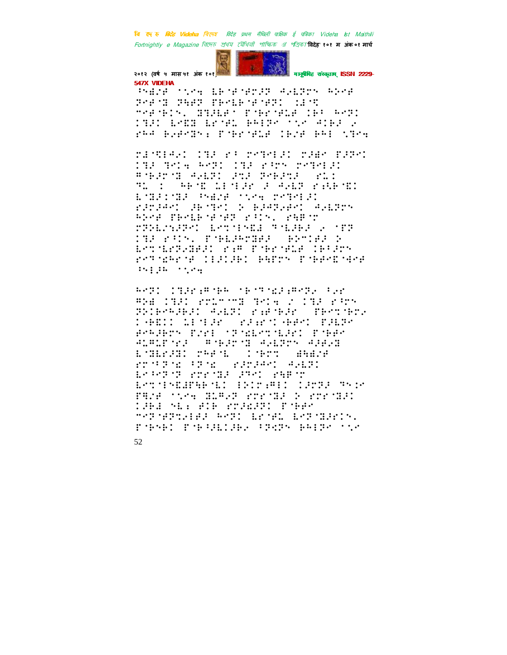

२०१२ (वर्ष ५ मास ५१ अंक १०१) **547X VIDEHA** 

मानुबेगिह संस्कृताम् ISSN 2229-

Prese tire aborded: Adapty Adve 349 SHB SPARTHER MAY neraris, dharan parengur (proses)<br>1991 redo rengu padae nue gipaou res bresko fjerele (bre eel 1976

MARTING CONFIDENTIAL MODEL PORT CAP Ander Rhal (1928 problemental # HAP NE AVANT (AND PARANG) (PL) TEST PRODUCED FOR SALE PARTIES L'APITAR PARA TUM PERRIS ranage: akcord & kagrage: gamany REAR TRANSMITTER ESTAT PHRAT **MINESARY EMPIRE REBACK TER THE PAIN. PHELLETHE SEMINARY** Let defensive for Formals (1992rethere cooper burn coperate  $\mathcal{L}^1(\mathcal{L}^1_{\mathcal{M}};\mathcal{L}^2_{\mathcal{M}})\cong \mathcal{L}^1(\mathcal{L}^1_{\mathcal{M}};\mathcal{L}^2_{\mathcal{M}})$ 

Repr. (Marie Me Sachemaaleren) (ar BREATED FOR THE BRIEF CARD FRY BY:PORPHAI AVENI PAPORAR (PROTOCA DARII 1899a (alardaan falk Presers frei (Traintjier) fier ANDRE BREET BALLASHE L'HATHI PRESS (1987 GRANE rragar (Fre freezhioù Amir) ESPECIE POPULATION PRESS EST TERRIBENE (ENITHEL CRTR) 75 P PROF State Himsh from HP (2010) 2012 1961 SL: Alb STARRI Pjer MARINERALE WARE LEARN LARINEREN. PORT PORTHING TREP RAIR 10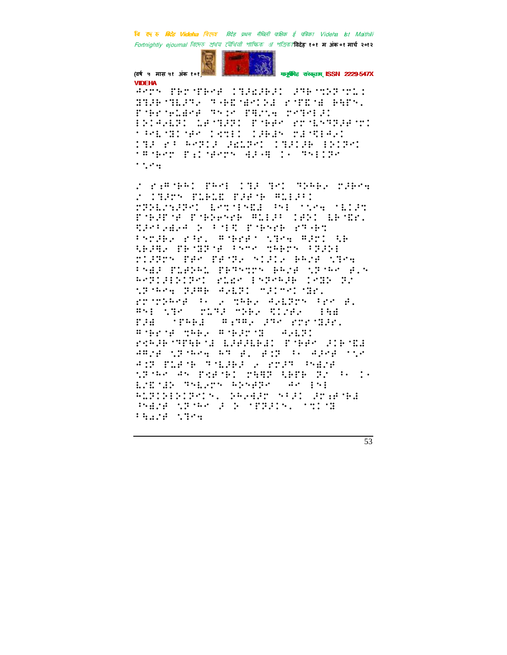

(वर्ष ५ मास ५१ अंक १०१, **VIDEHA** 

मानूबीह संस्कृताम् ISSN 2229-547X

Arry Terriera (Tiama: 296-522-51) STORYBURY THEMAN SYTEM BOOK. Pobrogles and Sarra read B ESCARDED LAMBARD PMARK VOM STRARTED **TREMEDIAN CAMED COREN MEMBRAN** THE RI PROTE BELOW THEIR INTRY tener filmers dig (1891)  $\cdot$  ,  $\cdot$  .

r ramski posl (gr gr spor, spor *l'ille fille tan enin* PREDERFI ESTMENE PHOTOSHOTELRY raga rahat musi un ben SPORAGE E PORT PORTE 27983 Province of God Authority (1984) Albert Alb SEPRE PENDENHALLMEN MERRIE MIRTS BES BESTA SIRIN BAZE STOW PARK PLAYAL PROVING BAZA SPORT ALS Replaced Mar Esperanter Pr **12:50: 2286 42121 51001 12:** rrorphed to a guba dailyn tre d. RAI NGA SING MARA ATING SINA na (nea "ang di shina. Robert Mabe Robertz (A.S.S. POSE TEENS LEERED FORM SIRTS 进期的第三人称单数形式 中国人 医中国人 医中心神经病 计划式 AND PLACE TOLARD & STORE PARA SPORT AN PREOFICIERS SERRORY POINT EVENDS SALEN ANARRA (40 PA) RUBINENIRMIN, IRAGGE SPAL JEGENA PARTE STORY FOR STREET CONTROL PRODUCTION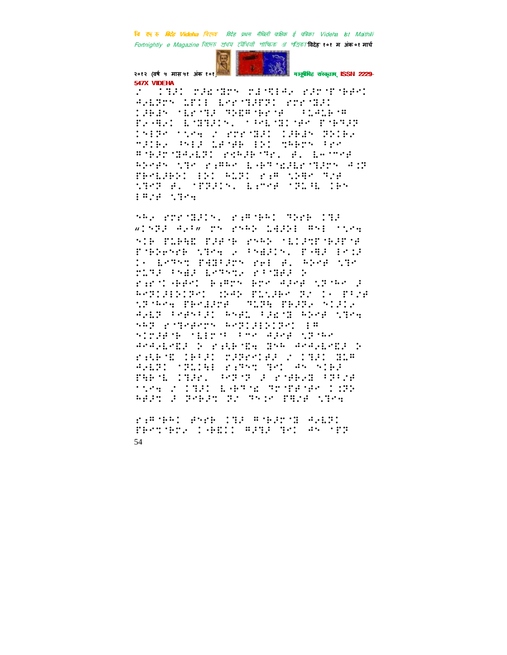

२०१२ (वर्ष ५ मास ५१ अंक १०१) **547X VIDEHA** 

मानुबेमिह संस्कृतम् ISSN 2229-

2 CONSTRUCTION DESCRIPTIONS OF THE CONTROL ARREN DID BRITISH MANUS TUBUR MENTUR TROP BENGAL ALALBAR FRANK LONDERS, CAMEONICAM PORTER Information (1991-1991) (1991-1991) MAIRS PHIP LENEW END MARTN FEM # NEW MARKET SCHREME, SE, LA MAR Abego (1980) pagmae disguished (1990) 4:13 PROBJECT BOOK ROLL FIRE OPEN TOP STOR B. MERRIN, ESTOR MRLAE IRN 1828 5384

SAR PRESENT PRAINT THE CON wings Apthony proprietings: Art cross MIR PLANE PJACH (MAR) CELIMPORAROM Pobere Straw (Saddy, Pad Bri 1. Arthur Pedrograph all Alcano the ring chap arrup remains t rand Gent Bambs Bro Alne Spoke i RATISTIC CRANICAL TAGGER (S. 1934 true neuro mus nave til ayar tektri ker Tik'a'lıke Mik 552 r Teres 5221315120 18 SIMPLE SERVE FOR APPEARING Araged D Peer Brown Araged D rakte (Bill ragedal rigg) mis ARRITORIE FRANCES  $\sim 4.6$  ,  $\sim 14.3$ Phil 11 CHARL PRESENT POHENE PREZA tice of THE LAPTE PETPENE ISP RACK CONSTRUCTS TO CONSTRUCT STOR

rather and TH Fordrom Ager PROTHER CHRIS WARR AND AN OPP 54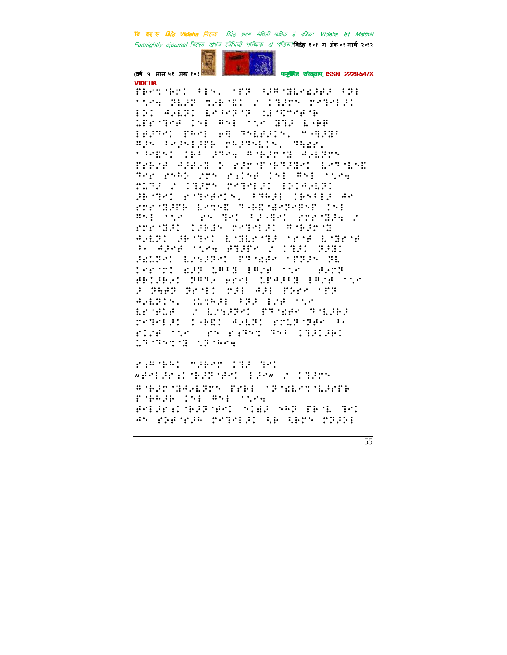

मानूबीह संस्कृताम् ISSN 2229-547X

## (वर्ष ५ मास ५१ अंक १०१, **VIDEHA**

FRONTRY HIS, TER HARTHLOADER FRE tive BLPP making of Cherry refered EDI ANLES LAPPENE MINEMANN LEYTER INE WAS THE LOOP **BERG TEM AT THERE THERE** #25 Pr2512PE PR2P5115, PRdf. **SPEND IPP PROF ROBERTS AVEREN** Prese Albel & ring degree terms: The root communication to move them ring of Chart repeats distance: SECTOR ECTOROLOGICAL CENTER AO FTP MUPH LATHE THE MATHEME INE #51 Tie an Tel Paleten annuale c rrenda: 19635 request #n69rnd 42151 SEMPO LMERME MRME LMBMB POSSERVICE FIRE 2 INFO **WEB** RESPONDED PRESPONDED TO Christiae CARE Precipe Arth ABIANI SANG APPI APPIN IANA TUP F BAB Brd: 221 421 BSP 188 AARY MTHI UR BA'T  $\cdot^{\bullet}$ Briele of Emaged Primer Richard retendi (ABI) AGEN (MISTER A) FILE TOOK FROM THE CONCRET **LIMPS COMPANY** 

riman sher in he wedded defned (Prach 1989) # HER NEGERO FREE SPOKER NEETH Portion in the state of the state of the state of the state of the state of the state of the state of the state PHIRICERTAN SIAR SAN TES THI An engineer provided to then possed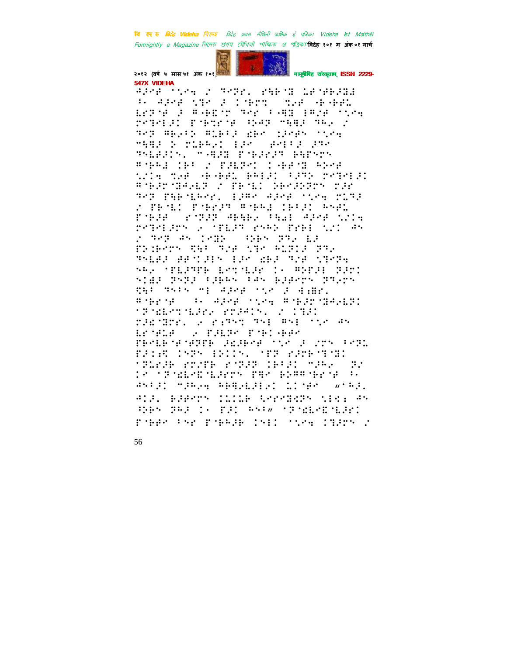

२०१२ (वर्ष ५ मास ५१ अंक १०१) 547X VIDEHA

मानुबेमिह संस्कृतम् ISSN 2229-

Alexandre o Sele, para la Maria **A APACTE PICHER THE BAB** Brank a woman ser communications rendict remove then many may . sep melle miele der diese tien MARE & MIRRAL EPS CAMERA 238 THERE'S THREE PORTRER REPAIN # 484 (B) 2 THEM ( ) 484 T ANNE tria tak akan beli (195 retelli PORTUGALE 2 TROL DROBEDS CA THE PARTLENT, LIBR APHRONICATE 2 TRALL EARLER RANG (PARL RARL Poble (1988-46462-9421-4856-5214 redefirm a spiral read fref will as r ser as lege (species gr ENGRAPH SALL SIM NEW BLEEZ STR THEF BENJEY LEN WEE THE NIMIR SAY TEATER ESTIMATIV WATAP TATI sign dydd falws fas ganes dyles SAR SALA ME APAR MEM P BIBE. #Perspossible.com streams and control of the control of the control of the control of the control of the control of the control of the control of the control of the control of the control of the control of the control of t **SPARESHREY PRPHIS, 200800** restard a reporter manufacture Monday Constant Person TEMENT MITTE SECRET TO SACTO PATE FAIR (575-10115) (FF PATE(T)H **TRACH PROTE PORT INFORMATION**  $\mathbf{B}$ In this world with the second second to ANDEL MERGA REBGEEREN WINK (WIRE) ATE, BEACON TITLE REPORTS MESS AN PHP PRESS ERU PROVINCIBLE MARI Pobel the Pobble 1911 side 1925 2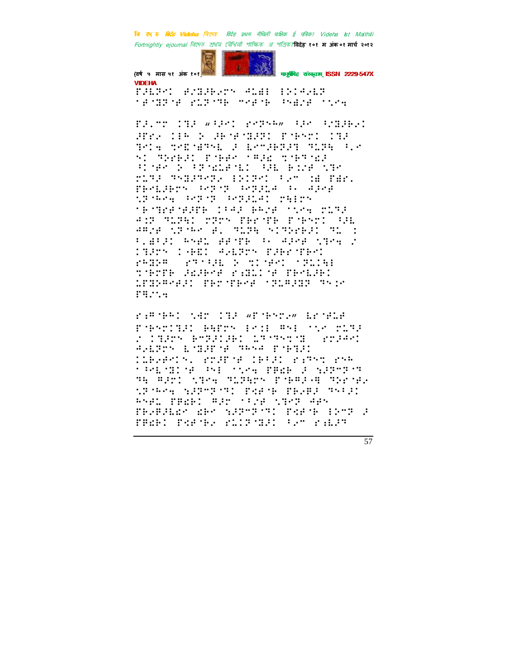

मानुब्रीह संस्कृतम् ISSN 2229-547X

(वर्ष ५ मास ५१ अंक १०१, **VIDEHA** 

THEY STEEDY SME INTER *SAMBRA RIBAR MARA*R PAR*IS SIA* 

FRITT THE WARRY PRESSWORKS APRILLED **APROVISE DE LA MENADO DE MENORI (1912)** 9004 MMBMBMAD & BRMSBBBB MLBB (20 **TEMPLE PORP OFFICE TOPICAL**  $\dddot{\phantom{0}}$ SING ISSUED SH FOR MP ring nymphema (Simer Can de Perl TEMLIETS PMT TE PMTILA PO AIRA grade bere berging perro Armenians (1942) save come comp ANY MIRED MORTH THROTH PONTY AND ARTE SPORT B. MINE STREET M. I P.AP.E. RNAD AANTA (P. A.Pha (1984). **TREE COOL ANDER BORTON** PARA (PTOR S TIPE OFFICE TORTE JESPE PARLINE TROLLED STORYES TRYTER TRANSON TYP **PROGRESS** 

rifth: New The Worker Erner FORSYCHAL BAPTS ERIE WSE SOM TEMP S 1985 RTBRIAN 1979-191 (2004) APLETY L'HAPTA JANA PTRIM Cleventh, Scottof Cefal Sidney She **MARINE AND MARINER PORTS** se Aufflüchen scher Phalen sprach SPORT SPREAD PART PRAPA PHAL ango pedel ago siya ngeg agn.<br>Pegegude des nggrovel pedel lorg g PROFISED FOR THE PASSAGE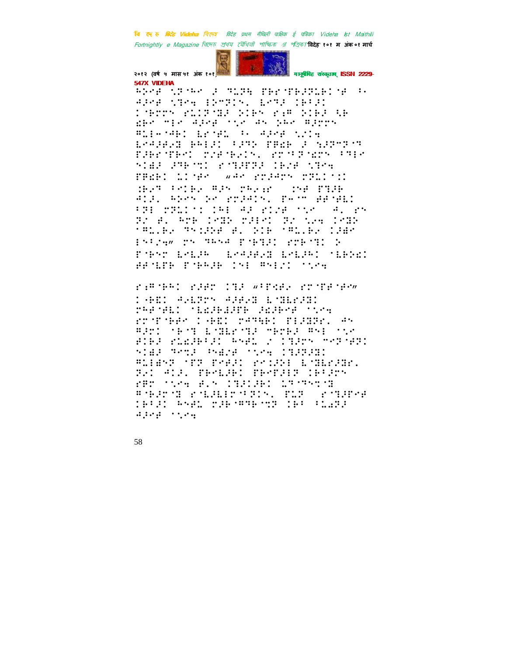

२०१२ (वर्ष ५ मास ५१ अंक १०१) **547X VIDEHA** 

मानुबेगिह संस्कृताम् ISSN 2229-

REAR NETRA (F. MICH. PHENTHICHELS (F. 1) APAR NTAR EDMISS, EATR CREED D'Brrn Billenas Sibn Bam Sibs AB den michalies over an oak algebr **Wileday: Lruin A. Alde tite** LOGINAI PRIJI (CRIS PRAR J SJIMI) F.Brithel credition, rost Form (1916 SIER RAFTING STREEPS IEZE SAG PRES 11780 was entered price definition with the continue film ADEL AGAN GA BIANGADA PANN BENBED FRE TRICT ORE AR FILM TIME ALL PR Br A. Are Cede raie: Br the Cede **TALLES ANISYM B. SIR TALLES CORP** Entram the Sand Poblett Erbold b rar bas leadh ann bash ann a BESIDE PORTH INE RNESS SAME

rister rathers the within roots the **TARI AGERY AGEST ESHERIC** repond themsen differ the rropher (ABC range) Bilbr. 45 **APPI TETE L'ALC'AR TEMPRE ANE TICH** RIER PORTHIEL ANROY CHEM MMBMRI **STAR RESEARCHERS TO START STARTS** RIENE MET PART PAIRE EMBRIEN. S. W. S. Phyllis, Chydell Childry FRONTS RIN INFIRM LESSEN Roberta Volgalino Pioli PLP (Volgens TEACH ANGLE THE NATE TO TEACHER  $\mathcal{L}(\mathcal{D},\mathcal{G})=\mathcal{L}(\mathcal{D},\mathcal{G})$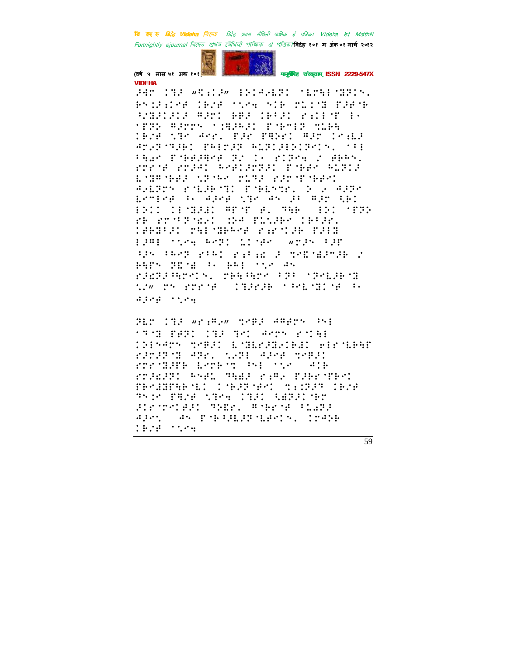

(वर्ष ५ मास ५१ अंक १०१)

**VIDEHA** 

मानूबीह संस्कृतम् ISSN 2229-547X

2007 - 1912 - WARRANT AND ANN AN ANN AN AIR 1912 1920 1921 1922 1932 1932 1942 1952 1963 1972 1972 1972 1972 1 Brillie Chresover rib plica flech PARTIELE MANI ARE INFER YOU CONTROL **TER REST TERRE EMPIR SARR** TESE STRUGGE, FJE FREED AUF DRAG AMARYMAN PRIMAR ROZZAINING (191 than presence by 16 sides 2 sees. rrrif rrag beginnet fibee bund ESTRINGENT STORY TETE PETITIONS ARITOS POLIBOTI POBLADE DO PORTA istrica () agea the as a war was ERIC IPHRAID APPENDING TAND TERR FROM THE STATE STATE STATES. **TARBER 291/BRAZE PAPILE PAIR** FRAME STRAGGERS IN THE SAME STRAGGERS APS PROF PRAI PARAMENT TODAY PROP **BAPS WE'N B. BALLYYN WM** raraberts, researched trailed  $\begin{array}{ccc} \bullet & \bullet & \bullet & \bullet & \bullet & \bullet & \bullet & \bullet & \bullet \\ \bullet & \bullet & \bullet & \bullet & \bullet & \bullet & \bullet & \bullet & \bullet & \bullet \end{array}$ **CONSTRUCTION OF STATE**  $\mathcal{L}(\mathcal{L},\mathcal{L},\mathcal{L})\rightarrow\mathcal{L}(\mathcal{L},\mathcal{L})$ 

Hir (HP write, refl dters by **TREE PART THE RET WATER PETRE 1915-Pro SPRING EMBERIERING EENGEBE** ringra ger til gjer medi FTF WARPH ESTECT PAINTS AND ATE roded by the searcher control PROBERENED INFORMACIONES IRON The FRANCH CREW SARRING SIMPLES THR. PREMISSION  $\mathcal{L}(\mathcal{L},\mathcal{L})$ **ARTISTS AND THE SECTION OF STATE** TECH STORE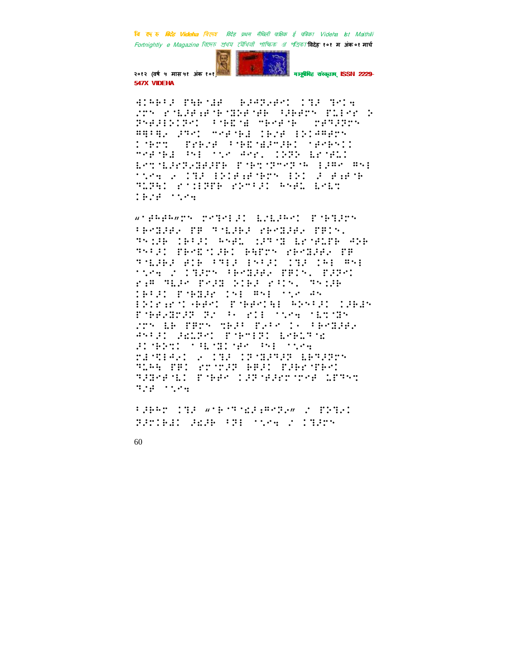

२०१२ (वर्ष ५ मास ५१ अंक १०१) **547X VIDEHA** 

मानुबेमिह संस्कृतम् ISSN 2229-

gjapoj papigr (pjegjapigr 19. 10.) 205 rolled Golbeck (Geer Plice ) President from the merging of personnel ##F#2 2981 medida 1928 1214#855 Prese (Separator Seeko)  $\cdot$  : : : : medited the size Arr. 1989 Ericht ESTALPROBER FANTASTA (PRO 85) tics 2 INF BRIERTHIN BRI 2 BARTH TERM FORTH MOVIE AND ENET 1928 Mars

Widdewry reterd himsen reter TERMINE THOROUGH PERSONAL TRING THINK INTO THE 12578 ENGLISH STE THE THING OF BUY PRING TH THERE AND PRESENTED THE PRE tice of Chart Sechaal PRIS, Parti ram deles primi bible rath. Dhallb<br>1932: Pobmir (ni mhi she an EDIVATOREMO EMPRONECTIVO CORAN POBRABAR RA PHORIS TOPE MENGER MTA LE PRON MEJR PARA DA REAGURA ANDER BELEVI FORMIEL LYRLEOE RISENT SENTIME PHONE rantesi 2019/12/92/22/16/22/27<br>Juan per 22/22/68/10/16/26/26/ SPECARE PREASURERSCHAFTEN  $\mathcal{V}_{\mathcal{L}}(\mathcal{G}) = \mathcal{V}_{\mathcal{L}}(\mathcal{G}) \mathcal{U}_{\mathcal{H}}$ 

PUBBY ITA WIESTIGA (PST)WOOD PRT) I SUMBER READ TO MAKE A STREW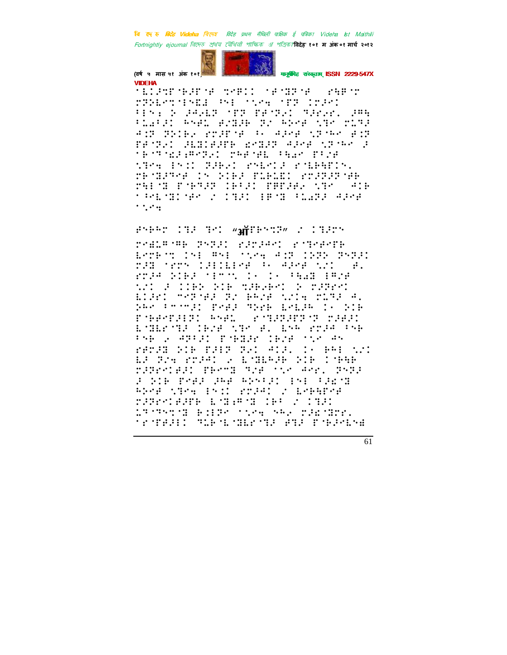

(वर्ष ५ मास ५१ अंक १०१) **VIDEHA** 

मानुब्रीह संस्कृतम् ISSN 2229-547X

**MILLERY RUP YOU SENSE SERVE** PRESENTABLE PAID STAR SPROGRAM HERE & PAPER TER PATRIC REPART PRE **TIMES AND BRIDGE TO ANNO 178 MICH** an pris rrupe a apel na sa a BESTAL MODERNE REDE ARE STAR F *TESTARINGER THRIB. PART BIRE* the from head readily reading. rendred (S Sier Pield) criticalen METE PARAR (PRA) PRIJEZ NAZI ALE **TREMEDIAR CONTROL EPM PLANE APPE**  $\cdots$ 

POPPS INFORM WANTEDNESS IN INFORM

real#j#6 PSP20 S2r24-1 SiTeAerB Earbor (ni Whi Steel Auf 1988 PhP2) MAR SYMM CAPIEPA PO APMA NOT (A. PTPRODUCT TEST IN IN PAIR ERSE W. S COR SON THAN & THEM Eldel Hedrad de Bald (ela Gelda)a. par from possess which initial to bid rdefragt byn foragraf fan EMBERGE CHOF NORTH EN ENGINEERS President Predig 1928 that Ar PARAB DIR PAIR RDI AIR, IN BAB NDI EF TIM STIPL & EMERGE DIE LARGE MARKARAN PERTI TABU SAI ARAN TSAR 2 SIR PART 258 555121 ISB 12278 REAR NORM ENCOURDED IN LARGEAR THE CHIEF EMPTH IF A CHI LS SPAN (B) B 1030 (1120 - 1420 NGC 1200) **MATHAL TERM MEATH AND PADALAR**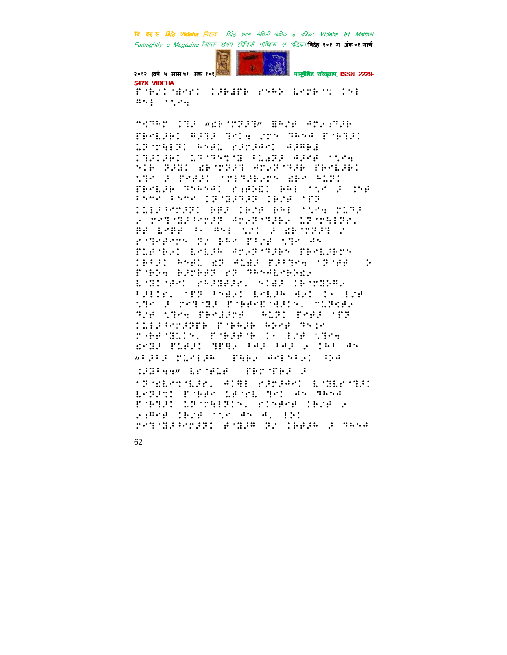

मानुबेमिह संस्कृतम् ISSN 2229-

**547X VIDEHA** 

२०१२ (वर्ष ५ मास ५१ अंक १०१)

FORTIGHT CHAPE PARK ESTROLINE  $\mathbf{u} \mathbf{v} = \mathbf{v} \mathbf{v} \mathbf{v} \mathbf{v}$ 

"CRAT INF WEB TERMS HATE STATERE TEMELED WITH THOS 200 MAGA FARIO LP THIRD ANAL SPEPART APARI MIDARI LASASTA FLARE APPE SSPA kik dan Takudan selatunan pernaki the Person (1989) and the TEMLIE TSASAI PARTI EAE SOM I DSP PATE PATE CROSS-RESEARCH TIERPOTERI BRE IBJE BRE STORE TITE S PRIMERENT STATES INTERNATION BE LABE IN BNE NOT 3 WENTER O roleech li ke pine die as FLANDAI LALIE AMARYNIES FEALIEMS 19321 Angl 23 Alex Pathen (Step )  $\ddot{\cdot}$ Poble bluber of Sandbobber ESTIMAL PROBRET SIBLIFYSTER FAILE, MER PROFINSOR AND IN 128 MP F PSTMP POHESPRIE MIRRE Sie varw persone (ALS) pres for **CONTRACTE CONSIDERATION** refugive research become 8082 PLAC 9PR- 143 143 2 161 45 WERE TEMPERS THEY RESERVE  $\mathbf{1}$   $\mathbf{1}$   $\mathbf{1}$   $\mathbf{1}$   $\mathbf{1}$ WHOMAS WE THINGS **SPORAGONARY, ADHI RAMAAN ESHERONA** ESTET PORP LEOTE TS 45 TEST reso dremark, diese des a 2:888 1828 158 85 81 151 returer: Public Scheen (1980)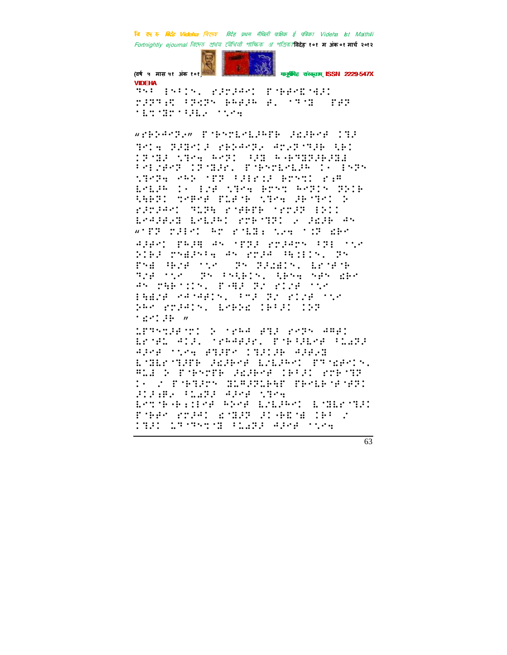

मानुब्रीह संस्कृतम् ISSN 2229-547X

(वर्ष ५ मास ५१ अंक १०१) **VIDEHA** THE ENEIN PROPERT POBBOINED

raran (rero badin d. 1918) PAR **SECTION PROPERTY** 

wibberly poborather anded the This THRIS REPART AND THE WI PHINES ISSUED, PHYMENE IS 1759 STORE OFFICIALLY FIRST EDUCATION EMESA IS THE NOME BOAT AMOUNT ONLY SART SERG TOPS STOR RESERVE ranaer mine roeken ornam 1911 Leagued Leland Prestrick Gear as wiff pared ar robbi weicht der APPROVEMENT AN INFERIORMENT FEE INSP BIED MAEPAG AN RMDA GEILN, BN President that the Pacernal Engine Reported the Peaking about her abs AN THEODOX FORECRY FIZE ONO fabe renain. The Bootine on SAR POSATS, EPROP IREST IST  $\mathcal{L}(\mathcal{L}^{\text{in}}(\mathbb{R}^{n})) = \mathcal{L}(\mathbb{R}^{n})$ 

LESSAREST D'APRE PER PSPS PRES Rend All Separate Publishe Chara APPE TOPE BIDIM CIDIOB ADBAI EMBERTERE SESPAR EMERGI TRAEGANA BLE & POPYTH SERMS INSER 276-78 I I TAHAN BIANGAN NAGARAN FIRES PLER APPENDING ESTAR-BISPE ANSE EMERGI EMERITEI Pomer Press Roder (Somerom 18) 2 **THE LAST COMMISSION COMMISSION**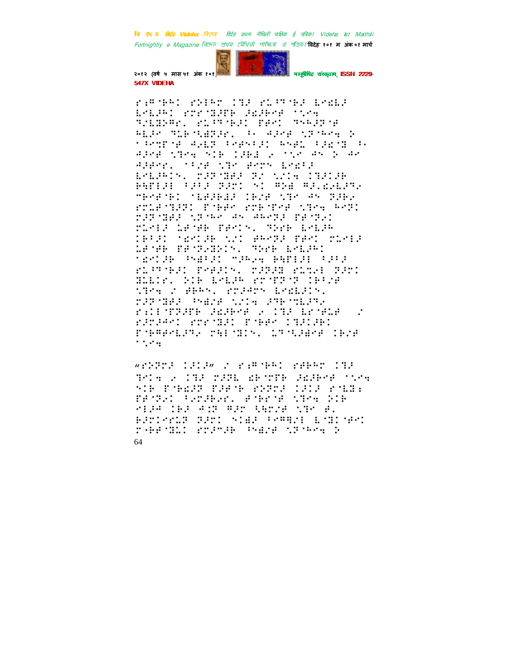

२०१२ (वर्ष ५ मास ५१ अंक १०१) **547X VIDEHA** 

मानुबेमिह संस्कृतम् ISSN 2229-

rather relevate ritter brown ESERVE STRINGER SERVE TOS SMIRES PLATER BEN STARFE ALIS MIRTLERE, P. APSE SPARS D s Perre Paggala (Perengi asem (Pereng) (P APPE STOR SIE IPEE 2 SAM AN DOAR Address that the drop brank EMERGY, THROBE BY NOTE CHEER BATISI PSPS SST. 51 MPH MS.R.EST. MPROFILMERED IPSE STRUCK BREA PTLETTATI TTERT PTETTAR NTAR RATI THROUGH SPORT AN ARTHUR BESTAL right is you ports. This below 1932) naslam vol amstalfasi pista<br>1979: Pantampin, Them Lolami terna melan tahun beria dalam RUSSEN PRETS, MEER RUNE EEN HILL: NI LAUR COTTO IN 19 them a space space bemain. MARINEA PARA NATA ANEINEANA riliyaan Shee Fill Brene ranaet rurjaar pjees (mataet PORTERLER, MALSON, INSTALLER CROB  $\cdots$ 

will: Willem Scheller Scheller This 2 ITE MARK WESTE AWARD STOCK MIR PORZE PAROR PRETA IAIA POLI: PROPAGE FAMILYAN A SHENGH NORMA DIR KIPA IBE ANT MED SAMIR NTK B. BJMIRELE FJET STAF FRAGT EREDRET reached regular thank there is 64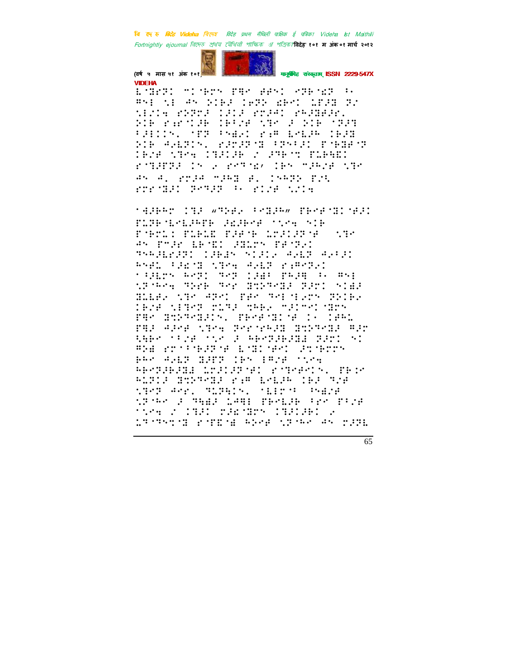

(वर्ष ५ मास ५१ अंक १०१, **VIDEHA** 

मानूबीह संस्कृताम् ISSN 2229-547X

EMBER: MIMBER PRO BBRI SPROB PR #HE NE #H SIBS 1872 ABMI 1873 TV SISTA STORY COLL STORY SACHONY SIR PARTIE IRDA STRUKTURE FRIDA (TPR PABL) KAR BREAK IRRE XIE AVEZIN, VIDJENE FENFIL ENEBRNE TEZA (TMA (TOTOR 2 27675 PLAND) POINTRE IN 2 PARTER INN TENNE NIM 45 4, 2234 5342 8, 15426 P.N. rrende pende la rich title

**SANDARY THE WHOLE PREPARENT PROPERTY** FLIE MALPER SERFAR MONE NIE rencenten die territorie von 45 FMR WEND RECH BENDE THREEST CHEEK NISLA AND ANGS RNAL FRENZ CTP4 APLE FIRMS.D tigges were nep comp pape in msp SPORT THE TOY BOXTON THOUGHN BLEAK NEW APPLY FAR THE BOYN TRIER TEMP MIRT TER THE TITTE TEM FAR STORMEDS, TERRITOR IN 1881 PAS APRE NORT PRESENT OSSANO APR the size over emergees sample: PRESENTATED TRACED TEACHER TRACED PRO AGES HOUR IPS 1828 1509 REMIRERE CONSIDERED STRAKTHL TEST RIBID BARRAH FIR LALAR TES TAB STAT ANY, TESTAL SERVA ANEMA SPORT FORMAL LABE PROLIF FEO PICE **TOM STORE WARRENT CRAINED ST** LT TET E POTENE ANGELICIAN AN PATE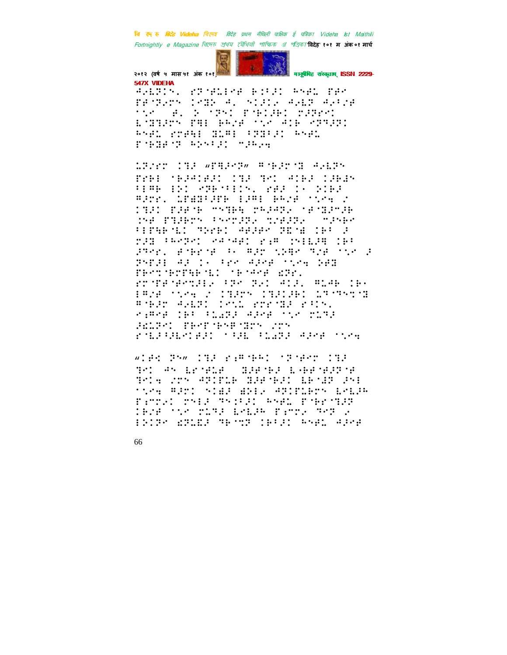

२०१२ (वर्ष ५ मास ५१ अंक १०१) **547X VIDEHA** 

मानुबेमिह संस्कृतम् ISSN 2229-

ARLEIN, PROBLEM BORR AND THO PROPERTY CONFIDENTIAL SCRIPT ARRESTS nie (a. 2019) poblad zagen.<br>Bogadz pobladza nie spoda: 8581 PTAH H18: (2003) 8581 FOREST APAIR STATE

MOVED THE WEBSTA WEEPER WEERS real telever you are even years FIRE IN PRESEIN, MED IS NIEF #2001 LEWRIZER 12#1 BR28 Strait CARD PRESE MANER MARGARY SESARAR re films territo trains steed HINES THE WHIP TEST IP I ram (Person estagi rim inibam ib) andr. Adapta ik mar tame nya tid a BAPIL AF TV PER APRE STRAINER FRANCHETHEOLI CHOMAN ETEL roughtermals age gill all, miss in-1924 (1954) 2013125 (1921261) 1979-173<br>Academicald: 1971 (2021) 2021 2015. simse ier riger alse sis mind BELTY: TEMP NAP NEW CEN rusument (1918) they also the

WIRE PRACTE PARTNEL SPORT INF The An Expedit (IPE NP Experience 904 255 ARIELA BARTAIL BAGE 251 tive Rand Staa abile Adiplers Exela Family: MM18 Shatel Rhell Forecomer TRIE TOT TIME EMELIA FATTE MAT 2 DOCK ROOD TEMP INTO RANGE APAR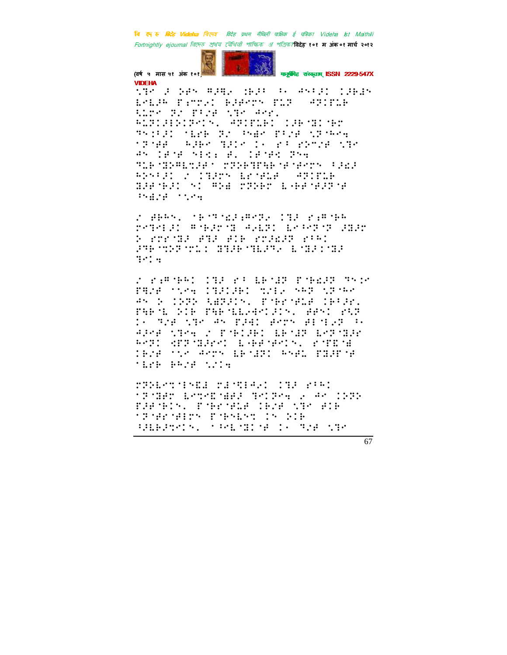

(वर्ष ५ मास ५१ अंक १०१) **VIDEHA** 

मानूबीह संस्कृताम् ISSN 2229-547X

MP 2 NP SPE SHE WAS SAMED THEN Brish Correl Bakrys COS (ATICA) three Broghers (Mr. 488) ROBINSENS, ARITON CAPADORE Thill the Thursday and the theory **TRIANGERS TRIM IN BISTOR NTM** AN CENE NEWS BY CENEW THE THE THURSET TIMETHE SESENTE LEAP Abylin (1985 bridge Addr. BARTES SI PRE MORRE L'ARTHADTE  $\{ \mathcal{V}_{\text{eff}} \}_{\text{eff}}^{\text{G}} = \{ \mathcal{V}_{\text{eff}} \}_{\text{eff}}^{\text{G}}$ 

2 BRANC SECRETARING COR BARGAR readily which will be write inc S STRYBE AND ALB STEED STAT 396 702 701 1 896 786 787 8 103 1 96  $3414$ 

2 PARTHAI INFORMATION PORCHOL PRIA TIME CROSSED MILE SAR MP MAR AN S ISBN RABAIN, PORTORE IRRAN FAR 12 SIR FAR 122-4-1315, BBS1 857 In The STR AN ESAI Anny Aldies () APA STAR STALLED BROB BATTER ROTI STIMING LARGED VI POTIM Grandshop Arrow EBS181 Angli PB2Pog three barg tries

robins della risca di conservazione **TRING LOOKING TO BOY 2008 1982** EPPMIN. PMPINE IRZE NTP BIR **SPORTHER PORTHER IN NIE** PREPARTS, SPECIFICATION AND STO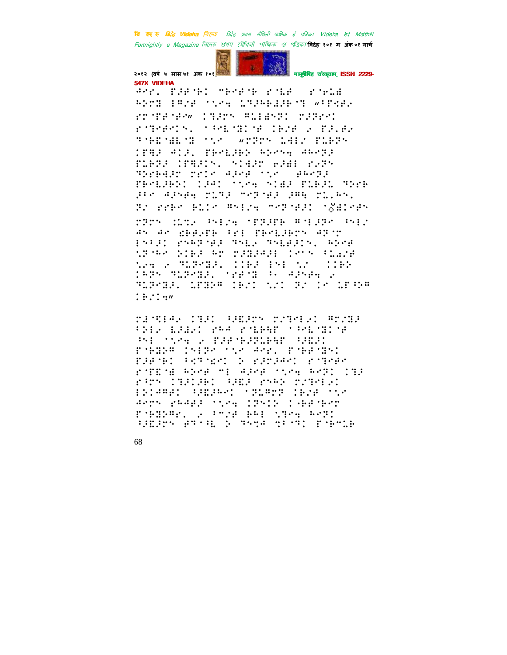

२०१२ (वर्ष ५ मास ५१ अंक १०१) **547X VIDEHA** 

मानुबेमिह संस्कृतम् ISSN 2229-

Anni Parte: Menete rige (rieda RETE ERSE STRAG ITERBIJEST WITCHE rroteses film wilest rates rogeros, construir dels conduct THE END YOU WITH LED TEEN TPB: 412. PEPERED ADPSA 46272 FLETS (FASIN, NIGST BSG) 2075 Shrbado prin Adna nin gangd PROLAGO (1941) tion of Bas Place Spra PRO APSAG TITE MOTORS PAR TILES. 32 rren elle shire mediedi (Malees

TETY MORE PHILE STRIPP ROLLER PHIL as ar geography and perconers are ESPEC PSAPSER TSER TSERING ANGE STORY SIER AT TREPART IMON FLAZE the F MIPMER (1183-151 th) (1185 TAGS SLOVED, SPECE POSSERBOY MIRMIN LEIDA (BIL NI) IN 18 LEADA  $: 1: 1: 2...$ 

range, the suppression write FREE EFECT PARTY-MEAN STRENGENE PHONOR & THORNEAT REAL POBRAH INTRA STACKART, POBRORNI PARTECT FATTERS IN PARAMETER TRAP rophone Alexandra Alexandrey Aedil  $\mathbb{R}^n$ rans (Malabi Adda reed number) ESIARE: REPART SPLATE IEZE TVS Angs pades the CBSD Coeffice POBRAHO 2 POSE BAI CROW ACT adhark an an t-neas an an ràema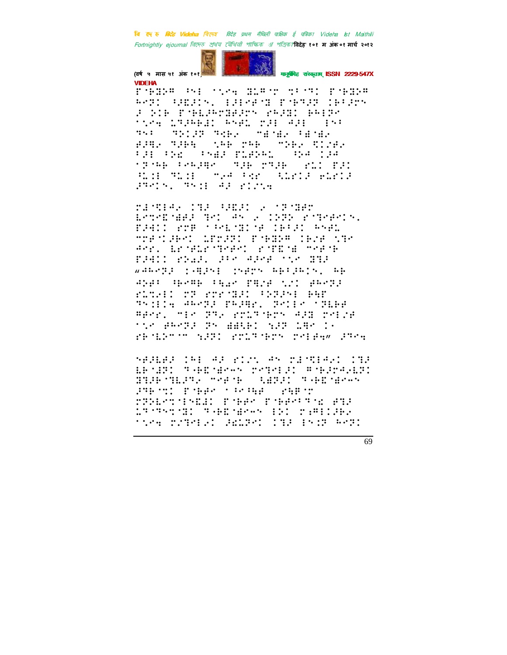

(वर्ष ५ मास ५१ अंक १०१)

मानुब्रीह संस्कृतम् ISSN 2229-547X

**VIDEHA** PARP WE MAK HIPM MEMP PARIS RATI HEIDA, ISLAEDE PORTSE IRLEDA **A NIE PARLEMARENT PRINT BRIDE TIME LAPPEID RNEL MID APE (15)**  $3.43$ **TOOR TEE TENS SENS** BREAKTHE SAR MAR MORE TIME **131 152 1543 TERM (B4 134** SPORE PORTER STAR TTAR STAIL TAI RESERVED THE PRESERVED BEEN PRINT THI AP FILM

**MANIFE THE BELL STATES** Esperant German La representativa PART THE PREMISE INFORMATION ndentakot proadt rokaze tikze sam<br>Ambu banebanament antroja nmenk THIL CAR HE ARGE TO HIL wareli (since Centre abilate ab aya: Gemb (Gir Phys tri Ameri rtmall of rornall thing and Thile About Phage (Polic Culbe Resolute and province againstos TAP BREED BY BBARI NOR LEE IN rendring ASS: rolliners releases the

SAGAALINE AF KIDI AS MESTEAD ITA BriB: THRNBMAN MMTMER THERMANNI BRANCHLARE MYANG (RARA) RABINAYAN PRODUCED REPORT FOR THE CONFIDENT TREATMENT PORT PORT TA FIL LT THE SECOND HERMAN (ESI CONFEIDER ting product deboration in contract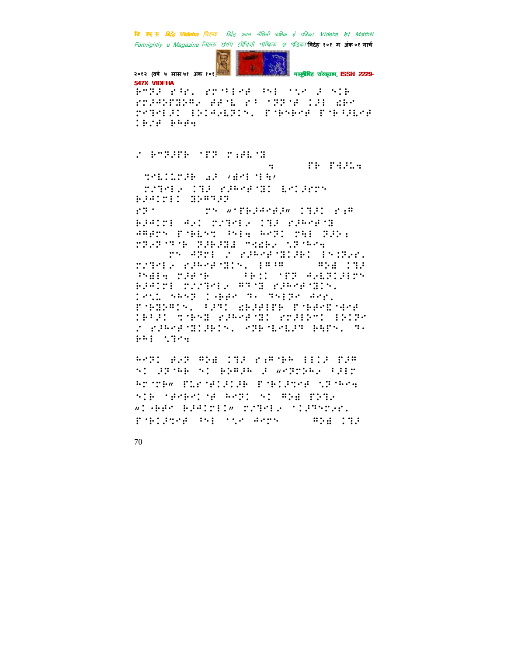

२०१२ (वर्ष ५ मास ५१ अंक १०१) **547X VIDEHA** 

PTER PROVINCE PROTECTIVE POST rnamental den racinen (al der retend infedition researcheding TESP PRPH

**SAMPADE STRATEGIE THE PAPER**  $\ddot{\mathbf{r}}$ **MANILISH AS NEMBRA** rated (19) cancertic bollery **BARRIC SHORT**  $\mathbf{r}$ rs wiffered, 1931 rim BRAINT AND MINER CORPORATE WARRY PORTS WIR WORL MAI BIL MERTING EPHIL MARK SENAM rn ABri 2 famor diami indar. right, raweines, family - 898 193 **Principal Constitution SECOND CONSUMERS** BRAINE CONTRES ARTIC BRANCHION. Tenn SASP Tempe We Weipe Aer. PARDADA, PERD REGEER PARADARAE IP:31 tips: raberil rraioti (DiBe r righting and the constitution and the second  $1441 - 1344$ 

8021 B22 858 132 23838 1112 228 s: great s: apman a werrow, carr Roome, Planetting Portinger (Porch SIE SPARADOR RAPI SI RIG PITA winHP BRAINING MITHIS MIRTHER. Portland (PS) only administ - 858 193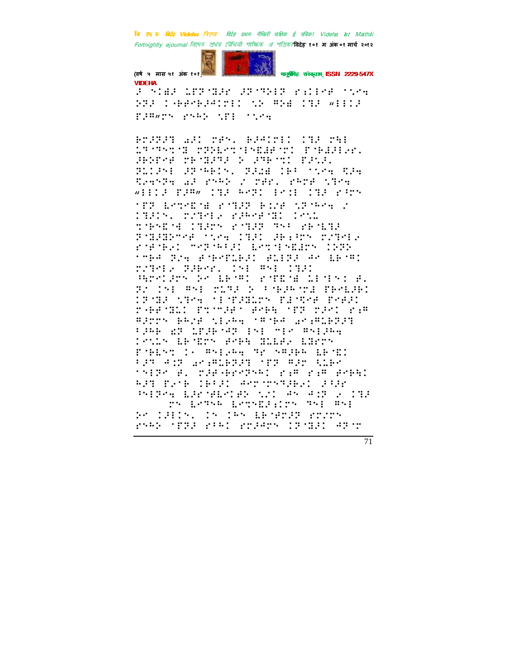

मानुबेदि संस्कृतम् ISSN 2229-547X

**VIDEHA** F STEP OFFICER SPIRED PAIRSPLANS

(वर्ष ५ मास ५१ अंक १०१,

SPA CHRMBACHIC SS RSB COD WIICA Planes estat the trans

BOSSEN AST ORN. BIRTOIT (TR ONI STORYCH CHREADOLEACH POBERT. SEPPE TEMBER & STEMT BRIE. BLIPH SPORTS, BRIE IRF STOR RER Cantha al romb a rer. Phre thos WEELD BOWN CHO RESOURCE CHO 2005 tra bronzhet navadezh sammen d **CARDA SECRET SERVENADO DELL** TOPSE SECONDO PORTE ASSOCIATE FORESTER TOTAL CRED PRACTICES. roford wereld awaitedness (1931 the Breakfarmer and F. West PARTIE FARTE INFORMATION Personary of EBSPI POTECB LEMOND B. Brite: #s: rump & Pobleck Bbought CRIME STAR ISLIMINATE MARK PARK rakan mengalang ling radi ba #2005 BR28 SE2RA S#3BR WS:#1B223 FRANK WE WERE SAFETY TO THE BALLAN ISMAS LESETS POPR BLLP, LBETS Pobles in Welche Mr Swipe inst FPS AND WORLEGAT OFF RED KLEO 1518-02 THEORYTHI PAR PAR PORT RAT PASE CERAL AMPORAGEAI ARAB PHIRM LEMBER STORE AND CITE The Estate Estativity The Wal POSSEIN, IN 188 BENEDER POOPS rner (1833) rie: rngern (2013) extr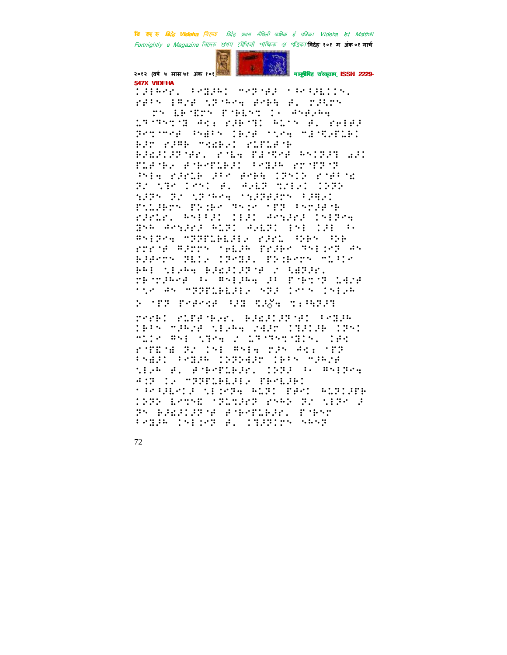

मानुबेमिह संस्कृतम् ISSN 2229-

**547X VIDEHA** 



२०१२ (वर्ष ५ मास ५१ अंक १०१)

BUT PUBL TEMPLI PLUDETR

rath (Bra norman and al rainh ry in Try Pohlyt I, Anders LT TRITE AND PARTICULARY B. PHIRA Promote Pages (Primoter of Christia)

TRIAME, PROPAI MROGEN SPERDING

BAGIZENE, PAR TENNE PYITE WA MANH ANCIDED FORD STORY PHA KAMA APA AMPA (PSI) KAPITE BY NHR (PRI B. AREB SMER) (1989 5335 32 533656 (5533325 (3362) PULPETS TRIBE TSIM TER PSTPPIE ranch Wyllai (12) Annand (ylbre 356 425222 5131 42131 151 121 13

Bright Teenwickers rank take take<br>roote Bacor take frake third police BREATH TELL ITAGE, TRIBATH MIRRA

hetrjete (overlijen in presto zara the As STRIDERER STRIPS ISLE 8 YER PRARKA AND 5.5. T.AGAN

renko ningskan, kapalarsel (ediak)<br>1935 hakar silek laian 1921ak 1951

**MARINE MARY RUB BAY RUBBB** 1989 Lengk (Slndar) root 32 (1980)

MILL AND MEMBER IN INVESTIGATION roffind from the Wheeler run Area off PARI PARP (SPSART IRP) MPASE tive al adentificat (par el egipca

**AND IS TEELBERG TEMBER** 

Problement and the Control Port PRINCIPAL MANUEL (THRIDR SPAR

BRI SIDRA BJEJIJENE Z RATJE.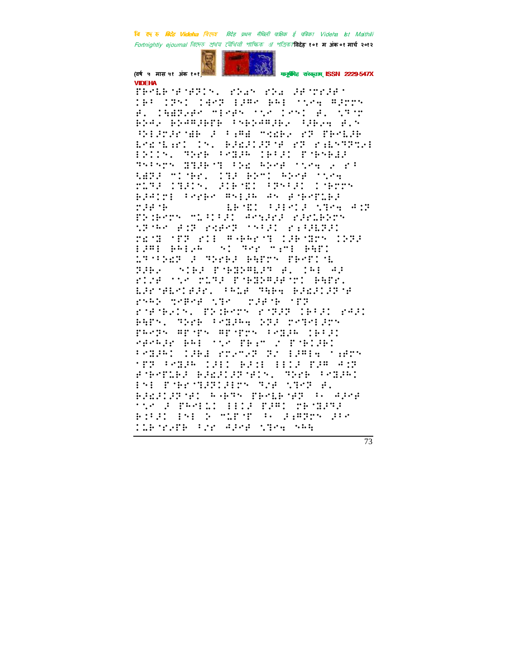

मानुबेदि संस्कृतम् ISSN 2229-547X

#### (वर्ष ५ मास ५१ अंक १०१, **VIDEHA**

PROLEON OFFICE, SCRAW SCRAPTOR OF 185 1951 1959 1985 861 1139 89225 B. CHERAPY MEMPY TOM CAND B. STOP BY: BY:BRE PRYSEN BRY BY SMIRTER MARK PARK ST TEMPER Endormal Co. Badalaron er edengara BRIDGE THE PRESS INSELESSMENT THENTH STUDENT FOR PORT TIME 2021 tang sijer. Ing assi assa sisa rusa (mars. arego (ms)al répres BJAINE Probe #5136 AS POBOTIBL LETER PRIMIE NIME #12 maa ne PRINTS TESTIFY ANGER PRESENT SPORT FOR PORT ONEST PERSONS rend (FF 211 # 442 m 126 dry 1202 1981 BALAN (SI Rep Mani BAD LT'INST 2 THEF BATTY TEMPL'E THE SCHEFTSTEIN B. 141 42 RICA (12 MINA PARAGANI AGR) LANGERIAN (PALE TAPE BALISTY robe prene the code for the rifields, Expert riffer (PFF) rest PAPS, TREE FRIEND DIE MRTHLEM PROPS WE'TS WE'TTS FORDE IBERI recept employed peak of population PROPERTY SAND STATES OF SANDALISM SERVICE **TER PREPH COOL BASE OFFICE EAR** RAPTLES ESCOLORADA, TECE PADENT ESE PORTORIZEDS THE STOP B. BRETHER WARR TEMPERATURE APM nsk a rekolu oboa rakoîrendara BOOT PARTY TEST OF PROPERTY TLE YOTE SON SPORT TROLL SAN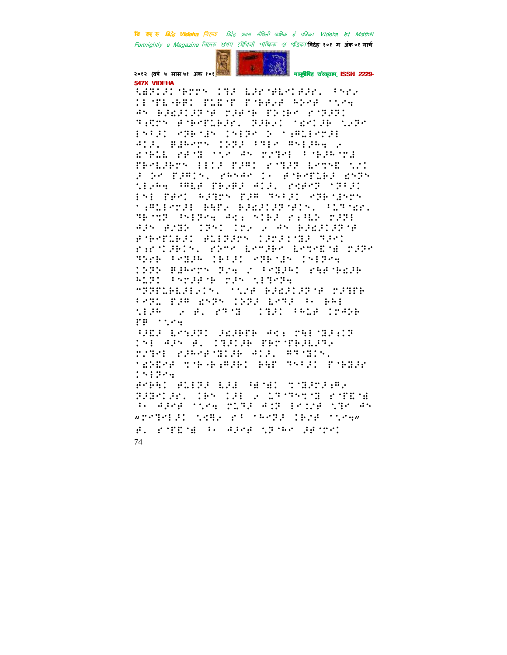बि एक रु मिनेट Videha विएक विदेह प्रथम मैथिली पाक्षिक ई पत्रिका Videha Ist Maithili Fortnightly e Magazine রিদেহ প্রথম মৌথিনী পাক্ষিক প্রা পত্রিকা**বিदेह १०१ म अंक०१ मार्च** 



२०१२ (वर्ष ५ मास ५१ अंक १०१ ) **547X VIDEHA** 

मानुबेमिह संस्कृतम् ISSN 2229-

RATISTATIV ITS LEMARKIEM PARA **IF TEMPET TEEM PARAGEMENT TOM** AN BENELEND MEDAL TRIP RITER THIN POPINER, THAI MENIP NATH ESPEC PRESENTATION & SAMILEPTER ADEL BERGEN COOR FREM BNEJRA 2 EMPLE PROBLEMS AN ESTAT FORESTE PROLEDY HILE PART POIRT LODGE WO F SK PPRIN, PRNAK IV POPPIDE BNPN the War Man All root this ESE PROVAGINS PUBLISHED STRAINES **MARGEMENT REPORTS AND STATES AND SERVICE CONTROL** SPOT PHERM AND NIER PIER TITE APROBABLY 1981 1993 2008 BEERIER M RAPOLED RUSSEN CONSTOR SPY a and Jethy Catholic Exhibit Centre necastly TEER FRIED IREAL RIBOIN INFIRM 1935 Bluery Sig i Fellul Paperbulk <u> 111 is de e libro de la</u> MARTINGER (MARTINGER) MARTIN PRIN FIR 2525 1922 1872 PH BRI tich a el rod (1921-) ble trepe  $F_{\rm F}$   $T_{\rm C}$ 

 $154.425.41$ **COURTHERS** DZIPE PARPARIJA AIJ. ATRIS. **TENDER THE GROUP OF THE TEACHER IN THE SE**  $1.513344$ 

PORT RICH LIE RENE TERRIR. BREACHED IPS IRE 2012/07/25/2010 POTENE 36 APRE TORE TERP AIR BRIDE OR AN wrederial series of the Pacific Creek (stem B. PTEMB R. APAR NEMA SPORT 74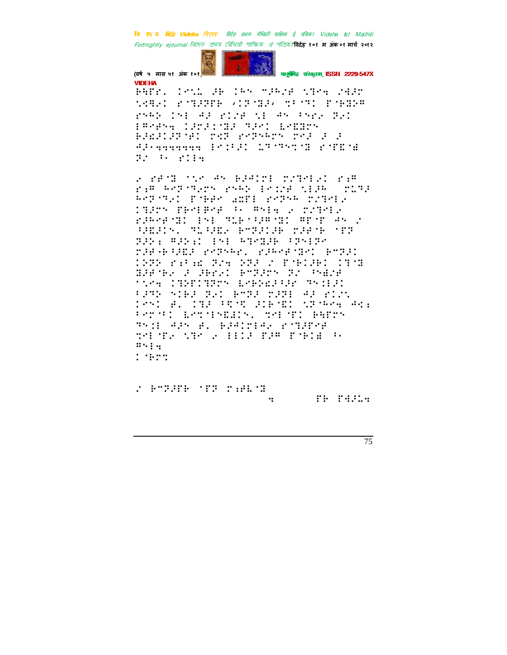

(वर्ष ५ मास ५१ अंक १०१, **VIDEHA** 

मानुब्रीह संस्कृतम् ISSN 2229-547X

PAPEL ISLA JP (PS SPRING STRA 2425 tempo programa (programa programa PARK THE AFTER THE AN INFLUENT PROPH CHOICHE SECONDER BREAK SPORT PART ENTHANCE PART AT A Aleggang Polls 1775771 ruma British Pille

2 PROBLEMA AN BEATON CONFERENCE ram Andrews read from Stam (rugg RAP MAI PORPA WORL BARAR CORALA THEY PANEFALL FORM 2 CORE. rawers is the second writer SHIPS, TESHER BUILDER USEN MIT BREAMBER IN STABLE CRYIN rae elara repost raserante: Bepai 1989 riter Res 983 2 forcar: 1978 BARTHA A AHRAI BTBART BY PHEMP tica Industry Lebrarie Sydes FRANK SIER BAI EMBRO MARI AR BIJN Dent B. (18 From Bibom) nachen An: Persi Lerinslats, nel mi<sup>7</sup>barr<sup>6</sup> Ship Alb B. BlACKBAY KSBRA THE TEACHER ACTIVE FIRE FORCE OF  $\cdots$  :  $\cdots$ **THEFT** 

*FARISH MERSHET* **Simmer School**  $\dddot{\cdot}$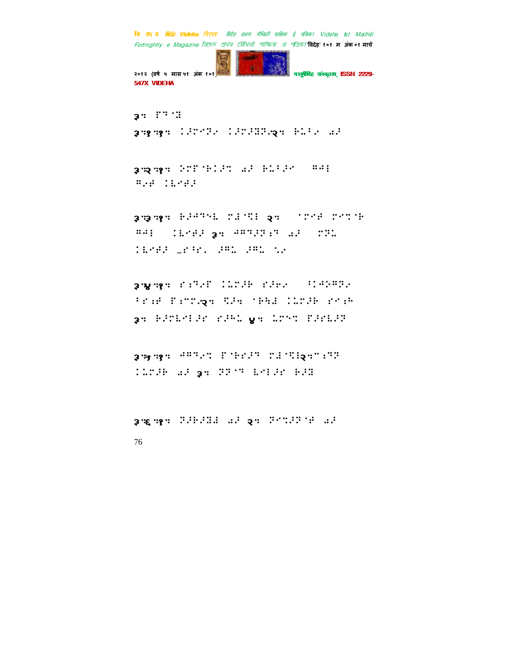२०१२ (वर्ष ५ मास ५१ अंक १०१ किलोमी क्रिकेट को मानुवीनेह संस्कृतम् ISSN 2229-547X VIDEHA

 $3: "" "$ ३⣒१⣒१⣒!⢼⢽⢴!⢼⢼⣝⢽⢴२⣒!⢷⣅B⢴!⣔⢼!

३ भ२ भ3 प । २००० मा २००० मा २००० मा २००० मा २००० मा २००० मा २००० मा २००० मा २००० मा २००० मा २००० मा २००० मा २०<br>इ.स.च्या २० व्या २० व्या २००० मा २००० मा २००० मा २००० मा २००० मा २००० मा २००० मा २००० मा २००० मा २००० मा २०० ⢻⢴⢾.⣇⢾⢼!

३⣒३⣒१⣒!⢷⢼⢺⢹⣇!⣜⣋3!२⣒!!⢾!⣉⢷.! ⢻⢺3!.⣇⢾⢼!३⣒!⢺⢻⢹⢼⢽⣐⢹!⣔⢼!(⢽⣅(! ⣇⢾⢼!– ⢸ F!⢼⢻⣅!⢼⢻⣅!⣁⢴!

३⣒४⣒१⣒! ⣐⢹⢴0!⣅⢼⢷! ⢼⢶⢴.!⢸⢺⢵⢻⢽⢴0! B ⣐⢾!0⣐⢴२⣒!⣋⢼⣒!⢷⣓⣜!⣅⢼⢷! ⣐⢳! ३⣒!⢷⢼⣇3⢼ ! ⢼⢳⣅!४⣒!⣅⣉!0⢼ ⣇⢼⢽!

३⣒५⣒१⣒!⢺⢻⢹⢴⣉!0⢷ ⢼⢹!⣜⣋3२⣒⣐⢹⢽! ⣅⢼⢷!⣔⢼!३⣒!⢽⢽⢹!⣇3⢼ !⢷⢼⣝!

76 ३⣒६⣒१⣒!⢽⢼⢷⢼⣝⣜!⣔⢼!२⣒!⢽⣉⢼⢽⢾!⣔⢼!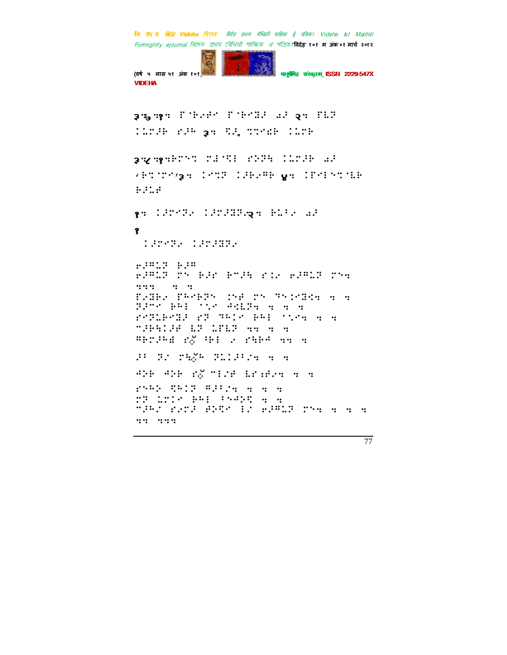```
बि एक स्टेड Videha विएक विदेह प्रथम मैथिली पाक्षिक ई पत्रिका Videha Ist Maithili
Fortnightly ejournal রিদেত প্রথম মৌথিনী পাক্ষিক ঙা পত্রিকা বিदेह १०१ म अंक०१ मार्च २०१२
(वर्ष ५ मास ५१ अंक १०
                            मानूबीह संस्कृतम् ISSN 2229-547X
VIDEHA
ging man filth-refer for the Hall and general
TEMP SP 34 TE TUSH TEMP
anynenbrot rachte roch für de ad
KETITAGE ISTE LEEPE VE IFSENTIE
Bather
pe largan larahange bila ad
\mathbf{r}MARK MARKET
AND AND AND
FRANCY TO BREADTH FIR FRANCY TO
\cdots\ddots \ddotsFAREA PROPER TOP TO TOTORING A A
BENN BAI MON ANLES S'A ST
reflecia en dels especientes e e
MARINE AN AND HOMES
Werded 28 HM & 2564 An a
BE BY MEST BLIBETH A A
AGE AGE : 0 MICA LEADER 4 4
ryky Mall Allin a a a
CONSTRUCTION CONTROL OF THE
make renaments is ragged nor room to
111 1111
```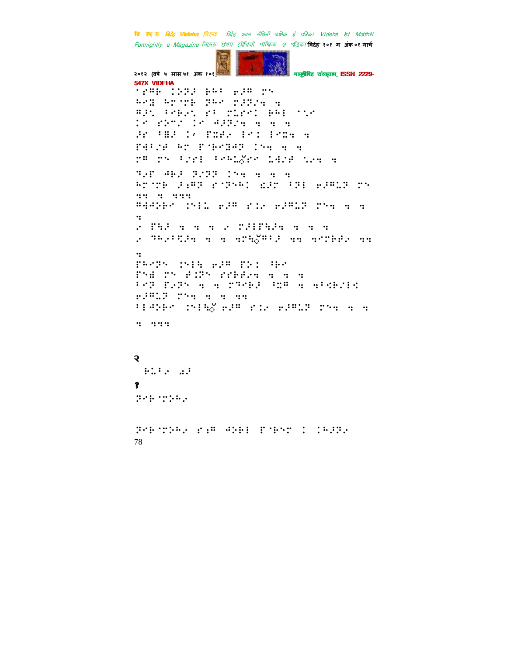```
बि एक स्टेड Videha विएक विदेह प्रथम मैथिली पाक्षिक ई पत्रिका Videha Ist Maithili
Fortnightly e Magazine রিদেহ প্রথম মেথিনী পাক্ষিক প্র পত্রিকা' বিदेह' १०१ म अंक०१ मार्च
                     Service
                               मानुबेमिह संस्कृतम् ISSN 2229-
२०१२ (वर्ष ५ मास ५१ अंक १०१)
547X VIDEHA
*r#B (233 BA: 62# TY
800 Brith 780 73779 9
#25 Press at plant eAl osn<br>18 abro 18 A2Bom m m m
Hr (HP 1) They fol form a
FALSE AT PORCHER ING A A
ra no the teamor idea week
720 462 7277 154 4 4 4
Roome Fing Pognet Rdo (20 Pai Pince on
11 1 111
RANDA SAIL APR PIL APRIL 2004 A 4
\dddot{\mathbf{z}}a Pel e e e a conflitere e e e
a Thattin n'n nyhäti nn nyykka nn
\cdot:
PROPR THIS WAR PRI HE
Philips #125 reader a a a
PAR EVEN A A CREAR MOR A APABLES
HERE MISS WHERE SAMPLE THE BUS
\mathbf{u} \mathbf{u}\mathbf{S}File af
\mathbf{r}Personsky
Preside ram Adel Poet (1982)
```

```
78
```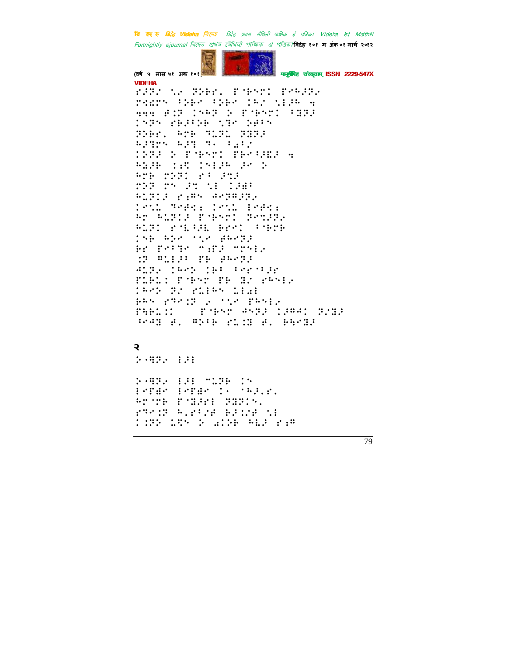

मानूबीह संस्कृतम् ISSN 2229-547X

**VIDEHA** FARI NE BREEL POESTI PORTRE rents (PHP (PHP (Pr till ) 444 #12 1542 2 F16521 (122) 1935 SEPPER SARA **THE WILLIAMS APROVERED TO PART CONFIDENT CONTINUES BASE 187 19138 30 3 BPB 2002: 23 232** WITE FIRE WORRIGH Teth Rege: 18th Pege: ar albig pobori bongg.<br>Albi robage broi acbre jsk ble sje goedd Britaine Automobile **WEBSTER WEBSTER ALTA CRAN CHA PARTIER** FLEL: FORST TH HE SPACE TARY SI RIPS LEWE PRO PRODUCTION PRODUCT PARLIC FORMS ANDE CERAC PORP **BRANCH AND STAR STARTS** 

## **Q**

 $1.49.111$ 

1982 121 MLPH 18<br>1984 1984 1885 1891 RTTE FINE FERD. FRANK ROBERT BENZE NI **THR ARR REACHED HER PIP**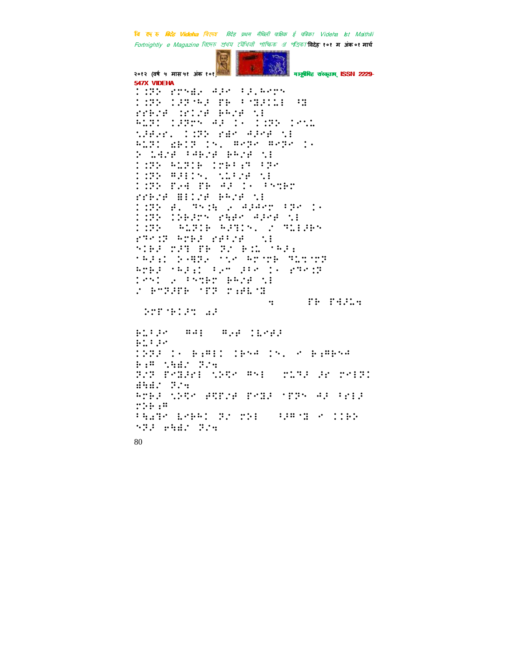

२०१२ (वर्ष ५ मास ५१ अंक १०१) मानुबेमिह संस्कृतम् ISSN 2229-**547X VIDEHA** 1:35 roman Ale (11,620)  $\mathbb{R}^2$ rrbod ortod bhod of RLP: 19955 AP IS 1995 ISL tHer. ISB SEN APACTS RITE WHIT IN, Repearage I. C MAR PARTA PROF OF **CONFIDENTIAL CONFIDENTIAL AREA THE WHIP, MATHE ME CONSTRACTOR** AP 10 Prompt rrece milor byce th 198 A. Myde 2 Alger (198 1) 198 12635 PAP<sup>ro</sup> AP<sup>2</sup>e (1 **ALTER AFTING STATISHY**  $: 12.1$ randa ere: rethe SIE MITE E EN BILLEE **TRACK SHORE TOP ROOCH SWOTCH** application is decompassion of :25: 2009-2009 BADY SI **MARKET START PARKS**  $\ddot{a}$  ,  $\ddot{a}$  ,  $\ddot{a}$  ,  $\ddot{a}$  ,  $\ddot{a}$  ,  $\ddot{a}$  ,  $\ddot{a}$  ,  $\ddot{a}$  ,  $\ddot{a}$  ,  $\ddot{a}$  ,  $\ddot{a}$  ,  $\ddot{a}$  ,  $\ddot{a}$  ,  $\ddot{a}$  ,  $\ddot{a}$  ,  $\ddot{a}$  ,  $\ddot{a}$  ,  $\ddot{a}$  ,  $\ddot{a}$  ,  $\ddot{a}$  , STEPHER AP

B1920 H41 H2B 11092  $1.1111$ 1988 16 BiBIL (BSA 15, 2 BiBBSA BiB that Big BAR PARRE ANDA RAE (MARR DE MAER) dhd. B.W RTEE NATH BUILD PHOE TOOK AF PRIS  $750.97$ **PARTY EMPRI TA TAI (PROTOCOL)** 572 PHAI 325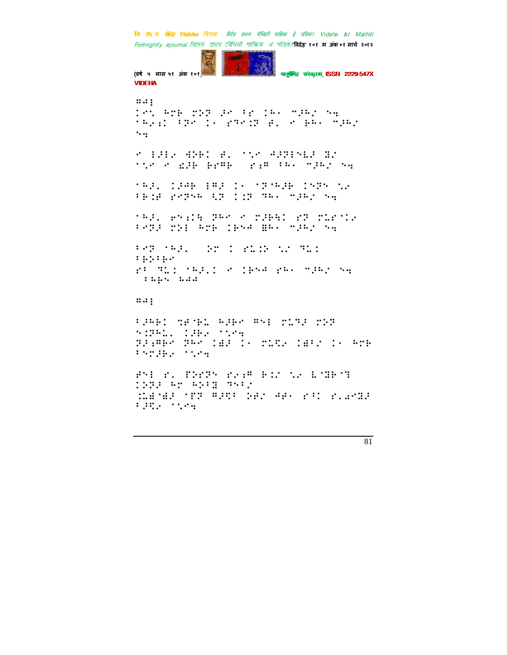

VIDEHA

 $\ldots;$ ⣁!⢳⢷!⢵⢽!⢼!B !⢳l!⢼⢳2!⣒! ⢳⢴⣐!B⢽!l! ⢹⣈⢽!⢾F!!⢷⢳l!⢼⢳2!  $\ddots$ !3⢼3⢴!⣚⢵⢷!⢾F!⣁!⢺⢼⢽3⣇⢼!⣝2-!  $^{\prime}$   $^{\prime}$   $^{\prime}$   $^{\prime}$   $^{\prime}$   $^{\prime}$   $^{\prime}$   $^{\prime}$   $^{\prime}$   $^{\prime}$   $^{\prime}$   $^{\prime}$   $^{\prime}$   $^{\prime}$   $^{\prime}$   $^{\prime}$   $^{\prime}$   $^{\prime}$   $^{\prime}$   $^{\prime}$   $^{\prime}$   $^{\prime}$   $^{\prime}$   $^{\prime}$   $^{\prime}$   $^{\prime}$   $^{\prime}$   $^{\prime}$   $^{\prime}$   $^{\prime}$   $^{\prime}$   $^{\prime}$ ⢳⢼F!⢼⢺⢷!3⢻⢼!l!⢽⢳⢼⢷!⢽!⣁⢴-! BEN BENDAL BLOWER MAJ. 65519 PAC PAC DJERI 29 DIZNIJ BRQ PSI ROL 1954 BR. TABLE SA BP# SAH SHI # 2010 AN B⢷⢵B⢷-! B! BE A STATE OF THE STATE OF THE STATE OF THE STATE OF THE STATE OF THE STATE OF THE STATE OF THE STATE OF TH  $\mathbf{B}$  , and  $\mathbf{B}$  $\ldots;$ BUSE DECK PHONE CONTROL ⣈⢽⢳⣅F!⢼⢷⢴!⣁⣒! **S. Belief Sterling in the Sterling Constant** Bóng Béarla an Chórain  $35$  FREEZ  $32$   $33$   $34$   $35$   $37$ ⢵⢽⢼!⢳!⢳⢵B⣝!⢹B2-! ⣈⣅⣞⣞⢼!0⢽!⢻⢼⣋B!⢵⢾2!⢺⢾l! ⢸! F⣔⣝⢼!  $B^T$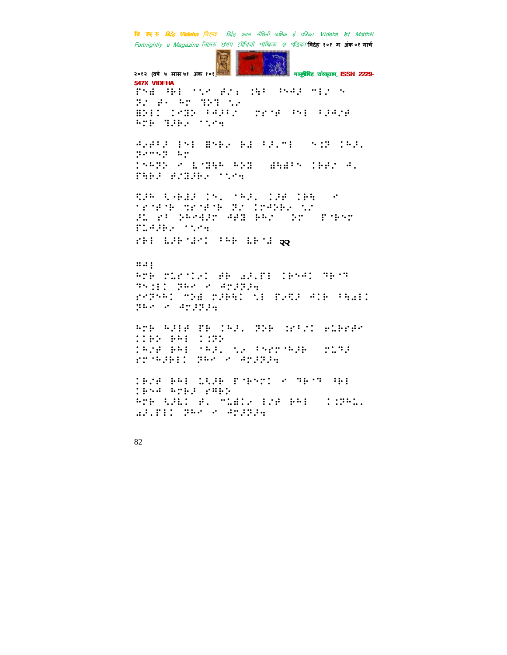बि एक रु मिनेड Videha विएक विदेह प्रथम मैथिली पाक्षिक ई पत्रिका Videha Ist Maithili Fortnightly e Magazine রিদেত প্রথম মৌথিনী পাক্ষিক প্রা পত্রিকা**'বিবৈদ্ধ ং৽ং म अंक॰ং मार्च** 



PAR HE SAM RIVE HE PAR MEN S Side by Sides **HIMES INC. 1881. The Second Control ATE THE STAR** 

ANARA INI BNEZ EE RAZMI (NIB 193.  $34953 - 47$ **THIS POINT STATE** Sharp Charles PARE BANDER STRA

536 KHER IN, 1921 ISB IBE 31 TEMPE SEMPLE PASSERBEN NA AL 23 SAMERY ARE BAY (ST) FORMS PLAPES STORE FRE ESPASS CONFIDENT DR

 $\ldots$ RTE TLENDED AR WALTE IRSAIN TROT Thill Har a spille report who would be made all calls par r drippa

Are Alle Te CAl. The Srtat Alexan **:::: ::: ::: ::** 1928 BAD (1920) NA PAPPINAB (1919)<br>POSTABLI DRA K AMADAN

TRIA BAI INIB PORTI 2 MBJM OBI THE STEP PRED APP APAI B. MLBIS EVE PAES ISPAL. WELFIEL PROCHO AMERICA

82

**547X VIDEHA**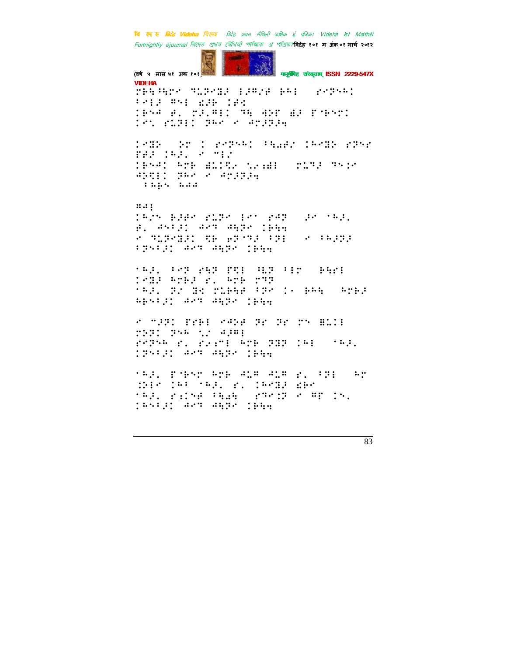

मानूबीह संस्कृताम् ISSN 2229-547X

**VIDEHA** THEATY SUPPORT EARNE HAD TEPPAS **PRID #51 WHO 1851** 1954 B. MALMIL ME ART AR ESPON.<br>1952 Bizil dhe e amadan

1985 - Dr. 1 anghel (Pager 1998) aghar<br>1995 - Dego nombr DESAI AME BLITZ SZABB (MLT2 TSIM **ANDER THAN A ATITIE Trage Rand** 

 $\ldots$  : TRIN BIBR PORT ERT PAR (PROTRE) 8. ANDS ART ANDR 1996 **ROBERT BERTHSTER** rpsigg arm agor jaag

192. Pro rao político (Parlí)<br>1932 analísis analístic 'Al. 22 St Mike (20 I) And Anal ABSIST APS ARTS THAR

**POMISSION REPORTS TO THE BLOCK STATE STATE OF STATE** relate risking the 202 (the star) **TORIAL ART AGOR TEAM** 

tag, prang aga sin sin g. (33).  $\cdots$ DEP 198 (981) P. 19788 MBC tel ribe than crop of model jasigį det dąge jagą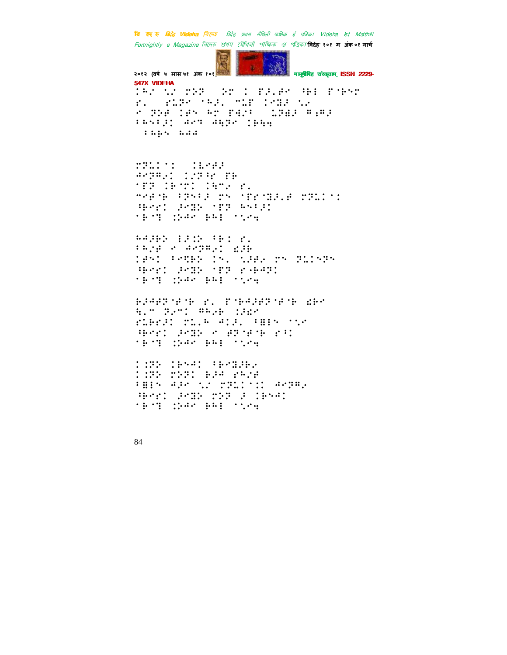बि एक स्टेड Videha विएक विदेह प्रथम मैथिली पाक्षिक ई पत्रिका Videha Ist Maithili Fortnightly e Magazine রিদেত প্রথম মৌথিনী পাক্ষিক প্রা পত্রিকা**'বিবৈদ্ধ ং৽ং म अंक॰ং मार्च** 



**547X VIDEHA** 

TRACKA MARCO AMOI PALAMO HEL PORNM r. ruge ear, min benachr Personer er falt (1942) mam.<br>1951: Gem Gare (1944)  $\mathbf{1}$  and  $\mathbf{1}$  and  $\mathbf{1}$ 

ralis: (1644)<br>Agael: 1719 Mar **THE INSTITUTE IN** means again by the main profit Her: Penk (PP WAR) **TEMP DER BRITISH** 

BAND ING MELIC. **PAPE COMPRESS ESP** TENT PROBLEMS THE SENSE PROPER ger: 2016 (11) 2016.<br>Segm 1697 een stra

EPAPPAR E PL PAPPREME BE B. M. Bent When (SEM ribra: rile and, ambus the Hert POS P BROAD PO 1973 1988 991 1124

**THE INSTALL SECTION 1:31 2001 0000 20028** HARRY TELL STREET (Bend Gedrucht Guidea)<br>1979 : Dan Ball (1984)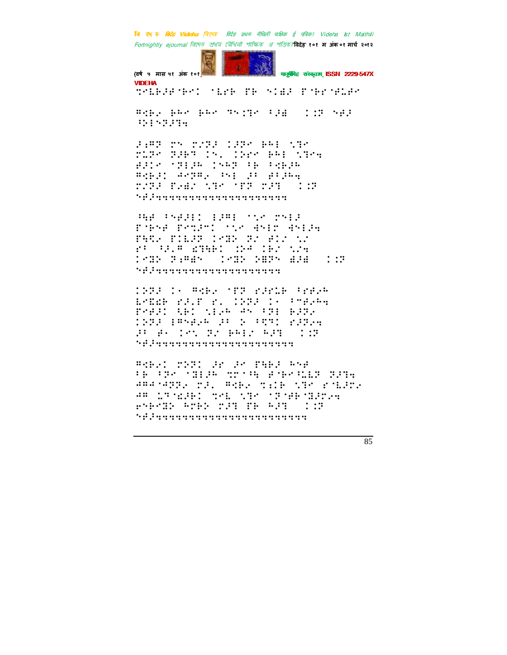

मानुब्रीह संस्कृतम् ISSN 2229-547X

#### **VIDEHA**

tribuster: tirk TB Stad Pobler

Replacement Theory and the control well 

2982 25 2222 1226 351 536<br>2026 2233 151 1226 351 5369 agagi kegar (sep ia igage<br>Agagi kegar (sep ia igage **MARK BARK NEW YER WAR IN 198** \*\*\*\*\*\*\*\*\*\*\*\*\*\*\*\*\*\*\*\*\*\*\*\*\*

He PARIS 1281 MAY 2512 Port Power to Animation **THE THIRD INTO THE SAME IN** ROCHA REAL CHARTER CH **1982 BANK 1982 2005 020**  $\mathbb{R}$  : \*\*\*\*\*\*\*\*\*\*\*\*\*\*\*\*\*\*\*\*\*\*\*

1933 : Adel (PP SSCA (2016) LADAR KALD K. (1984) 1987-1994<br>Parado Mro More An (1988-1982) 1993 (Angle 3) 2 (ANS) 23924 **JE AN CHI TA BREAGHT COM** 

Report with the letter with the PROPERTY SERVES TO THE ROBERT DRUGS ARANGER 23. REEVISIE NEM KILPS AR LINER THE TROUBURY PRP32 PTF2 TF3 TP PF3 (1) \*\*\*\*\*\*\*\*\*\*\*\*\*\*\*\*\*\*\*\*\*\*\*\*\*\*\*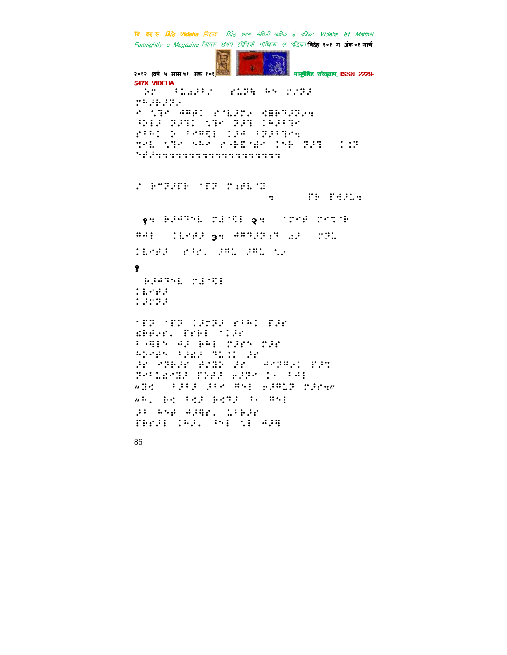```
चि एत् रू मिन्हे Videha निएन्थ विदेह प्रथम मैथिली पाक्षिक ई पत्रिका Videha Ist Maithili
Fortnightly e Magazine রিদেহ প্রথম মৌথিনী পাক্ষিক প্র পত্রিকা'বিदेह १०१ म अंक०१ मार्च
                         COMPANY
२०१२ (वर्ष ५ मास ५१ अंक १०१) मानुसार संस्कृतम् ISSN 2229-
547X VIDEHA 
#22 - 32.112 + 32.112 + 32.112 + 32.112⢳⢼⢷⢼⢽⢴-!
!⣁⣙!⢺⢻⢾! ⣇⢼⢴!⣊⣟⢷⢹⢼⢽⢴⣒!
⢸⢵3⢼!⢽⢼⣙!⣁⣙!⢽⢼⣙!⢳⢼B⣙-!
BEE S PRESS IS A SERVE
⣉⣇!⣁⣙!⢳! C⢷⣏⣞!⢷!⢽⢼⣙-!⣈⢽!
⢾⢼⣒⣒⣒⣒⣒⣒⣒⣒⣒⣒⣒⣒⣒⣒⣒⣒⣒⣒⣒!
2!⢷⢽⢼0⢷!0⢽!⣐⢾⣇⣝!
                             he does beleidste beleidste beleidste beleidste beleidste beleidste beleidste beleidste beleidste beleidste be<br>Die beleidste beleidste beleidste beleidste beleidste beleidste beleidste beleidste beleidste beleidste beleid
१⣒!⢷⢼⢺⢹⣇!⣜⣋3!२⣒!!⢾!⣉⢷.!
⢻⢺3!.⣇⢾⢼!३⣒!⢺⢻⢹⢼⢽⣐⢹!⣔⢼!(⢽⣅(!
⣇⢾⢼!– ⢸ F!⢼⢻⣅!⢼⢻⣅!⣁⢴!
१
 !⢷⢼⢺⢹⣇!⣜⣋3!
⣇⢾⢼.!!
⢼⢽⢼!
0⢽.0⢽!⢼⢽⢼! B⢳!0⢼ !
⣎⢷⢾⢴ F!0 ⢷3!⢼ !
BCQ 3 PER SERVICE
\frac{1}{2}H : 200 H : 200 H : 200 H : 200 H : 200 H : 200 H⢽B⣅⣎⣝⢼!0⢵⢾⢼!⢶⢼⢽!l!B⢺3.!!
WHE SIDE OF STREET AND THE STREET
\sqrt{h}, Be this Benedict Books
\mathbf{B} Propose the set of \mathbf{B}0⢷ ⢼3!⢳⢼F!⢸3!⣁3!⢺⢼⣛!
```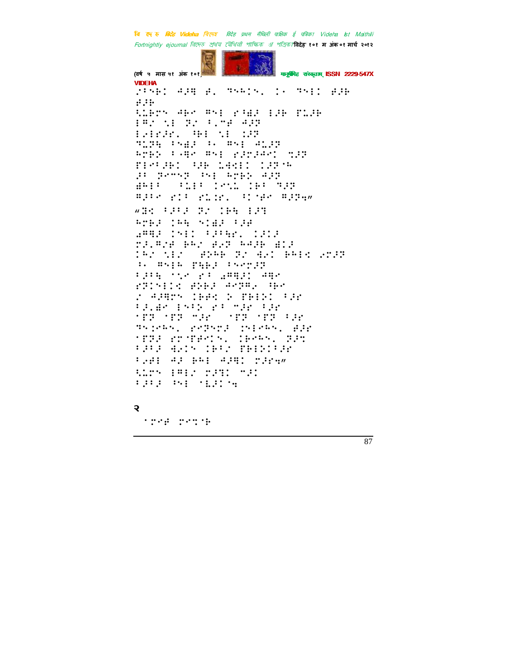

VIDEHA 2B⢷!⢺⢼⣛!⢾F!⢹⢳F!l!⢹3!⢾⢼⢷. ⢾⢼⢷! ⣃⣅⢷!⢺⢷!⢻3! ⢸⣞⢼!3⢼⢷.0⣅⢼⢷! 3B2 132 32 32 32 33 3⢴3 ⢼ F!⢸⢷3!⣁3!⣈⢼⢽! ⢹⣅⢽⣓!B⣞⢼!⢸l!⢻3!⢺⣅⢼⢽! BTBC PORT BOOKS OF THE 03B⢼⢷!⢸⢼⢷!⣅⣚⣊3!⢼⢽⢳! ⢼B!⢽⢽!⢸3!⢳⢷⢵!⢺⢼⢽! ∰B: : CHA 2B: 3B ⢻⢼B! B! ⣅⣈ F!⢸⢾!⢻⢼⢽⣒" WHO SHE SHE SHE SHE SHE HTP3 198 198 198 ⣔⢻⣛⢼!3!B⢼B⣓ F!⢼⢼! ⢼F⢻2⢾!⢷⢳2!⢾⢴⢽!⢳⢺⢼⢷!⣞⢼!  $142$   $21.1$   $22.1$  $\blacksquare$ BÇIN BÖRÖR EN SANDER AND ⢽3⣊!⢾⢵⢷⢼!⢺⢽⢻⢴!⢸⢷! 2!⢺⢼⣛!⢷⢾⣊!⢵!0⢷3⢵!B⢼ ! Both and the state of the state of the state of the state of the state of the state of the state of the state 0⢽.0⢽!⢼ -!0⢽.0⢽!B⢼ ! SAJARA PERSONA PADA PADA 0FRP PROFILE DECK THE RED BED BLOCK IN THE STAR B⢴⢾3!⢺⢼!⢷⢳3!⢺⢼⣛!⢼ ⣒" **SADY IBEZ DIRECTION** Both Sheep Software २

!⢾!⣉⢷!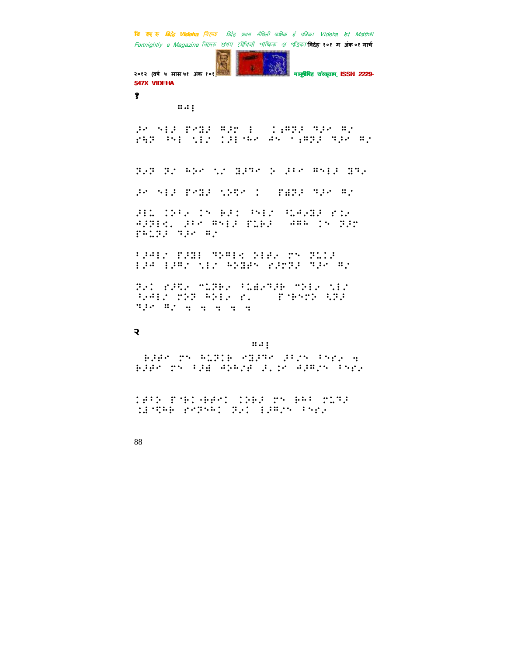**Service** 

२०१२ (वर्ष ५ मास ५१ अंक १०१ सम्बंध में सम्बंधित संस्कृतम् ISSN 2229-547X VIDEHA

१

!!!!!

⢼!3⢼!0⣝⢼!⢻⢼!3(!⣐⢻⢽⢼!⢹⢼!⢻2!-! ⣓⢽!⢸3!⣁32!⢼3⢳!⢺!⣐⢻⢽⢼!⢹⢼!⢻2!

 $P$ . Be a set of the set of the set of the set of the set of the set of the set of the set of the set of the s

 $\mathbb{P}^{2}$  , 2013  $\mathbb{P}^{2}$  , 2013  $\mathbb{P}^{2}$  , 2013  $\mathbb{P}^{2}$  , 2013  $\mathbb{P}^{2}$  , 2014  $\mathbb{P}^{2}$  , 2014  $\mathbb{P}^{2}$ 

 $3$  :  $3$  :  $3$  :  $3$  :  $3$  :  $3$  :  $3$  :  $3$  :  $3$  :  $3$  :  $3$  :  $3$  :  $3$  :  $3$  :  $3$  :  $3$  :  $3$  :  $3$  :  $3$  :  $3$  :  $3$  :  $3$  :  $3$  :  $3$  :  $3$  :  $3$  :  $3$  :  $3$  :  $3$  :  $3$  :  $3$  :  $3$  :  $3$  :  $3$  :  $3$  :  $3$  :  $3$  :  $+2$ FIR.  $+3$  F  $+3$  F.  $+3$  F  $+3$  F  $+3$  F  $+3$ 0

BUS DE SIDE STREET IN STREET 3⢼⢺!3⢼⢻2!⣁32!⢳⢵⣝⢾! ⢼⢽⢼!⢹⢼!⢻2!-!

⢽⢴! ⢼⣋⢴!⣅⢽⢷⢴!B⣅⣞⢴⢹⢼⢷!⢵3⢴!⣁32!-! ⢸⢴⢺32!⢵⢽!⢳⢵3⢴! F!-!0⢷⢵!⣃⢽⢼! Suite of the control of the control of the control of the control of the control of the control of the control of

## २

#### !!!!!!!!!!!!!!⢻⢺3!!

!⢷⢼⢾!!⢳⣅⢽⢷!⣝⢼⢹!⢼B2!B ⢴!⣒! ⢷⢼⢾!!B⢼⣞!⢺⢵⢳2⢾!⢼F⣈!⢺⢼⢻2!B ⢴!

⢾B⢵!0⢷C⢷⢾!⢵⢷⢼!!⢷⢳B!⣅⢹⢼!-! ⣈⣜⣋⢳⢷! ⢽⢳!⢽⢴!3⢼⢻2!B ⢴!-!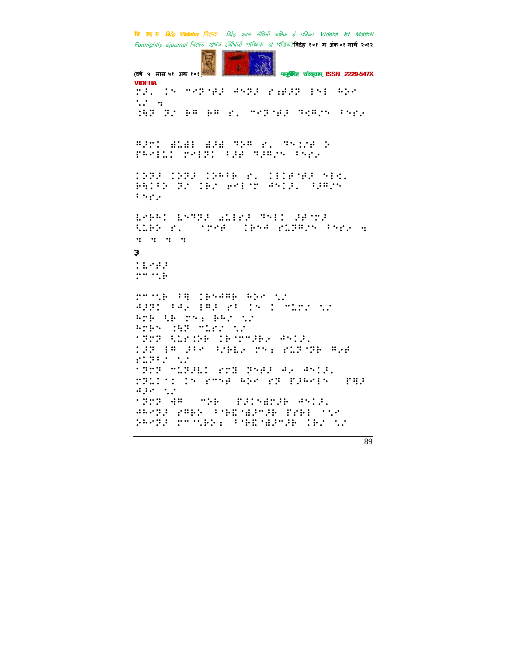٦ 70 **CONTRACTOR** 螺 ×, (वर्ष ५ मास ५१ अंक १०१, मानूबीह संस्कृताम् ISSN 2229-547X **VIDEHA** TAL IN THE WALKER PARA PAID AND  $\ddotsc$   $\ddotsc$ THE BY AR AR Y. TERMIN REPORT FOR APD: BDB: BDB ADA 20 APD: D PROBLE POIRT FRE SPRING PAPE 1988 (1988 (1958) 2. (1118/88 513) PRICE OF THE PRICE AND LONGER  $\mathbf{1}$  in the set of  $\mathbf{1}$ ESPAI ESTRI ALIMA TSIL ARTUA KLED B. (1988) IBSA BLOWD PARK &  $\mathbf{3}$  $13.793$  $\cdots$  ... TT ME PRODUCED RESOURC **APPI FALK PRESSURE IN THE MILL AN** Pre te res end to Brie MP Mir. .. **SPPP RDPORT IROPSHE ANIA.** 198 PROPER WHEN THE PLEASE SAM PERSONAL 1959 MIRABI KOB PHAR AY ANIA. **MILLAR IN ROGE REAGER PROPERTY FRE**  $\begin{picture}(20,20) \put(0,0){\vector(1,0){10}} \put(15,0){\vector(1,0){10}} \put(15,0){\vector(1,0){10}} \put(15,0){\vector(1,0){10}} \put(15,0){\vector(1,0){10}} \put(15,0){\vector(1,0){10}} \put(15,0){\vector(1,0){10}} \put(15,0){\vector(1,0){10}} \put(15,0){\vector(1,0){10}} \put(15,0){\vector(1,0){10}} \put(15,0){\vector(1,0){10}} \put(15,0){\vector(1$ **TROP ARE TOOK INTO A REALLY** ARATE PARE PORTHERS TERRITOR PROTECTORY: FORDNEYED IROCA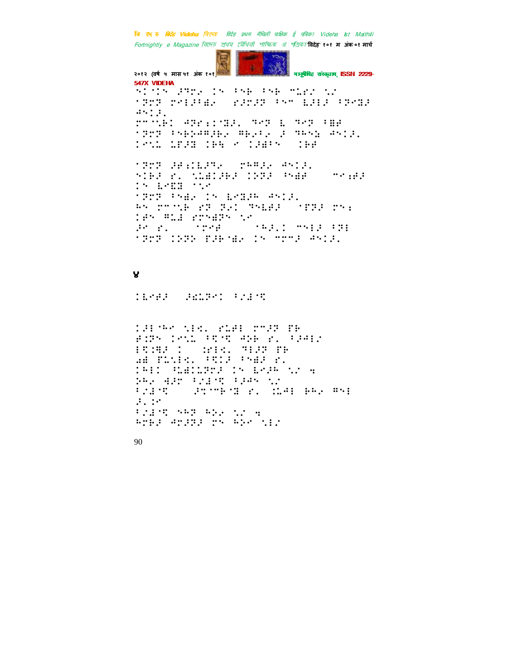

**547X VIDEHA** SIMPS PROVIDE PARTISH TEST TO **TROP CHIPLE, SCRIP PAT LILE PRAGE**  $45.141$ rooms agricult, man boman (me \*PMP PSERWRIEL RELEVE PORSE RSIE  $\mathbf{1}$  :  $\mathbf{1}$ 

**TOO HERES TARE ANTE.**  $\cdots$  . . . . . **SIBE SO STATED INTO PARTY** IN LAND THAT TROP PARK IN EMBRESHIPS. RS TOOR PROPERTY THEFT OFFICERS ter mid erhalb tr Bridge Controlling  $14411 19413 1741$ **TROP CORP PARTHE CO TOTAL ANCE.** 

## ¥.

**CEPART CREATED** 

**CONTRACTOR** PERSONAL PROPERTY FURN INTE FROM AND PLOTPHIN ithe Code, may be MORTING CONSTRUCTS IRED REDURES IN BRIR NO 4 182 425 32275 3245 N 3.2.2.3.2.2. **SPECIE E. MAI BRA #51**  $\mathbb{R}^n$  , and F2275 553 552 52 8 ROBE AMERICAN REMOVED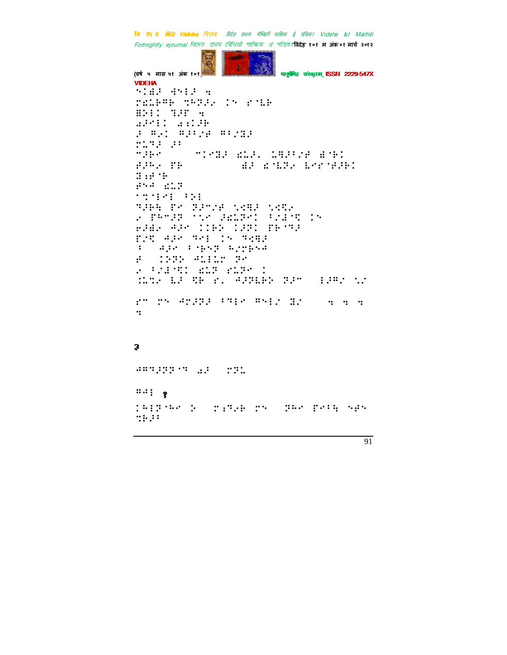**Service** मानुभीह संस्कृतम् ISSN 2229-547X (वर्ष ५ मास ५१ अंक १०१) **VIDEHA STAR 4512 4 SEART TRIE IN STR** BHI BH 4<br>GPH GHIB  $\beta$  and an  $\alpha$  are  $\beta$  and  $\beta$  and  $\beta$  are  $\beta$  and  $\beta$  are  $\beta$  and  $\beta$  are  $\beta$ 2122.33  $"$ . **MINE WALLERING BYFI** BOWER THAT A: RANG Report  $2.14.15$ #54 mil TARE ES PATAR NABA NARA F PROP TO BELPO POINT IN WAX APA 1162 IPRI PETR PAR APP THE IN THE apo rekolegiko  $\ddot{\cdot}$ 2 Frank amb ambas ()<br>Smith af thoat Afbank bino (1952) tr rm ra Arigi (gir galr dir  $\cdots$   $\cdots$  $\dddot{\bullet}$ 

#### $\mathbf{3}$

**ABSORT ALL AND**  $\cdots$ ; IFFRONT SCOTTER TROOPER TELEVISION nagar.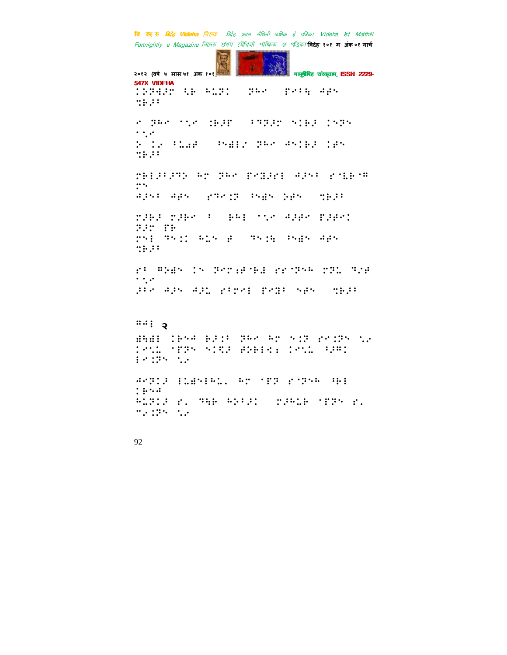बि एक रु मिनेड Videha विएक विदेह प्रथम मैथिली पाक्षिक ई पत्रिका Videha Ist Maithili Fortnightly e Magazine রিদেত প্রথম মৌথিনী পাক্ষিক প্রা পত্রিকা**'বিবৈদ্ধ ং৽ং म अंक॰ং मार्च** 

**COMPANY** 

 $\bigodot$  $\mathbf{g}$ २०१२ (वर्ष ५ मास ५१ अंक १०१) मानुबेमिह संस्कृतम् ISSN 2229-547X VIDEHA **119420 48 8101** par prig ago  $\mathbb{R}^n$ 8 BRA TON HER (FREE SIEE 1585)  $\cdot$  ... Poly Plan (PHEZ PRO PSIER 185 na pro represent ar par remark agaily new  $\cdots$ apsi apsi pregrimgs pps (gbit rded rder () employed addr fder: F.P. TE THE THIS RIN B. THIN PHEN REN  $79.33$ r: Abdr (n Programa rrogna of) and  $\cdot$   $\cdot$   $\cdot$ PROGRAM ARE PROFINED ARA  $-20.33$  $\cdots$ ;  $\ddot{Q}$ BRB: CESA BRIT BRS AT SIM PSIMS 12 ISMA TERR RIEF BREEKE ISMA FRAG  $1 + 125 + 125$ AMPILE BLANERL, RT TEP POPMA (RE  $14.44$ RIPIS P. THE RESIST CORRIB TERM P.  $27.229 - 1.2$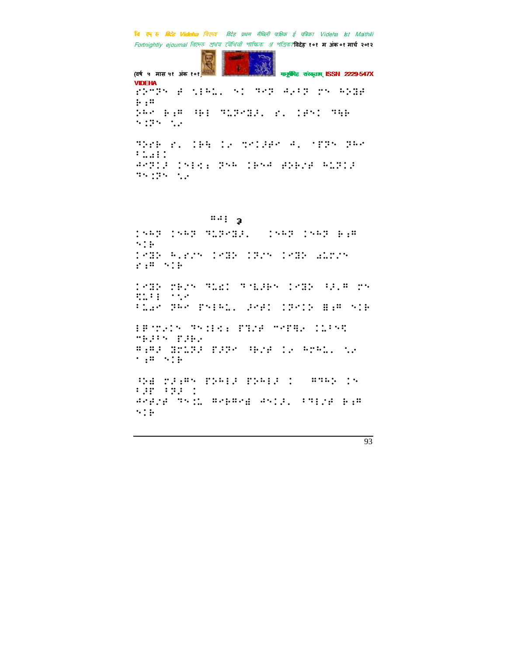

(वर्ष ५ मास ५१ अंक १०१, मानूबीह संस्कृताम् ISSN 2229-547X **VIDEHA** PROFESSION PROVIDED AND STRUCK AND BELLEVILLE  $\cdots$ par bem del diretto di continue  $5.135 - 10$ 

THE P. THE LE TRIAN A. META THA  $\ddots$ angla (nin, gne lena abera elgla)<br>Shigh Nr

## $\cdots$ ; 3

1545 1545 SLEED, 1545 1545 635  $\ddots$  is DANK ROBERT DANK DANK SERIE  $x_1x_2 + y_1y_2$ 

1882 MEDS MILL MALLES 1882 MELWON  $\mathbb{R}^{n+1}$  $\langle\cdot\cdot\rangle_{\mathcal{C}}$ Plan BRA Priel, Grec CBMIN BAR SIR

FRONT TRIES FINE MATRA CLEAR **MEDIAN PORTS** alas menas repos anno 12 apan. Se  $1.48 - 1.14$ 

Shi niams preil preil ( """") is : HP : PP : André Thio Rheanna Anis, frire Bia  $\cdot$  : :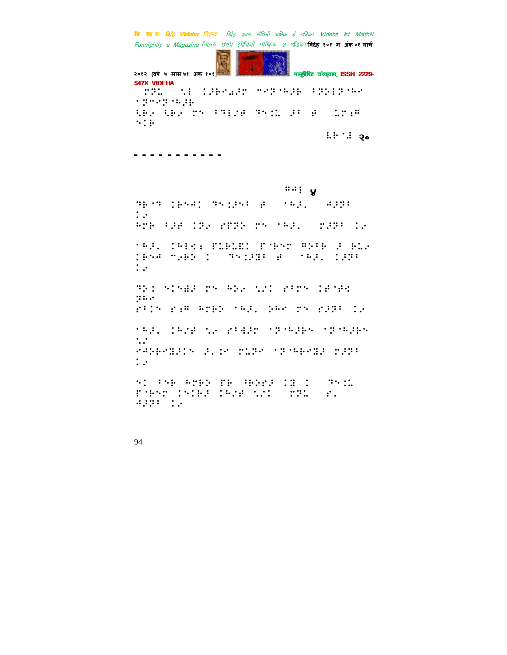बि एक रु मिनेड Videha विएक विदेह प्रथम मैथिली पाक्षिक ई पत्रिका Videha Ist Maithili Fortnightly e Magazine রিদেত প্রথম মৌথিনী পাক্ষিক প্রা পত্রিকা**'বিবৈদ্ধ ং৽ং म अंक॰ং मार्च** 

**Separate** 

â

 $\Phi$ २०१२ (वर्ष ५ मास ५१ अंक १०१) मानुबेमिह संस्कृतम् ISSN 2229-547X VIDEHA  $\mathbb{R}^n$  $13923344$ the the restrict weil it as ire  $\cdot$  : : $i.i'.i$  20

. . . . . . . . . . .

# $\cdots$ ; y

TEST (ESA) TS (PS) A (SA) (AP) APP  $\ddot{\cdot}$  . ATE FIE ITS FITS TO TAIL TITLE IS 'Al Cald: Mikimi Fort Arth 2 Hir TENA MARK I (PRINGE B) (PAP, IPP)  $\dddot{\bullet}$  . This blows to the wall strongshed  $\mathbb{C}$  : ... rils remarks that the research tel, leze to regroup teles treeps  $\ddots$ PANDRING F. M. MIRR OF SPRIE MIRR  $\dddot{\cdot}$ . **NI PAR ROBE TR HERE IS I**  $\cdots$ rjeshister (Azelizi)<br>Azeroz  $\mathbb{R}^n$  $\mathbf{f}$ .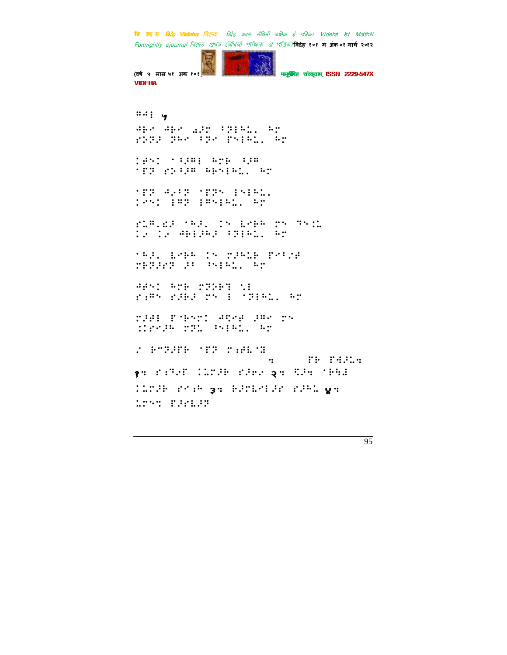

(वर्ष ५ मास ५१ अंक १०१) मान<sup>ुक्र</sup>िया मानुसिंह संस्कृताम् ISSN 2229-547X VIDEHA

 $\cdots$ HER HER 225 FRIEL, BY ⢵⢽⢼!⢽⢳!B⢽!03⢳⣅F!⢳!!

 $[195]$   $[193]$   $[193]$   $[193]$ 00 . Projection in the second second second second second second second second second second second second sec

199 429 500 123 500. !3⢻⢽!3⢻3⢳⣅F!⢳!!

 ⣅⢻F⣎⢼!⢳⢼F!!⣇⢷⢳!!⢹⣈⣅!!  $\vdots$   $\vdots$   $\vdots$   $\vdots$   $\vdots$   $\vdots$   $\vdots$ 

⢳⢼F!⣇⢷⢳!!⢼⢳⣅⢷!0B2⢾!! ⢷⢽⢼ ⢽!⢼B!⢸3⢳⣅F!⢳!!

**GEN! SPE 23183 131** ⣐⢻! ⢼⢷⢼!!3!⢽3⢳⣅F!⢳!!

 $T391$  T1677. 4508 380 390 70 10001029 1031 1032 1032 103

2!⢷⢽⢼0⢷!0⢽!⣐⢾⣇⣝! hhbkfoesbAwjefib⣒dpn!0⢷!0⣚⢼⣅⣒!! १⣒! ⣐⢹⢴0!⣅⢼⢷! ⢼⢶⢴!२⣒!⣋⢼⣒!⢷⣓⣜! ⣅⢼⢷! ⣐⢳!३⣒!⢷⢼⣇3⢼ ! ⢼⢳⣅!४⣒!  $L$   $T$   $T$   $T$   $T$   $T$   $T$   $T$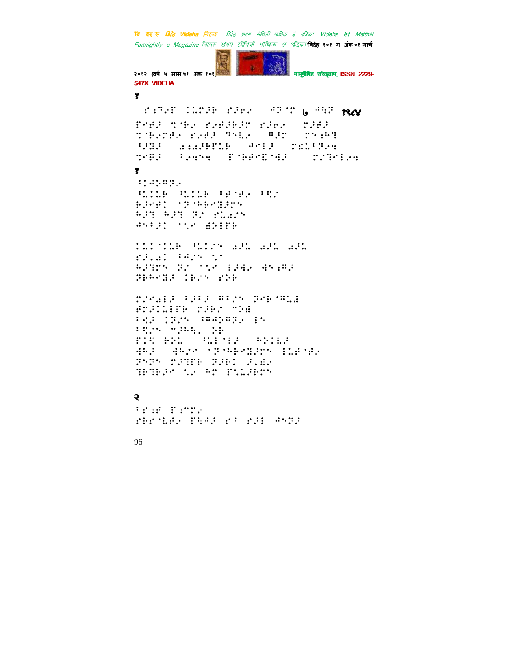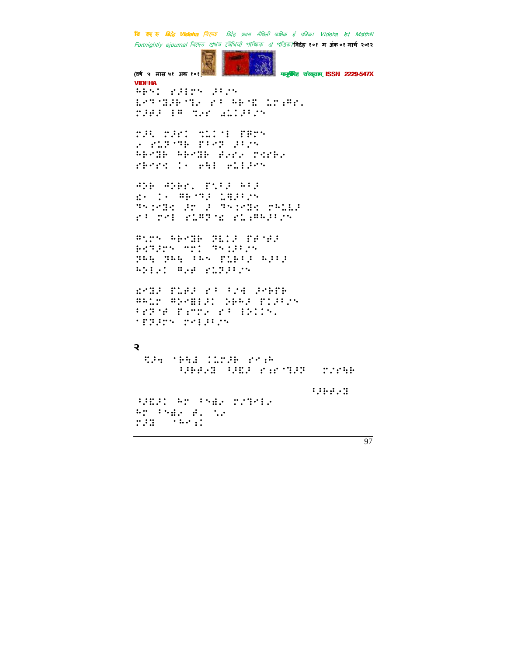

VIDEHA BESI FSHIPS SPIER ⣇⢹⣝⢼⢷⣙⢴! ⢸!⢳⢷⣏!⣅⣐⢻ F! ⢼⢾⢼!3⢻!⣉⢴ !⣔⣅⢼B2!

⢼⣃!⢼ !⣉⣅3!0⢿! ⢴! ⣅⢽⢹⢷!0B⢽!⢼B2! ⢳⢷⣝⢷.⢳⢷⣝⢷!⢾⢴ ⢴.⣊ ⢷⢴! ⢷ ⣊!l!⢶⣓3!⢶⣅3⢼!

⢺⢵⢷.⢺⢵⢷ F!0⣁B⢼!⢳B⢼! ⣎l!l!⢻⢷⢹⢼!⣅⣛⢼B2! ⢹⣈⣝⣊!⢼!⢼!⢹⣈⣝⣊!⢳⣅⣇⢼!  $T$  3  $T$  3  $T$  3  $T$  3  $T$  3  $T$  3  $T$  3  $T$  3  $T$  3  $T$  3  $T$  3  $T$  3  $T$  3  $T$ 

B\r\ Wesl B.12 PP18. ⢷⣊⢹⢼!!⢹⣈⢼B2! ⢽⢳⣓.⢽⢳⣓!B⢳!0⣅⢷B⢼!⢳⢼B⢼! **WEIGHT WEIGHT STREET** 

⣎⣝⢼.0⣅⢾⢼! ⢸!B2⣚!⢼⢷0⢷! ⢻⢳⣅!⢻⢵⣟3⢼!⢵⢷⢳⢼!0⢼B2! B 200 P (Protein and Deliversity) 0⢽⢼!3⢼B2!

#### २

!⣋⢼⣒!⢷⣓⣜!⣅⢼⢷! ⣐⢳! !!!!!⢸⢼⢷⢾⢴⣝!⢸⢼⣏⢼! ⣐ ⣙⢼⢽-!2 ⣓⢷!!!!!

!!!!!!!!!!!!!!!!!!!!!⢸⢼⢷⢾⢴⣝!

HER SHE SHE SHE Br Pher B. C. ⢼⣝-!⢳⣐!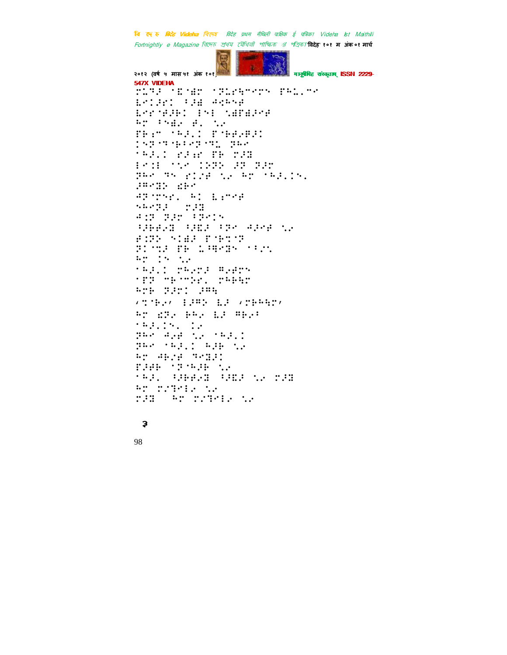**September** あぶ  $\mathbf{g}$ २०१२ (वर्ष ५ मास ५१ अंक १०१ ) मानुबेमिह संस्कृतम् ISSN 2229-547X VIDEHA ring (Endr (Thebrew PAL.ne 1201321 (331-4455) ESTARRI PROGRESSA Ar Phili B. N. *PEC 'SILE TREES!* 1537319973131399 193.1 risk TB 233 POINTS DEP 28 221 BAR SA RICH NE AP SARIIS. PROBL SEC APATHEL AI Liner  $54777 - 773$ **AIR REP (PMIN)** 126828 1383 138 4388 12 **BOOK MAN PARTY** BIGHA AR LARGEN (1925)<br>An Color skal: Pkapa magpa **TEP THITGE, THEAT ATE 2221 284 Andrey EPP EP ANDREY** Ar ERP BAP ES WHICH  $\mathcal{L}^{\mathcal{L}}\left( \mathcal{L}^{\mathcal{L}}\left( \mathcal{L}^{\mathcal{L}}\right) \right)$  $\ddots$ 1946-1942<br>1946 - Alego Inle, 1942-1 388 (821) 82B 12 **Ar ABIS BRIDE** F.H. (F.B.B. 1.) \*\*\*\*\*\*\*\*\*\*\*\*\*\*\*\*\*\*\*\*\*\*\*\*\*\*\* An indeed to **PARE PROPERTY SET** 

बि एक स्टेड Videha विएक विदेह प्रथम मैथिली पाक्षिक ई पत्रिका Videha Ist Maithili Fortnightly e Magazine রিদেহ প্রথম মৌথিনী পাক্ষিক প্রা পত্রিকা**'বিदेह' १०१ म अंक०१ मार्च** 

 $\overline{\mathbf{3}}$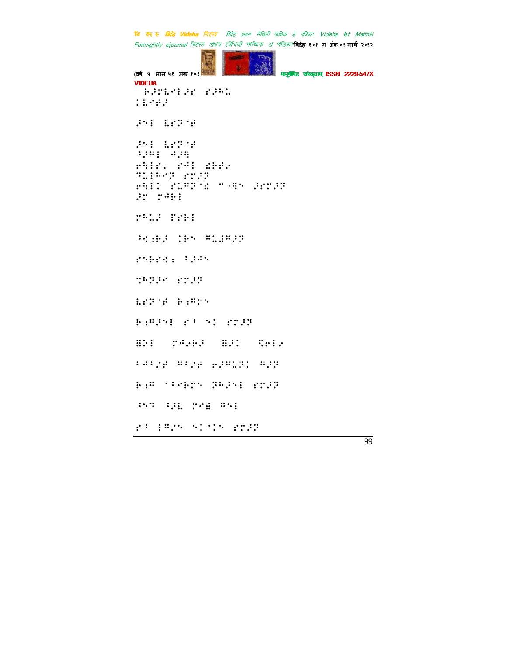(वर्ष ५ मास ५१ अंक १०१) मानुसार अधिकारी मानुसार संस्कृताम् ISSN 2229-547X VIDEHA 99 !⢷⢼⣇3⢼ ! ⢼⢳⣅!  $\ddots$ ⢼3!⣇ ⢽⢾! ⢼3!⣇ ⢽⢾! ⢸⢼⢻3!⢺⢼⣛!! r#1: r#1 dF#. ⢹⣅3⢳⢽! ⢼⢽! **WHIS PLATE COMPANY**  $J$   $T$   $T$   $J$   $J$   $J$ ⢳⣅⢼!0 ⢷3!! ⢸⣊⣐⢷⢼!⢷!⢻⣅⣜⢻⢼⢽!! ⢷ ⣊⣐!B⢼⢺!! ⣉⢳⢽⢼! ⢼⢽!! ⣇ ⢽⢾!⢷⣐⢻!! ⢷⣐⢻⢼3! ⢸!! ⢼⢽!! ⣟⢵3-!⢺⢴⢷⢼-!⣟⢼-!⣋⢶3⢴!! B⢺B2⢾!⢻B2⢾!⢶⢼⢻⣅⢽!⢻⢼⢽!! ⢷⣐⢻!B⢷!⢽⢳⢼3! ⢼⢽!! ∷∵.º.º. ∷.  $f^2 = 1975$   $f^2 = 1775$   $f^2 = 1777$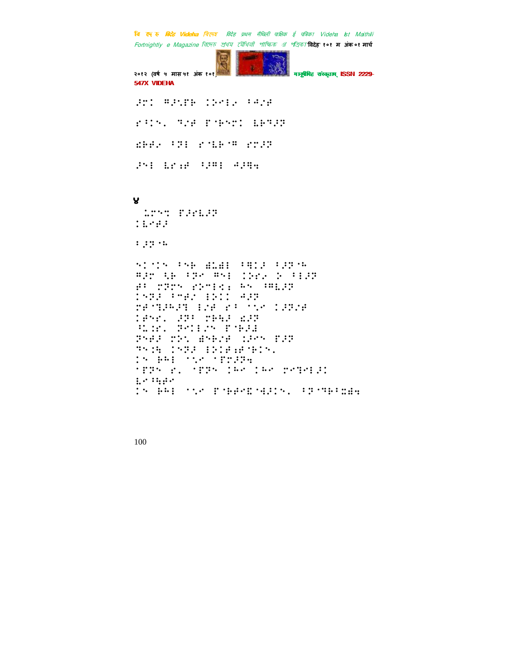

 $FT$  WHIP INTER 1928  $\mathbf{r}$  Find  $\mathbf{r}$  is the proposition of  $\mathbf{r}$ ⣎⢷⢾⢴!B⢽3! ⣇⢷⢻! ⢼⢽!! ⢼3!⣇ ⣐⢾!⢸⢼⢻3!⢺⢼⣛⣒!!

४

 $\sqrt{2}$  $\ddots$  .

 $B^{\bullet}$ 

!B⢷!⣞⣅⣞3!B⣛⢼!B⢼⢽⢳! ⢻⢼.⣃⢷!B⢽!⢻3!⢵ ⢴!⢵!B3⢼⢽!  $B$  : The Section Community ⢽⢼!B⢾2!3⢵!⢺⢼⢽! ⢾⣙⢼⢳⢼⣙!32⢾! ⢸!⣁!⢼⢽2⢾!  $1459$  F. B. P. B. B. B. SUM FOR THE FILM ⢽⢾⢼!⢵⣁!⣞⢷2⢾!⣈⢼!0⢼⢽! SHILL THE STREET !⢷⢳3!⣁!0⢼⢽⣒! 0⢽. F.0⢽!⢳.⢳!⣙3⢼! ⣇⢸⣓⢾! !⢷⢳3!⣁!0⢷⢾⣏⣚⢼F!B⢽⢹⢷B⣍⣞⣒!!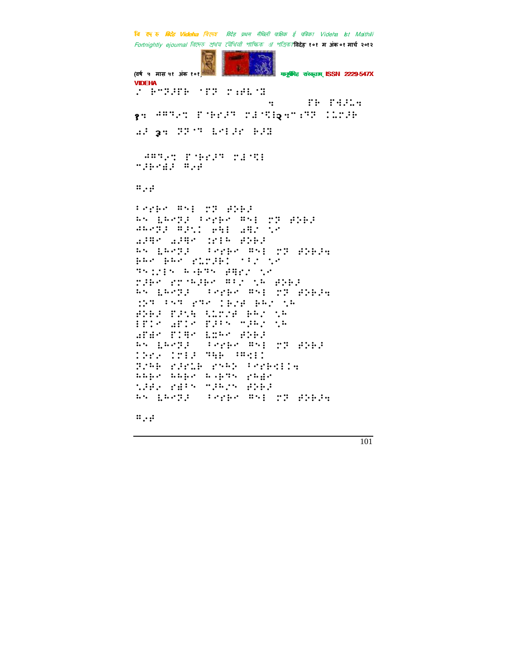**Separate** (वर्ष ५ मास ५१ अंक १०१) मानुसीह संस्कृतम् ISSN 2229-547X VIDEHA 2!⢷⢽⢼0⢷!0⢽!⣐⢾⣇⣝! hhbkfoesbAwjefib⣒dpn!0⢷!0⣚⢼⣅⣒!! १⣒!⢺⢻⢹⢴⣉!0⢷ ⢼⢹!⣜⣋3२⣒⣐⢹⢽!⣅⢼⢷! ⣔⢼!३⣒!⢽⢽⢹!⣇3⢼ !⢷⢼⣝! !⢺⢻⢹⢴⣉!0⢷ ⢼⢹!⣜⣋3.!! ⢼⢷⣞⢼!⢻⢴⢾!  $::$ ... B ⢷!⢻3!⢽!⢾⢵⢷⢼!  $\frac{1}{2}$  **B**  $\frac{1}{2}$   $\frac{1}{2}$   $\frac{1}{2}$   $\frac{1}{2}$   $\frac{1}{2}$   $\frac{1}{2}$   $\frac{1}{2}$   $\frac{1}{2}$   $\frac{1}{2}$   $\frac{1}{2}$   $\frac{1}{2}$   $\frac{1}{2}$   $\frac{1}{2}$   $\frac{1}{2}$   $\frac{1}{2}$   $\frac{1}{2}$   $\frac{1}{2}$   $\frac{1}{2}$   $\frac{1}{2}$   $\frac{1}{2}$   $\frac{1}{2}$ ⢺⢳⢽⢼!⢻⢼⣁!⢶⣓3!⣔⣛2!⣁! ⣔⢼⣛.⣔⢼⣛!⣈ 3⢳!⢾⢵⢷⢼!  $\frac{1}{2}$   $\frac{1}{2}$   $\frac{1}{2}$   $\frac{1}{2}$   $\frac{1}{2}$   $\frac{1}{2}$   $\frac{1}{2}$   $\frac{1}{2}$   $\frac{1}{2}$   $\frac{1}{2}$   $\frac{1}{2}$   $\frac{1}{2}$   $\frac{1}{2}$   $\frac{1}{2}$   $\frac{1}{2}$   $\frac{1}{2}$   $\frac{1}{2}$   $\frac{1}{2}$   $\frac{1}{2}$   $\frac{1}{2}$   $\frac{1}{2}$   $\frac{1}{2}$   $\$ BRA BRA STREET STREET ⢹⣈23!⢳C⢷⢹!⢾⣛ 2!⣁! ⢼⢷. ⢳⢼⢷!⢻B2!⣁⢳!⢾⢵⢷⢼! LA : B 2010 - 1010 - 102 E 202 E 202 E 202 E 202 E 202 E 203 E 203 E 203 E 203 E 203 E 203 E 203 E 203 E 203 E ⣈⢵⢹.B⢹! ⢹!⢷2⢾!⢷⢳2!⣁⢳! ⢾⢵⢷⢼.0⢼⣁⣓!⣃⣅2⢾!⢷⢳2!⣁⢳! 30.⣔0!0⢼B!⢼⢳2!⣁⢳! ⣔0⣞!0⣛!⣇⣍⢳!⢾⢵⢷⢼!  $\frac{1}{2}$  &  $\frac{1}{2}$   $\frac{1}{2}$   $\frac{1}{2}$   $\frac{1}{2}$   $\frac{1}{2}$   $\frac{1}{2}$   $\frac{1}{2}$   $\frac{1}{2}$   $\frac{1}{2}$   $\frac{1}{2}$   $\frac{1}{2}$   $\frac{1}{2}$   $\frac{1}{2}$   $\frac{1}{2}$   $\frac{1}{2}$   $\frac{1}{2}$   $\frac{1}{2}$   $\frac{1}{2}$   $\frac{1}{2}$   $\frac{1}{2}$   $\frac{1}{2}$  **CONNECT SECTION** ⢽2⢳⢷. ⢼ ⣅⢷! ⢳⢵!B ⢷⣊3⣒! ⢳⢳⢷.⢳⢳⢷!⢳C⢷⢹! ⢳⣞! ⣁⢼⢾⢴! ⣞B!⢼⢳2!⢾⢵⢷⢼!  $\frac{1}{2}$  ,  $\frac{1}{2}$  ,  $\frac{1}{2}$  ,  $\frac{1}{2}$  ,  $\frac{1}{2}$  ,  $\frac{1}{2}$  ,  $\frac{1}{2}$  ,  $\frac{1}{2}$  ,  $\frac{1}{2}$  ,  $\frac{1}{2}$  ,  $\frac{1}{2}$  ,  $\frac{1}{2}$  ,  $\frac{1}{2}$  ,  $\frac{1}{2}$  ,  $\frac{1}{2}$  ,  $\frac{1}{2}$  ,  $\frac{1}{2}$  ,  $\frac{1}{2}$  ,  $\frac{1}{$ 

 $\ddot{a}$ ...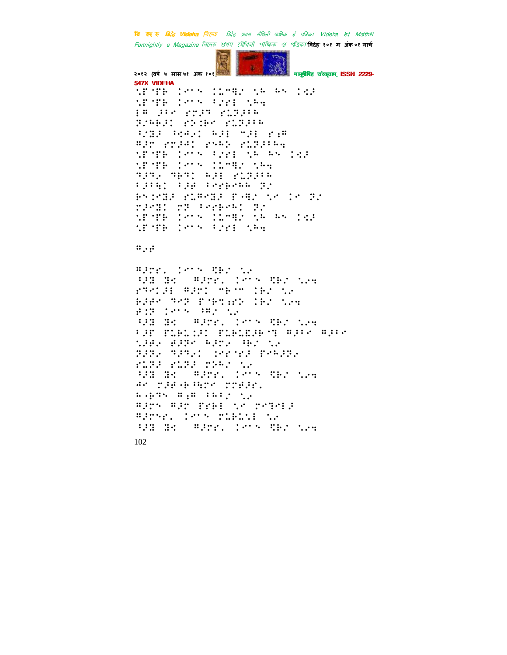**September**  $\mathbf{g}$ २०१२ (वर्ष ५ मास ५१ अंक १०१) मानुबेमिह संस्कृतम् ISSN 2229-SPORE TO SAMPLE SHOWS TEAM **MENTH CATA FIRE NAME** 

is and the theory<br>Breed the three arda araut est mai rue BED POPPI PARE PLEFING SPOTE COOK POST OF BACING **SERVICE CONTROLLER** spel sper will finish fjorgj også festende på Bridge PLACES FOR NO DO PO rPART 28 Perker R. Arang (Pos (1896) Agogs (22)<br>Arang (Pos Frei Age

 $\mathbf{a}_{\cdot}$ 

**547X VIDEHA** 

Rann, 1915 Rec Na<br>193 Se - Rann, 1915 Rec Nam FROM BELL TECT IED W BREAK TAT INSTANCES IBN 124 FIR 1855 HR 12 WE BE WELL IS'S HE WAS **THE POINT POINT TO THE TEAM** the BBM WBM BM th BARA MANAI (PETER PARABA FLID FLID THE LE AND BE CARDEL ISTN ABE NEW Ar pleakings prelis. agne springer #225 #22 PrBE 12 223212 RATHEL CHAM TERRIT CA **120 BC SEPTE INSTRUMENT**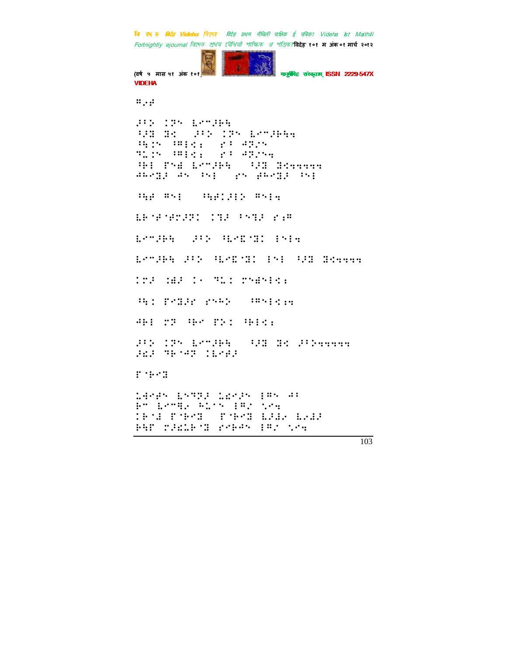(वर्ष ५ मास ५१ अंक १० मानूबीह संस्कृतम् ISSN 2229-547X

 $:: . . :$ 

**VIDEHA** 

Side Chamberling **BEE BY SPECIFIC STREET BEN BEEL FI BEN** TER WHEE PISTURE He red Length (122 Steeres **ARPIE AN INE (25 BRPEF INE** 

ng me: heter mete

**MANUFACTION CONTRACTS** 

**WORRY HAS HADYN'S MIR** 

Lengia any menon is the danger

INS MARIN WILL TRAPEN:

He Felle rabbi Havers

**ABI 27 HP WAY HIS:** 

**APROXIMATION CONTROLLER** Shi mesu there

 $17.14 \times 11$ 

LEMPH ENTER LEMPH (PR) AP BM LEMBER RETN 182 NPH TROL PORCH (PORCH ERE) EAR PHP CREDE THE SCHART INCOME.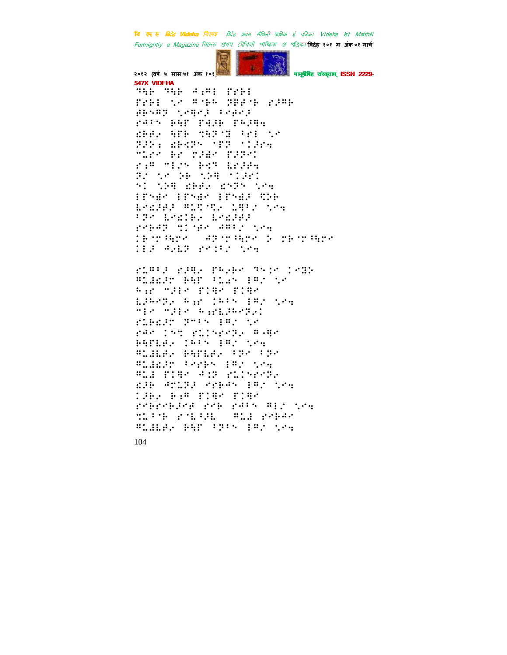बि एक रु मिनेट Videha विएक विदेह प्रथम मैथिली पाक्षिक ई पत्रिका Videha Ist Maithili Fortnightly e Magazine রিদেহ প্রথম মৌথিনী পাক্ষিক প্রা পত্রিকা**বিदेह १०१ म अंक०१ मार्च** 



२०१२ (वर्ष ५ मास ५१ अंक १०१) मानुबेमिह संस्कृतम् ISSN 2229-**547X VIDEHA 346 346 4.81 SYST** real to what parts elect BENNY SPRED PREPP **PAIN BUT THIS TESTS** deep ATE MARINE Fri tr BR: SECP (FP (1804 "Les Bronges Baro rif mich bet bridge 3: 18 H 128 (131) **NI NDR EBBS ENDN NOW** HPAP IPAP IPAR SPR EPAINT WITTER LATE TEM

**POST LANCES LANGED** PARAD SIMPO AREA SAN IBOTHER AFORTHER STECTHER **IEF AREP POINT NOW** 

rland road facer andro 1938<br>Algebroeke flyn fac iv Par main filme filme EPROPE Rap (RPS 1820-194 mic maic Reduckered flere For BELLE gar (St gilbreg, Bage **SANDARY CONTRACTORY COMPANY** Willer Barber (200120 **BLIEF FORES IBS NOW** RLE FIRE AND SLINESE dib Artic Speak (Art 194 **THE REPORT PIRE** rebrebled reb rath #12 tem these remains which remac William Buy (MIS 182 194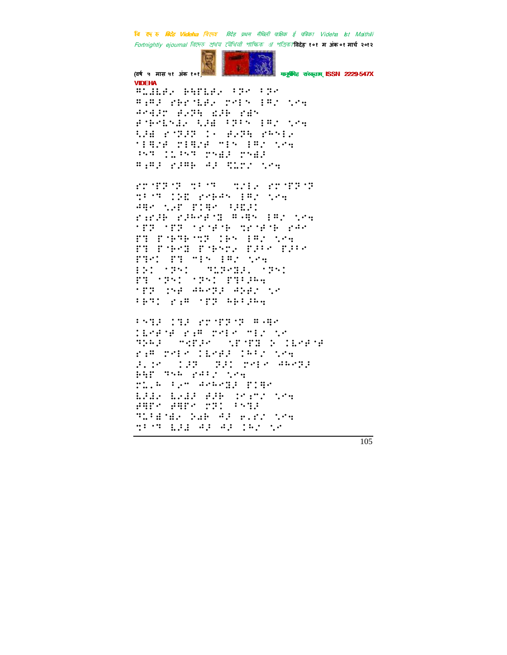

मानूबीह संस्कृताम् ISSN 2229-547X

**VIDEHA Widing Buning Creative** #.#2 ghrid. This 1#2 104 Anger Bull die ren FORMAL CHESTER IN SMA 138 27737 13 8576 25515 SIRSE SIRSE MIN IRS SPA BE MAN PHR PHR 

FORTH CHA CONFIDENCE TEST INE POPER IRE NOT **ARP 100 BINP 10001** rang rawang was aw ten **TER TER TETER TETER PAR** FI FORTHOLLEN ITZ 154 FI FAPI FAPIS THE THE FIRE FIGHT HE SPE idi (b) (mbdal (b) Filtra Straff Filtra **TIP INF ARTICALES TO** 

**PARE INE PROPERTY WARK** TERRIT PAR DREAMENTS THE THEFT STILL STEEP ram references (APP) tea F. 18 (1931) 331 2818 46832 BAP 756 PART 124 rich ten Anders fine 1212 1212 121 (2017) 129<br>1982 1982 1981 1992 TIBME SE AF EINT NA **MESTA ESE AP AP 182 18**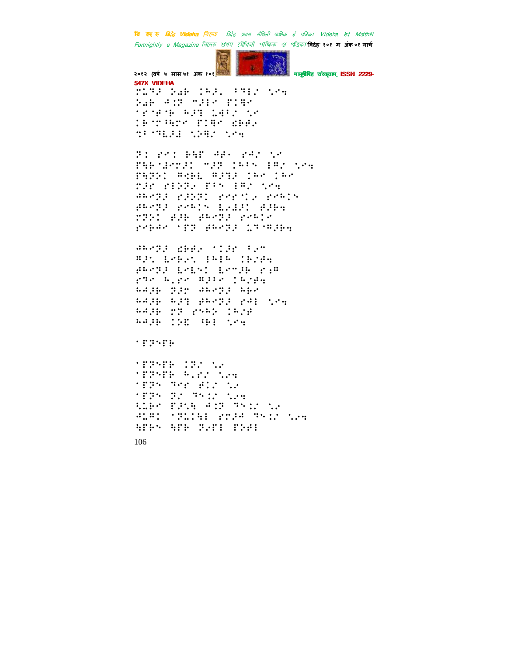बि एक स्टेड Videha विएक विदेह प्रथम मैथिली पाक्षिक ई पत्रिका Videha Ist Maithili Fortnightly e Magazine রিদেহ প্রথম মৌথিনী পাক্ষিক প্রা পত্রিকা**'বিदेह' १०१ म अंक०१ मार्च** 



२०१२ (वर्ष ५ मास ५१ अंक १०१)

मानुबेमिह संस्कृतम् ISSN 2229-

**547X VIDEHA** TIME SAR THE SMILL SMA **SAR #13 MIRM BIRM TEMP RELEEVED TEAM HOW TIME SEEP MISSERS AND ARE** 

Fight HE AR 242 16 PARTAMORI MARCIARE IROCOMA<br>PARDI ROBE RATA IRM IRM THE FIRES FIRE INCOME. ARABA EADBI EARTIF EARIS **BRANK PARTY LADDI BORN** TIL SIE BROIK PORTS read off swep incapa

ARATE BREAKTIER FAM **APS Lebel (Alb (Brdg** BRANK EARNT EAMIR PAR Profile Police Portugale **BAJE 232 AB-23 BE-**6426 629 86232 841 524 8428 27 2562 1828 8436 100 961 124

```
*FP*FE 131 %
TEMP WATER
STORY THE BILE TAB
alles de state Ce.<br>Alles font for State Ce
Wind (Sidney Fris Shop the
8888 888 888 888
106
```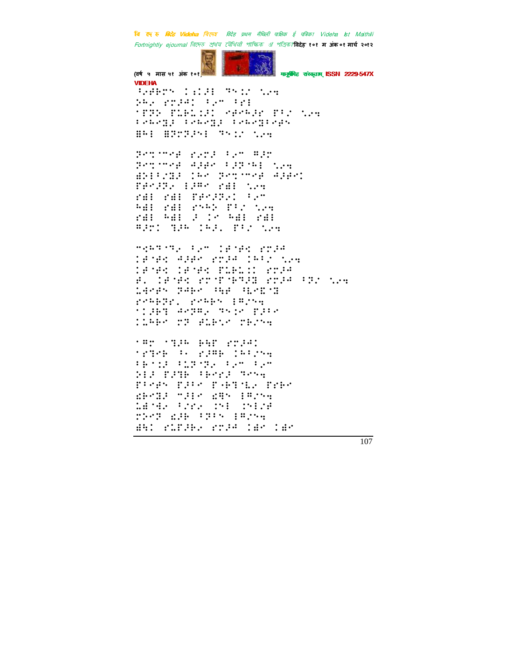

VIDEHA ⢸⢴⢾⢷!⣐⢼3!⢹⣈2!⣁⢴⣒! ⢵⢳⢴! ⢼⢺!B⢴!B 3! 0⢽⢵!0⣅⢷⣅⣈⢼!⢾⢳⢼ !0B2!⣁⢴⣒! B⢳⣝⢼.B⢳⣝⢼!B⢳⣝B⢾! ⣟⢳3.⣟⢽⢽⢼3!⢹⣈2!⣁⢴⣒!

⢽⣉⢾! ⢴⢼!B⢴!⢻⢼! ⢽⣉⢾!⢺⢼⢾!B⢼⢽⢳3!⣁⢴⣒! ⣞⢵3B2⣝⢼!⢳!⢽⣉⢾!⢺⢼⢾! 0,000 000 000 000 000 000 ⣞3. ⣞3!0⢾⢼⢽⢴!B⢴! **BED 233 2002 2003 2003 2003**  ⣞3.⢳⣞3!⢼!!⢳⣞3. ⣞3! ⢻⢼!⣙⢼⢳!⢳⢼F!0B2!⣁⢴⣒!

⣊⢳⢹⢹⢴!B⢴!⢾⢾⣊! ⢼⢺! ⢾⢾⣊!⢺⢼⢾! ⢼⢺!⢳B2!⣁⢴⣒!  $\mathbb{R}$ ene lene fiell: 200  $F$ . If yet an informal and for  $F$  with ⣅⣚⢾!⢽⢺⢷!⢸⣓⢾.⢸⣇⣏⣝! ⢳⢷⢽ F! ⢳⢷!3⢻2⣒! ⢼⢷⣙!⢺⢽⢻⢴!⢹⣈!0⢼B! ⣅⢳⢷!⢽!⢾⣅⢷⣁!⢷2⣒!

⢻.⣙⢼⢳!⢷⣓0! ⢼⢺! ⣙⢷!⢸l! ⢼⢻⢷!⢳B2⣒! BE CONSIDERED BY BOOKS ⢵3⢼.0⢼⣙⢷!B⢷ ⢼!⢹⣒! 0B⢾!0⢼B!0C⢷⣙⣇⢴!0 ⢷! ⣎⢷⣝⢼.⢼3!⣎⣛!3⢻2⣒! ⣅⣞⣚⢴.B2 ⢴!⣈3!⣈32⢾!  $T^2$ . ⣞⣓! ⣅0⢼⢷⢴! ⢼⢺!⣞.⣞!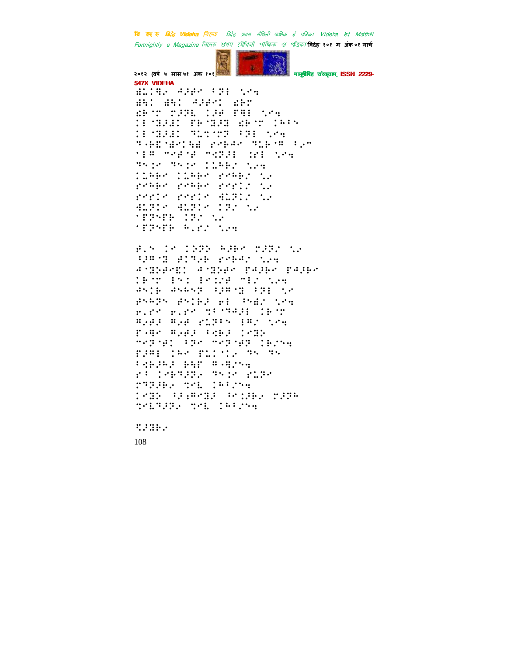

२०१२ (वर्ष ५ मास ५१ अंक १०१ )

मानुबेमिह संस्कृतम् ISSN 2229-

**547X VIDEHA MATH AND AND AND** SHI SHI AGANI SHI SP 733 13 73 79 75 **COMMAND PERSONAL SERVICES MARKET TEST START SERVICE** THE GRIED PREAK TOP TO THE **SEP SPECE SORE OFF 109** Thir Thir Clear New TLABY TLABY PYABY NP realer realer rentring rente rente algia da 8000 8000 8000 8000 \*\*\*\*\*\* \*\*\* \*\* **TEPHP R.E. LEW** 

B. S. DE DORR AGES THROUGH **BEST BINGE PORT NOW** angyang angyan pagpe pagpe TECHNICAL MILLION 4516 45652 (2832-321-52 PSPS PSIED AL PSEMINA F.P. R.P. TEMPHE IRT BARE BAR RUSS IN 1970 rar mad teknologi report the report trees FRAME THAN FILL MIN THAN TH **Concert Service Concert** ri jepnin, naje rine **MARING MARKET CHARGE** 1982 (B.W982 (P.182 2226 TREPARE TRE INFORM

**WARDER**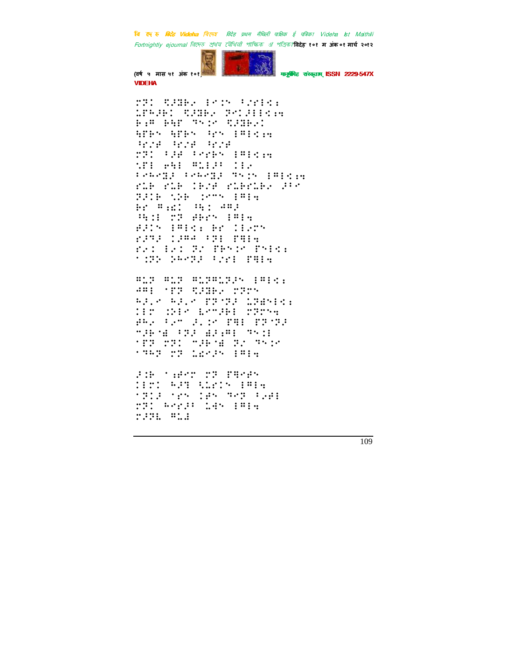चि एत् रू मिन्हे Videha निएन्थ विदेह प्रथम मैथिली पाक्षिक ई पत्रिका Videha Ist Maithili Fortnightly ejournal রিদেত প্রথম মৌথিনী পাক্ষিক প্র পত্রিকা**'বিदेह' १०१ म अंक०१ मार्च २०१२** 



VIDEHA

THE THEFT STREET  $\mathbb{Z}^n$  . The set of  $\mathbb{Z}^n$  and  $\mathbb{Z}^n$  . The set of  $\mathbb{Z}^n$ ⢷⣐⢻.⢷⣓0!⢹⣈!⣋⢼⣝⢷⢴! **APRS APRS IN 1910** 922 222 222 ⢽!B⢼⢾!B ⢷!3⢻3⣊⣐⣒! **CONDER SERVICES** BRUSH BE SHARE SHARE SHARE  $^{\prime}$ .  $^{\prime}$  .  $^{\prime}$  .  $^{\prime}$  .  $^{\prime}$  .  $^{\prime}$  .  $^{\prime}$  .  $^{\prime}$  .  $^{\prime}$  .  $^{\prime}$  .  $^{\prime}$  .  $^{\prime}$  .  $^{\prime}$  .  $^{\prime}$  .  $^{\prime}$  .  $^{\prime}$  .  $^{\prime}$  .  $^{\prime}$  .  $^{\prime}$  .  $^{\prime}$  .  $^{\prime}$  .  $^{\prime}$  .  $^{\prime}$  .  $^{\prime}$  .  $^{\prime}$  ⢽⢼⢷!⣁⢵⢷!⣈!3⢻3⣒!  $\frac{1}{2}$  . The state of  $\frac{1}{2}$ **WHITE**  $32$ ⢾⢼!3⢻3⣊⣐!⢷ !3⢴! ⢼⢹⢼!⢼⢻⢺!B⢽3.0⣛3⣒! ⢴⣈.3⢴⣈!⢽2!0⢷⣈!03⣊⣐! ⣈⢽⢵!⢵⢳⢽⢼!B2 3!0⣛3⣒!

⢻⣅⢽.⢻⣅⢽!⢻⣅⢽⢻⣅⢽⢼!3⢻3⣊⣐! **SHI** 199 SHIP 299 ⢳⢼F.⢳⢼F!0⢽⢽⢼!⣅⢽⣞3⣊⣐!  $3!T$ ⢾⢳⢴!B⢴!⢼F⣈!0⣛3!0⢽⢽⢼! ⢼⢷⣞!B⢽⢼!⣞⢼⣐⢻3!⢹⣈3! 0⢽!⢽!⢼⢷⣞!⢽2!⢹⣈! **SAN THE STANDALE STANDALE STANDALE STANDALE STANDALE STANDALE STANDALE STANDALE STANDALE STANDALE STANDALE STA** 

 $\pm$ ib 'afri 77 FAPA' 3!⢳⢼⣙!⣃⣅ !3⢻3⣒! **'BIS 'S' USB 'BON' BON'**  $T$  :  $B = 3$ ⢼⢽⣇!⢻⣅⣜.!5!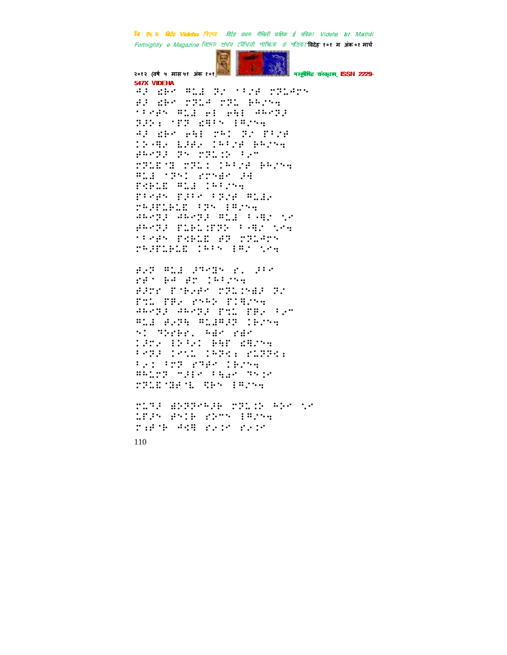बि एक रु मिनेट Videha विएक विदेह प्रथम मैथिली पाक्षिक ई पत्रिका Videha Ist Maithili Fortnightly e Magazine রিদেহ প্রথম মৌথিনী পাক্ষিক প্রা পত্রিকা**'বিदेह' १०१ म अंक०१ मार्च** 



२०१२ (वर्ष ५ मास ५१ अंक १०१) **547X VIDEHA** 

मानुबेमिह संस्कृतम् ISSN 2229-

43 der Ald CD (198 roldry BF BRY 2714 271 BRYSE steps will all all diego THE THE SHIP INCH 43 der ekk del 32 film 15-A. LAR (8928 BR254 BRAND NA MANING SAM PRIESE PRI: 19928 BR254 **Will Set rooms an** PHILE WILL INFINE Press pare rate will TRAPLELE FRY 18254 ARRES ARRES WILL FAMILY **SEPTE SERVICE PRODUCTS STARR PORT OF STARR** radion (are particle)

BAT WILL STATE PLATF William Williams HITE PORT TERMS IN FTL FRA PARE FIRENT anega anega pen pp. ()e **SI Thebr. Has ras COMPAGNISHIP SECTS** PARE CAND CHREE FLRREE Fact From Press Chrom BRLST SHER PRESS TO DE 

rich British rich bis te LPAN BRIE STOR BROWN rath 4dB rech rech 110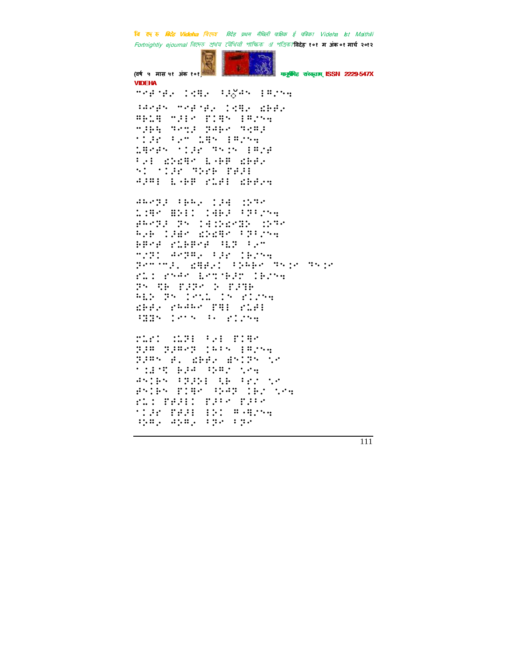बि एक रु मिनेट Videha विएक विदेह प्रथम मैथिली पाक्षिक ई पत्रिका Videha Ist Maithili Fortnightly ejournal রিদেহ প্রথম মৌথিনী পাক্ষিক প্র পত্রিক/**বিदेह १०१ म अंक०१ मार्च २०१२** 



(वर्ष ५ मास ५१ अंक १०१) **VIDEHA** 

मानूबीह संस्कृताम् ISSN 2229-547X

medida (28. 1004) (Brow SAMPRO MARINE (1992) dhis **WELH THE TIME INSTA MIRE TEMP SHEET TEMP** tian ten 1850 impéd LARAS STAR SSON 1824 tel diddy babb dhee MI MIR PREF BAR **APROXIMATE STAR SERVE** 

**ARRIE FERR 194 1978** 1987 BM: 1983 (PRING PROTECTS CHINESES INTO Reported choose this wa PROF PLPROF SLP SOM mid: Arda, Car Chine Benind, EARL Coper Store Stor fli free Ester Chry Prode fare bofath<br>Alborn Cenlode fare did. Phane PHI SLAI SHER COMMAND SCORE

**POST CONFIDENTIAL P.P. P.P.ST (815 | P.S.)** BJP5 B. dher dhib5 tr **THE BE SERVICE** avlet inne de dro tr #5185 TIME 4247 182 193 SLIPHIN NUMBER **MIR THAN IN BARYA** 1989 A989 198 198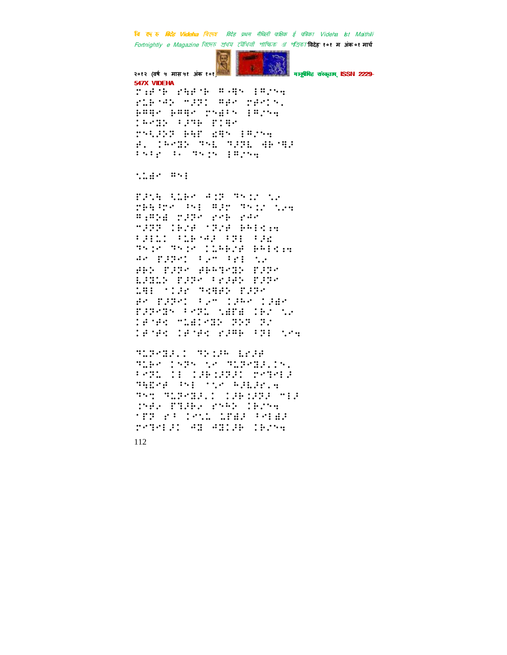बि एक रु मिनेट Videha विएक विदेह प्रथम मैथिली पाक्षिक ई पत्रिका Videha Ist Maithili Fortnightly e Magazine রিদেহ প্রথম মৌথিনী পাক্ষিক প্রা পত্রিকা**'বিदेह' १०१ म अंक०१ मार्च** 



मानुबेमिह संस्कृतम् ISSN 2229-

547X VIDEHA THUE PHED FURN IRON fleter mass man parts. **1998 1998 2010 1920 CARD COR COR THERE HE SHA INTER** B. THOR THE THE HETH 151g 10 75 po 18254

there are

TRA SERVAN TYN NY **TERPY PHORP TELL LEW BiBiB SIDE PER PART MITT IESE MISE PRISE** PARLI PLEMAR PRESPA<br>Ship Ship Ileeza efikir An Bader Can Carl Na ABS PREM ABSOME PREM 1.0000 TOP CONTROL TO **MOON CONTROLLER** Br Barro Fan 1965 1985 FREED FOR NATA CHOON **WERE THEFEN BY BY** 19794 19794 2386 331 534

TEPTILI TEIN ENH Sheetings of Sheemanis, **FRIDGE CHAIRS PRESS SHEPH SME THE SHERE.S** 355 SLP-BALL (185188-218 DEP FINED PARE IEDA **THE REPORT OF STREET** reterat dramatic teres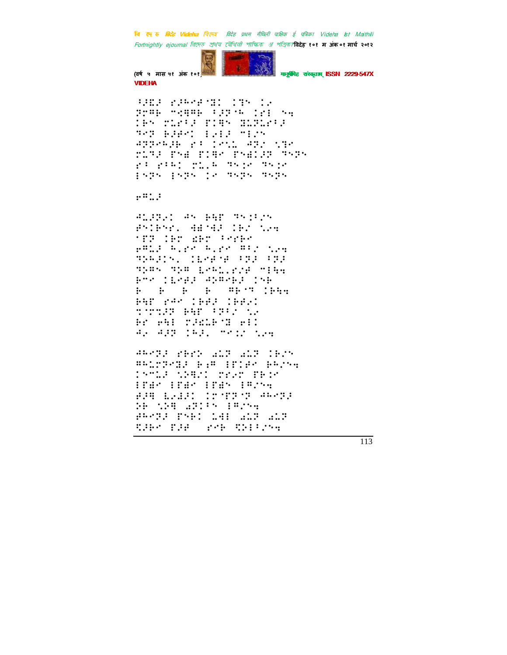बि एक रु मिनेट Videha विएक विदेह प्रथम मैथिली पाक्षिक ई पत्रिका Videha Ist Maithili Fortnightly ejournal রিদেত প্রথম মৌথিনী পাক্ষিক প্র পত্রিকা**'বিदेह' १०१ म अंक ०१ मार्च २०१२** 



मानुब्रीह संस्कृतम् ISSN 2229-547X

SHIP PARKEMIN ITS IP 3286 53986 (2356 121 54 **MARINE BEAT STATE** THE BEAM LEFT TEMP apprese racioni aprovar<br>rica reforme reformate ri rie: rile more more paga paga peluanga uaga

## $\mathbb{R}^{n+1}$  .

**VIDEHA** 

**ALABAY AN BAR SNIPPIN** Priest Absoluted that the **SIN CAT ART PRIME** PRIP RIPS RIPS RED NAM SPARING INVENTION OR spas spa preligie sieh.<br>Ese liger epager ise 842 242 1882 18821 **SAMPLE BOY COMPANY** Br eAl clair d ell Ap APP (AP, MATE TON

ARCES SHOP ALP ALP TECH #6199082 B.# IP100 B6254 **TAMLE MOREL STORE FRIM IPAM IPAM IPAM IPAM** BUB LADI (MANUS ARAN **SE SSE ARIS 18254** 8028 THE 18 SIN 30 THE THE PORTHION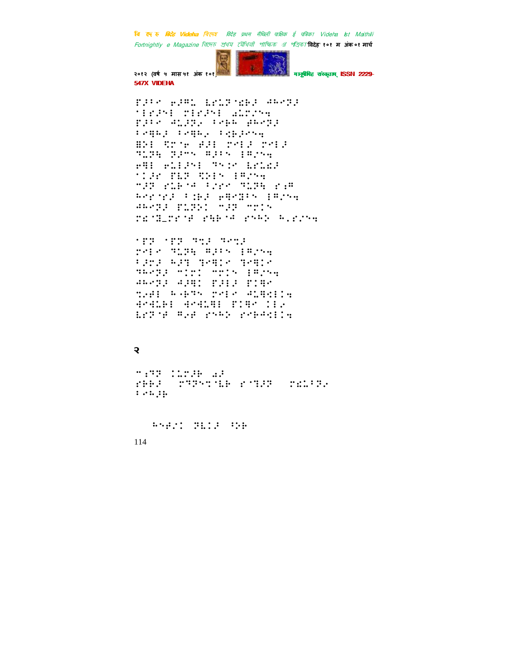चि एत् रू मिन्हे Videha निएन्थ विदेह प्रथम मैथिली पाक्षिक ई पत्रिका Videha Ist Maithili Fortnightly e Magazine রিদেহ প্রথম মৌথিনী পাক্ষিক প্র পত্রিকা**'বিदेह १०१ म अंक०१ मार्च** 



547X VIDEHA

0⢼B!⢶⢼⢻⣅!⣇ ⣅⢽⣎⢷⢼!⢺⢳⢽⢼! 3 ⢼3.3 ⢼3!⣔⣅2⣒! 0⢼B!⢺⣅⢼⢽⢴!B⢷⢳!⢾⢳⢽⢼! Boundary Boundary Boundary ⊞D: 52. 2019 2013 2013 ⢹⣅⢽⣓!⢽⢼.⢻⢼B!3⢻2⣒! ⢶⣛3.⢶⣅3⢼3!⢹⣈!⣇ ⣅⣎⢼! **TIME THE THE SERVE** ⢼⢽. ⣅⢷⢺!B2 !⢹⣅⢽⣓! ⣐⢻! ⢳ ⢼.B⣈⢷⢼!⢶⣛⣝B!3⢻2⣒! ⢺⢳⢽⢼!0⣅⢽⢵!⢼⢽!! ⣎⣝– ⢾! ⣓⢷⢺! ⢳⢵!⢳F 2⣒!

0⢽.0⢽!⢹⣉⢼.⢹⣉⢼! 3!⢹⣅⢽⣓!⢻⢼B!3⢻2⣒! Burg also demonstrate ⢹⢳⢽⢼!!!3⢻2⣒! ⢺⢳⢽⢼!⢺⢼⣛!0⢼3⢼!0⣛! ⣉⢴⢾3!⢳C⢷⢹!3!⢺⣅⣛⣊3⣒! ⣚⣚⣅⢷3.⣚⣚⣅⣛3!0⣛!3⢴! LPP WE SALE PROPERTY

## २

⣐⢹⢽!⣅⢼⢷!⣔⢼! ⢷⢷⢼-!⢹⢽⣉⣇⢷! ⣙⢼⢽-!⣎⣅B⢽⢴-! B⢳⢼⢷!

}}⢳⢾2!⢽⣇⢼!⢸⢵⢷}}!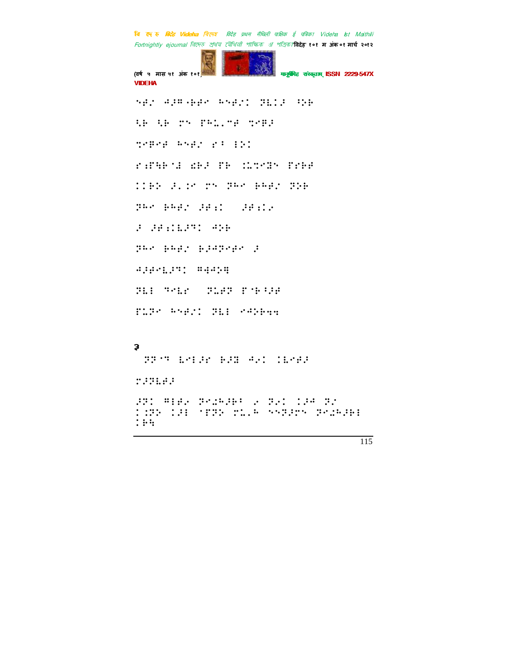चि एत् रू मिन्हे Videha निएन्थ विदेह प्रथम मैथिली पाक्षिक ई पत्रिका Videha Ist Maithili Fortnightly ejournal রিদেত প্রথম মৌথিনী পাক্ষিক প্র পত্রিকা**'বিदेह' १०१ म अंक०१ मार्च २०१२** 

(वर्ष ५ मास ५१ अंक १०१) मानुसार में मानुसीह संस्कृतम् ISSN 2229-547X VIDEHA  $Y$ 2: Colorate Colorate Colorate Colorate Colorate Colorate Colorate Colorate Colorate Colorate Colorate Color **WE ARE THE SECTION OF SHIP** ⣉⢿⢾!⢳⢾2! ⢸!3⢵-! SHID'S SHID SHID SHID SHID ∷∷F *.* F . P . P . P . P . P . P . P . ⢽⢳!⢷⢳⢾2!⢼⢾⣐-!⢼⢾⣐⢴-! ⢼!⢼⢾⣐⣇⢼⢹!⢺⢵⢷-! ⢽⢳!⢷⢳⢾2!⢷⢼⢺⢽⢾!⢼(!! ⢺⢼⢾⣇⢼⢹!⢻⣚⢺⢵⣛-! ⢽⣇3!⢹⣇ -!⢽⣅⢾⢽!0⢷⢸⢼⢾-! 0⣅⢽!⢳⢾2!⢽⣇3!⢺⢵⢷⣒⣒! ३ !⢽⢽⢹!⣇3⢼ !⢷⢼⣝!⢺⢴!⣇⢾⢼.!! ⢼⢽⣇⢾⢼! ⢼⢽!⢻3⢾⢴!⢽⣌⢳⢼⢷B!⢴!⢽⢴!⢼⢺!⢽2! ⣈⢽⢵!⢼3!0⢽⢵!⣅F⢳!⢽⢼!⢽⣌⢳⢼⢷3!  $\mathbf{H}$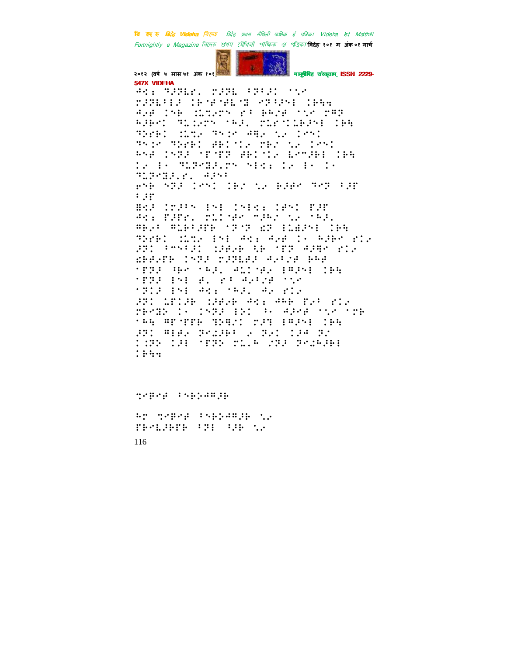बि एक रु मिनेट Videha विएक विदेह प्रथम मैथिली पाक्षिक ई पत्रिका Videha Ist Maithili Fortnightly e Magazine রিদেহ প্রথম মৌথিনী পাক্ষিক প্রা পত্রিকা**বিदेह १०१ म अंक०१ मार्च** 



मानुबेमिह संस्कृतम् ISSN 2229-

**547X VIDEHA** 40: WAREN 2000 (PHOTOGR THREE CREAKING STEER CREW APROVAM MODERN PROPERTY PAR Adam Tulkey (Ad. electional 184 Sheet they says ago to teat Thir Theb: Abinik Tbr NA 1851 PSA 1873 STORY ARISGE LATARE 188 De la Minemator rige de la Ca SUPPRESS WEST FMP MPF CRMC CROSSE REPRODUCED  $\cdot$  ...

BAR IMPOS INF INFALLIPSI FRE At: PAPEL PLINER MARY NE MAR. #BSP #1BP3PB (FFCF AF B18258 (BB SPERT CONFIDENT ARE AND IN AGENTING BRITANNIEL IBEARTHR MIR APRAITIN ERRITH INTE TITLER ANIVE HAR **TERP REPORTER WILLIED BRANE CEN** tra in el ri Alve hin \*BID 151 #d: \*#B. #2 fl2 371 LEI36 13826 Ada ARE E25 212 MERINAL CARD END BY APRESTS TOP **THE WENTER TOWER 2003 IMPER INF** STORIES ROSEL START CHORY Disk (21 janë sile 232 senëmb  $: ...$ 

trend contained

ar repea copposed to **PERSONAL PRODUCTS** 116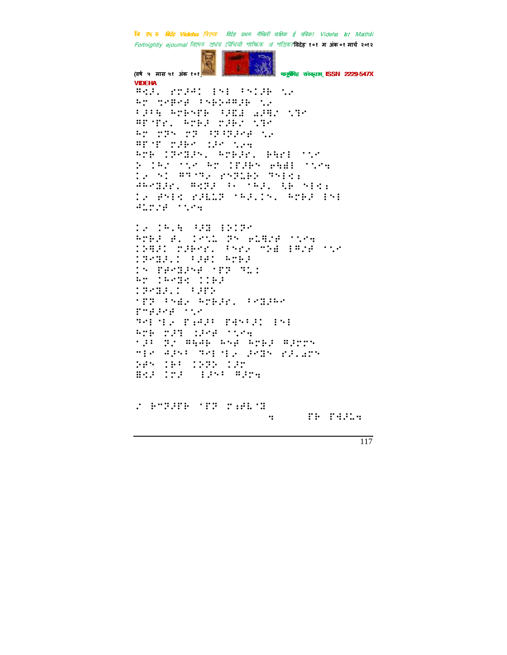चि एत् रू मिन्हे Videha निएन्थ विदेह प्रथम मैथिली पाक्षिक ई पत्रिका Videha Ist Maithili Fortnightly ejournal রিদেত প্রথম মৌথিনী পাক্ষিক প্র পত্রিকা**'বিदेह' १०१ म अंक०१ मार्च २०१२** 



VIDEHA SAL STREET STREET  $E$ BUBS ON THE STREET SUPER STREET  $E$ ⢻00!⢼⢷!⣈⢼!⣁⢴⣒! **ATE (SMIRA) ATER: BATE 151**  $5$  (Par the RP (PPP) FREE the  $\mathbb{R}$  ) with the state state  $\mathbb{R}$ GREEN FROM FROM THE SERVICE IS PHE PALP TRAINS ROBERT ⢺⣅2⢾!⣁⣒!

 $T$  : The second state **ATES #. IPN #. #.#.# TVP+**  $\overline{12902}$  Funderly Ferrican Field (19 ⢽⣝⢼F!B⢼⢾!⢳⢷⢼! !0 PERMINE 199 PER **We define their** ⢽⣝⢼F!B⢼0⢵! 000 PERSONAL PROPERTY 0⢾⢼⢾!⣁! 331 33 BEN BEN BEN BER **WEE SHE INFORMATION** ⢼B!⢽2!⢻⣓⢺⢷!⢳⢾!⢳⢷⢼!⢻⢼! 3!⢺⢼B!⢹33⢴!⢼⣝! ⢼F⣔! **SAN CONSTRUCTS**  $B \cdot 1$  : 300  $B \cdot 1$  : 300  $B \cdot 1$ 

2!⢷⢽⢼0⢷!0⢽!⣐⢾⣇⣝! hhbkfoesbAwjefib⣒dpn!0⢷!0⣚⢼⣅⣒!!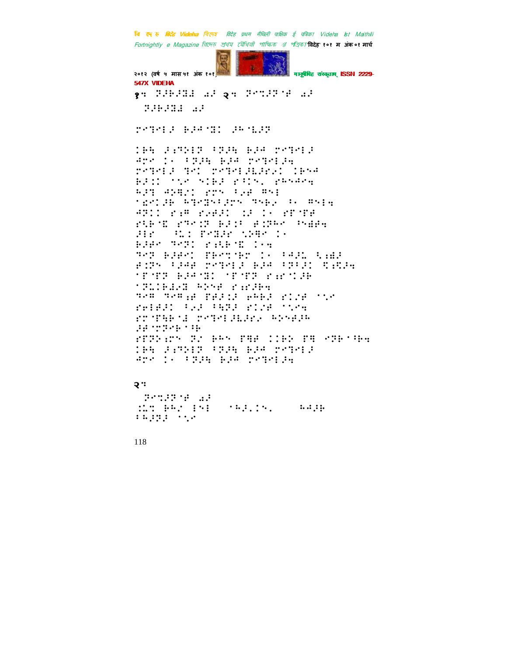बि एक रु मिनेट Videha विएक विदेह प्रथम मैथिली पाक्षिक ई पत्रिका Videha Ist Maithili Fortnightly e Magazine রিদেত প্রথম মৌথিনী পাক্ষিক প্রা পত্রিকা' **বিदेह' १०१ म अंक ०१ मार्च** 



**547X VIDEHA** ge P.B.JH. al qe Ponillor al 7.99.311 a.P

**PATALE BRACK** SHALLS

**CONTRACT CONTRACTS** are to crime add regency reads and readsweat 1954 BEIL TAP SIEE PRINT PRSPA 829 ANGLI 225 PARTNER terne agencies make a make ARIO 23A 23ARI 18 IN 2018 PUBLIC PROCESSION BOOKS PABEL Hr Wilfelm WHO D BAR MARI PARTE ISA THE BEAM SPACED IN FARM LABE RIPS CHAR PROPER BIA COPER CHICH **TEMP EPOIL TEMP PERSON 1911: 1912: 1914: 2019: 191** nêm nêm programa papa siya siy relations and tape rice stre rromand reterains absent 28.02206.036 FIRE EN RESERVATED IN THE SIDE OF 166 237512 (226 624 237512 are to crime add regency

 $\mathbf{R}$ 

MAT PROVISE  $\mathcal{L}^{\mathcal{L}}$  is a subset of the set of the set of the set of the set of the set of the set of the set of the set of the set of the set of the set of the set of the set of the set of the set of the set of the set of the  $\mathbf{1}$   $\mathbf{1}$   $\mathbf{1}$   $\mathbf{1}$   $\mathbf{1}$   $\mathbf{1}$   $\mathbf{1}$   $\mathbf{1}$   $\mathbf{1}$   $\mathbf{1}$   $\mathbf{1}$   $\mathbf{1}$   $\mathbf{1}$   $\mathbf{1}$   $\mathbf{1}$   $\mathbf{1}$   $\mathbf{1}$   $\mathbf{1}$   $\mathbf{1}$   $\mathbf{1}$   $\mathbf{1}$   $\mathbf{1}$   $\mathbf{1}$   $\mathbf{1}$   $\mathbf{$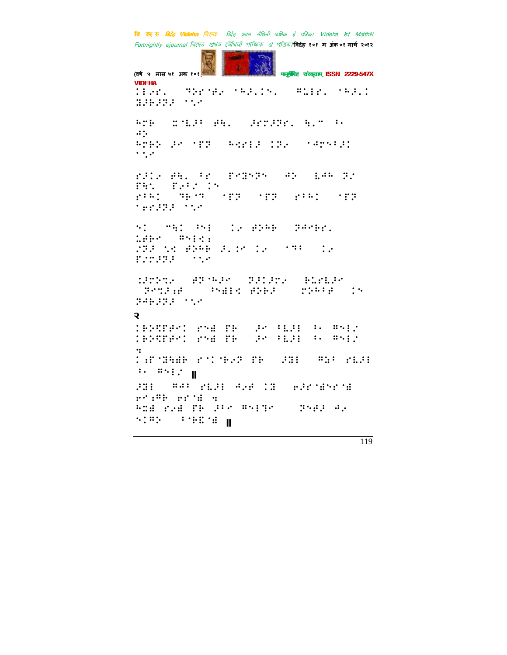बि एक स्टेड Videha विएक विदेह प्रथम मैथिली पाक्षिक ई पत्रिका Videha Ist Maithili Fortnightly ejournal রিদেহ প্রথম মৌথিনী পাক্ষিক প্র পত্রিকা**'বিदेह' १०१ म अंक०१ मार्च २०१२** 

**Service** 募 (वर्ष ५ मास ५१ अंक १०१) मानूबीह संस्कृताम् ISSN 2229-547X **VIDEHA** Her. Thromagnity, Milr. (Alex HARASA SAN Press dialet Australia (Arragen Albert A)  $\mathbf{a}$  : ROBE POINTS REPORTS THE INFORMAT  $\cdot$  .  $\cdot$  $f:U \times H$  . If  $U \times H$ Telephone (1968) pr  $\mathbb{R}^2$  :  $\mathbb{R}^2$  $m_{\tilde{t}}$ PRESS RESERVATE STEP SPRING TER Separation of SI MAI PSI TROPPAR PROPE. LARE WHEEL 232 NA BRAE 2.16 IR (1993) 12 Professor and MORTH ARTHUR RAIAN, BLALAT **Source Albert Schools**  $3332333$  $\mathbf{R}$ TERMING PARTIES AN PEAR PROPER CRANDRY SHE DR. JP FEAR (F. ANIX  $\dddot{\cdot}$ **THOMAS POSSESS CONTRACTS**  $\cdots$   $\cdots$   $\cdots$   $\cdots$ 38: WAR PES: AND CB (PSP)B5218 ROB PAR TR PRO BRITE ( PREP 42  $\mathcal{N}(B) = \mathcal{N}(B) \mathcal{N}(B) \mathcal{N}(B)$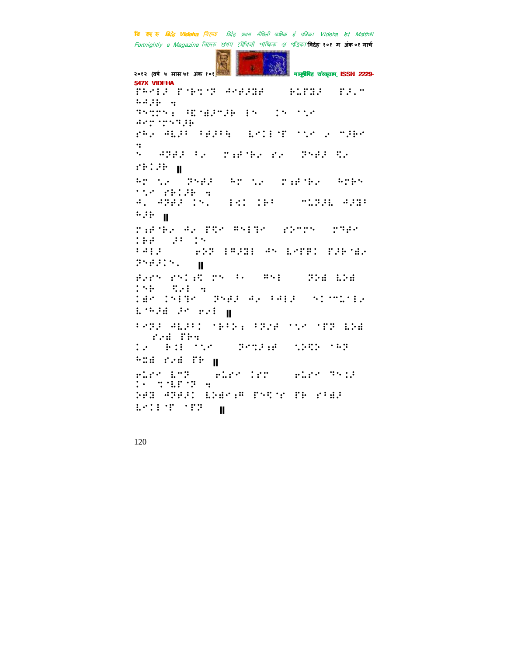बि एक स्टेड Videha विएक विदेह प्रथम मैथिली पाक्षिक ई पत्रिका Videha Ist Maithili Fortnightly e Magazine রিদেহ প্রথম মৌথিনী পাক্ষিক প্রা পত্রিকা**'বিदेह' १०१ म अंक०१ मार्च** 

**Separate**  $\mathcal{R}$ मानुबेमिह संस्कृतम् ISSN 2229-२०१२ (वर्ष ५ मास ५१ अंक १०१ ) **547X VIDEHA** TRAIN TARTY ANNIBE ( BLTD) THAT  $1.4 \pm 0.4$ Thurse Homerie En (18 Mar  $447.1254344$ gay and sads checked the sadar S APPLE FROM BETRACHT (PSPECTR) **SHERE** II RESAR PREFIGEE AN ARTICLE PERSONAL the selfe a  $\mathcal{A}_{\mathcal{A}} = \mathcal{A}^{\mathcal{A}}_{\mathcal{A}} \mathcal{A}^{\mathcal{A}}_{\mathcal{A}} = \mathcal{D}^{\mathcal{A}}_{\mathcal{A}} \mathcal{A}^{\mathcal{A}}_{\mathcal{A}}$ **AND AND AND AND AND AND ALL AND ADDRESS**  $\mathbb{R}^n$  is a property in rakter Ar for White (strrn (rok) 199 31 15 **AND STATES AND STATES PRODUCT** 25885. I From online on the While The End  $\mathbb{C}^{\mathbb{Z}}$  $\mathbb{R}^2$  :  $\mathbb{R}^2$ Tar (Sign) grad as Faid (Stombile LOWER STORES II PROF ALORS TERRA PORT TO TEORIA **Side Sha** 

**CONTRACTOR**  $\mathbb{R}^2 = \mathbb{R}^2 \oplus \mathbb{R}^2$ **Foat and The I** PLESS EST and the Carpenter **Sensor State** SAN ARASI ASAMIA PROVINCIAS

 $\mathbf{u}$ 

120

ESTERT STRU

 $\dddot{\mathbf{z}}$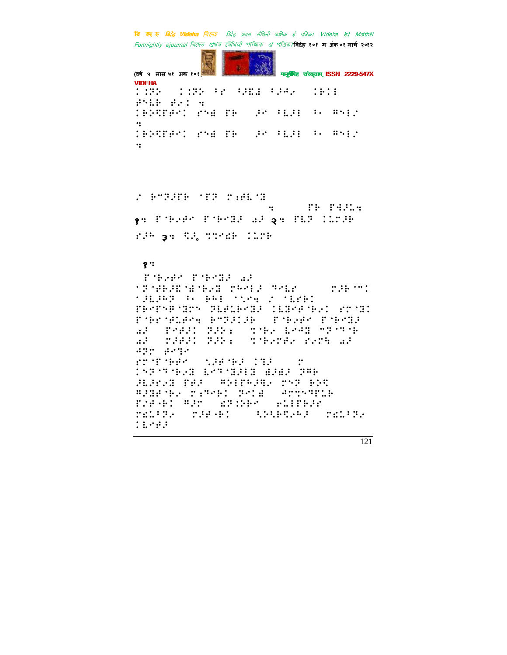बि एक रु मिनेट Videha विएक विदेह प्रथम मैथिली पाक्षिक ई पत्रिका Videha Ist Maithili Fortnightly ejournal রিদেত প্রথম মৌথিনী পাক্ষিক *ঙা পত্রিকা* **বিदेह १०१ म अंक०१ मार्च २०१२** 

**Service** 

(वर्ष ५ मास ५१ अंक १०१) मानूबीह संस्कृताम् ISSN 2229-547X **VIDEHA THE THE RESIDENCE OF STAR** stik set s IPPERFICATE PROJECT POST  $\dddot{\mathbf{z}}$ TENDERS PAR DES DR FEBRUAR WARD  $\dddot{\cdot}$ 

*A BUILD* **AND A BUILDING SEPTE STATE**  $\bullet \bullet$ ga Pobler Pobril al ga FLP (12726) rim ga Ri, www.b (1276

 $\cdot$  ? There fires at **MINESENS AREA PROPERTY SERVICE** aris (m. **TEECH COMPANY OF STREET** CONTRACTORS CONTRACTORS Pobrogland Boldish (Pobran Pobra) AP PORT TREE TORE EST MITTE AP (2008) PPE (2008) SPREAMENT age avge contres there in the **1989-1980 MACHINER MACHINERY** HARABHA WHIPAR MY BY **APREMIX SYSTEM RELEASEMENT** THE WILL STORY FINISH renth rates thanks renth  $11.147$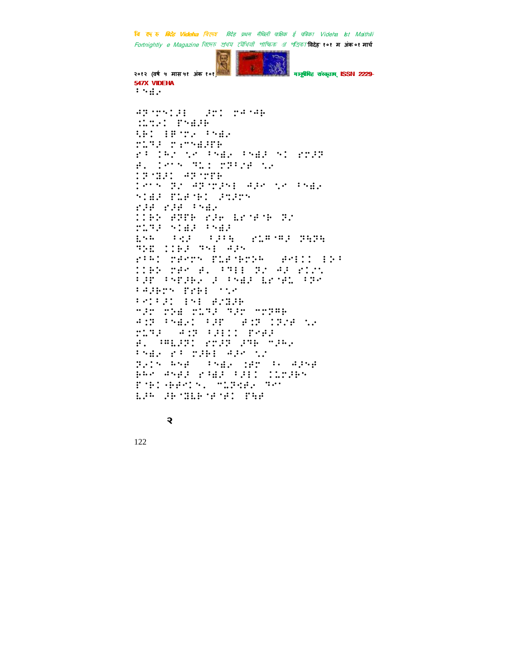बि एक रु मिनेट Videha विएक विदेह प्रथम मैथिली पाक्षिक ई पत्रिका Videha Ist Maithili Fortnightly e Magazine রিদেহ প্রথম মৌথিনী পাক্ষিক প্রা পত্রিকা**'বিदेह' १०१ म अंक०१ मार्च** 



२०१२ (वर्ष ५ मास ५१ अंक १०१) मानुबेमिह संस्कृतम् ISSN 2229-**547X VIDEHA**  $\mathbf{1} \cdot \mathbf{d}$ .

**APACKER AME MARAB** MARK Prace ABI HETH PARK **MARY COMMANY** ra iko ng angkoanga ni rraz B. Denn Mac 20028 NA Chris Brightings: Adelian Page **STAR PLANET STATS** 128 128 1582 CIBS ATTE SIR LENANG TO **TIME STAR PSAR** ESA (PER PRINT PLANET PER Ber time and App PRES DEPOTA PLEABOTA ( PALII 15) 1185 285 B. PAIL 32 AP 212 FRE PARRER 2 PARK EPARL PRO PARENT PARI TEN PRIME 191 BREAK **"B: 224 2132 382 "2386** AND PARKLINE (FIRSTER NA **MARY 432 FRIDE PARK** #. PRIPE STIP PRE TIRE ther of cables by Balm Rhe (Pheal 1820) Progress BAR AND PARTICULTURE FORD GERMAN STREET TRO 

 $\mathbf{Q}$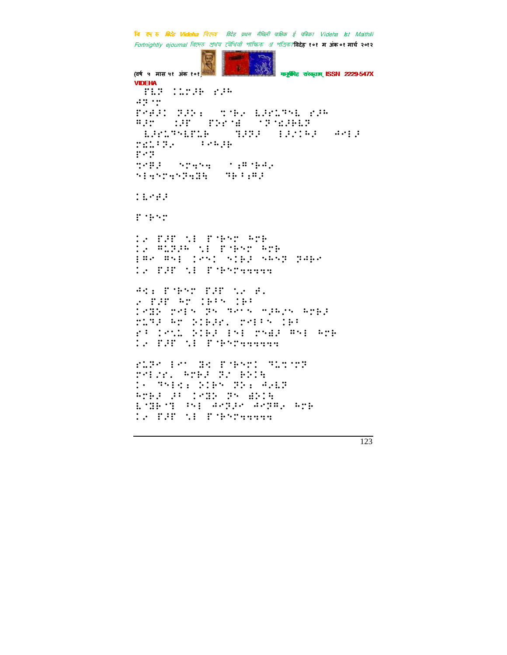चि एत् रू मिन्हे Videha निएन्थ विदेह प्रथम मैथिली पाक्षिक ई पत्रिका Videha Ist Maithili Fortnightly ejournal রিদেত প্রথম মৌথিনী পাক্ষিক প্র পত্রিকা**'বিदेह' १०१ म अंक०१ मार्च २०१२ Service** (वर्ष ५ मास ५१ अंक १०१) मानुसार में मानुसार संस्कृतम् ISSN 2229-547X VIDEHA !0⣇⢽!⣅⢼⢷! ⢼⢳!  $\mathbf{3}$ 0⢾⢼!⢽⢼⢵⣐.!⣉⢷⢴!⣇⢼ ⣅⢹⣇! ⢼⢳! ⢻⢼.!⣈⢼0-!0⢵ ⣞.!⢽⣎⢼⢷⣇⢽! )<mark>i.ro</mark>ninik (1886) i.ron: 401.<br>Maliza (1968) ⣎⣅B⢽⢴-!)B⢳⢼⢷\*!  $\mathbb{P}^{1,2}$ ⣉⢿⢼.!⣒⣒!)⣐⢻⢷⢺⢴\*! 3⣒⣒⢽⣒⣝⣓<!⢹⢷⢸⣐⢻⢼! ⣇⢾⢼.! property of  $\mathbb{I}$ . ISI 1990 ST  $\mathbb{R}$  : Size  $\mathbb{R}$  is the set  $3$  are and the state of the state  $3$ ⢴!0⢼0!⣁3!0⢷⣒⣒⣒⣒⣒!  $#$ de Politic Part (2008)  $\div$  000 00 00 000 000 000  $\{A,B,C,C\}$  and  $\{B,C,C,C,C\}$  and  $\{A,C,C,C,C\}$ ⣅⢹⢼!⢳!⢵⢷⢼ F!3B!⢷B!  $F$  ) (23. Simple 191 (23. Simple 201  $\ddots$  CONDECT STREET  $\mathcal{L}$  2.3  $\mathcal{L}$  3.3  $\mathcal{L}$  3.3  $\mathcal{L}$  3.3  $\mathcal{L}$  3.3  $\mathcal{L}$  3.3  $\mathcal{L}$  3.3  $\mathcal{L}$ 32 F!⢳⢷⢼!⢽2!⢷⢵⣓! l!⢹3⣊⣐!⢵⢷!⢽⢵⣐!⢺⢴⣇⢽! **BULE OF STREET STREET** L'HE POSSES AND A SERVE ⢴!0⢼0!⣁3!0⢷⣒⣒⣒⣒⣒!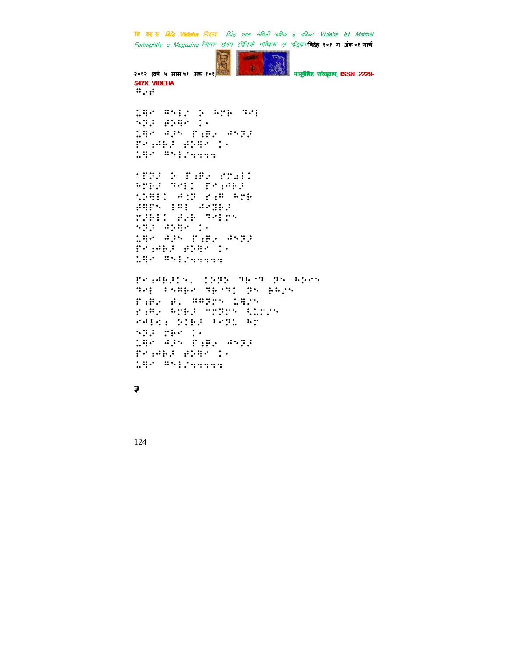चि एत् रू मिन्हे Videha निएन्थ विदेह प्रथम मैथिली पाक्षिक ई पत्रिका Videha Ist Maithili Fortnightly e Magazine রিদেহ প্রথম মৌথিনী পাক্ষিক প্র পত্রিকা**'বিदेह १०१ म अंक०१ मार्च CONTRACT** २०१२ (वर्ष ५ मास ५१ अंक १०१) साली मानुसार संस्कृतम् ISSN 2229-547X VIDEHA  $\mathbf{a}_1$ 198 PHIL 2 PHIL 20  $^{\circ}$   $^{\circ}$   $^{\circ}$   $^{\circ}$   $^{\circ}$   $^{\circ}$   $^{\circ}$   $^{\circ}$   $^{\circ}$   $^{\circ}$   $^{\circ}$   $^{\circ}$   $^{\circ}$   $^{\circ}$   $^{\circ}$   $^{\circ}$   $^{\circ}$   $^{\circ}$   $^{\circ}$   $^{\circ}$   $^{\circ}$   $^{\circ}$   $^{\circ}$   $^{\circ}$   $^{\circ}$   $^{\circ}$   $^{\circ}$   $^{\circ}$   $^{\circ}$   $^{\circ}$   $^{\circ}$   $^{\circ}$  $\square$ 0⣐⢺⢷⢼!⢾⢵⣛!l!  $\frac{1}{2}$ 0⢽⢼!⢵!0⣐⢿⢴! ⣔3! **WEB** 39911 Primary **SHI: 43 :33 :34 :55** ⢾⣛0!3⢻3!⢺⣝⢷⢼! ⢼⢷3!⢾⢴⢷!⢹3!  $\frac{1}{2}$ **100 200 200 200 200 200 200 200 200** 0⣐⢺⢷⢼!⢾⢵⣛!l! **WEEP SECTIONS** 0⣐⢺⢷⢼F!⢵⢽⢵!⢹⢷⢹!⢽!⢳⢵! ⢹3!B⢻⢷!⢹⢷⢹!⢽!⢷⢳2! 0⣐⢿⢴!⢾F!⢻⢻⢽!⣅⣛2! ⣐⢻⢴!⢳⢷⢼!⢽!⣃⣅2! \*#H<: XIBJ <sup>12</sup>2E #P NDE THAT IS ⣅⣛!⢺⢼!0⣐⢿⢴!⢺⢽⢼! 00 000 000 000 000 **CO** : 320 Sec. 2022

३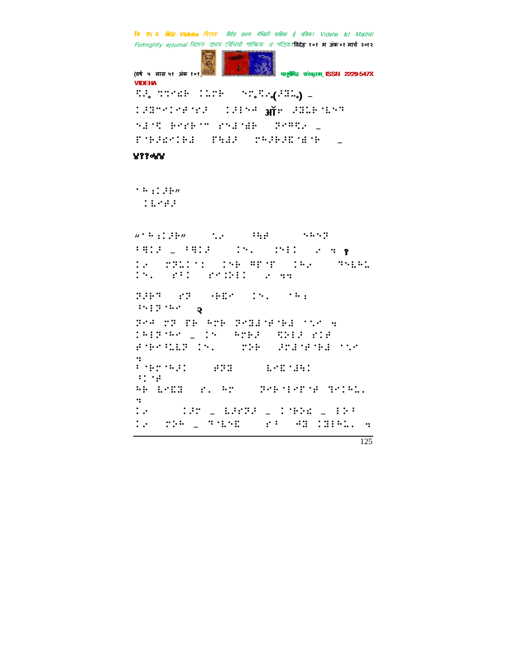बि एक स्टेड Videha विएक विदेह प्रथम मैथिली पाक्षिक ई पत्रिका Videha Ist Maithili Fortnightly ejournal রিদেত প্রথম মৌথিনী পাক্ষিক প্র পত্রিকা**'বিदेह' १०१ म अंक ०१ मार्च २०१२** 

मानुब्रीह संस्कृतम् ISSN 2229-547X (वर्ष ५ मास ५१ अंक १०१) **VIDEHA** 

## **X889XX**

E.E. THOMAS COMP ( ST.E.M.FRA.) \_ 1985-198723 1985-9 We Sale Nor SECRETARY POLITIC COMPLETE rosected may research L

 $\cdot$  :  $\cdot$  :  $\cdot$  :  $\cdot$  :  $\cdot$  :  $\cdot$  :  $\cdot$  :  $\cdot$  :  $\cdot$  :  $\cdot$  :  $\cdot$  :  $\cdot$  :  $\cdot$  :  $\cdot$  :  $\cdot$  :  $\cdot$  :  $\cdot$  :  $\cdot$  :  $\cdot$  :  $\cdot$  :  $\cdot$  :  $\cdot$  :  $\cdot$  :  $\cdot$  :  $\cdot$  :  $\cdot$  :  $\cdot$  :  $\cdot$  :  $\cdot$  :  $\cdot$  :  $\cdot$  :  $\cdot$ 

 $\sim 0.55$ FROM LORED CONVENTION HOME IN THIS IS THE WIND IN THE THE IN. PHI POINT SAM

 $\mathbf{w}^{\star}$  is a set of  $\mathbf{H}$  is a set of  $\mathbf{H}$  is a set of  $\mathbf{H}$  is a set of  $\mathbf{H}$  is a set of  $\mathbf{H}$  is a set of  $\mathbf{H}$  is a set of  $\mathbf{H}$  is a set of  $\mathbf{H}$  is a set of  $\mathbf{H}$  is a set of  $\mathbf{H}$ 

Preside the Arm Probable that the se IRED NH 2 IN SPEED REEP FIRE BORGERING TO THE PRESENTED ON

RE LANN (2) RM (2001-1011-1018).

Dec (1985) LAPPA 2 (1988) 2 (198 12 MAR 2 FREME (1998) HB 188912. A

339 ST 488 DAY 14:

**SANCH START SERVICE SERVICE SERVICE SERVICE SERVICE SERVICE SERVICE SERVICE SERVICE SERVICE SERVICE SERVICE S** 

### $125$

 $15.17 \, \text{GeV}$  2

 $\mathbf{H}^{\bullet}$ 

 $\dddot{\mathbf{r}}$ 

# $\mathcal{L}$  is a set of  $\mathcal{L}$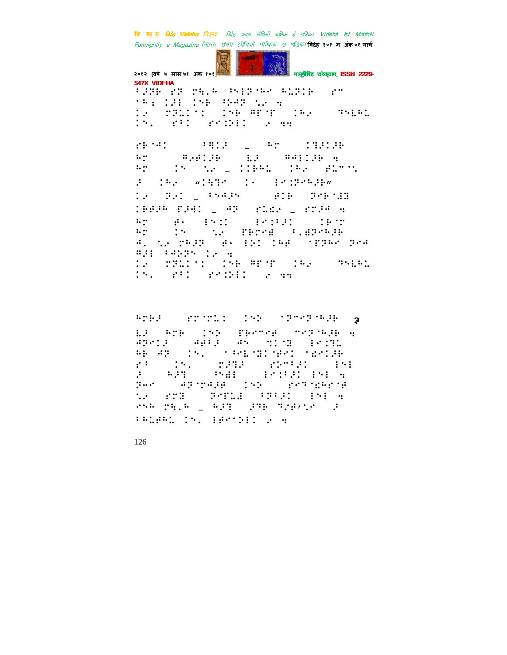चि एक स्टिड Videha विरफ्श विदेह प्रथम मैथिली पाक्षिक ई पत्रिका Videha Ist Maithili Fortnightly e Magazine রিদেত প্রথম মৌথিনী পাক্ষিক প্রা পত্রিকা' **বিदेह' १०१ म अंक०१ मार्च** 



**547X VIDEHA** 

FRIE 23 25.8 PHIPPE BIRIE 27 the CH Che HAB Ca a De STRIDAR COMPORTE CHA (1961-) IN THURSDAY

PERSONAL PROPERTY AND STUDIES s (Reflak) ila (Raflak).<br>1915 : Ne Lofffen (18e annis  $\mathbf{L}$  :  $\mathbf{L}$  :  $\mathcal{F}$ 12 TRI 2 PARA (1918) Premis Ser Brit (Britan (Brit<br>Sir (Sa Perre (t.erred)  $\mathbf{a}$ .  $\mathbf{a}$   $\mathbf{r}$ 4. SA PRID (B) 191 188 (SPDR) Pro agi tabin lesa.<br>12 septimbr 1968 armr (1920 - Philed **Industrial Properties of the Communist Communist Communist Communist Communist Communist Communist Communist C** 

ROBERT SOMEONED IN STREET REPORT

EP ATE IND THROUGH TRINGE W Apera (Capità CAR) di di Siedu.<br>Apogro del Corporatore Constab ar (15) agus anns 151<br>A bha bha caonan as a jev (aporanji) (op. 1999-1869-18<br>Sv. 2018 - Porta (PP-21) (PF-4)<br>Sof 26.6 - 621 - 296 926/19 - 2 PALARL IN, BAMSED 2 4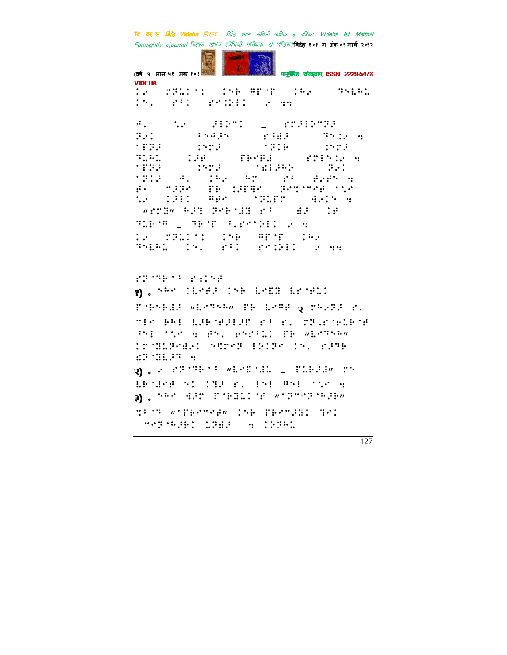बि एक रु मिनेट Videha विएक विदेह प्रथम मैथिली पाक्षिक ई पत्रिका Videha Ist Maithili Fortnightly ejournal রিদেত প্রথম মৌথিনী পাক্ষিক *ঙা পত্রিকা* **বিदेह १०१ म अंक०१ मार्च २०१२** 



(वर्ष ५ मास ५१ अंक १०१,

मानूबीह संस्कृताम् ISSN 2229-547X

**VIDEHA** IN THIS INFORMED IN THE T IN. PHI POINT POR

 $\mathcal{L}(\mathcal{H}\mathcal{H}^{\bullet})=\mathcal{L}(\mathcal{H}\mathcal{H}\mathcal{H}^{\bullet}\mathcal{H}^{\bullet})$  $\sigma_{\rm{eff}}=0.12$  .  $\mathbb{R}$ :  $\mathcal{L}$  is the set of  $\mathcal{L}$  in the set of  $\mathcal{L}$  in the set of  $\mathcal{L}$  $\mathbb{R}^{n}$  is a set of  $\mathbb{R}^{n}$  $\cdot$  : : :  $\cdot$  $15.73$  $\cdot$  : : :  $\mathbb{R}^{n}$  $\mathbb{I}^1_{\mathbb{Z}_p} \mathbb{I}^1_{\mathbb{Z}_p}$  $\begin{array}{l} 1.28 \\ 1.23 \end{array}$ **SEPTE: STEP IS ST**  $1.1444$  $\mathbb{R}^2$  $133331$ trik a. (14) ap di skakia<br>Ar pres de pres reporte the chical Health Source ( also la WEND AND PORTH FOR SAFEKEEPING TERM \_ TRAP REMOVAL S R IS TRACK INFORMATION Wiki Thi su schill sam

8273813 83258 3) She clear the Economic Self POPORAT WESTON TROLLER & TRATE PL MER BRE ESPASSES PROP. MEDICALEAE PH TO A PS. PHILL BE WESTER ITTELFMENT STRAF INIT (S. 2006 EP 121.27 (6) a), a stronger when the government ERMINE NO THE PLOINE WHE SAME A  $3)$  , the direction of  $\mathcal{N}$  respectively. the south-server (SE PROSED TO) **MARKET STAR (ACCEPT)**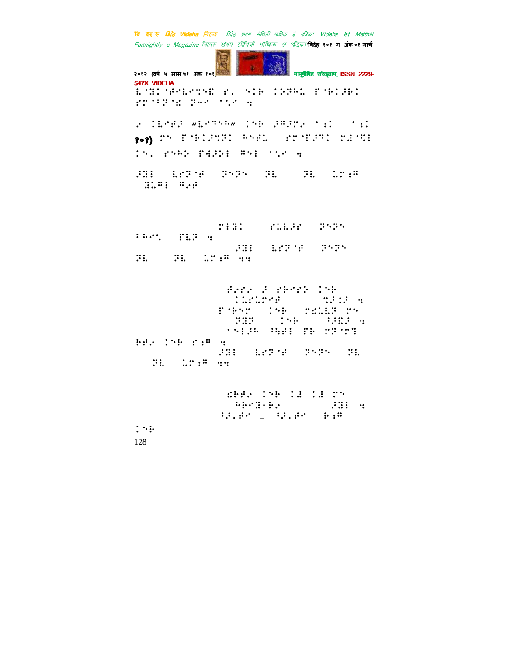चि एक रू मिरेह Videha विएक विदेह प्रथम मैथिली पाक्षिक ई पत्रिका Videha Ist Maithili Fortnightly e Magazine রিদেহ প্রথম মৌথিনী পাক্ষিক প্রা পত্রিকা**বিदेह ং॰ং म अंक॰ং मार्च** 

**September**  $\mathcal{A}$  . २०१२ (वर्ष ५ मास ५१ अंक १०१) मानुबेमिह संस्कृतम् ISSN 2229-**547X VIDEHA** EMINEMENT P. MIR INFER PAIRL gridge Section 4  $\begin{minipage}{0.9\linewidth} \begin{tabular}{l} \multicolumn{2}{c}{\textbf{\emph{a}}}\\ \multicolumn{2}{c}{\textbf{\emph{b}}}\\ \multicolumn{2}{c}{\textbf{\emph{b}}}\\ \multicolumn{2}{c}{\textbf{\emph{c}}}\\ \multicolumn{2}{c}{\textbf{\emph{c}}}\\ \multicolumn{2}{c}{\textbf{\emph{c}}}\\ \multicolumn{2}{c}{\textbf{\emph{c}}}\\ \multicolumn{2}{c}{\textbf{\emph{c}}}\\ \multicolumn{2}{c}{\textbf{\emph{c}}}\\ \multicolumn{2}{c}{\textbf{\emph{c}}}\\ \multicolumn{2}{c}{$ 808) THE FUELDING WHEN SIMPLE PEOPLE In rubb PEDI Wal the a AND LEVE PARK HE THE LIVE  $\mathbb{R}$   $\mathbb{R}$   $\mathbb{R}$   $\mathbb{R}$   $\mathbb{R}$   $\mathbb{R}$   $\mathbb{R}$   $\mathbb{R}$   $\mathbb{R}$   $\mathbb{R}$   $\mathbb{R}$   $\mathbb{R}$   $\mathbb{R}$   $\mathbb{R}$   $\mathbb{R}$   $\mathbb{R}$   $\mathbb{R}$   $\mathbb{R}$   $\mathbb{R}$   $\mathbb{R}$   $\mathbb{R}$   $\mathbb{R}$   $\mathbb{R}$   $\mathbb{R}$   $\mathbb{$ **CONSTRUCTION** they fift a **SEPTE PROPE**  $\mathbb{R}^2$  $1.2 \div 1.0 \div 0.01$  $\mathbb{R}$  $\mathbb{R}$ fara d'ebret (nb) **AND EXAMPLE 1999** Freez De railway

**THIN MAI TH 2727** BB: 158 P.W. 6 **331 Lette PSP 31 H.** 12:<sup>8</sup> 99

des Christian Chry **WESTERN SHEET** 92.85 \_ 92.85 \_ B:W  $: \cdot \cdot$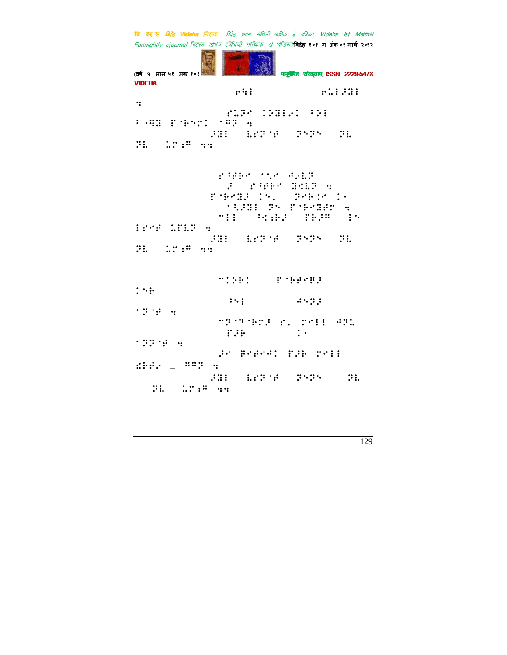बि एक स्टेड Videha विएक विदेह प्रथम मैथिली पाक्षिक ई पत्रिका Videha Ist Maithili Fortnightly ejournal রিদেহ প্রথম মৌথিনী পাক্ষিক প্র পত্রিক/**বিदेह ং৽ং म अंक॰ং मार्च २०१२** (वर्ष ५ मास ५१ अंक १०१ मानुब्रीह संस्कृतम् ISSN 2229-547X **VIDEHA**  $\cdots$  $\mathbf{H}$  . 8128 120121 111 **: 42 F101 147 4** SHI ASPAR PARA SA 31 12:<sup>8</sup> 99 rage to ages **B** PHP 2020 + POPUL IN SPERIOUS  $\begin{tabular}{ll} \multicolumn{2}{c}{\multicolumn{2}{c}{\multicolumn{2}{c}{\multicolumn{2}{c}{\multicolumn{2}{c}{\multicolumn{2}{c}{\multicolumn{2}{c}{\multicolumn{2}{c}{\multicolumn{2}{c}{\multicolumn{2}{c}{\multicolumn{2}{c}{\multicolumn{2}{c}{\multicolumn{2}{c}{\multicolumn{2}{c}{\multicolumn{2}{c}{\multicolumn{2}{c}{\multicolumn{2}{c}{\multicolumn{2}{c}{\multicolumn{2}{c}{\multicolumn{2}{c}{\multicolumn{2}{c}{\multicolumn{2}{c}{\multicolumn{2}{c}{\multicolumn{$ fre MMS 4 **SHE WITH THIS HE 21.** 12:18 99 **MISSION STEPHEN**  $\mathbb{C}^n$  $\mathcal{L}(\mathcal{L}^{\text{max}}_{\mathcal{L}^{\text{max}}_{\mathcal{L}^{\text{max}}_{\mathcal{L}^{\text{max}}_{\mathcal{L}^{\text{max}}_{\mathcal{L}^{\text{max}}_{\mathcal{L}^{\text{max}}_{\mathcal{L}^{\text{max}}_{\mathcal{L}^{\text{max}}_{\mathcal{L}^{\text{max}}_{\mathcal{L}^{\text{max}}_{\mathcal{L}^{\text{max}}_{\mathcal{L}^{\text{max}}_{\mathcal{L}^{\text{max}}_{\mathcal{L}^{\text{max}}_{\mathcal{L}^{\text{max}}_{\mathcal{L}$  $\begin{array}{ccccccccc} \cdot & \cdot & \cdot & \cdot & \cdot & \cdot & \cdot \\ \cdot & \cdot & \cdot & \cdot & \cdot & \cdot & \cdot \end{array}$ "FUNDER E. POH SPL  $\mathbb{R}^n$  $\mathbb{R}^{\bullet}$ 19918 9 SP Press: PAR 2011  $\text{diss} = \text{sup}(\alpha)$ **201 LETTE TERM TE 21.** 12.7 (2)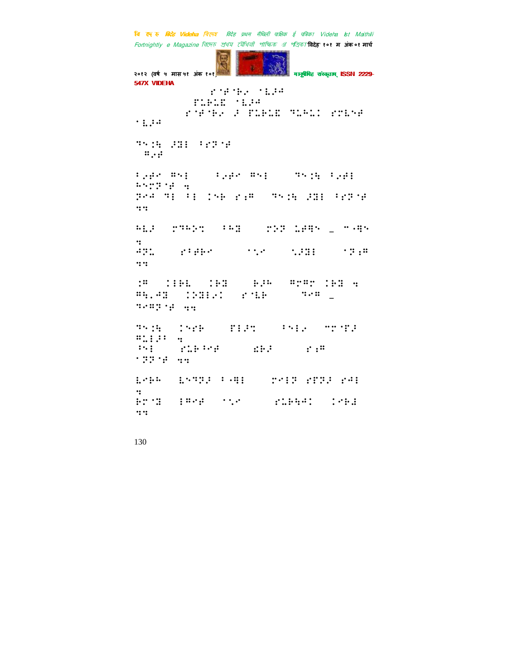बि एक स्टेड Videha विएक विदेह प्रथम मैथिली पाक्षिक ई पत्रिका Videha Ist Maithili Fortnightly e Magazine রিদেত প্রথম মৌথিনী পাক্ষিক প্রা পত্রিকা**'বিदेह' १०१ म अंक०१ मार्च** G **COMPANY** ।<br>अन्ति । मनुषीह संस्कृतम् ISSN 2229- $\mathcal{S}_1$ २०१२ (वर्ष ५ मास ५१ अंक १०१) 547X VIDEHA **SEMPLE MEDIA TERE MERIDIAN** rupte a Tibis Tipil rrand  $\cdot$  :  $\cdot$  :  $\begin{minipage}{.4\linewidth} \begin{tabular}{l} \multicolumn{1}{l}{} & \multicolumn{1}{l}{} & \multicolumn{1}{l}{} \\ \multicolumn{1}{l}{} & \multicolumn{1}{l}{} & \multicolumn{1}{l}{} \\ \multicolumn{1}{l}{} & \multicolumn{1}{l}{} & \multicolumn{1}{l}{} \\ \multicolumn{1}{l}{} & \multicolumn{1}{l}{} \\ \multicolumn{1}{l}{} & \multicolumn{1}{l}{} \\ \multicolumn{1}{l}{} & \multicolumn{1}{l}{} \\ \multicolumn{1}{l}{} & \multicolumn{1}{l}{} \\ \multicolumn{1}{l}{} & \mult$  $\cdots$ P.H. #51 - P.H. #51 - #516 P.H.  $1.59334...$ Pro 31 (11 ) 54 (118) 7518 201 (1273)  $\cdots$ 813 - 27622 - 383 - 223 1885 <u>-</u> 2768  $\ddot{\mathbf{u}}$  $491.$  $\mathcal{L}=\{\mathcal{L}^{\mathcal{L}}\}_{\mathcal{L}^{\mathcal{L}}}\mathcal{L}=\mathcal{L}^{\mathcal{L}}=\mathcal{L}^{\mathcal{L}}\mathcal{L}^{\mathcal{L}}=\mathcal{L}^{\mathcal{L}}\mathcal{L}^{\mathcal{L}}\mathcal{L}^{\mathcal{L}}=\mathcal{L}^{\mathcal{L}}\mathcal{L}^{\mathcal{L}}\mathcal{L}^{\mathcal{L}}=\mathcal{L}^{\mathcal{L}}\mathcal{L}^{\mathcal{L}}\mathcal{L}^{\mathcal{L}}$  $\cdot$ :  $\cdot$ : (# 1161 163 | 636 | #202 163 |  $\cdots$ **HALAM INNERT PARK** sengan an This Chris Elle (1918) The Trial  $\frac{1}{2}$ riber del re  $3.44$ 17718 44 EMPRO ENTRE FOND ( 2MIR 2002 2MI  $\ddot{\cdot}$ Brom (Pre one) (Market Crea  $\cdots$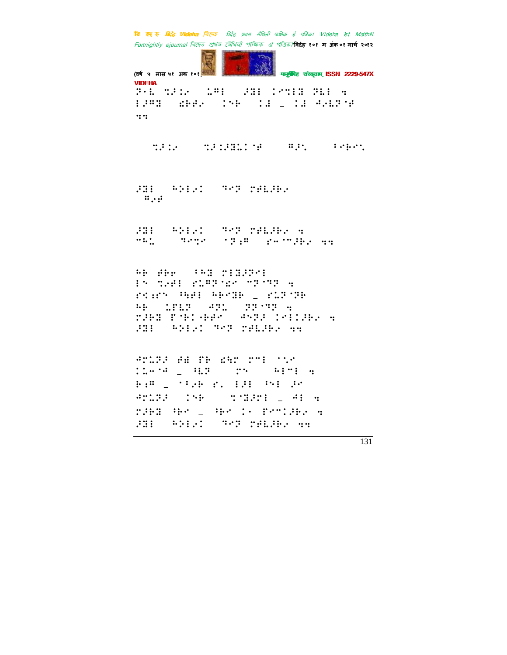बि एक स्टेड Videha विएक विदेह प्रथम मैथिली पाक्षिक ई पत्रिका Videha Ist Maithili Fortnightly ejournal রিদেহ প্রথম মৌথিনী পাক্ষিক প্র পত্রিকা**'বিदेह' १०१ म अंक ०१ मार्च २०१२** 

**Service** मानुब्रीह संस्कृतम् ISSN 2229-547X (वर्ष ५ मास ५१ अंक १०१ **VIDEHA** PARTNER AND SHE CONNER ALL A 1981 WHAT INFO 13 2 13 AND N  $\cdot \cdot \cdot$ **MILL MILLED #P. PART FOR STRAIGHT AND STRAIGHT AND STRAIGHT**  $\mathbf{a}_i$ HI WHIT THE THING + **STATE OF PARTICIPATION**  $\mathbf{m}_{\mathbf{m}}$  . ES SAME PLARTER TRITE 4 round HAI APOIP \_ CLEORE 88 1913 491 5375 S rako bartaken (4593 1311ako 4 **SALE AND THE THURST THE SALE AND STATE** AMINE AN THORAGON MAY  $114.54 \pm 31.3$  (  $25.5 \pm 0.001$  )  $25.5 \pm 0.001$ Fift \_ 'Pick r. 131 PH 36 APLEA (1980) STREET 2001 A rabo de l'abost fontable

HH WHIT THE PHINE AN

 $\overline{131}$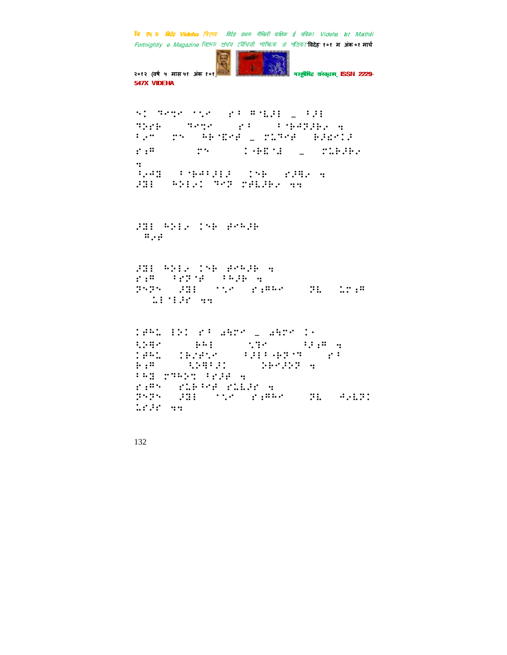बि एक स्टेड Videha विएक विदेह प्रथम मैथिली पाक्षिक ई पत्रिका Videha Ist Maithili Fortnightly e Magazine রিদেত প্রথম মৌথিনী পাক্ষিক প্র পত্রিকা**'বিदेह' १०१ म अंक०१ मार्च** 



मानुबेमिह संस्कृतम् ISSN 2229-२०१२ (वर्ष ५ मास ५१ अंक १०१ 547X VIDEHA

51 February 1980 1981 FOR 1981 The Step of Party of the Person From the ABSENE \_ TITER (BREST)  $\mathbf{r}$  ,  $\mathbf{r}$  $\frac{1}{2}$   $\frac{1}{2}$   $\frac{1}{2}$   $\frac{1}{2}$   $\frac{1}{2}$   $\frac{1}{2}$   $\frac{1}{2}$   $\frac{1}{2}$   $\frac{1}{2}$   $\frac{1}{2}$   $\frac{1}{2}$   $\frac{1}{2}$   $\frac{1}{2}$   $\frac{1}{2}$   $\frac{1}{2}$   $\frac{1}{2}$   $\frac{1}{2}$   $\frac{1}{2}$   $\frac{1}{2}$   $\frac{1}{2}$   $\frac{1}{2}$   $\frac{1}{2}$   $\mathbf{r}$  . The set of  $\mathbf{r}$  $\ddot{\bullet}$ 

**SHI WHIP ISE POWER**  $\cdots$ 

SH WHATCH BRWH 4 ang (ang ang anggo.<br>1999 - Par Sono anggot sa Lang **MOVING** 

1951 IST 23 WHOM 2 WHOM IS  $\cdots$  $1.144$ 1851 (BZP)  $\frac{1}{2}$  :  $\frac{1}{2}$  :  $\frac{1}{2}$  :  $\frac{1}{2}$  :  $\frac{1}{2}$  :  $\frac{1}{2}$  :  $\frac{1}{2}$  :  $\frac{1}{2}$  :  $\frac{1}{2}$  :  $\frac{1}{2}$  $1.54131$  $\mathbf{P}$  $\mathbb{R}^n$  :  $\mathbb{R}^n$  :  $\mathbb{R}^n$  :  $\mathbb{R}^n$ **FAI 27521 FEB 4** ram (ribber ribbe a 9494 FH (112 Figure 11 Gener Lade en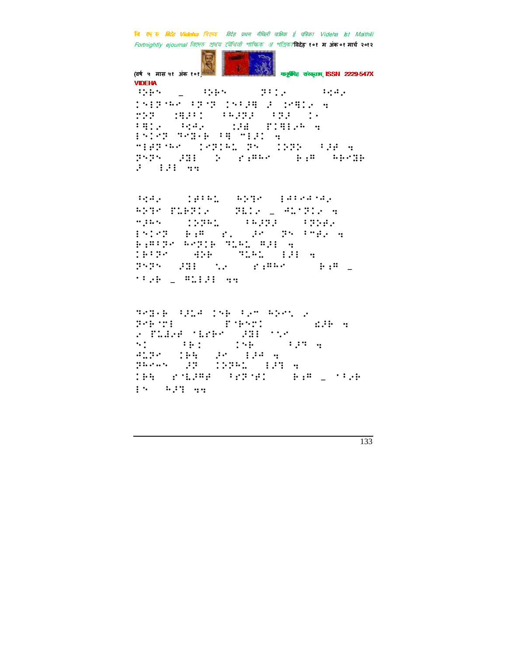बि एक स्टेड Videha विएक विदेह प्रथम मैथिली पाक्षिक ई पत्रिका Videha Ist Maithili Fortnightly ejournal রিদেত প্রথম মৌথিনী পাক্ষিক *ঙা পত্রিকা* **বিदेह १०१ म अंक०१ मार्च २०१२** 



**VIDEHA** 

मानुब्रीह संस्कृतम् ISSN 2229-547X

**PRESS 2000 PRESS 2000 PRESS 2000** 1512756 FRST 15FJH 2 16H12 H **THE SEPT PRESS PRESS** ing (napolitika napoleon).<br>15132 Mark (napolitika napoleon). nigsher (1931er 25) 1936 (1946).<br>3535 (331) Scopier (1948) (1963).  $3 - 131 - 44$ 

adal (Baad ang Parkang  $\begin{array}{lll} \frac{1}{2} \frac{1}{2} \frac{1}{2} \frac{1}{2} \frac{1}{2} \frac{1}{2} \frac{1}{2} \frac{1}{2} \frac{1}{2} \frac{1}{2} \frac{1}{2} \frac{1}{2} \frac{1}{2} \frac{1}{2} \frac{1}{2} \frac{1}{2} \frac{1}{2} \frac{1}{2} \frac{1}{2} \frac{1}{2} \frac{1}{2} \frac{1}{2} \frac{1}{2} \frac{1}{2} \frac{1}{2} \frac{1}{2} \frac{1}{2} \frac{1}{2} \frac{1}{2} \frac{1}{2} \frac$ ENDRE BERGEN DR. DR. Philippine FARING RESIRCTION REFORM  $\mathbb{P}^{n}\mathbb{P}^{n}=\mathbb{P}\mathbb{H}^{n}=\mathbb{P}^{n}$  , we are probably the set of  $\mathbb{P}^{n}\mathbb{P}^{n}$  .  $11.01 \pm 0.0001$ 

Beller (Flie 1988) from Rich r  $\mathbb{R}^n$  is the set of  $\mathbb{R}^n$ President  $\mathbf{H}$ F TLEF MEPT (FH) MF  $\mathbf{r}$  :  $\mathbf{r}$  :  $\mathbf{r}$ THE POLITE SPECIAL HIT LOCAL  $15 - 477 - 44$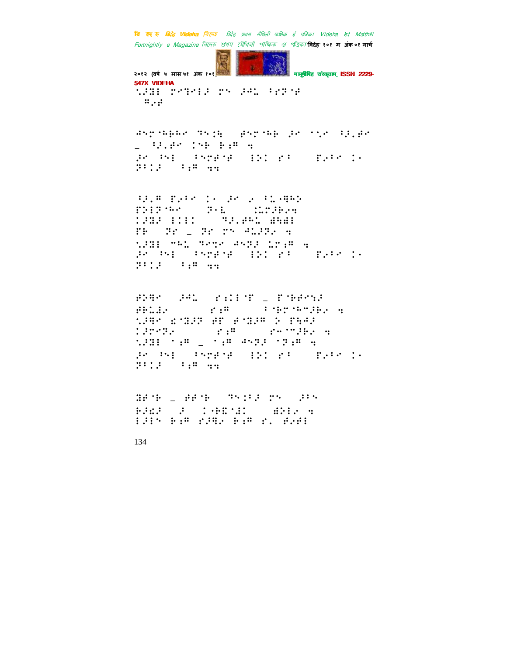बि एक स्टेड Videha विएक विदेह प्रथम मैथिली पाक्षिक ई पत्रिका Videha Ist Maithili Fortnightly e Magazine রিদেত প্রথম মৌথিনী পাক্ষিক প্রা পত্রিকা**'বিदेह' १०१ म अंक०१ मार्च** 

**CONTROL** स्त्र ।<br>अपनी अनुवीधित संस्कृतम् ISSN 2229- $\mathbf{F}$ २०१२ (वर्ष ५ मास ५१ अंक १०१) 1988 209013 25 341 32238

superspace with a special process of special Protein temperatures and presents

 $7111 - 1111 - 111$  $\left\langle \left( \mathbf{1}_{\mathbf{1}}^{\mathbf{1}}\right) \mathbf{1}_{\mathbf{1}}^{\mathbf{1}}\right\rangle \mathbf{1}_{\mathbf{1}}^{\mathbf{1}}\left\langle \left( \mathbf{1}_{\mathbf{1}}^{\mathbf{1}}\right) \mathbf{1}_{\mathbf{1}}^{\mathbf{1}}\right\rangle \mathbf{1}_{\mathbf{1}}^{\mathbf{1}}\left\langle \left( \mathbf{1}_{\mathbf{1}}^{\mathbf{1}}\right) \mathbf{1}_{\mathbf{1}}^{\mathbf{1}}\right\rangle \mathbf{1}_{\mathbf{1}}^{\mathbf{1}}\left\langle \left($ rélagés as dirakén<br>1989–1111 – Salamb Bedi

PRO Program and ALPROVE 1988 - TAL (Pront Angle Love) (m. 1888)<br>1950 - Paris Paneline (m. 1810)  $\mathbb{R}^2$  . Then the first part of the state of the state of the state of the state of the state of the state of the state of the state of the state of the state of the state of the state of the state of the state of the  $\mathfrak{m}$   $\mathfrak{m}$   $\mathfrak{m}$   $\mathfrak{m}$   $\mathfrak{m}$ 

BRA PAL PHILE POBROS PRINCE PARTIES CONTROLLED SPRO EMBPORT PORPOR THAT **DEPTE**  $\mathbb{R}^n$  :  $\mathbb{R}^n$ 1955RA (Congress of Partner)<br>N9BE (1980) (1980-4589-1598) (e  $\mathcal{L} = \mathcal{L} \mathcal{L} \mathcal{L} \mathcal{L} \mathcal{L} \mathcal{L} \mathcal{L} \mathcal{L} \mathcal{L} \mathcal{L} \mathcal{L} \mathcal{L} \mathcal{L} \mathcal{L} \mathcal{L} \mathcal{L} \mathcal{L} \mathcal{L} \mathcal{L} \mathcal{L} \mathcal{L} \mathcal{L} \mathcal{L} \mathcal{L} \mathcal{L} \mathcal{L} \mathcal{L} \mathcal{L} \mathcal{L} \mathcal{L} \mathcal{L} \mathcal{L} \mathcal{L} \mathcal{L} \mathcal{L} \mathcal$ Professor (Personal State State Computer)  $7121 - 121 - 121$ 

BENE LOBEN STATES SAN 1962 - 2 - 1961 MI - Alfred<br>1915 - Peth Bath Bathar, Arab

134

**547X VIDEHA** 

 $\cdots$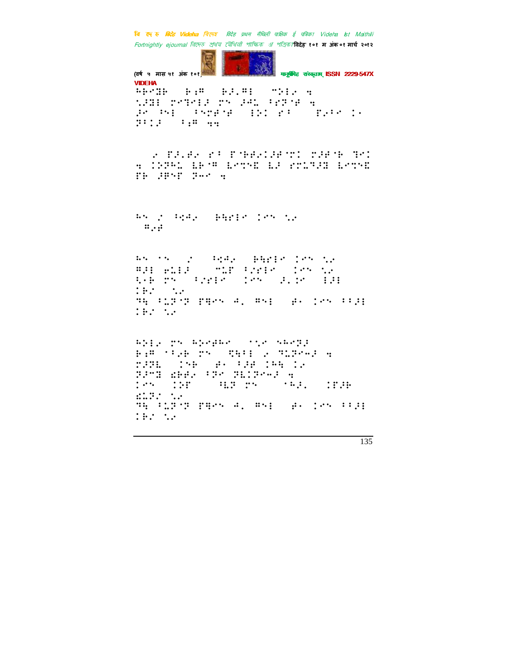बि एक रु मिनेड Videha विएक विदेह प्रथम मैथिली पाक्षिक ई पत्रिका Videha Ist Maithili Fortnightly ejournal রিদেহ প্রথম মৌথিনী পাক্ষিক প্র পত্রিকা**'বিदेह' १०१ म अंक०१ मार्च २०१२** 

**Separate** ना हो ।<br>अपनी अनुमित संस्कृतम् ISSN 2229-547X (वर्ष ५ मास ५१ अंक १०१) **VIDEHA** 8908 BM \$1.81 7212 9 MANI PATALE PA 241 FERMEN an bas there will be from the **PELP PERSON** CA PALEA YA PANGARANI MARAKATA 4 INTEL LEOT LOTED LA FTLTAR LOTED progress parties Respublika Barbeller (2001)  $\cdots$ RS TS ON SHAPE PREFICIOS NA 521 FLIS (1918) PRIP (1951)<br>Sobjet (Prip (1951) Supply ISI  $102 - 10$ THE FILTER PROVIDED THAT IS A CONSISTENT TEC NO Bill The Birdhess (1970) Shepp Fift than 25 (289) a Supreme a 2331 156 30 136 166 10 3373 deed (32 31:37-3 g) **BEET STATES SEEMS**  $\mathbb{R}^{n}$  $\mathbb{R}^n$ difficult. THE PUBER PROVIDE THE SPECIAL PROPERTY TER NE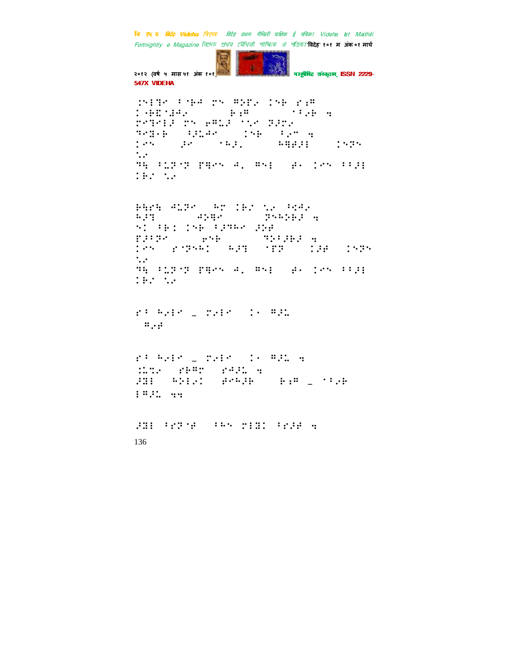```
बि एक स्टेड Videha विएक विदेह प्रथम मैथिली पाक्षिक ई पत्रिका Videha Ist Maithili
Fortnightly e Magazine রিদেত প্রথম মৌথিনী পাক্ষিক প্রা পত্রিকা'বিবৈদ্ধ ং৽ং म अंक॰ং मार्च
                                COMPANY
                                  \mathbf{E} .
२०१२ (वर्ष ५ मास ५१ अंक १०१)
                                               मानुबेमिह संस्कृतम् ISSN 2229-
547X VIDEHA
\langle \mathcal{D}(\mathcal{A},\mathcal{B}) \rangle \leq \mathcal{D}(\mathcal{B},\mathcal{B}) \leq \mathcal{D}(\mathcal{B},\mathcal{B}) \leq \mathcal{D}(\mathcal{B}) \leq \mathcal{D}(\mathcal{B})1961-142 - Albert Colorado<br>2010: Program Angles (10 2222)<br>2019: Angles - The Colorado
185 (187 Sept. 1944) (1935
 ∵.∙
THE FILT TE PERSONAL PRESSURE CROSS FRAM
THE NE
PACK SLPS (PD) IRONIC SCHOOL<br>POT (1994) - POSSER (P
SI PEI ISE PROPER PRE
1953) en 1959 (1959)<br>1950 (1955) 591 (1950) 196
                                                           \mathbb{R}^n \times \mathbb{R}^n\cdot.
HE FURNE PROVINCING CORPORATION
192002
FROM PERSONAL PROPERTY
\cdotsra Reference network (RPL) a
(1212) 2007 2002 4<br>2011 00121 20020 0001 2002
19.31 - 44JAI PERSE PRS PIAT PERSON
136
```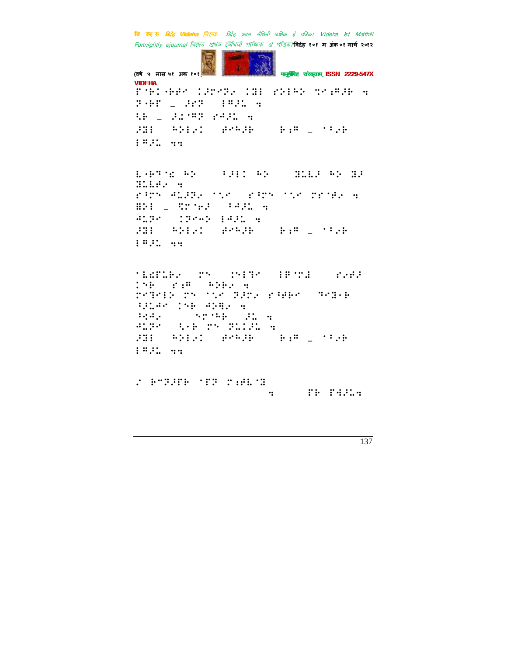बि एक स्टेड Videha विएक विदेह प्रथम मैथिली पाक्षिक ई पत्रिका Videha Ist Maithili Fortnightly ejournal রিদেহ প্রথম মৌথিনী পাক্ষিক প্র পত্রিকা**'বিदेह' १०१ म अंक ०१ मार्च २०१२** 

**Separate**  $\mathbf{B}$  . । मनुक्रीह संस्कृतम् ISSN 2229-547X (वर्ष ५ मास ५१ अंक १०१) **VIDEHA** PobleHer Laredy (HE 20180 Seaman A **FOR 2 827 1822 9** WE 2007 FAMILY  $\frac{1}{2}$  ,  $\frac{1}{2}$  ,  $\frac{1}{2}$  ,  $\frac{1}{2}$  ,  $\frac{1}{2}$  ,  $\frac{1}{2}$  ,  $\frac{1}{2}$  ,  $\frac{1}{2}$  ,  $\frac{1}{2}$  ,  $\frac{1}{2}$  ,  $\frac{1}{2}$  ,  $\frac{1}{2}$  ,  $\frac{1}{2}$  ,  $\frac{1}{2}$  ,  $\frac{1}{2}$  ,  $\frac{1}{2}$  ,  $\frac{1}{2}$  ,  $\frac{1}{2}$  ,  $\frac{1$  $\mathbf{::}$  $19.31 - 44$ ESPACER (FRIDGE ) HEROEN HR Hilde a rans alabe the crane the network  $\mathbb{E} \mathbb{P} \mathbb{E} \subset \mathbb{E} \mathbb{P} \text{ for } \mathbb{P} \subset \mathbb{P} \text{ and } \mathbb{P} \subset \mathbb{P}.$ **SIM (POS 1921 )** 2011 Adduit Braze (B.A.C. 1926  $1411 - 44$ skarleg by 1919- 1922. (2002)<br>1960 - 205 (306) 4 renein russen nich auf einer Stenen **BEAM INF AND A** April 1970 - Andrew Allen<br>Allen (Ale an Blial 4) FOR SALE PROPERTY PART TO BE  $1921 - 99$ **FRANK STRANGE**  $\mathbf{u}$  and  $\mathbf{u}$  in Fig.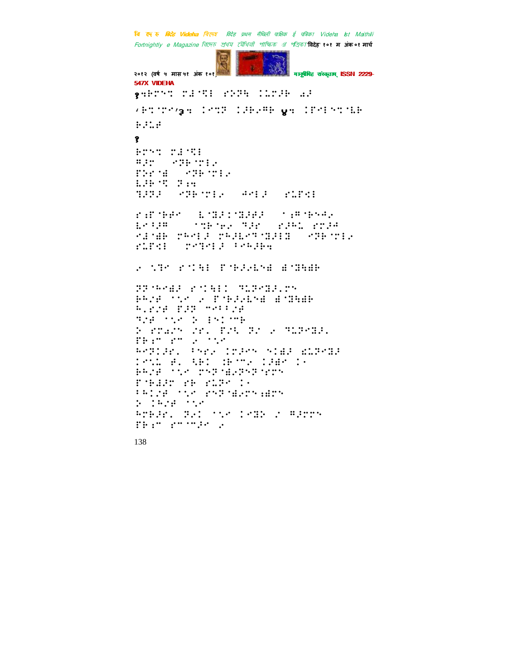चि एत् रू मिन्हे Videha निएन्थ विदेह प्रथम मैथिली पाक्षिक ई पत्रिका Videha Ist Maithili Fortnightly e Magazine রিদেহ প্রথম মৌথিনী পাক্ষিক প্র পত্রিকা**'বিदेह १०१ म अंक०१ मार्च COMPANY** २०१२ (वर्ष ५ मास ५१ अंक १०१) साली मानुसार संस्कृतम् ISSN 2229-547X VIDEHA १⣒⢷⣉!⣜⣋3! ⢵⢽⣓!⣅⢼⢷!⣔⢼! '⢷⣉'३⣒!⣉⢽!⢼⢷⢴⢻⢷!४⣒!03⣉⣇⢷!  $...$ १ **BENG ESTIMA** ⢻⢼.!⢽⢷3⢴! 0⢵ ⣞.!⢽⢷3⢴! **LET 30** ⣙⢼⢽⢼.!⢽⢷3⢴-!⢺3⢼.! ⣅0⣊3!  $^{\circ}$   $^{\circ}$   $^{\circ}$   $^{\circ}$   $^{\circ}$   $^{\circ}$   $^{\circ}$   $^{\circ}$   $^{\circ}$   $^{\circ}$   $^{\circ}$   $^{\circ}$   $^{\circ}$   $^{\circ}$   $^{\circ}$   $^{\circ}$   $^{\circ}$   $^{\circ}$   $^{\circ}$   $^{\circ}$   $^{\circ}$   $^{\circ}$   $^{\circ}$   $^{\circ}$   $^{\circ}$   $^{\circ}$   $^{\circ}$   $^{\circ}$   $^{\circ}$   $^{\circ}$   $^{\circ}$   $^{\circ}$ ⣇⢸⢼⢻\*-!⣉⢷⢶⢴!⢹⢼ -! ⢼⢳⣅. ⢼⢺! ⣜⣞⢷!⢳3⢼!⢳⢼⣇⢹⣝⢼3⣝.!⢽⢷3⢴-! ⣅0⣊3-!⣙3⢼.B⢳⢼⢷⣒! ,  $\overline{3}$   $\overline{3}$ ⢽⢽⢳⣞⢼! ⣓3!⢹⣅⢽⣝⢼F! ⢷⢳2⢾!⣁!⢴!0⢷⢼⢴⣇⣞!⣞⣝⣓⣞⢷! **B**.r:B FFB 20012 ⢹2⢾!⣁!⢵!3⢷!  $\ge$  fram ar. The Bi a FLP-10. 00 PH 2010 2010 ⢳⢽⢼ F!B ⢴!⢼!⣞⢼!⣎⣅⢽⣝⢼! 1951 Sel Sel (Bong 1985 in ) ₽₽2₽ 122 122 122 122 122 1 DOMESTIC STREET Bólga she as ann ann  $\frac{1}{2}$   $\frac{1}{2}$   $\frac{1}{2}$   $\frac{1}{2}$   $\frac{1}{2}$   $\frac{1}{2}$   $\frac{1}{2}$   $\frac{1}{2}$   $\frac{1}{2}$   $\frac{1}{2}$   $\frac{1}{2}$   $\frac{1}{2}$   $\frac{1}{2}$   $\frac{1}{2}$   $\frac{1}{2}$   $\frac{1}{2}$   $\frac{1}{2}$   $\frac{1}{2}$   $\frac{1}{2}$   $\frac{1}{2}$   $\frac{1}{2}$   $\frac{1}{2}$   $\$ **ATERI FII** THE FER 2 WEEPS 0,000 minutes and contact the contact of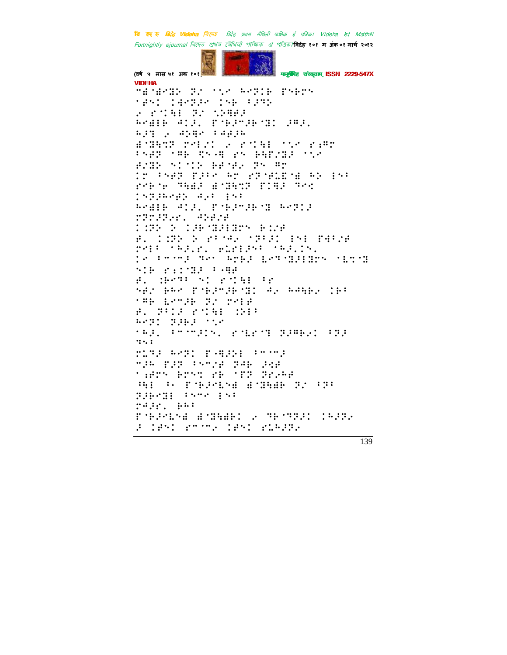बि एक रु मिनेट Videha विएक विदेह प्रथम मैथिली पाक्षिक ई पत्रिका Videha Ist Maithili Fortnightly ejournal রিদেত শ্রথম মৌথিনী পাক্ষিক প্র পত্রিকা**'বিदेह' १०१ म अंक०१ मार्च २०१२** 



**VIDEHA** METHORS RESTAURANCE POPPS rang garaan graciaan. 2 KINAD PALISAMA<br>Andor Aldu (pindhanimel 282) agg g ayge ragga BOBETA PRESS 2 POSEE COM PART **PART THE RACH PA BEDIS TOO** azor nisir basar dh'ar<br>Ir fhad bitte br'adsambsha br'int rebox mad anders sign med jspjang, dje jse Realb Ald. Poblechos Resid **MINESS: SERVE THE STIRMEIRS ROCK** B. COR PORTH, MERIC IN THINK POIL TRAVEL BLEAKS TRAVEL In China Met Area Enfidaarre (Eric nik razdik (1981)<br>Al deng ni rojak (r SAY PRO PORTUGOS AY RANGE INC **THE LETTE IN THIS** #. PHIP ROBE ON! **APPI PREP 150** TRAVIEW MANY POWER TARRENT FRA  $\cdots$ : **MINE RATI PARTIE FOOT** man pap three pap and taery bryn ab 'fr ralee H: W PARALAR BYBBB 22 MP place: Cancellat rade, par repensa admand o mednoso ceppo S CRY Promotion Company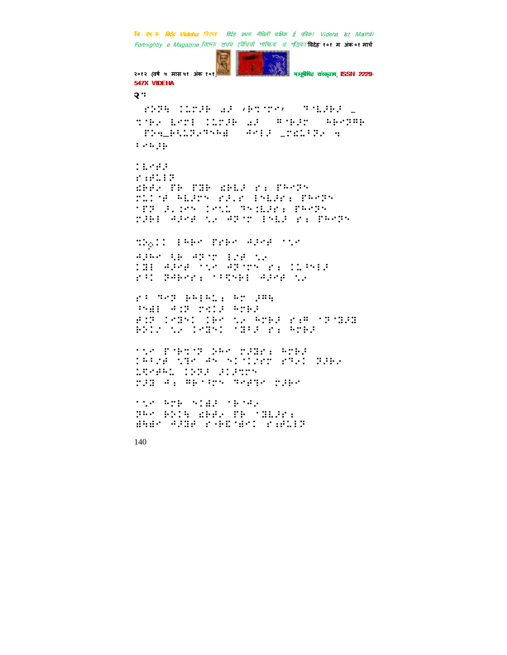बि एक रु मिनेट Videha विएक विदेह प्रथम मैथिली पाक्षिक ई पत्रिका Videha Ist Maithili Fortnightly e Magazine রিদেহ প্রথম মৌথিনী পাক্ষিক প্রা পত্রিকা**'বিदेह' १०१ म अंक०१ मार्च Service** २०१२ (वर्ष ५ मास ५१ अंक १०१) मानुबेमिह संस्कृतम् ISSN 2229-**547X VIDEHA**  $\mathbf{a}$ STORY COMPANY (PTIMES ) TERRITO the book lings ago where seopme THERSTAGE WILL TEST .  $1.74.14$  $11.141$  $f: f: X \to Y$ deer op oue deur die certa TICH ALATH PAIR BHLARE PARTY MPP Supremient Sendom Hard Persen rabi Aand to Alvr inkl ri Pengh tholl fees rees ages the ager (18 agor 128 %)<br>131 agre over agors evidents ri Taber (1956) alem S. **F: 7-7 BHIDL: 57 386** PANI 4:2 PRIP RTBP FOR CHEMO CHRONIK ROBERT WHO SESENT BRIZ NA CABRI MBFF 21 ROBE **MAN PORTS PROVIDED ATES** TRENE NEW ARTISTICS STAT BEER MARK CONSTRUCT r:B 4: BE-Spr Seepe r:Be the App Star (Body) THE BOOK WHEN THE SHERE: BAR APSA PARTNAI PALIS 140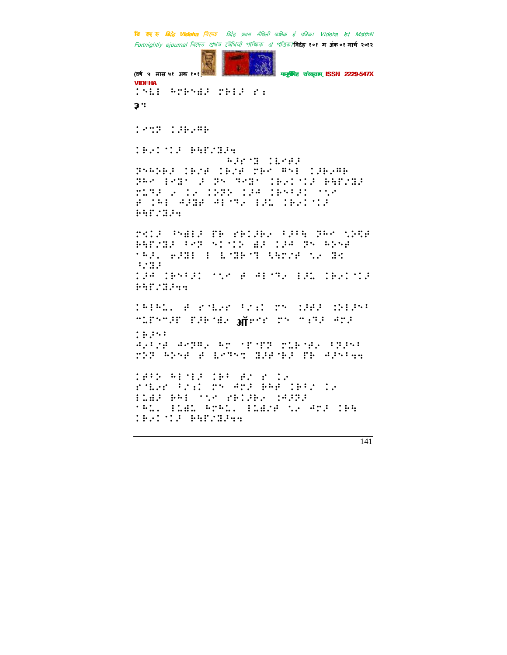बि एक रु मिनेट Videha विएक विदेह प्रथम मैथिली पाक्षिक ई पत्रिका Videha Ist Maithili Fortnightly ejournal রিদেহ প্রথম মৌথিনী পাক্ষিক প্র পত্রিকা**'বিदेह' १०१ म अंक०१ मार्च २०१२ Service** ø (वर्ष ५ मास ५१ अंक १०१, मानूबीह संस्कृताम् ISSN 2229-547X **VIDEHA** INDE ASPNER SPER S:  $\mathbf{3}$  :: 1852 18686 **CHAINE BRITISH** PARTIE CEREA SMADAL CAZA CAZA ŽAP<sup>o</sup>AR( 1962AR PRO ESTO 2 PROTEIN CEVING BENGA mass of the test temptates of h # 191 4228 4175 121 182112 **BAPYBER** rdla habla fe feller fjoe der noch PRIME FMP SIME AF 124 TA PROPER **TRAVERSHOLE EMBEM ARTIF NE BE**  $3.137$ 194 1953. The Boards EBL 1921 TE **PAP23244** TRIRL F PALE FOST TH MAR DRIPH SLENGER EJENSE WEEN ON STELLEDE  $1.1411$ APPER AMPRESS AT STORY TILE MESS PRIMA THE ANNE E LETTE BIETER TE ARTIMA TAIR AESER IN ARTE  $\ddot{\phantom{0}}$ Roman Prai dh' Ang Bag (1892-18 HIS PRESS SHIPP SANCH TRILL BIAL RORIL BIADE NE ADE IPR **TERM AND RESIDENT**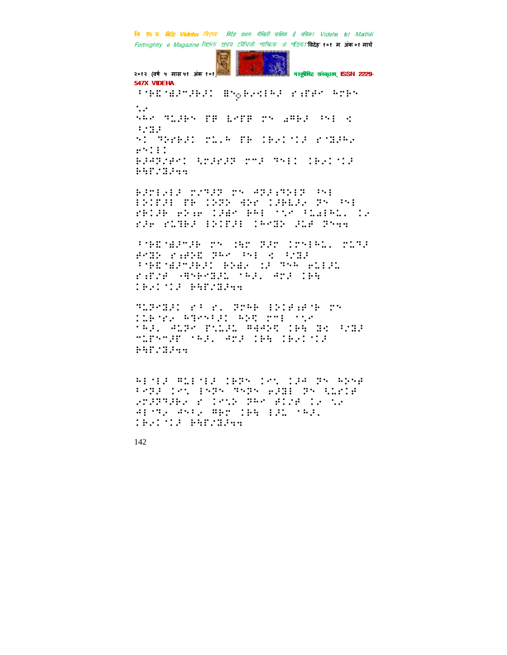चि एक स्टिड Videha विरफ्श विदेह प्रथम मैथिली पाक्षिक ई पत्रिका Videha Ist Maithili Fortnightly e Magazine রিদেহ প্রথম মৌথিনী পাক্ষিক প্রা পত্রিকা**বিदेह १०१ म अंक०१ मार्च** 



**547X VIDEHA** <u>anerneamee: Broeviea rapen ener</u>  $\dddot{\cdot}$ . SAR SLIES IN LRIP TS 2862 SSI K  $4.137$ **SI THERE TOOK THATES IN PATHS**  $H^{1,1}$  : : : BIARYARD STATES THE THEO CBYLICA **PAP23244** 

**BUTERIE TYTED TY ADERTIC IN:** BOOKS HE CONSIDER CONDUCTS ON: PRINK WRIGHTING RAD TOP PLAINLY IS rde roma animal legge du mee

PORTHER HE TO SHE FAN INSTALL NUMB British Parties (1940) and the Company **PARAGEMENT BREE IS THE BLEED** rance speedling that and iee **TERM AND STREET STREET** 

SLEPHEN PROP. BrAK ENTRAPOR ry TERMIN REMARKS RIP THE MIN 'WE WIR TOOK WHAT IN HE WIR MINMAR SALE AND IPE IBSISID **FRENCHI** 

REMEASUREMENT CHANNEL CONTROL AND RESPONSE FREE IRN 1525 PSPS BRHE PS WINDE STEPHEN ROLMAN PROGRAM LYONS 81772 8512 862 165 121 752.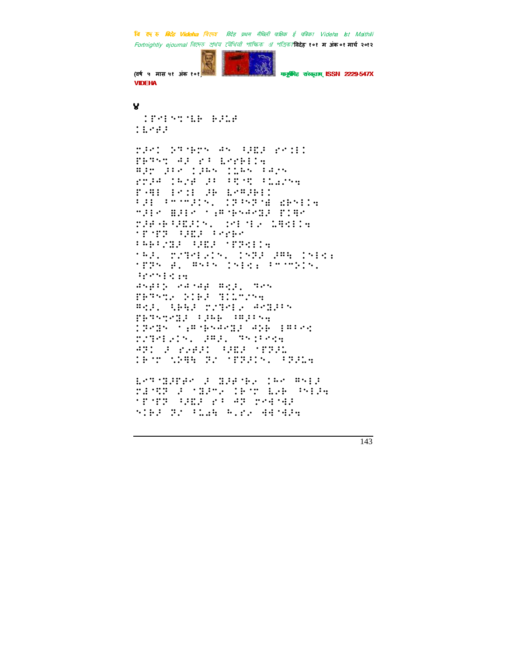चि एत् रू मिन्हे Videha निएन्थ विदेह प्रथम मैथिली पाक्षिक ई पत्रिका Videha Ist Maithili Fortnightly ejournal রিদেত প্রথম মৌথিনী পাক্ষিক প্র পত্রিকা**'বিदेह' १०१ म अंक०१ मार्च २०१२** 



VIDEHA

४

```
!03⣉⣇⢷!⢷⢼⣅⢾!
\ddots .
```
 $T$  :  $T$  :  $T$  :  $T$  :  $T$  :  $T$  :  $T$  :  $T$  :  $T$  :  $T$  :  $T$  :  $T$  :  $T$  :  $T$  :  $T$  :  $T$  :  $T$  :  $T$  :  $T$  :  $T$  :  $T$  :  $T$  :  $T$  :  $T$  :  $T$  :  $T$  :  $T$  :  $T$  :  $T$  :  $T$  :  $T$  :  $T$  :  $T$  :  $T$  :  $T$  :  $T$  :  $T$  : 0⢷⢹⣉!⢺⢼! ⢸!⣇ ⢷3⣒! BRD REALIGN INFO ⢼⢺!⢳2⢾!⢼B!B⣋⣋!B⣅⣔2⣒! 0C⣛3!3⣈3!⢼⢷!⣇⢻⢼⢷3! BE BETHING IS STRING ⢼3.⣟⢼3!⣐⢻⢷⢺⣝⢼!0⣛!  $^{\prime}$ TH+FILCO CONSIDERED 00⢽!⢸⢼⣏⢼!B ⢷! B MAR, TVINER, INFL 0FPS B. BSPS INBEE PROMISE. ⢸ 3⣊⣐⣒! Gógiy Gógiya Bogi Bos 0⢷⢹⣉⢴!⢵⢷⢼!⣙⣅2⣒! ⢻⣊⢼F.⣃⢷⣓⢼!2⣙3⢴!⢺⣝⢼B! 0⢷⢹⣉⣝⢼!B⢼⢳⢷!⢸⢻⢼B⣒! ⢽⣝!⣐⢻⢷⢺⣝⢼!⢺⢵⢷!3⢻B⣊! 2⣙3⢴F!⢼⢻⢼F!⢹⣈B⣊⣒! ⢺⢽!⢼! ⢴⢾⢼!⢸⢼⣏⢼!0⢽⢼⣅!  $^{\prime}$  (Fig. )  $^{\prime}$  (Fig. )  $^{\prime}$  (Fig. )  $^{\prime}$  (Fig. )  $^{\prime}$ 

⣇⢹⣝⢼0⢾!⢼!⣝⢼⢾⢷⢴!⢳!⢻3⢼! ⣜⣋⢽!⢼!⣝⢼⢴!⢷!⣇⢴⢷!⢸3⢼⣒! 00⢽!⢸⢼⣏⢼! ⢸!⢺⢽!⣚⣚⢼!  $^{\prime}$  SIBA B2  $^{\prime}$  B  $^{\prime}$  B  $^{\prime}$  B  $^{\prime}$  B  $^{\prime}$  B  $^{\prime}$  B  $^{\prime}$  B  $^{\prime}$  B  $^{\prime}$  B  $^{\prime}$  B  $^{\prime}$  B  $^{\prime}$  B  $^{\prime}$  B  $^{\prime}$  B  $^{\prime}$  B  $^{\prime}$  B  $^{\prime}$  B  $^{\prime}$  B  $^{\prime}$  B  $^{\prime}$  B  $^{\prime}$  B  $^{\prime}$  B  $^{\prime}$  B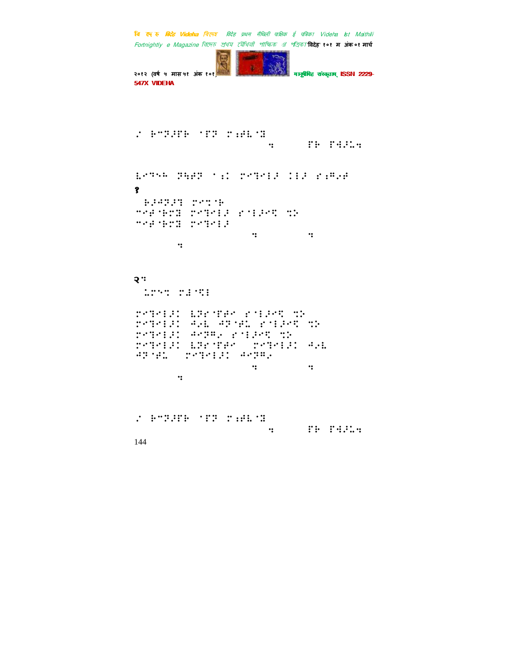चि एत् रू मिन्हे Videha निएन्थ विदेह प्रथम मैथिली पाक्षिक ई पत्रिका Videha Ist Maithili Fortnightly e Magazine রিদেহ প্রথম মৌথিনী পাক্ষিক প্র পত্রিকা**'বিदेह १०१ म अंक०१ मार्च** 



२०१२ (वर्ष ५ मास ५१ अंक १०१ - किलोमी क्रिकेट के मानुसीरेड संस्कृतम् ISSN 2229-

 $\mathbf{u}$ iuqt;00tjuft $\mathbf{u}$ 

hhbkfoesbAwjefib⣒dpn!0⢷!0⣚⢼⣅⣒!

2!⢷⢽⢼0⢷!0⢽!⣐⢾⣇⣝! he discovered by the control of the control of the control of the control of the control of the control of the<br>The control of the control of the control of the control of the control of the control of the control of the c

⣇⢹⢳!⢽⣓⢾⢽!⣐!⣙3⢼!3⢼! ⣐⢻⢴⢾!

jefib.dpn0wjefib.qbjoujoht.com

⢾⢷⣝!⣙3⢼! 3⢼⣋!⣉⢵!

 $3^{\circ}$  3º  $3^{\circ}$  3º  $3^{\circ}$  3º  $3^{\circ}$  3º  $3^{\circ}$  3º  $3^{\circ}$  3º  $3^{\circ}$  3º  $3^{\circ}$  $3^{\circ}$ 

⣙3⢼!⣇⢽ 0⢾0!⣙3⢼!⢺⢴⣇!

)iuuqt;00tjuftigta dhpphmfdpn0b0w jefib.dpn0wjefib.qbjoujoht.com

⣙3⢼!⢺⢽⢻⢴! 3⢼⣋!⣉⢵!

⢺⢽⢾⣅0!⣙3⢼!⢺⢽⢻⢴!!

2!⢷⢽⢼0⢷!0⢽!⣐⢾⣇⣝!

547X VIDEHA

!⢷⢼⢺⢽⢼⣙!⣉⢷!

⢾⢷⣝!⣙3⢼!

!⣅⣉!⣜⣋3!

144

१

 $\ddot{\mathbf{z}}$  :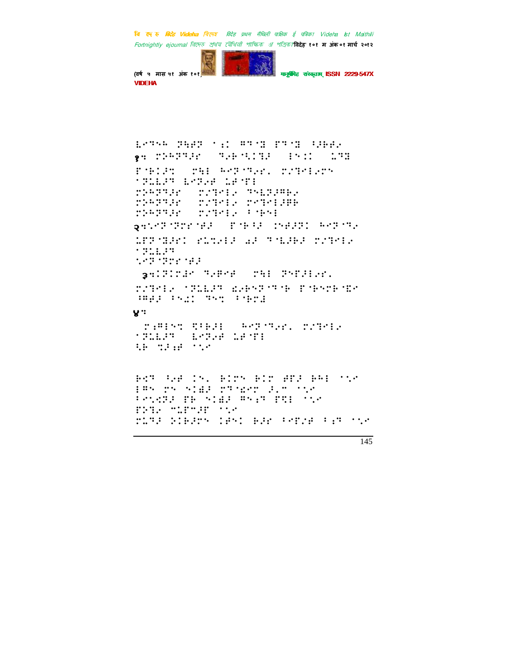```
⣇⢹⢳!⢽⣓⢾⢽!⣐!⢻⢹⣝.0⢹⣝!⢸⢼⢷⢾⢴!
१⣒!⢵⢳⢽⢹⢼ !)⢹⢴⢷⣃⣙⢼*;3⣈;!⣅⢹⣝!
0⢷⢼⣉!)⣓3!⢳⢽⢹⢴ F!2⣙3⢴!
⢽⣅⣇⢼⢹!⣇⢽⢴⢾!⣅⢾03*!
        ⢵⢳⢽⢹⢼ !)2⣙3⢴.⢹⣇⢽⢼⢻⢷⢴*!
⢵⢳⢽⢹⢼ !)2⣙3⢴.⣙3⢼⢿⢷*!
⢵⢳⢽⢹⢼ !)2⣙3⢴.B⢷3*!
२⣒⣁⢽⢽ ⢾⢼.!0⢷⢸⢼!⣈⢾⢼⢽!⢳⢽⢹⢴!
 IFF (ER) : right : all states right :
⢽⣅⣇⢼⢹!
⣁⢽⢽ ⢾⢼!
३⣒⢽⣜!⢹⢴⢿⢾!)⣓3!⢽0⢼3⢴ F!
2⣙3⢴!⢽⣅⣇⢼⢹!⣎⢴⢷⢽⢹⢷!0⢷⢷⣏*!
⢸⢻⢾⢼!B⣌!⢹⣉.⢸⢷⣜!
४ :
 !⣐⢻3⣉!⣋B⢷⢼3.!⢳⢽⢹⢴ F!2⣙3⢴!
SELUS CREE LESS
⣃⢷!⣉⢼⣐⢾!⣁!
F . The state F is the state F state F3º PRO 2014 2015 2016 2017
Benera Benedict Scheller in De
0⢵⣙⢴!⣅0⢼0!⣁!
```
⣅⢹⢼!⢵⢷⢼!⢾!⢷⢼ !B02⢾!B⣐⢹!⣁!

(वर्ष ५ मास ५१ अंक १०१) मानुसार में मानुसार संस्कृतम् ISSN 2229-547X VIDEHA



**Separate**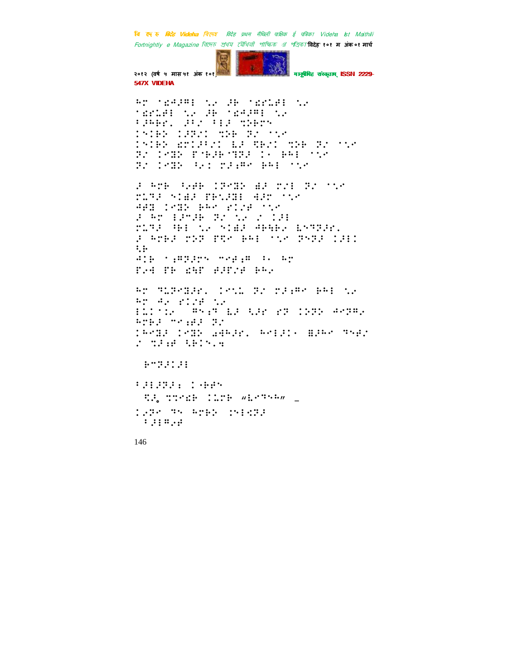बि एक रु मिनेड Videha विएक विदेह प्रथम मैथिली पाक्षिक ई पत्रिका Videha Ist Maithili Fortnightly e Magazine রিদেত প্রথম মৌথিনী পাক্ষিক প্রা পত্রিকা' **বিदेह' १०१ म अंक ०१ मार्च** 



२०१२ (वर्ष ५ मास ५१ अंक १०१) मानुबेमिह संस्कृतम् ISSN 2229-**547X VIDEHA** 

An ideas: the abouting the japie: Skole (agentisk **PRESS RESORTER INTER CARDS THE RESIDE** 19185 griffini af SB21 specific 198<br>Jan 1935 greffestiva 1988 (198 Britanic Garden (Barnette

F AMA GAAR CRAIN AF MIL RI MIA TITE SIAP TRIAN APP TIM HPB IPBE BRO PIZE TOP FAM HEART WORK IA MITA AND NA SIAR ANGER ESTRAN 3 AMAS MAR PRO ARE STO RARE COBC  $\ddots$ sik nyaping menyasi kacam **T.4 TE SAT #JETH PR.** 

RE SUPPRESS INTO RESERVABLE TO An Alberton the Hiltie (#595 LP 592 PP 1978 #278) **Arbi Schule St** TRANS TAND GARDEL RAIDIS NURRA MARY r main Abla.

: **::::::: : : ::::**  $\mathbb{R}^2$ , which in the second  $\mathbb{R}^2$ 1938 35 WHEE 151833  $1.11177774$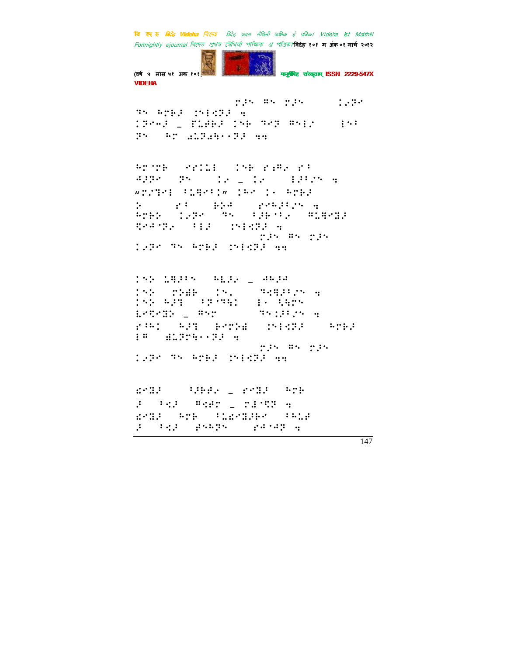बि एक रु मिनेट Videha विएक विदेह प्रथम मैथिली पाक्षिक ई पत्रिका Videha Ist Maithili Fortnightly ejournal রিদেহ প্রথম মৌথিনী পাক্ষিক প্র পত্রিকা**'বিदेह' १०१ म अंक०१ मार्च २०१२** 



part and part of  $\mathbb{R}^n$ The Apple (Middle A) IPAGE \_ PLAKE INK TAP PNIZ \_ \_ PNP

W. Wr Allah (22 am

**VIDEHA** 

Prove sell: 156 regular APPS (PS) (12 L 12 C 12525 a write: Olaretik (Ar 18 Arb) de de provincia en la proporción del proporcional.<br>Arrede dicurso de la dispersión de Marcas ESAMPLE FIRE INFORMED  $\begin{bmatrix} 0 & 0 & 0 & 0 \\ 0 & 0 & 0 & 0 \\ 0 & 0 & 0 & 0 \\ 0 & 0 & 0 & 0 \\ 0 & 0 & 0 & 0 \\ 0 & 0 & 0 & 0 \\ 0 & 0 & 0 & 0 \\ 0 & 0 & 0 & 0 & 0 \\ 0 & 0 & 0 & 0 & 0 \\ 0 & 0 & 0 & 0 & 0 \\ 0 & 0 & 0 & 0 & 0 & 0 \\ 0 & 0 & 0 & 0 & 0 & 0 \\ 0 & 0 & 0 & 0 & 0 & 0 \\ 0 & 0 & 0 & 0 & 0 & 0 \\ 0 & 0 & 0 & 0 &$ 1.SP Th ATES Infest an

**1912 1920 - SERP 2 SAPA** 152 - 2246 - 151<br>152 - 624 - 625941  $-3.4411123...$  $\mathbf{a}$  :  $\mathbf{b}$  :  $\mathbf{b}$  :  $\mathbf{b}$  :  $\mathbf{b}$  :  $\mathbf{b}$  $1.93732 \pm 0.97$ **POST CONSUMERS Southern State State**  $\begin{bmatrix} 0.15 & 0.015 & 0.15 \\ 0.000 & 0.000 & 0.000 \\ 0.000 & 0.000 & 0.000 \\ 0.000 & 0.000 & 0.000 \\ 0.000 & 0.000 & 0.000 \\ 0.000 & 0.000 & 0.000 \\ 0.000 & 0.000 & 0.000 \\ 0.000 & 0.000 & 0.000 \\ 0.000 & 0.000 & 0.000 \\ 0.000 & 0.000 & 0.000 \\ 0.000$ 1938 Th AMES 191833 HH

 $d \times 12 = 12488$  ,  $d \times 1248 = 0.012$  $\mathcal{F} = \mathcal{F} \mathcal{G} \mathcal{F} = \mathcal{F} \mathcal{G} \mathcal{F} \subset \mathcal{F} \mathcal{G} \mathcal{F} \mathcal{F} \oplus \mathcal{F}$ ESTE ATE CLESTIAS CALE  $\mathcal{G} = \{ \{ \mathbf{q}, \mathbf{r} \} \in \{ \mathbf{q}, \mathbf{r}, \mathbf{r} \}$ and the first search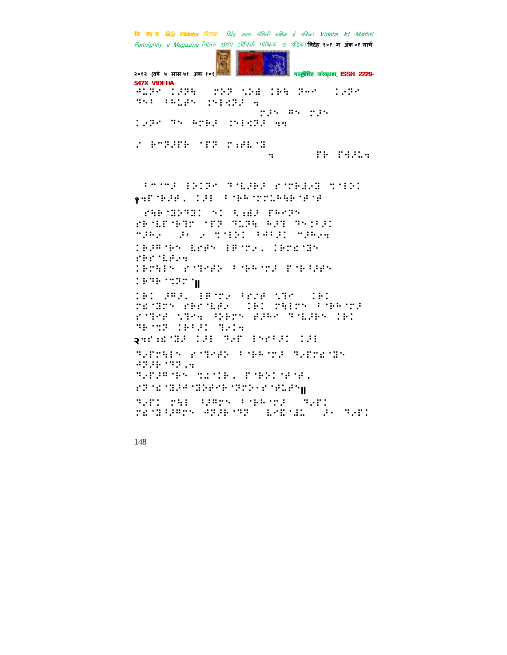बि एक रु मिनेट Videha विएक विदेह प्रथम मैथिली पाक्षिक ई पत्रिका Videha Ist Maithili Fortnightly e Magazine রিদেহ প্রথম মৌথিনী পাক্ষিক প্রা পত্রিকা**'বিदेह' १०१ म अंक०१ मार्च Separate**  $\mathbf{a}$ ।<br>अपनी अनुसार संस्कृतम् ISSN 2229-२०१२ (वर्ष ५ मास ५१ अंक १०१) **547X VIDEHA** HLPK 1995 (200 MDH) 185 PHK (1995 THE PRIES INFORMATION 1.SP Th AMBA Infest An *2 BANGER 197 2 BENG* **THE PARTS**  $\dddot{\cdot}$ SPORT ENTRY TOLEN FOREST COEN **WHETHAN IS CONTROLLED THANKS** FAR SEPSI SI LAND PREP. PROBLEMENT CONTROLLER APPLICATION **MARY ACTOR WINDOWS AREA MARYL** TEACHER EPAR IBSTAL IETERTER che filmen IPTHE POTTER FOR THE PHONE 1979-1970 TH 181 282, 1872 3226 536 (181)<br>Teografi ekonomika (181 zaida 3765/22 right the Serv BRW Them IBI **TECHT CONSUMER** garanthe 191 September 191 SAPPAIN PORTREY FORESTS SAPPROXIM  $43.38 \times 33.46$ **THERMAN MANIEL EMPRIMENT.** ER 12/18/4/18/406/18/2010 1994/51 THI PHE UPPS UPPSTED THI rendigares addening tennel (1990)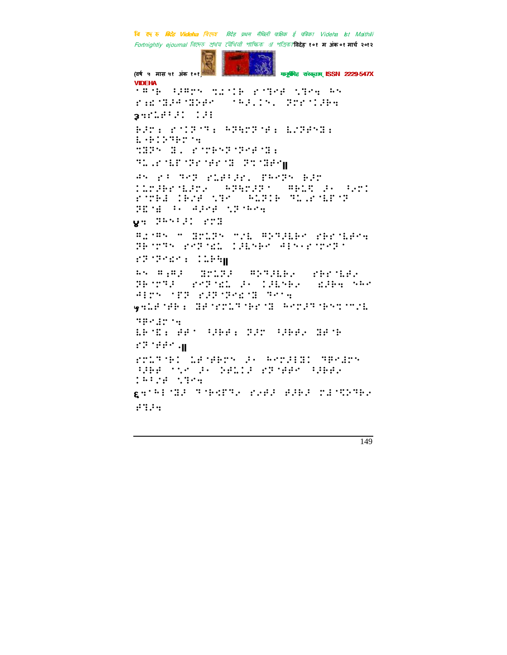**Service** (वर्ष ५ मास ५१ अंक १०१) मानूबीह संस्कृताम् ISSN 2229-547X **VIDEHA TRIN HERM MANIE ENTHE NTHE AN** rangement (Aller Streets  $3$   $\frac{1}{2}$   $\frac{1}{2}$   $\frac{1}{2}$   $\frac{1}{2}$   $\frac{1}{2}$   $\frac{1}{2}$   $\frac{1}{2}$   $\frac{1}{2}$   $\frac{1}{2}$   $\frac{1}{2}$   $\frac{1}{2}$   $\frac{1}{2}$ BETA CONTACT BEBTENA LOBBYE:  $1.41174774$ THE H. PTP-PTP-PTH **PLOYME MEMBERS PROBEDI** AN PI REP PLATIE, PREPH BID **COMPARING ANAMENY AROUGH TEM** roche dere strouwerte folkomerst Ship : Waper Ship ge FRAME 201 Riches of Brugs over Rogaler sestimate BECOME PARTEL CHEMES ARMENTARY **PROPORT : CLEEN**  $\ldots \ldots$  $\mathbf{a} \cdot \mathbf{b} = \mathbf{a} \cdot \mathbf{a} \cdot \mathbf{b}$  $\cdots$ arier files BETTE FORTHE SO ISLAED and the state of the state of the state of the state of the state of the state of the state of the state of the HITS TEE FIRTHER TOTAL WHILE THE CONFIDENTIAL APPLEMENT THAT THIS **NBP 30 TH** APS APS UNA THE UNA APS  $\mathbb{R}^{n \times n}$  if if  $\mathbb{R}^{n \times n}$  . If rolade: Ledern de Anodis: aprilh SPERING POSTELLE PROFESSIONER 1932F 1305 ganelosa poedra avea esea propoez  $83344$ 

बि एक रु मिनेट Videha विएक विदेह प्रथम मैथिली पाक्षिक ई पत्रिका Videha Ist Maithili Fortnightly ejournal রিদেহ প্রথম মৌথিনী পাক্ষিক প্র পত্রিক/**বিदेह १०१ म अंक०१ मार्च २०१२**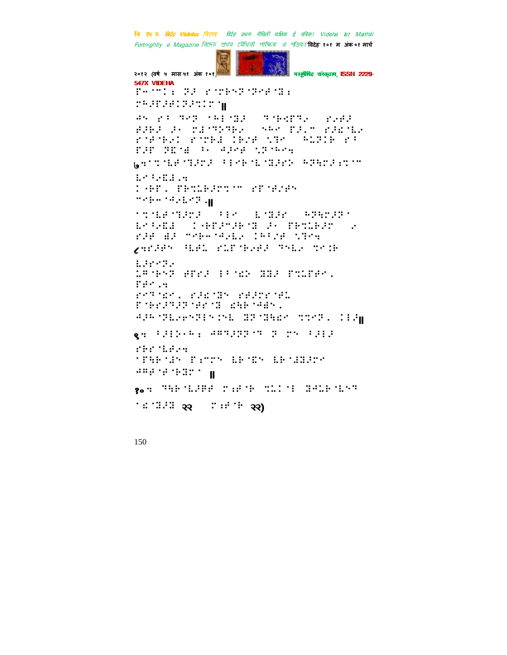Fortnightly e Magazine রিদেহ প্রথম মৌথিনী পাক্ষিক প্রা পত্রিকা**'বিदेह' १०१ म अंक०१ मार्च Separate**  $\mathbf{a}$ २०१२ (वर्ष ५ मास ५१ अंक १०१) मानुबेमिह संस्कृतम् ISSN 2229-**547X VIDEHA** farmi (di rumano-presidenti 25202012211271 45 PR 323 MAINER STREET PREP BREAK SEMPREE (SAM BRIT BRITER roford rocked (B26 STK)  $\begin{array}{ccc}\n\texttt{+1.7.1.1} & \texttt{+1.7.1}\n\end{array}$ FRE BENE DO ADMENTISHE WHITEPS HERICHTER STELL Le tella le **CHP. PHOLESY T SPREAM** media radiate ap **SAMPLE STARTS SIM LAND STRAIN** Bright (1982-363 B Ponder  $\ddot{\phantom{a}}$ rde de nobeledad, l'especience **Additional Parague and Security** Landar LANDAR AREA IN 1820 HARRY CONTROL Filipin en PATTER . PARTIE PARTETAL rencesser a chream. APP TERRESTES IN LODGED COMPANY FRAME es (212) A 2002220 2005 (212) che differ **SPARING PATTS ARTIST ARTIFICAT ARP 18 1932 1 11** gon "HETLIFF MIRTH MILLIE BRIETLY"  $\therefore$   $\therefore$   $\therefore$   $\therefore$   $\therefore$   $\therefore$   $\therefore$   $\therefore$   $\therefore$   $\therefore$   $\therefore$   $\therefore$   $\therefore$   $\therefore$   $\therefore$   $\therefore$   $\therefore$   $\therefore$   $\therefore$   $\therefore$   $\therefore$   $\therefore$   $\therefore$   $\therefore$   $\therefore$   $\therefore$   $\therefore$   $\therefore$   $\therefore$   $\therefore$   $\therefore$   $\therefore$   $\therefore$   $\therefore$   $\therefore$   $\therefore$   $\therefore$ 

बि एक रु मिनेट Videha विएक विदेह प्रथम मैथिली पाक्षिक ई पत्रिका Videha Ist Maithili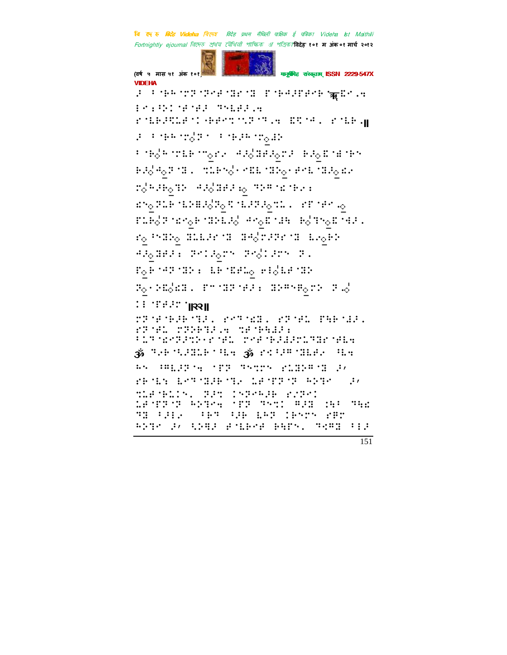बि एक रु मिनेट Videha विएक विदेह प्रथम मैथिली पाक्षिक ई पत्रिका Videha Ist Maithili Fortnightly ejournal রিদেহ প্রথম মৌথিনী পাক্ষিক প্র পত্রিকা**'বিदेह' १०१ म अंक०१ मार्च २०१२** 



**VIDEHA** 2008 NEW YOR SPORTSEN BOOK OF THALEFAND SWEET LA Printer and There POLEZELEO CHEMPOLEON (BUSH) POLENE  $\mathcal{F} \rightarrow \mathcal{F} \oplus \mathcal{F} \oplus \mathcal{F}_0^{\dagger} \mathcal{F} \uparrow \rightarrow \mathcal{F} \oplus \mathcal{F} \oplus \mathcal{F} \oplus \mathcal{F}_0 \oplus \mathcal{F}$ s dede mae moris (evdaevons) evoara des  $4\cdot\lambda_0^4\cdot\lambda_0$  and  $\lambda_1$  , which  $\lambda_0^4\cdot$  and  $\lambda_1^2\lambda_0\cdot$  and  $\lambda_2^2\lambda_1\lambda_0$  and på Halegab i Hadalea 19. dan hortek 1  $\langle \mathcal{C}^{\mu}\mathcal{C}_{\mathcal{O}}(\mathbb{P}L\mathbb{P})^{\mu}(\mathbb{E}\mathcal{C}_{\mathcal{O}}\mathbb{E}\mathbb{P}L_{\mathcal{O}}^{\mu}\mathbb{E}_{\mathcal{O}}(\mathbb{E}\mathbb{E}\mathbb{P}L_{\mathcal{O}}^{\mu}\mathbb{E}\mathbb{E}_{\mathcal{O}}\mathbb{E}_{\mathcal{O}}^{\mu}\mathbb{E}_{\mathcal{O}}^{\mu})\rangle_{\mathcal{O}}$ FLECTREGE NEEDS FOR ME HOTSOLING. ro mano aller di associati enorm aguara antgor anglar al Forder which the medio redue was Porchodal, Production demonstrated  $\mathbb{R}^n$  :  $\mathbb{R}^n$  :  $\mathbb{R}^n$  :  $\mathbb{R}^n$ TEMPHENIA PARMIA PENGINANA FINE THERE TENEDE FOR MORPHOLOGY COMPRESSION MER  $\mathcal{B} = \mathcal{B} + \mathcal{B} + \mathcal{B} + \mathcal{B} + \mathcal{B} + \mathcal{B} + \mathcal{B} + \mathcal{B} + \mathcal{B} + \mathcal{B} + \mathcal{B} + \mathcal{B} + \mathcal{B} + \mathcal{B} + \mathcal{B} + \mathcal{B} + \mathcal{B} + \mathcal{B} + \mathcal{B} + \mathcal{B} + \mathcal{B} + \mathcal{B} + \mathcal{B} + \mathcal{B} + \mathcal{B} + \mathcal{B} + \mathcal{B} + \mathcal{B} + \mathcal{B} + \mathcal{B} + \mathcal$ BA SHEEPA YEP TATTA FLEETI EV PRODUCTS DEPOTED THE LEATHER SERVICE. the Ghilm, Sam (Scheele Schei 18 TP T ANGEL TO TELL WILL BE THE TH FALL (FRT FAR LAT IRST) PRT ANTE (A SNAP POLECH PATS, TOPI (SP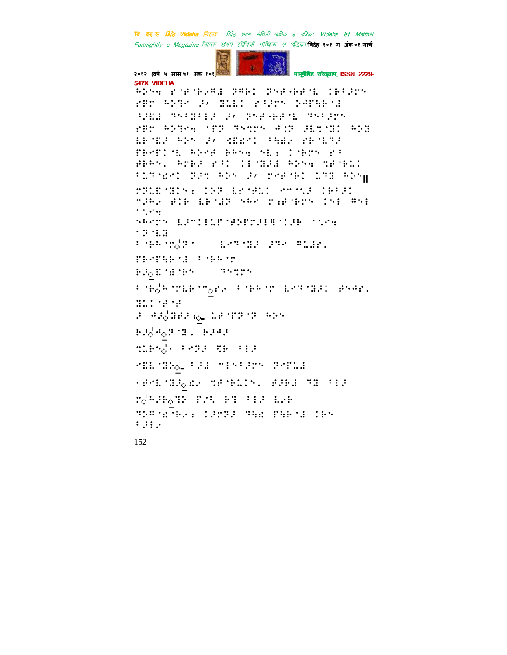बि एक रु मिनेट Videha विएक विदेह प्रथम मैथिली पाक्षिक ई पत्रिका Videha Ist Maithili Fortnightly e Magazine রিদেত প্রথম মৌথিনী পাক্ষিক প্রা পত্রিকা**'বিदेह' १०१ म अंक०१ मार्च** 



२०१२ (वर्ष ५ मास ५१ अंक १०१) मानुबेमिह संस्कृतम् ISSN 2229-**547X VIDEHA** Absented Search (PRE) (Pseuderne (1931-195 ren abar da dill rains barabhi BEE THERE SA THERE'S THERE FRE ANDRE STO DATES AND JET MI AND ERMIN ADM (F) MINER (PHERMICAL PROPIOS ANON RANG NEW CORPORAT BRAN, AMBURGHI IBRIDA ASNA MBREDI FLAMENT BEN PDS EV PREMEL LAB PDS **MARKETS: 198 REMARKS STARTS** many air iron she marches is: Asi  $\gamma$  ,  $\gamma$  ,  $\gamma$ SPORT EPOILE SPRINGE SIGN STOCK  $13.11$ Portugal and an and mar. FRAME OF STRAIN **FAGEMENT STATES** a degendae mobilianae di albandaa Clasebi. **HLI 7878** a sengera romar atasa seren #3848778. #242 PEESENG PAR MESPAYS PRELA SPOLOGRAPH OF SELLS, SPREADOR STR rowser from HT (12 Leb THROUGH INTER THE PHEOR IPS  $1.11.4$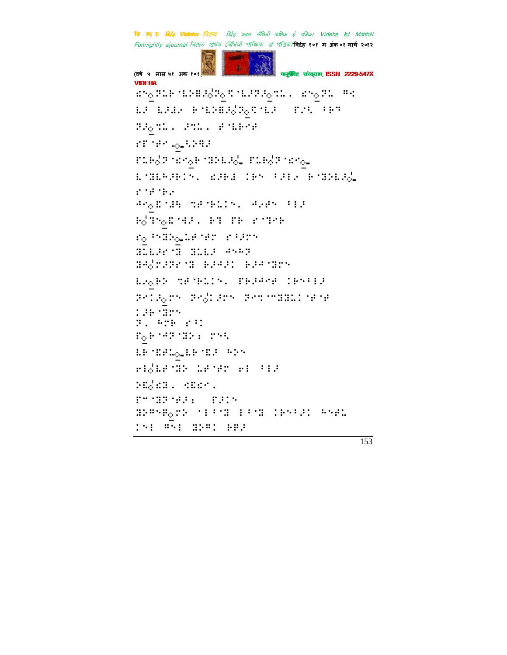बि एक रु मिनेट Videha विएक विदेह प्रथम मैथिली पाक्षिक ई पत्रिका Videha Ist Maithili Fortnightly ejournal রিদেহ প্রথম মৌথিনী পাক্ষিক প্র পত্রিকা**'বিदेह' १०१ म अंक०१ मार्च २०१२** 



EMBRARING EARD IRN FAIR ROBERS  $\mathcal{L}^{(1)}$  is the  $\mathcal{L}^{(2)}$ HOSE MARK MACHINES CONTRACTOR

POTMORIMAL PT TRUSTIER

ro marque ten a tens **MARK MARK MARK** 

SATETI PARI BATTE

LegBP SPORTELLS, FRAREW IRSER Prizers Prediens Promobalizers  $1.34 - 3.94$  $P_+$  Web  $\pm 1$  $\mathbb{P}_0$ Post Willer (204

BROWNLOAD CONTROL SECTION

MOMPHS MPHP AI HI

rmoma, ener.

**VIDEHA** 

F 13 141 150 BRANGER SIPER IPE IRSEL AND 151 #51 HP#1 HP#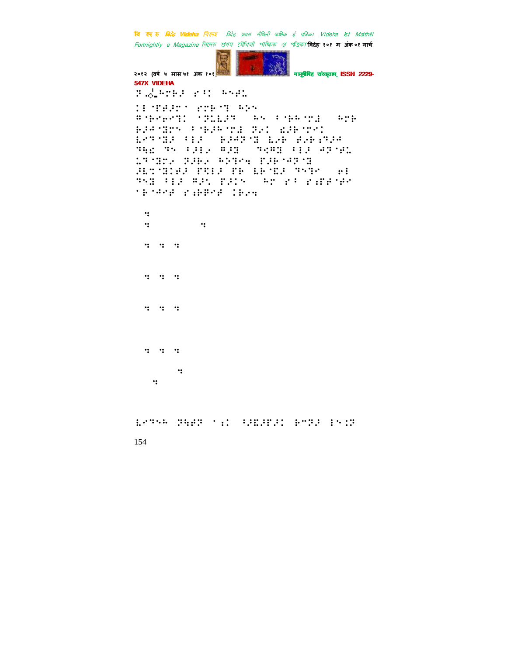चि एत् रू मिन्हे Videha निएन्थ विदेह प्रथम मैथिली पाक्षिक ई पत्रिका Videha Ist Maithili Fortnightly e Magazine রিদেহ প্রথম মৌথিনী পাক্ষিক প্র পত্রিকা**'বিदेह १०१ म अंक०१ मार्च Service** २०१२ (वर्ष ५ मास ५१ अंक १०१) मानुसारी मानुसारित संस्कृतम् ISSN 2229-547X VIDEHA SQ\_PORA PAIL PAPL 30⢾⢼. ⢷⣙!⢳⢵! ⢻⢷⢶⣙!⢽⣅⣇⢼⢹.!⢳!B⢷⢳⣜-!⢳⢷! ⢷⢼⢺⣝!B⢷⢼⢳⣜!⢽⢴!⣎⢼⢷! ⣇⢹⣝⢼!B3⢼-!⢷⢼⢺⢽⣝.⣇⢴⢷-⢾⢴⢷⣐⢹⢼⢺-! SHE SHANGHA SHANGHA SHANGHA ⣅⢹⣝⢴!⢽⢼⢷⢴!⢳⢵⣙⣒!0⢼⢷⢺⢽⣝! GENUES IN STREET ⢹⣝!B3⢼!⢻⢼⣁!0⢼-!⢳! ⢸! ⣐0⢾⢾! ⢷⢺⢾0 ⣐⢷⢿⢾!⢷⢴⣒! 9 WJEFIBID: SFTJEFIBID: SFTJEFIBID: SFTJEFIBID: SFTJEFOUT! 9 and 20 and 20 and 20 and 20 and 20 and 20 and 20 and 20 and 20 and 20 and 20 and 20 and 20 and 20 and  $92.29$  $92.29$  $\cdot$   $\cdot$   $\cdot$   $\cdot$   $\cdot$  $9:2:2:2:2$ cz! Esperant w Political Political Political Political Political Political Political Political Political Political Political Political Political Political Political Political Political Political Political Political Politic  $\mathbb{R}^2$ 

⣇⢹⢳!⢽⣓⢾⢽!⣐!⢸⢼⣏⢼0⢼!⢷⢽⢼.3⣈⢽!!!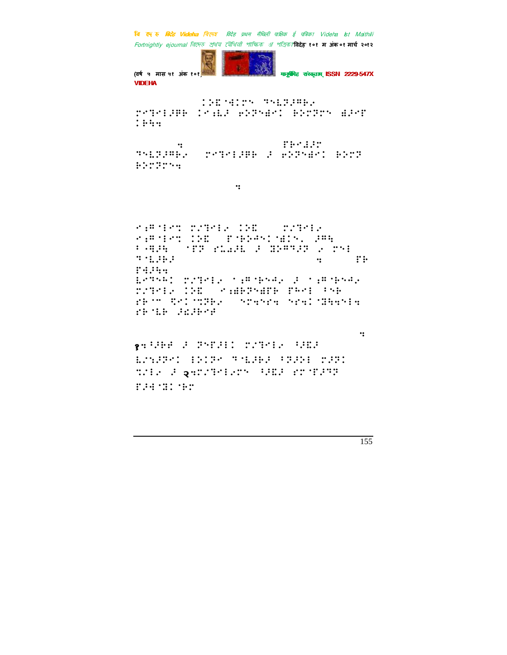चि एत् रू मिन्हे Videha निएन्थ विदेह प्रथम मैथिली पाक्षिक ई पत्रिका Videha Ist Maithili Fortnightly ejournal রিদেত প্রথম মৌথিনী পাক্ষিক প্র পত্রিকা**'বিदेह' १०१ म अंक०१ मार्च २०१२** 

**County** (वर्ष ५ मास ५१ अंक १०१) मानुसार में मानुसीह संस्कृतम् ISSN 2229-547X VIDEHA

Joqvu;!)⢵⣏⣚!⢹⣇⢽⢼⢻⢷⢴-!  $T$ 3ºSQ  $3$   $T$  $:$  $:$  $:$  $:$ 

Spnbow;<br>Spnbow; prpbow; protect; ) ⢹⣇⢽⢼⢻⢷⢴-!⣙3⢼⢿⢷!⢼!⢶⢵⢽⣞.⢷⢵⢽0! ⢷⢵⢽⣒!Sftvmu!jo!Efwbobhbsj-!

Spield (Spield Spield Spield)

⣐⢻3⣉.2⣙3⢴.⢵⣏!0!2⣙3⢴.  $\sim$  1970  $\sim$  100  $\sim$  100  $\sim$  100  $\sim$  100  $\sim$  100  $\sim$ BC@URLOCONOMIC STANDARD STANDARD STANDARD STANDARD STANDARD STANDARD STANDARD STANDARD STANDARD STANDARD STAND ⢹⣇⢼⢷⢼!hhbkfoesbAwjefib⣒dpn!0⢷! 0⣚⢼⣓⣒! ⣇⢹⢳!2⣙3⢴.⣐⢻⢷⢺⢴!⢼!⣐⢻⢷⢺⢴! 2⣙3⢴!⢵⣏!)⣐⣞⢷⢽⣞0⢷!0⢳3!B⢷! ⢷.⣋⣉⢽⢷⢴\*!⣒ ⣒! ⣒⣝⣓⣒3⣒! ⢷⣇⢷!⢼⣎⢼⢷⢾!.Cbtfe!po!nt.trm!

Fohmjti.Nbjuijmj!Ejdujpobsz⣒! १⣒⢸⢼⢷⢾!⢼!⢽0⢼3!2⣙3⢴!⢸⢼⣏⢼. ⣇2⣑⢼⢽!3⢵⢽!⢹⣇⢼⢷⢼!B⢽⢼⢵3!⢼⢽! ⣉23⢴!⢼!२⣒2⣙3⢴!⢸⢼⣏⢼! 0⢼⢹⢽! 0⢼⣚⣝⢷!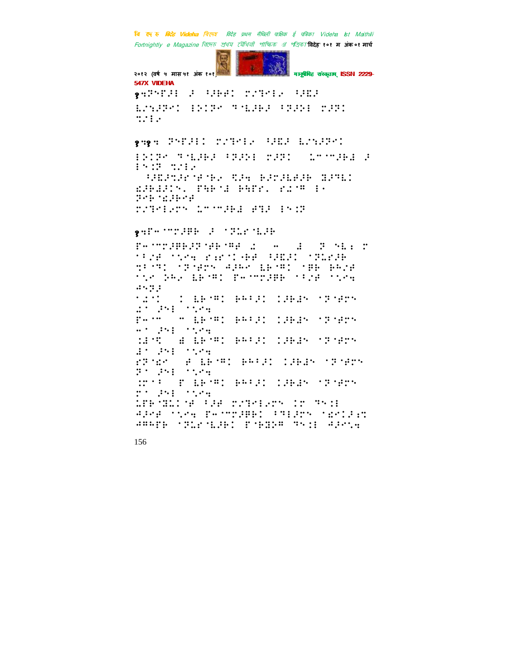बि एक रु मिनेट Videha विएक विदेह प्रथम मैथिली पाक्षिक ई पत्रिका Videha Ist Maithili Fortnightly e Magazine রিদেহ প্রথম মৌথিনী পাক্ষিক প্রা পত্রিকা**'বিदेह' १०१ म अंक०१ मार्च** 

6 **COMPANY**  $\mathbf{a}$ २०१२ (वर्ष ५ मास ५१ अंक १०१) मानुबेमिह संस्कृतम् ISSN 2229-**WENTER A SHEET TITLE SHEET** EMPRIS BRITING TERRITORY emen Prisil pririe same monarch BOOK THEF PROFINED COMMERCE  $15.17 - 2.11.5$ 

**MONDAY CONTRACTS AND STREET** EPACING THE AL PHIP, PLAT IP Served Pers rathers in make sea exa

## gere would be a controller

547X VIDEHA

 $11.114$ 

PHOTOGRAPHEMENT (A) A STAIR T **SPORTSON PARTICURE PREPLOTEDARE** sins freedways are the para the SAS EBSAT PASSERBATES the  $45.334$ nant (1816-1918) effet (1964) infrary<br>an eyf (nyh) Benn (m. 1878) Bengi (gele (grans  $\alpha \leq 154$  ,  $\beta \lesssim \alpha_0$ WEST CONDITIONS AND PROPERTY CONTROL  $\mathcal{L}^{\text{int}} = \mathcal{L}^{\text{int}} \mathcal{L}^{\text{int}} = \mathcal{L}^{\text{int}} \mathcal{L}^{\text{int}}$  $\begin{array}{ll} \mathcal{C}\mathbb{P} \cap \mathcal{C}^{\perp} & \mathcal{C} \cap \mathbb{H}^1 \\ \mathbb{P}^{\perp} \cap \mathcal{P}^1 \mathbb{P} & \mathcal{C} \setminus \mathcal{C}^1 \mathbb{P} \end{array}$ # LETT PRISI LIBER TETER **MOVEMENT SERVICES** (PHP)  $\begin{bmatrix} 1 & 1 & 1 \\ 1 & 1 & 1 \end{bmatrix} \begin{bmatrix} 1 & 1 & 1 \\ 1 & 1 & 1 \end{bmatrix} \begin{bmatrix} 1 & 1 & 1 \\ 1 & 1 & 1 \end{bmatrix}$ LPP MILL ME FRE STREETS IS TO TAIL APPE TOPE PAINTERN FREED TESTED **ABATE (TEP SEED INERG TYPE APPLY**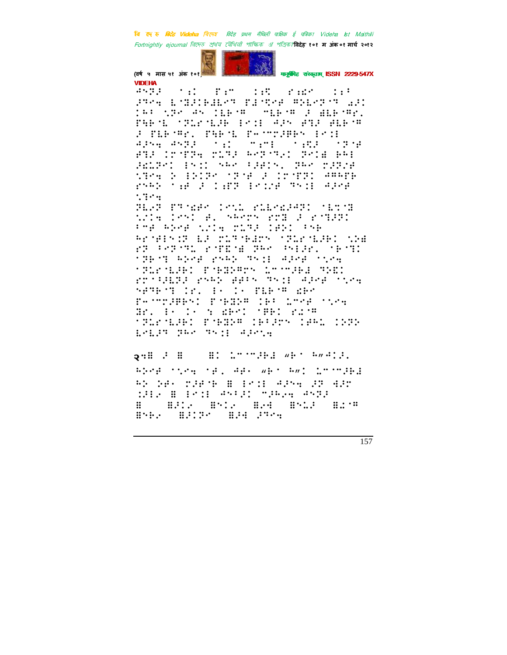बि एक रु मिनेट Videha विएक विदेह प्रथम मैथिली पाक्षिक ई पत्रिका Videha Ist Maithili Fortnightly ejournal রিদেত প্রথম মৌথিনী পাক্ষিক *ঙা পত্রিকা* **বিदेह १०१ म अंक०१ मार्च २०१२** 



मानूबीह संस्कृताम् ISSN 2229-547X

(वर्ष ५ मास ५१ अंक १०१) **VIDEHA** 

 $\mathcal{A} \sim \mathcal{V}(\mathcal{X})$  $\mathbf{r}$  . The set of  $\mathbf{r}$  $\mathbb{R}^n$  :  $\mathbb{R}^n$  $\mathcal{L}$  and  $\mathcal{L}$  and  $\mathcal{L}$  and  $\mathcal{L}$  and  $\mathcal{L}$  and  $\mathcal{L}$  and  $\mathcal{L}$ Provincial Cardinal Control (Principio Alec 1930 (1980) AN (18839) - MERING (2) BERING.<br>TARINE (1952) SERVICIO (AUN) BOL (BERING F PERSON PARSE PASSING ROLL **THE THE TEN** Alba Angli (11) FOR INTER NATE REPORT POINTRY PELPEL ENCLOSED FREDNI PRO MARIE the S Bright order for The Wanner real the Folder Prize Red Area  $1.322$ 

PERP PROBED INCL. PLENGRAPI OSTOCH wie (est al secre pro a produ Pre abre wite rime 1801 Pab REMERSIE ER MITTELME TRIENERISCHE PROPER PUBLICAN PROPERTY OF TH 19619 ANG PARK 9511 ANG 1104 1912-1826: Enbarger 18.11.264 (Pres)<br>2011-2822 2162 2261 (Pres) 2272 (Pre SAME MOVIE IN IS TEEMS ART Permoders: Predig (P) Lmse Sich Ge. 100100 S 2001 (Post Party **TRACKED PORCH INSPECIAL INS** hends has said adeny

 $2$   $\cdot$   $\vdots$   $\cdot$   $\vdots$ 

REMB TOME TRI ABRIGHT RAD LOTTER AS SAR TARTE BOIRTH APROVALLY AIT MER B Prim Weigi mange Wegg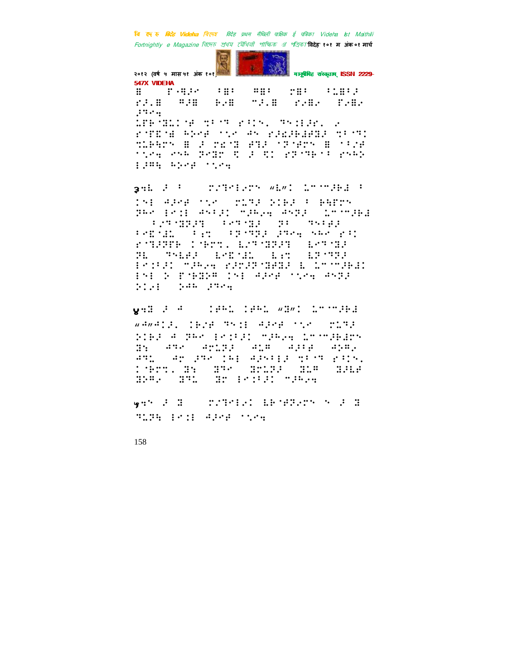बि एक स्टेड Videha विएक विदेह प्रथम मैथिली पाक्षिक ई पत्रिका Videha Ist Maithili Fortnightly e Magazine রিদেত প্রথম মৌথিনী পাক্ষিক প্রা পত্রিকা' **বিदेह' १०१ म अंक ०१ मार्च** 



२०१२ (वर्ष ५ मास ५१ अंक १०१) **547X VIDEHA** 

मानुबेमिह संस्कृतम् ISSN 2229-

 $\frac{1}{100}$   $\frac{1}{100}$   $\frac{1}{100}$   $\frac{1}{100}$   $\frac{1}{100}$   $\frac{1}{100}$   $\frac{1}{100}$   $\frac{1}{100}$   $\frac{1}{100}$   $\frac{1}{100}$   $\frac{1}{100}$ **FILE HIM BAN MILE FAND PAND** gara di provincia di contro STRATES OF THE PICK STATISTS AT

roffine where the way represents the thi MIRROR BOS CAMBORIES MENER BOARDE tice com Podr D 2 DI 2779611 2006 1,000 0000 1000

gab 2 For Schulers what important

THE APPROXIMATION PIPE PIPE FOREST par pri anti spara angl issegn **FOR MEET CONTROLLERS CONFIDENT** PARTER (Part (PRIMER 2004) SAR 201 FORFER CORPORATIONS (ESTOR) BL THEF LETTE LET LETTE Professor member of an anti-defendance of the first profession PHONOPHER INFORMATION AND  $\frac{1}{2}$  and  $\frac{1}{2}$  and  $\frac{1}{2}$  $1:1:1$ 

ved a 4 (1961-1961 wild informated

 $\sqrt{4\pi^2(15)}$  (1929 While Albert time) which SIER A DAR ERSEIN MARGH 1M MARINA di ang aning ain agua ayny  $\mathcal{X}^{\alpha}$  : **THEST BY BRY BELFA BLA BALE** HTL HE POINT THEM  $\mathbb{R}^{n}$ 

gen 2018 - Mullel Welchern no201 **PLPR ESTE APSE STOR**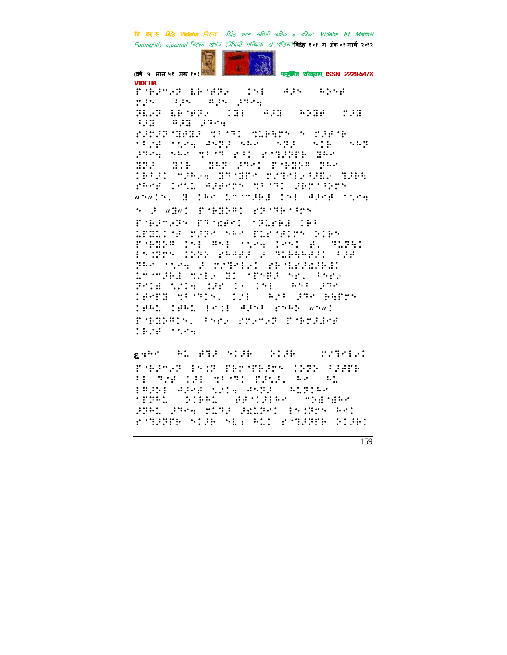बि एक रु मिनेट Videha विएक विदेह प्रथम मैथिली पाक्षिक ई पत्रिका Videha Ist Maithili Fortnightly ejournal রিদেত প্রথম মৌথিনী পাক্ষিক *ঙা পত্রিকা* **বিदेह १०१ म अंक०१ मार्च २०१२** 



मानुब्रीह संस्कृतम् ISSN 2229-547X

**VIDEHA** ESPECIAL ERSERY (1910) APSOCIATE pis dis mis rus. **WAREHOUSE** 100 - 490 - 490 - 490 **111 011 112** ranarymema na yai ni nifers s nae'e 1328 1529 9522 592 - 522 - 518  $\ddotsc$  : 3984 SAR MESS PAI PSIDNED BA 1992 - 1016 - 1049 (2541) Endelban (264)<br>1943 - Maryla (1971-1982), patricipatric fallo PACE LOLD APROVE SPORT PROTECT what's don't complete the speed the **SOURCE SERVICE SECTION** PORPHORM PROBAT CRIPED IRR 1881: W SSP SAR B1278155 CIPS FOREST INE WAS CITED INVIOUS. TERM 15005 (200 39483 3 TLBBB3) 138 The steel Portfolk: PROBREMENT LTOTHE THE HI SPARE NEW PAPE Pola tria de la 1940 Ani pré THATE SPORTS, INE ( RNP 288 BHESS legi legi bol alga saga man POSSED V. Pres premed Pobrigos 1929 1579

gabe (61 853 5138) 2138 (2255)2

FORFOR INCE THOUTHION (DID SINTE FE THE THE TEST PROP. WAS WIL 18221 APME WIN ANGEL ALGIAN STERL BESTRIAM MTBSBA  $13341$ PRAL PROVINCE PEDROL ENTROL AND POSSER SIGN SER ALL POSSER SIGN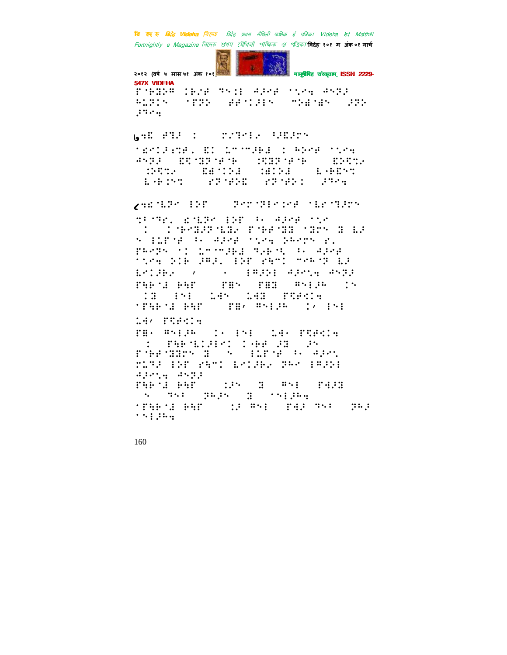बि एक रु मिनेट Videha विएक विदेह प्रथम मैथिली पाक्षिक ई पत्रिका Videha Ist Maithili Fortnightly e Magazine রিদেত প্রথম মৌথিনী পাক্ষিক প্রা পত্রিকা' **বিदेह' १०१ म अंक ०१ मार्च** 



**547X VIDEHA** 

FOREST CROB TROL APPROXIMATOR ALTIX METER BENIJEN MEDINA JUL gathering of

GAR ANA : CONTAINS ARADY

**TEPLEMBER ED LOOPEER IN REPENSION SETTE ENGINE STAR STAR STAR** in the property of

ged three springs in results for the transfer to

TESTED STEEP END IN APPEARING **MONDAY CONSTRUCTS AND STATE** s inne a species page in perputi instrumental press, a capre<br>Sira die del 1927 per resistance el **Second Service Service Service Service**  $L^2$  . Fig. ( ) and  $L^2$ PARTICULAR PORT PORT PAINT IN (1876) and the greets  $\text{FB}$ ,  $\text{FSE}$ ,  $\text{FSE}$ **TERMI RET** 

14, POST-

FB: #5124 (1) 151 (10) FRACH si perdiang lepas ang pr ring the rand briggs gar tweet  $\mathcal{A}(\mathcal{I},\mathcal{C}^{\ast},\mathcal{A})=\mathcal{A}(\mathcal{C}^{\ast}_{\mathcal{C}}(\mathcal{I}))$ PHP 12 (PHP) = 125 = 3 = 851 = P423<br>| 5 = 351 = 3625 = 3 = 151264 **TEACHER OFFICERS PARTIES**  $\cdots$  ;  $\cdots$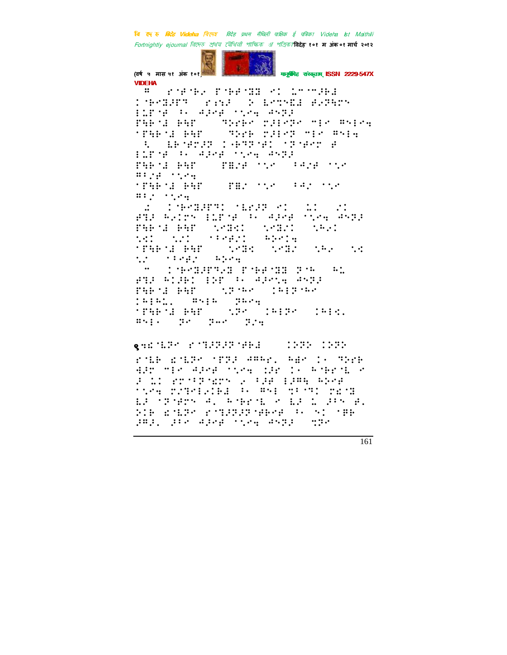बि एक रु मिनेट Videha विएक विदेह प्रथम मैथिली पाक्षिक ई पत्रिका Videha Ist Maithili Fortnightly ejournal রিদেত প্রথম মৌথিনী পাক্ষিক প্র পত্রিকা**'বিदेह' १०१ म अंक ०१ मार्च २०१२** 



मानूबीह संस्कृताम् ISSN 2229-547X

**VIDEHA A STETH PRETH STATES** D'BRIET (Panel à Bronze Ba75on ELPARTA APARTMENTAL **THE LEADER There wilers mis Raise** tract part when place with maja  $\mathcal{A}$  . Benedict the state of the state EMPH B. APPE Stra ANGE PHP 12 PHP **STEP TO BELLE TO**  $\mathbb{R}^2 \times \mathbb{R}^2 \to \mathbb{R}^2 \times \mathbb{R}$ **SPARING RAP COPES SAM CRASHING**  $\mathbf{H}(\mathbf{y}) = \mathbf{y} \cdot \mathbf{y} \cdot \mathbf{y}$ d Competent Sarah Pro  $\ddot{\cdot}$  : PTP Relow first Concept side and **THE SERVICES**  $1.4321$  $\mathcal{L}$  :  $\mathcal{L}$ MORAL SERVICE  $\sim 1.424$  $1.1422$  $\mathcal{L}^{\text{in}}(\mathcal{U},\mathcal{U})=\mathcal{U}^{\text{in}}(\mathcal{U})$  $\mathbb{R}^{2} \times \mathbb{R}^{2}$  and  $\mathbb{R}^{2}$  $\mathbf{u}$  .  $\mathbf{u}$ 

(A) (APRAPAR PAPAR 24 (A)<br>PRO RIAL ISP (6 (APV) PAPO PARTA RAD (1976) (RISTA)<br>16161, Ship Sheep ing51 par` (20 lipro 1910.  $m_{\rm M}$ ,  $m_{\rm M}$  ,  $m_{\rm M}$  ,  $m_{\rm M}$ 

ged 1678 or 1777-777 1993 - CO-272 OD-272

role roller officialer, age is more APPLICER PRESENTED OR COUPONERS R 3 11 2073 2007 2 338 1386 5208 tive providing to meet between prod EP SPORTS AL AGENCY EP LOPS B. bia kaleng Missasang Politik Men jej, jir ajna nyeg anggo nge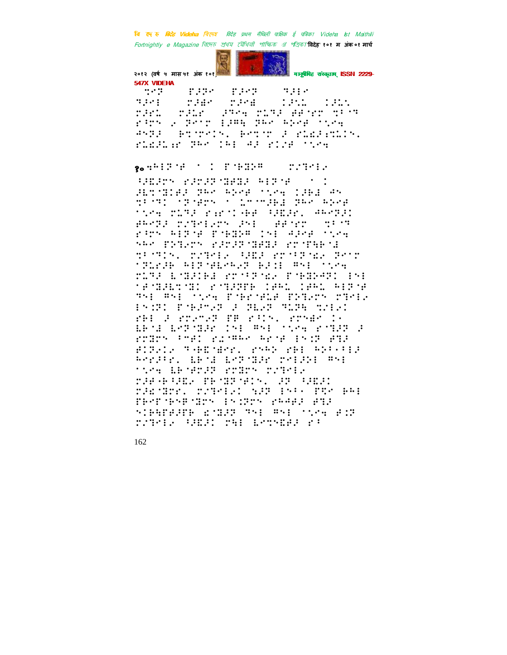बि एक रु मिनेट Videha विएक विदेह प्रथम मैथिली पाक्षिक ई पत्रिका Videha Ist Maithili Fortnightly e Magazine রিদেত প্রথম মৌথিনী পাক্ষিক প্রা পত্রিকা' **বিदेह' १०१ म अंक ०१ मार्च** 



२०१२ (वर्ष ५ मास ५१ अंक १०१) **547X VIDEHA** 

मानुबेमिह संस्कृतम् ISSN 2229-

 $\mathbb{R}^{n \times n}$ TATE TACK  $\mathcal{L}$  ,  $\mathcal{L}$  ,  $\mathcal{L}$  $\mathcal{L}(\mathcal{L},\mathcal{L})$ *<u>A Secondard Contractors Contractors Contractors Contractors Contractors Contractors Contractors Contractors Contractors Contractors Contractors Contractors Contractors Contractors Contractors Contractors Contractors Co*</u>  $\mathbb{R}^2$  $13111$ SPRAY DIRE BENCH DENR  $\mathbb{R}^{2n+1}$  $::::...$ rans a Beth East Bee abor ties ANTE (PTITEIN, PETIT E PLAFFILIN, ridici Per (81 43 rive tire

 $\gamma_0$  :  $\gamma_1$  :  $\gamma_2$  :  $\gamma_3$  :  $\gamma_4$  :  $\gamma_5$  :  $\gamma_6$  :  $\gamma_7$  :  $\gamma_8$  :  $\gamma_7$  :  $\gamma_8$  :  $\gamma_8$  :  $\gamma_8$  :  $\gamma_8$  :  $\gamma_8$  :  $\gamma_8$  :  $\gamma_8$  :  $\gamma_8$  :  $\gamma_8$  :  $\gamma_8$  :  $\gamma_8$  :  $\gamma_8$  :  $\gamma_8$  :  $\gamma_8$  :  $\gamma_8$ 

HETTELED PARTNERS TORE IPED AN Alexandria Arra (1991-1994) per apre The class randed welch week anda portakon an caaded dido<br>especiestra poema (nicapa code SAS PRINTS PROFESED POTENTA transported with the second components of the second second second second second second second second second s **TRIPLE REPORTED RESEARCH** ring brigged rryging freight (pr **MARINA CHUR CAL CAL ADVA** skilleni (ting pomerala propre rock) PROFILENTARY PURCH TORE OFFICE PHOROGRAPHY PROPERTY COMPANY ERSE ESPARAN INFORME SOME RATER D rodon (sel ranger erne inde ede BIRSIS PARENBAR, PARK PHI AND PIR Replied about Leftmark related med **Time LETHTIP STIPS TITMES** THE REAL PEARTHING ARE REAL rachare, remember 5am 1595 amé 651 FRONT OF THE SAME OF THE STATE OF THE **SIMPLED COOP TSE TSE TIME TO BOY** ratedy during the between ad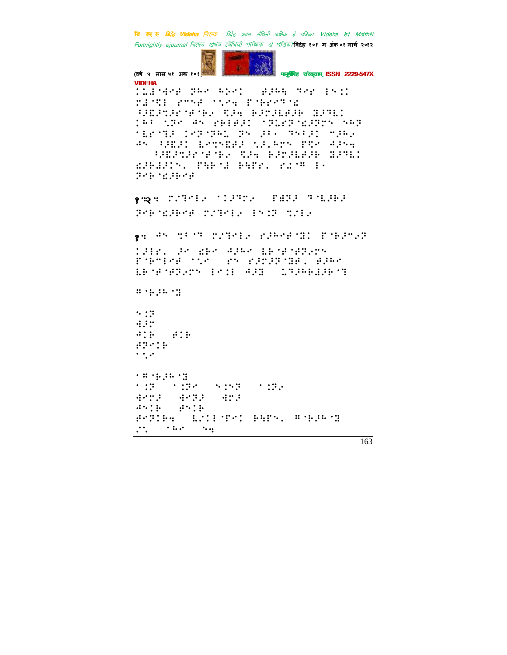बि एक रु मिनेट Videha विएक विदेह प्रथम मैथिली पाक्षिक ई पत्रिका Videha Ist Maithili Fortnightly ejournal রিদেহ প্রথম মৌথিনী পাক্ষিক প্র পত্রিকা**'বিदेह' १०१ म अंक०१ मार्च २०१२** 



मानूबीह संस्कृताम् ISSN 2229-547X

**VIDEHA** TERMENT PROVINCE (PRAG) Por ENT TEMPE ROOF TIME PORTON **BOOKS TO BUILD BULLET** IAF NORTHWEIGHT (SOUTHWEIGHT) the machiness products and an education AN PREPLAINING SPIER TRY APNE <u> 1000 - 1000 - 1000 - 1000 - 1000 - 1000 - 1000 - 1000 - 1000 - 1000 - 1000 - 1000 - 1000 - 1000 - 1000 - 100</u> EMARINA THE SENETHIC SIMPLE. Premiere emper College of Salter College Professor Premiere complete model  $\frac{1}{2}$   $\frac{1}{2}$   $\frac{1}{2}$   $\frac{1}{2}$   $\frac{1}{2}$   $\frac{1}{2}$   $\frac{1}{2}$   $\frac{1}{2}$   $\frac{1}{2}$   $\frac{1}{2}$   $\frac{1}{2}$   $\frac{1}{2}$   $\frac{1}{2}$   $\frac{1}{2}$   $\frac{1}{2}$   $\frac{1}{2}$   $\frac{1}{2}$   $\frac{1}{2}$   $\frac{1}{2}$   $\frac{1}{2}$   $\frac{1}{2}$   $\frac{1}{2}$  IPER, PO BES APPO LESESPRINS ESPECE TOOL EN EPOPPORT BRA Brander Pol AM Stabler  $\frac{11}{2}$  +  $\frac{1}{2}$  ,  $\frac{1}{2}$  +  $\frac{1}{2}$  $\ddots$  : : H.P  $\mathbf{a}$  :  $\mathbf{b}$  $\mathbf{r}$  :  $\mathbf{r}$ **BEATE**  $\cdot$  , .  $127 - 127 - 5197$ 4822 4822 a ser en altar de la partida de la contecidad de la contecidad de la contecidad de la contecidad de la conteci  $d\mathcal{H}(\mathbb{R}) = d\mathcal{H}(\mathbb{R})$ POTTER LISTENTO PRESS PORTHOL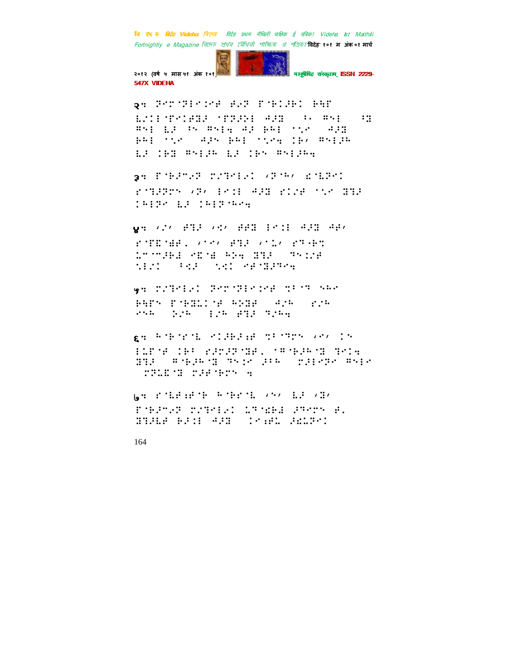बि एक रु मिनेड Videha विएक विदेह प्रथम मैथिली पाक्षिक ई पत्रिका Videha Ist Maithili Fortnightly e Magazine রিদেহ প্রথম মৌথিনী পাক্ষিক প্রা পত্রিকা**'বিदेह' १०१ म अंक०१ मार्च** 



मानुबेमिह संस्कृतम् ISSN 2229-

54 FOUNDATION RAP PORTIBL BAP EMINEMENT MENING AND CONTROL COM #5: 12 PC #5:4 #2 PR: 150 | #21 PRI TVS (RPN PRI TVSE IP) #5128 AF 192 Weigh AF 195 Weight

an Poblesh provision (Poble dollar) FOREST CRASHOLE ARE FIRE TO SER **TRIPY AS INSTANT** 

夏年 ハンバ 新生物 ハルバ 新井田 生め 11 (再共1) 時期

ROTENEE, VAN PHE VOLK PROPE industrial and also had an inverse MENT PART NATURE MENTER

We have the second state of the second state of the second state of the second state of the second state of the second state of the second state of the second state of the second state of the second state of the second sta PAPS PORTLINE ROOF (428) 228 

ga Roborom eleberar distribuico, lo HITTE CHA REPORTED THREE TO THE HTP Replace to provide the proposed *POSSES* POSSESSES

per singles the string of the state of the state of the state of the state of the state of the state PORPOR COTOLOG ATOMA PRODUCE. BRAG BAN AND (PARL NORT)

164

**547X VIDEHA**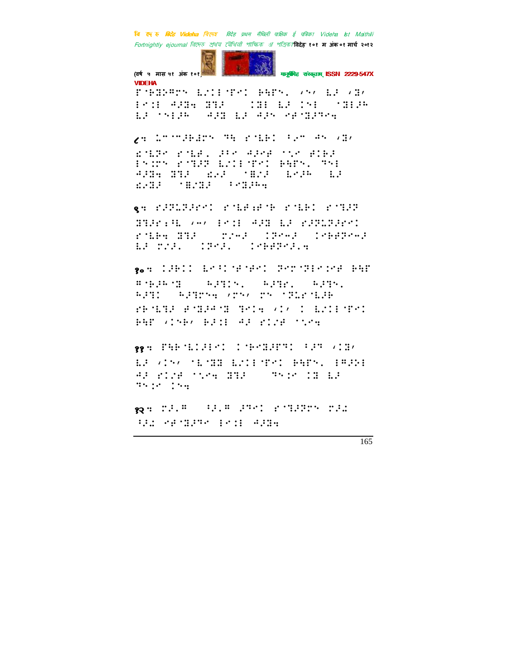बि एक रु मिनेड Videha विएक विदेह प्रथम मैथिली पाक्षिक ई पत्रिका Videha Ist Maithili Fortnightly ejournal রিদেহ প্রথম মৌথিনী পাক্ষিক প্র পত্রিকা**'বিदेह' १०१ म अंक०१ मार्च २०१२** 



मानूबीह संस्कृताम् ISSN 2229-547X

## **VIDEHA**

POHRHMA EMISTED HEM, ANY EFACE PACE APRAIGHD COOPER IN THE CONFIDE EF 1981F AFR EF APP PETRING

28 LTOTHETS TH POLED FOR AN VIA

EMPH FALE, PROGRESS FIEL ENDIN KNIPE EMPRIMEENT THE  $1.434 - 1.3$ 42B: BB2 (BS2) (BS2) **RANK PEACH PARTIES** 

Quest PRINCE SE de la califacte de la Constantina de la Constantina de la Constantina de la Constantina de la HHRIB (0) PRI 42H LE CITLING roller BMF ( rowl) (Pref ( )regreef EF TIF, (TP-F, (T-PP-F),

gon (PRI) and detect Provisione Bar # HARTH ( PANIS, PANIS, PANIS, **APPE APPRAY ARA RAY TELEVISH** FROM PORT TO SAID AND THE BAT (1987 BRIDGE AR SIDE STRA

 $99.4$  THE MILERAL IMPORTED FREE VIEW LE VINA MEMBERINI MEMI BHINI IRINI AF SINE MINH WORK THIN IN LA  $25.16 \pm 0.04$ 

82: 23.5 (33.5 330) remains 23. **BE SEMINA PAR SER**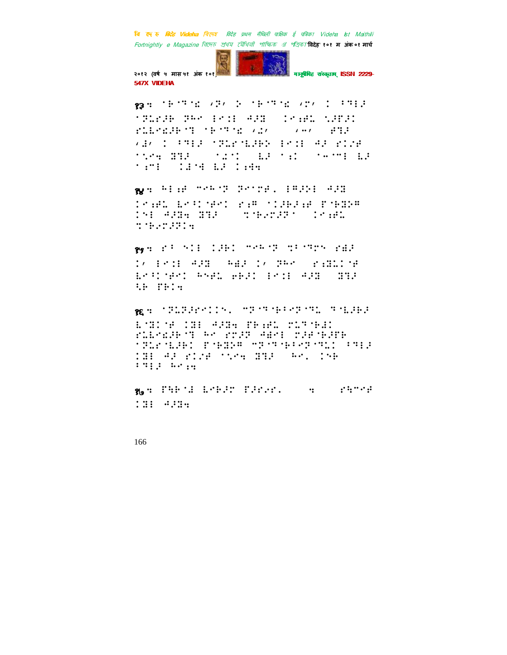बि एक रु मिनेट Videha विएक विदेह प्रथम मैथिली पाक्षिक ई पत्रिका Videha Ist Maithili Fortnightly e Magazine রিদেহ প্রথম মৌথিনী পাক্ষিক প্রা পত্রিকা**'বিदेह' १०१ म अंक०१ मार्च** 



२०१२ (वर्ष ५ मास ५१ अंक १०१ **547X VIDEHA** 

मानुबेमिह संस्कृतम् ISSN 2229-

83 9 10 17 18 19 20 10 10 11 12 13 14 15 16 17 18 **TRIPLE REPORTED HAN CONSERVANCE** FLERENT SECTIONAL  $\mathbf{v}$  and  $\mathbf{v}$ . . . . . . **VEACH PREPARED HEADS INTERFERING**  $11.74 \pm 33.3$ tem line as leer

we Him newer Benne, 18221 423 Dragl Lrg Mar. Pam (1963an Poblem **INF AREA BRACK TOBACHY (IMAGE TOBATES** 

899 PRODUCTS LEED MARKET ME MEN PER Do Endi Add (Add 1) The Second M ESTIMAT PRED ARCT 1811 ACR (230 the file

88 H. MELEPHALLA, STEATHERTHE FALLER L'AINE (AI ANNE TRAN MUTTER) rledgen en rrgt gen randegre **MEDICALES PRESENTATORISMS PRES** 138 43 8128 7584 333 (AK. 158  $1.312 - 0.414$ 

gan Phind Loider Paradic Company Phrom 131 4234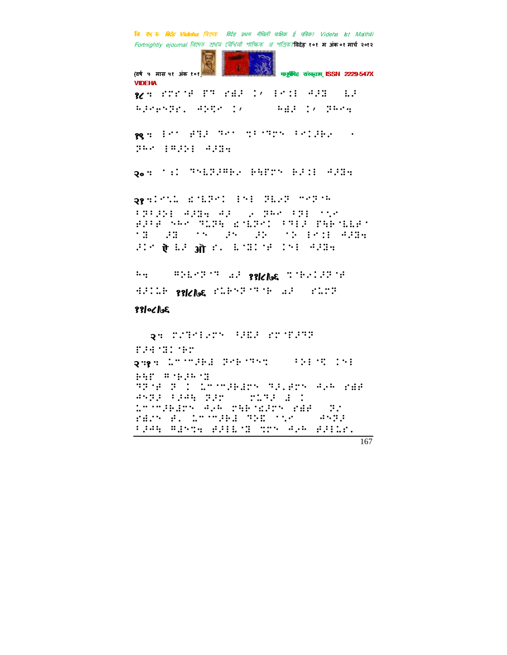!!२⣒!2⣙3⢴!⢸⢼⣏⢼! 0⢼⢹⢽! 0⢼⣚⣝⢷!! २७१ : 2001-2013 : 2010 : 2010 : 2010 : 2010 : 2010 : 2010 : 2010 : 2010 : 2010 : 2010 : 2010 : 2010 : 2010 : 2<br>२०१२ : 2010 : 2010 : 2010 : 2010 : 2010 : 2010 : 2010 : 2010 : 2010 : 2010 : 2010 : 2010 : 2010 : 2010 : 2010 **BAP # 9828 93** ND NE NE DI LO NOMBRES NORVENS AVE VIER<br>ASDO (FOAR DOM) - MINO (E) ⢺⢽⢼!B⢼⢺⣓!⢽⢼!-!⣅⢹⢼!⣜!! ⣅⢼⢷⣜!⢺⢴⢳!⣓⢷⣎⢼! ⣞⢾!)⢽2! ⣞2!⢾F!⣅⢼⢷⣜!⢹⢵⣏!⣁\*.!⢺⢽⢼! B⢼⢺⣓!⢻⣜⣉⣒!⢾⢼3⣇⣝!⣉!⢺⢴⢳!⢾⢼3⣅ F!-!

## ११/०८/७६

₩, 0. PHPSPP 3. SWEE THE PHPSPP ⣚⢼⣅⢷!११/८/७६ ⣅⢷⢽⢹⢷!⣔⢼!# ⣅⢽#!

२१⣒⣁⣅!⣎⣇⢽!33!⢽⣇⢴⢽!⢽⢳! BEBS BE SOME STREET  $B$ . But a construct the set of the set of the set of the set of the set of the set of the set of the set of the set of the set of the set of the set of the set of the set of the set of the set of the set of the set of the ⣝0!⢼⣝0!0!⢼0!⢼⢵0!⢵!3⣈3!⢺⢼⣝⣒! িল কি মান আৰু লগত মান কৰি আৰু লগত মান কৰি আৰু লগত মান কৰি আৰু লগত মান কৰি আৰু লগত মান কৰি আৰু লগত মান কৰি আৰু

२०⣒!⣐!⢹⣇⢽⢼⢻⢷⢴!⢷⣓0!⢷⢼⣈3!⢺⢼⣝⣒!

१९⣒!3!⢾⣙⢼!⢹!⣉B⢹!B⢼⢷⢴!)l\*! ⢽⢳!3⢻⢼⢵3!⢺⢼⣝⣒!

(वर्ष ५ मास ५१ अंक १०१) मानुसीह संस्कृतम् ISSN 2229-547X VIDEHA १८º : 20209 201 203 204 204 204 205 205 ⢳⢼⢶⢽ F!⢺⢵⣋!'!-!!⢳⣞⢼!'!⢽⢳⣒!



चि एत् रू मिन्हे Videha निएन्थ विदेह प्रथम मैथिली पाक्षिक ई पत्रिका Videha Ist Maithili Fortnightly ejournal রিদেত প্রথম মৌথিনী পাক্ষিক প্র পত্রিকা**'বিदेह' १०१ म अंक०१ मार्च २०१२**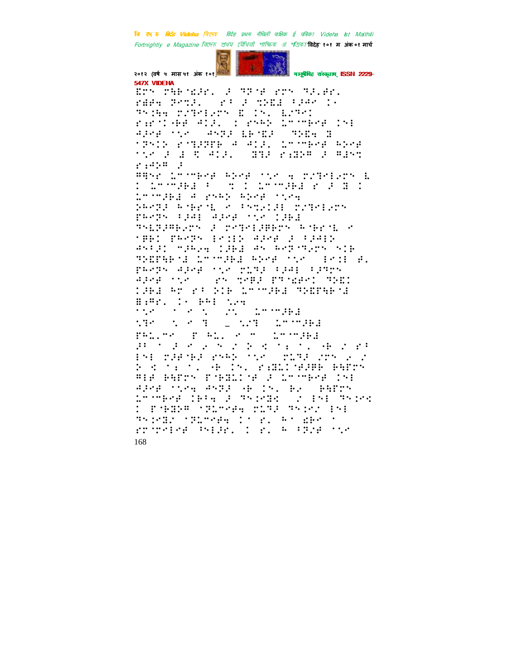बि एक रु मिनेट Videha विएक विदेह प्रथम मैथिली पाक्षिक ई पत्रिका Videha Ist Maithili Fortnightly e Magazine রিদেত প্রথম মৌথিনী পাক্ষিক প্রা পত্রিকা' **বিदेह' १०१ म अंक ०१ मार्च** 



२०१२ (वर्ष ५ मास ५१ अंक १०१) **547X VIDEHA** 

मानुबेमिह संस्कृतम् ISSN 2229-

EDN DARAGEN 2 MPAR 20N MELED. rage Prof. (r) Format Caer (r) Thime confident E In. Eorni randae alk, camp comparing aper the sample media which is **TENIN POBREE A ALE. LOOPERE ANGE** the F B R All. (BBF FARA F ABS)  $f: P \to P$ 

Ager Loopers Area over a probleme L SA ANG PARTITON ANG PANGAPAT Loomsed A graph apertoning PROBLEMENT OF PATRICH COTOLOGY PROPR (1941) 4309 (100) 1393. THERPHENDS I DATALLERDS FOR THE W **THE PROPR ECHO APORT PIPALS** and by Sephyn Syddia and Andershen Syd SPEEDENS LOOPERS REPEATS (1991-1991) parps alog throughout the times Alek (12 ) showed rinked The 1968 Ar en 216 157588 MCBBAYA nde l'internationale de marea MP SACRIFICATION STORES ingure in Aluse modernaea<br>archipe a a subservator de 2017<br>prioramea angloras crimatiches d S Roman (Pick Paminëne eenk #F# BAPTS POBBLION & LTOTERE ISE ajeg (194 angg 14 1n. 62 anggo.<br>Loopera lata 2 ghirda - 2 1n. ghird **TEMPS SECTIONS TO BE SERVED** Things (Flores In P. A. Sec.) rroree miss for a spector 168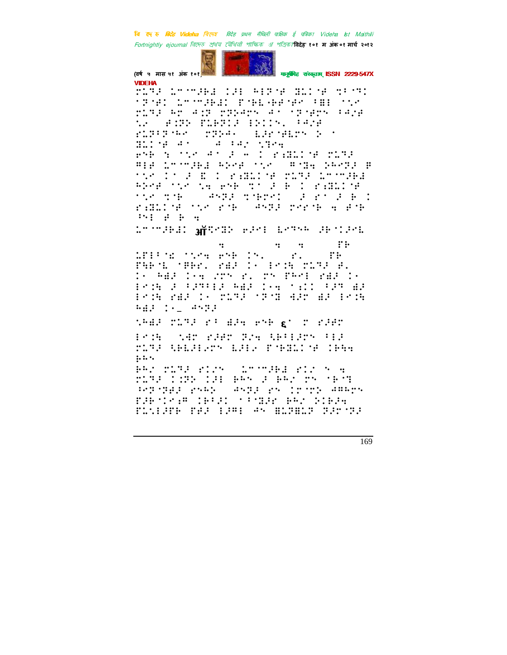बि एक रु मिनेट Videha विएक विदेह प्रथम मैथिली पाक्षिक ई पत्रिका Videha Ist Maithili Fortnightly ejournal রিদেত প্রথম মৌথিনী পাক্ষিক *ঙা পত্রিকা* **বিदेह १०१ म अंक०१ मार्च २०१२** 



(वर्ष ५ मास ५१ अंक १०१) **VIDEHA** 

मानूबीह संस्कृताम् ISSN 2229-547X

MIRA LETTARA CAR ARREA BLITA MATRI **MEMBER 2019 INSTEAD OF STREET AND INCOMENTATION** MIRA AM ANT MORAMA AN NO MAMA PAMA tro admonistrativo kaj ringen researchered by mide and a cardinal PARTN START AND A CONVERTING TIME

#FF LTOTABE ROOF TOOK #198 DROOF # tir Inde Bookeanie woed broeks REAR one name and a resource and the TACTE (FREE TENC) FIRST FE raming the rds (ASTA rerds a gog  $\begin{array}{cccccccccccccc} \textbf{1} & \textbf{1} & \textbf{1} & \textbf{1} & \textbf{1} & \textbf{1} & \textbf{1} & \textbf{1} & \textbf{1} & \textbf{1} & \textbf{1} & \textbf{1} & \textbf{1} & \textbf{1} & \textbf{1} & \textbf{1} & \textbf{1} & \textbf{1} & \textbf{1} & \textbf{1} & \textbf{1} & \textbf{1} & \textbf{1} & \textbf{1} & \textbf{1} & \textbf{1} & \textbf{1} & \textbf{1} & \textbf{1} & \textbf{1} &$ 

Domestal Within Bent Enthalter Cent

 $\cdots$  $\mathbf{u} = \mathbf{u}$  $\dddot{\phantom{0}}$ MPIREM STORE BRB IN.  $\mathbf{r}$ r. PARTE THREE PARTICULAR PLANE R. 16 ABJ 168 225 B. 25 PAGE BBJ 16 Problem Performance and Second Performan Problema to puma rang aan malakom 

thes class of electric group offic

Problem with the SPHIRT SIR ring this art is remained the

 $\mathbf{L}$  . . BRO MIRE RICH (IMCMED RICH) ROW MIRA (1985-1985) BAS (2008) MS (1839 ang gal rombo angl ro indno ammon FARMING TEACH SAMERY PRO DIRAG

FLAIDED FAR 1981 AN BLABLA ADDAR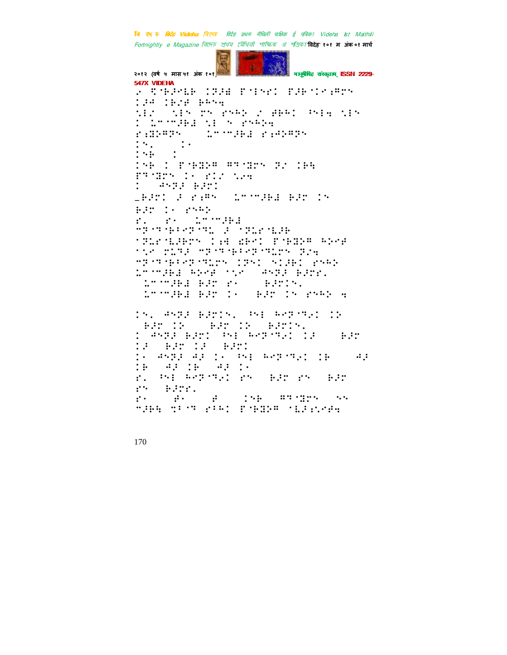बि एक रु मिनेट Videha विएक विदेह प्रथम मैथिली पाक्षिक ई पत्रिका Videha Ist Maithili Fortnightly e Magazine রিদেহ প্রথম মৌথিনী পাক্ষিক প্রা পত্রিকা**বিदेह १०१ म अंक०१ मार्च** 



**547X VIDEHA** 2 SMEPLE IBJE PMPHI PJEMINJEN **SA SER BRY:** MEN SIN THOTHE I BEEL PHECHE The what we're ready r:BPP- 2008: 2009  $\begin{array}{ll} 1.81 & \textcolor{red}{\textbf{1.5}} \\ 1.94 & \textcolor{red}{\textbf{1.5}} \end{array}$ 156 : Premiere Artmor P. 166 Primer : film the : 4522 B221 **LEADY A BARK COMMARY EAD IN** Bar is rubb ari (1986) (1979)<br>Standard Monte (1979) (1986) **MILEMARY CHEMPS FARRE RYAN THE PLAY MEMAGEMENT COMPANY** adarīgies atoms (1941—4196) (246)<br>Lovozbi aperture (1949—620) LOOPER BED BY ( BEDIS, Contrata tar is that in report In Wangs Estin, Sni Werell In (Barci) (Barci) Baris.<br>1 Asal Baric Sychemist (B<br>13 CBarcia CBari  $\mathbb{R}^n$  is a set of  $\mathbb{R}^n$ li aigi ap 1, ng mepeng 16 - ap<br>16 - Ap 16 - Ap 1, r. PH PSP TRI PRO BRD PRO BRD **BEACH**  $\mathbf{r}$ **Sales Start Start Start Start Start Start Start Start Start Start Start Start Start Start Start Start**  $\mathbf{r}$ .  $\mathbf{r}$   $\mathbf{r}$   $\mathbf{r}$   $\mathbf{r}$  $\mathbf{r}$ mann mich eine Ponnen odaeren.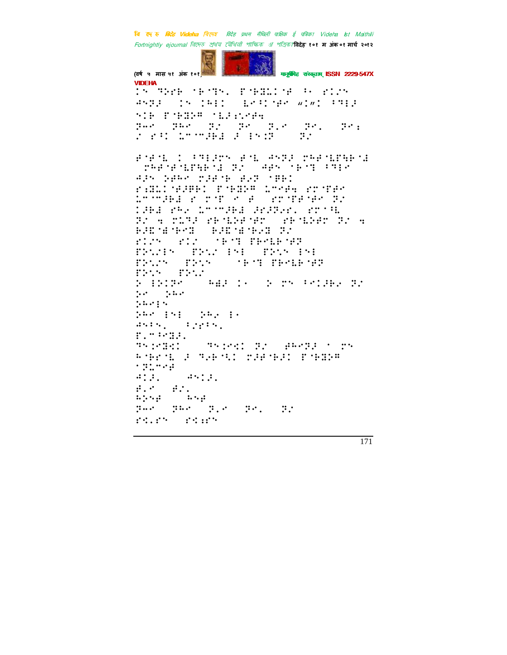चि एत् रू मिन्हे Videha निएन्थ विदेह प्रथम मैथिली पाक्षिक ई पत्रिका Videha Ist Maithili Fortnightly ejournal রিদেত প্রথম মৌথিনী পাক্ষিক প্র পত্রিকা**'বিदेह' १०१ म अंक०१ मार्च २०१२** 



VIDEHA IN THE MEMBER OF BUILDING ⢺⢽⢼-!!⢳3@!⣇⢸⢾!""!B⢹3⢼! ⢷!0⢷⣝⢵⢻!⣇⢼⣐⣁⢾⣒! ⢽⢲-!⢽⢳-!⢽2-!⢽-!⢽F-!⢽F-!⢽⣐! 2! ⢸!⣅⢼⢷⣜!⢼!3⣈⢽!.!⢽2!!

⢾⢾⣇!!B⢹3⢼!⢾⣇!⢺⢽⢼!⢳⢾⣇0⣓⢷⣜! )⢳⢾⢾⣇0⣓⢷⣜!⢽2\*!⢺⢾!⢷⣙!B⢹3! ⢺⢼!⢵⢾⢳!⢼⢾⢷!⢾⢴⢽!⢿⢷!  $^{\circ}$  COUNTER CONTROL  $\mathbb{L}^m$  (musical and start of  $\mathbb{R}^n$  ) of the start of  $\mathbb{R}^n$  (see Table  $\mathcal{L}$ . And  $\mathcal{L}$   $\mathcal{L}$   $\mathcal{L}$   $\mathcal{L}$   $\mathcal{L}$   $\mathcal{L}$   $\mathcal{L}$   $\mathcal{L}$   $\mathcal{L}$   $\mathcal{L}$   $\mathcal{L}$   $\mathcal{L}$   $\mathcal{L}$   $\mathcal{L}$   $\mathcal{L}$   $\mathcal{L}$   $\mathcal{L}$   $\mathcal{L}$   $\mathcal{L}$   $\mathcal{L}$   $\mathcal{L}$   $\mathcal{L}$   $\mathcal{L}$   $22*$   $22*$   $22*$   $22*$   $22*$   $22*$   $22*$ ⢷⢼⣏⣞⢷⣝!)⢷⢼⣏⣞⢷⢴⣝!⢽2\*! 20.0% 20:20 PM 20:20 PM 20:20 PM 20:20 PM 20:20 PM 20:20 PM 20:20 PM 20:20 PM 20:20 PM 20:20 PM 20:20 PM 20:20 0⢵⣁230!0⢵⣁2!330!0⢵⣁!33! 0⢵⣁20!0⢵⣁0!)⢷⣙!0⢷⣇⢷⢾⢽\*! PHO PHO  $>$  1919 )  $\pm$  42 (3)  $>$   $\pm$  75 (3)  $\pm$ ⢵0!⢵⢳!  $\mathcal{D}$  :  $\mathcal{D}$  $330$  330  $330$  330  $330$  $B\setminus B\setminus B$  be a big finite. p. – 1432.<br>Prostaci ⢹⣈⣝⣊0!)⢹⣈⣊!⢽2.!⢾⢳⢽⢼!!! ⢳⢷ ⣇!⢼!⢹⢴⢷⣃!⢼⢾⢷⢼!0⢷⣝⢵⢻!  $^{\circ}$  Thin Fig.  $F = 45.75$  $f(x) = f(x)$  $\begin{picture}(150,10) \put(0,0){\line(1,0){150}} \put(10,0){\line(1,0){150}} \put(10,0){\line(1,0){150}} \put(10,0){\line(1,0){150}} \put(10,0){\line(1,0){150}} \put(10,0){\line(1,0){150}} \put(10,0){\line(1,0){150}} \put(10,0){\line(1,0){150}} \put(10,0){\line(1,0){150}} \put(10,0){\line(1,0){150}} \put(10,0){\line(1,0){150}}$ **Jer JEr J.r Jr. 30.** files the state of the state of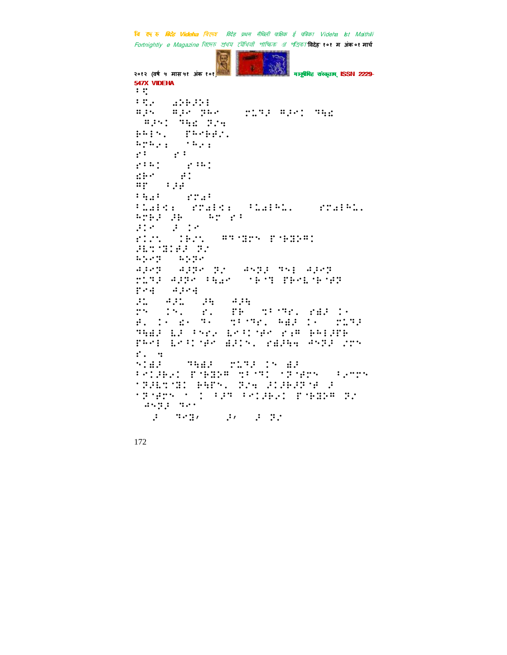```
बि एक रु मिनेट Videha विएक विदेह प्रथम मैथिली पाक्षिक ई पत्रिका Videha Ist Maithili
Fortnightly e Magazine রিদেত প্রথম মৌথিনী পাক্ষিক প্রা পত্রিকা' বিदेह' १०१ म अंक ०१ मार्च
                                6
                                         COMPANY
                                           \mathbf{g}_i२०१२ (वर्ष ५ मास ५१ अंक १०१)
                                                           मानुबेमिह संस्कृतम् ISSN 2229-
547X VIDEHA
\vdots ::
FRAGGERS
specified part of pine specified
 APRIMEDIA
parts, gasper,
k_1, k_2, \ldots, k_r\mathcal{O}(\mathbb{R}^d)\cdot : :
f: H \rightarrow\mathbb{R}^n : \mathbb{R}^n :
\begin{tabular}{ll} \bf 2.5\% & \tt 3.7\% \\ \bf 4.7\% & \tt 1.3.7\% \end{tabular}that chat
thalda analda thalkhi analkhi<br>Ank2 2k (an as
21.77 \pm 1.77bizu (1625) agosar romang
sundaris Sc
\mathbb{E}\left\{ \mathcal{L}^{n} \right\} = \mathbb{E}\left\{ \mathcal{L}^{n} \right\}4289 4298 92 4592 951 4289
rink ande såle stått pågabler
Ped Alexa
          \begin{array}{ccc} 0.111 & 0.111 & 0.111 \\ 0.011 & 0.111 & 0.111 \\ \end{array}\mathbb{R}^n\mathbf{B}CONVERTED TEMPERATURES
\mathbb{R}. \mathbb{R} . \mathbb{R} . Then
                                 MISSED REPORT CONSTRUCTS
THE ES PARK ESTING RATIFIED
PROF ESSU NAS BELGO PHINH ANDE CON
\mathbf{f}. \mathbf{f}THE STREET STREET IS AND STREET AND STREET IN STREET IS AND STREET IN STREET IS AND STREET IN STREET IS AND S
51.13PATAWI PANGA SPATI (PANG PIANG
MEALTHINGHEM, EST ALGEARYE A
SPARE SECOND PROPERTY CONTROL
  \left(35.71\right) and \left(37.7\right)\begin{array}{cccccccccc} \mathcal{X} & \mathcal{X} & \mathcal{X} & \mathcal{X} & \mathcal{X} & \mathcal{X} & \mathcal{X} & \mathcal{X} & \mathcal{X} & \mathcal{X} & \mathcal{X} & \mathcal{X} & \mathcal{X} & \mathcal{X} & \mathcal{X} & \mathcal{X} & \mathcal{X} & \mathcal{X} & \mathcal{X} & \mathcal{X} & \mathcal{X} & \mathcal{X} & \mathcal{X} & \mathcal{X} & \mathcal{X} & \mathcal{X} & \mathcal{X} & \mathcal{X} & \mathcal{X} & \mathcal{X} & \
```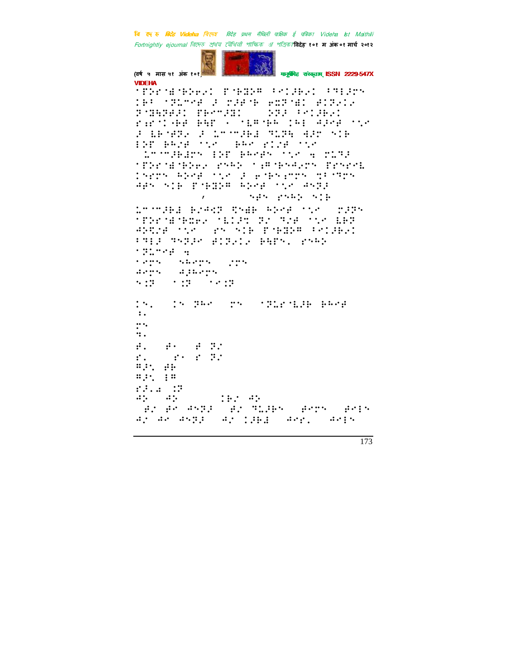बि एक रु मिनेट Videha विएक विदेह प्रथम मैथिली पाक्षिक ई पत्रिका Videha Ist Maithili Fortnightly ejournal রিদেত প্রথম মৌথিনী পাক্ষিক *ঙা পত্রিকা* **বিदेह १०१ म अंक०१ मार्च २०१२** 



(वर्ष ५ मास ५१ अंक १०१)

```
मानूबीह संस्कृताम् ISSN 2229-547X
```
**VIDEHA TERPORTERRY PORTER PRISER PRISON** TRA STORYE JA MJESE ROZSED BIZZIV Grammad, Berndal (1983–1913).<br>Karline empiriste (m. 1921–1914). F ERMARY F CHOMPAE MORE APP NIR INF BROB TOOK BRO FINE TOO Animabary (Projektey the acrust **TERMINERS PRAY THRANGER EPAPE** parts and the company refere ags sig rande bilg sle ash Serverse Sir  $\mathbf{r}$ LTOTHE EMPLE THE PROFILED COPP **TERPHINAL TELPS EN THE TOP ERP** ANDRE STAR (25 SIE POBBER FRIEND PREP REPORTED FOR STREET 121215-0 tags shaps and deps djibers.  $5.17 - 1.17 - 1.17$ In the BRA (1980) MBLE BACK BRAN  $\mathbf{L}$  $\cdots$  $\dddot{\mathbf{u}}$ .  $\mathbf{r}$ .  $\mathbb{R}^2 \times \mathbb{R}^2 \times \mathbb{R}^2$  $\mathbf{r}$ .  $997.99$  $\mathbb{R}^n$  :  $\mathbb{R}^n$ :3.a :3 192042  $\mathbb{R}^n_1, \ldots, \mathbb{R}^n_{n-1}$ **ART ART AND PART AREA** ARTN ARTN 将2004年1月12日 10月20日 1月25日 10月20日 10月20日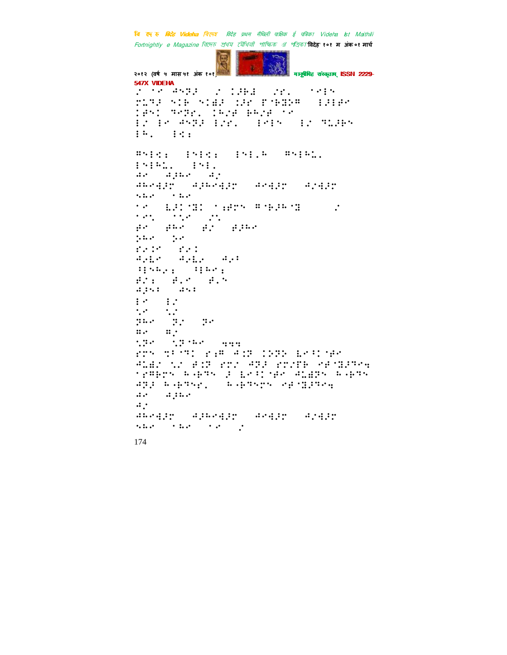```
चि एत् रू मिन्हे Videha निएन्थ विदेह प्रथम मैथिली पाक्षिक ई पत्रिका Videha Ist Maithili
Fortnightly e Magazine রিদেহ প্রথম মৌথিনী পাক্ষিক প্র পত্রিকা'বিदेह १०१ म अंक०१ मार्च
                    \bigodot10<sub>0</sub>SOUTH A
२०१२ (वर्ष ५ मास ५१ अंक १०१) मानुसार में अपनी अनुसार मध्यप्र प्रस्तान, ISSN 2229-
547X VIDEHA 
20!⢺⢽⢼.!2!⢼⢷⣜0!2 F0!30!
⣅⢹⢼!⢷!⣞⢼!⣈⢼ !0⢷⣝⢵⢻.!3⢼3⢾!
⢾!⢹⢽ F!⢳2⢾!⢷⢳2⢾!!
3203!⢺⢽⢼!32 F0!330!32!⢹⣅⢼⢷!
3⢳F0!3⣊⣐!
B300: 013F31, 035FB1, 035FB1,
134E. PH.
de different dir
⢺⢳⣚⢼0!⢺⢼⢳⣚⢼0!⢺⣚⢼0!⢺2⣚⢼!!
\sim 0.0 \sim 0.0 \sim 0.0 \sim!)⣇⢼⣝!⣐⢾!⢻⢷⢼⢳⣝*!0!2!!
\mathcal{O}(\mathcal{O}(1)) . The contract of the contract of the contract of the contract of the contract of the contract of the contract of the contract of the contract of the contract of the contract of the contract of the contra
∯0 pHo pl plHo
⢵⢳0!⢵!!
 ⢴⣈0! ⢴⣈!!
⢺⢴⣇0!⢺⢴⣇⢴0!⢺⢴B!!!
⢸3⢳⢴⣐0!⢸3⢳⣐!!!
∄Zi #.n #.n
B_29. Billion B
\frac{1}{2} \frac{1}{2} \frac{1}{2} \frac{1}{2} \frac{1}{2}\mathcal{D}^{(0)} and \mathcal{D}^{(1)}⢽⢳0!⢽20!⢽!!
0.000 0.000
⣁⢽0!⣁⢽⢳!!⣒⣒⣒!!
 !⣉B⢹! ⣐⢻!⢺⣈⢽!⢵⢽⢵!⣇⢸⢾!
⢺⣅⣞2!⣁2!⢾⣈⢽! 2!⢺⢽⢼! 20⢷!⢾⣝⢼⢹⣒!
 ⢻⢷!⢳C⢷⢹!⢼!⣇⢸⢾!⢺⣅⣞⢽!⢳C⢷⢹!
⢺⢽⢼!⢳C⢷⢹ F-!⢳C⢷⢹!⢾⣝⢼⢹⣒!!!!
de distant
\ddots⢺⢳⣚⢼0!⢺⢼⢳⣚⢼0!⢺⣚⢼0!⢺2⣚⢼!
when the control p
```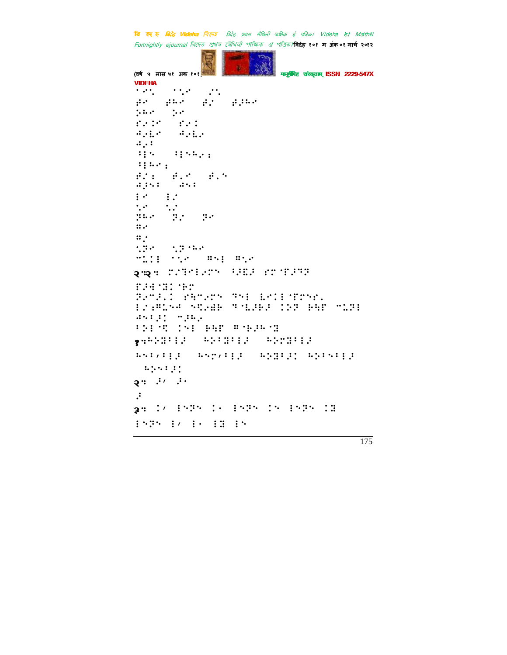चि एत् रू मिन्हे Videha निएन्थ विदेह प्रथम मैथिली पाक्षिक ई पत्रिका Videha Ist Maithili Fortnightly ejournal রিদেত প্রথম মৌথিনী পাক্ষিক প্র পত্রিকা**'বিदेह' १०१ म अंक०१ मार्च २०१२** 

**CONTRACTOR** (वर्ष ५ मास ५१ अंक १०१) साल करते हैं कि अपनी अपनी अपनी अपनी अपनी अधिकार ISSN 2229-547X VIDEHA  $\mathcal{O}(2)$  ,  $\mathcal{O}(2)$  ,  $\mathcal{O}(2)$  $\ddot{\theta}$  =  $\ddot{\theta}$  =  $\ddot{\theta}$  =  $\ddot{\theta}$  =  $\ddot{\theta}$  =  $\ddot{\theta}$  =  $\ddot{\theta}$  =  $\ddot{\theta}$  =  $\ddot{\theta}$  =  $\ddot{\theta}$  =  $\ddot{\theta}$  =  $\ddot{\theta}$  =  $\ddot{\theta}$  =  $\ddot{\theta}$  =  $\ddot{\theta}$  =  $\ddot{\theta}$  =  $\ddot{\theta}$  =  $\ddot{\theta}$  =  $\ddot{\theta}$  =  $\ddot{\theta}$  =  $\$ ⢵⢳0!⢵! ⢴⣈0! ⢴⣈! ⢺⢴⣇0!⢺⢴⣇⢴0!!  $\mathbf{a}$ . ⢸30!⢸3⢳⢴⣐0!!  $3$   $\vdots$   $3 \cdot \cdot \cdot$  $f(T) = f(T) - f(T)$ ⢺⢼B0!⢺B! 30!32!  $\frac{1}{2}$   $\frac{1}{2}$   $\frac{1}{2}$ ⢽⢳0!⢽20!⢽!  $\mathbf{u}$ .  $\mathbf{u}$ . ⣁⢽0!⣁⢽⢳! CONTROL CONTROL SECTION २७२ : 2019 : 2019 : 2020 : 2030 : 2030 : 2030 : 2030 : 2030 : 2030 : 2030 : 2030 : 2030 : 2030 : 2030 : 2030 : 0⢼⣚⣝⢷!! BRTAIL FRONT THE ESIPTER. 32⣐⢻⣅⢺!⣋⢴⣞⢷!⢹⣇⢼⢷⢼!⢵⢽!⢷⣓0!⣅⢽3! ⢺B⢼!⢼⢳⢴;! B⢵3⣋!3!⢷⣓0!⢻⢷⢼⢳⣝;!!! १⣒⢳⢵⣝B3⢼0!⢳⢵B⣝B3⢼0!⢳⢵⣝B3⢼0!  $B\rightarrow B$ 0.000 PM २ः २० २०  $\mathbf{.}^{\mathbf{:}}$ ३⣒!'!3⢽0l!3⢽0!3⢽0⣝! 3⢽03'03l03⣝03!!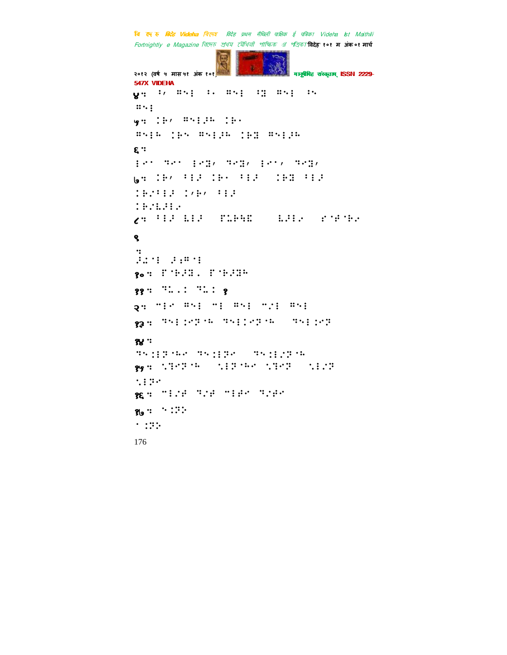```
चि एत् रू मिन्हे Videha निएन्थ विदेह प्रथम मैथिली पाक्षिक ई पत्रिका Videha Ist Maithili
Fortnightly e Magazine রিদেহ প্রথম মৌথিনী পাক্ষিক প্র পত্রিকা'বিदेह १०१ म अंक०१ मार्च
                               Service
२०१२ (वर्ष ५ मास ५१ अंक १०१) मानुसार संस्कृत । ISSN 2229-
547X VIDEHA 
४⣒!⢸'!⢻30⢸l!⢻30⢸⣝!⢻30⢸!
\cdots५. : 1990 - 1991 - 1992 - 1993 - 1993 - 1994 - 1994 - 1994 - 1994 - 1994 - 1994 - 1994 - 1994 - 1994 - 1995 - 1<br>1995 - 1996 - 1997 - 1998 - 1999 - 1999 - 1999 - 1999 - 1999 - 1999 - 1999 - 1999 - 1999 - 1999 - 1999 - 1999
⢻3⢳0⢷!⢻3⢼⢳0⢷⣝!⢻3⢼⢳!!
\varepsilon :
300 300 301 302 303 304 305 306 307
b<sup>4</sup> : H3 <sup>113</sup> 113 113 113
⢷2B3⢼0'⢷'!B3⢼!0!
⢷2⣇⢼3⢴!!
८⣒!B3⢼!⣇3⢼!)0⣅⢷⣓⣏*-!⣇⢼3⢴!) ⢾⢷⢴*!
९
\dddot{\bullet}She shakes
१०⣒!0⢷⢼⣝⣀!0⢷⢼⣝⢳!!
\{9\} : \ldots : \ldots ; \{9\}२⣒!3!⢻3!3!⢻3023!⢻3!!
१३⣒!⢹3⣈⢽⢳!⢹3⢽⢳-!⢹3⣈⢽!!
१४ ः
⢹⣈3⢽⢳!⢹⣈3⢽0!⢹⣈32⢽⢳!!
१५⣒!⣁⣙⢽⢳0!⣁3⢽⢳!⣁⣙⢽0!⣁32⢽0!
\ddot{\phantom{0}}१६⣒!32⢾0⢹2⢾!3⢾0⢹2⢾!!
g_{\mathsf{G}} : \ddots : : : : :
^{\circ} :31
176
```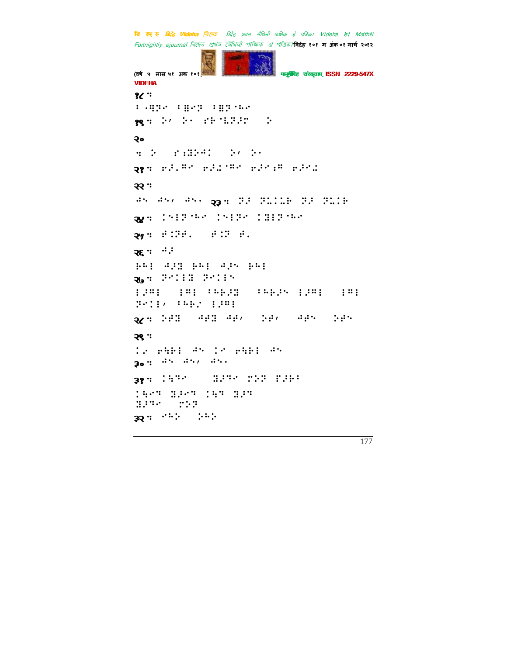चि एत् रू मिन्हे Videha निएन्थ विदेह प्रथम मैथिली पाक्षिक ई पत्रिका Videha Ist Maithili Fortnightly ejournal রিদেত প্রথম মৌথিনী পাক্ষিক প্র পত্রিকা**'বিदेह' १०१ म अंक०१ मार्च २०१२** 

(वर्ष ५ मास ५१ अंक १०१) मानुसीह संस्कृतम् ISSN 2229-547X VIDEHA  $\gamma$ BCO **BC** १९⣒!⢵'0⢵l) ⢷⣇⢽⢼\*!⢵!! २०  $\pm$  0  $\pm$  0  $\pm$  0.000  $\pm$  0.000  $\pm$  0.000  $\pm$ २१⣒!⢶⢼F⢻0⢶⢼⣌⢻!⢶⢼⣐⢻0⢶⢼⣌!! २२ :  $\frac{1}{2}$   $\frac{1}{2}$   $\frac{1}{2}$   $\frac{1}{2}$   $\frac{1}{2}$   $\frac{1}{2}$   $\frac{1}{2}$   $\frac{1}{2}$   $\frac{1}{2}$   $\frac{1}{2}$   $\frac{1}{2}$   $\frac{1}{2}$   $\frac{1}{2}$   $\frac{1}{2}$   $\frac{1}{2}$   $\frac{1}{2}$   $\frac{1}{2}$   $\frac{1}{2}$   $\frac{1}{2}$   $\frac{1}{2}$   $\frac{1}{2}$   $\frac{1}{2}$   $\$ २४ : 1913 (88) 1913 (88) २५ : ने स्टेट ने स्टे  $2\varepsilon$  :  $\therefore$ ⢷⢳30⢺⢼⣝!⢷⢳30⢺⢼!⢷⢳3!! २७ : 38113 : 38115 3⢼⢻30!3⢻3!B⢳⢷⢼⣝0!B⢳⢷⢼!3⢼⢻30!3⢻3! 3'1:, : : : : : : : : : : २८⣒!⢵⢾⣝0!⢺⢾⣝!⢺⢾'0!⢵⢾'0!⢺⢾0!⢵⢾!! २९ :  $\ddotsc$  , while  $\ddotsc$  is the set of  $\ddotsc$  $30$  :  $\frac{3}{2}$   $\frac{3}{2}$  :  $\frac{3}{2}$  :  $\frac{3}{2}$  :  $\frac{3}{2}$  :  $\frac{3}{2}$ 38 a : 1930 - 1930 - 1940 - 1940 - 1940 - 1940 - 1940 - 1940 - 1940 - 1940 - 1940 - 1940 - 1940 - 1940 - 1940 ⣓⢹0⣝⢼⢹0⣓⢹0⣝⢼⢹0!! ⣝⢼⢹!)⢵⢽\*!! ३२⣒!⢳⢵0!⢵⢳⢵!!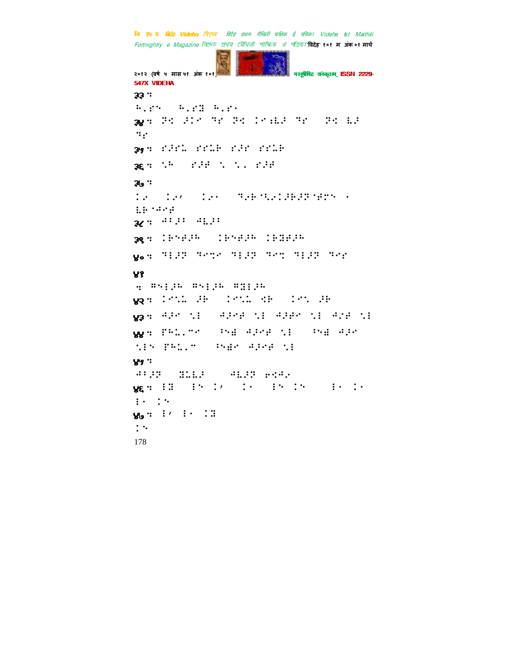```
चि एत् रू मिन्हे Videha निएन्थ विदेह प्रथम मैथिली पाक्षिक ई पत्रिका Videha Ist Maithili
Fortnightly e Magazine রিদেহ প্রথম মৌথিনী পাক্ষিক প্র পত্রিকা'বিदेह १०१ म अंक०१ मार्च
२०१२ (वर्ष ५ मास ५१ अंक १०१ सम्बंध में सम्बंधित संस्कृतम् ISSN 2229-
547X VIDEHA 
178
३३ :
F_1 F_2 F_3 F_4 F_5 F_6 F_7 F_8 F_9 F_9 F_9३४⣒!⢽⣊!⢼!⢹ 0⢽⣊!⣐⣇⢼!⢹ 0!⢽⣊!⣇⢼!
\dddot{ }:
३५⣒! ⢼ ⣅. ⣅⢷! ⢼ . ⣅⢷!!
३६⣒!⣁⢳0! ⢼⢾!⣁0⣁⣀0 ⢼⢾!!
3\frac{1}{2}\mathbb{I}.) \mathbb{I} \mathbb{I} \mathbb{I} \mathbb{I} \mathbb{I} \mathbb{I} \mathbb{I} \mathbb{I} \mathbb{I} \mathbb{I} \mathbb{I} \mathbb{I} \mathbb{I} \mathbb{I} \mathbb{I} \mathbb{I} \mathbb{I} \mathbb{I} \mathbb{I} \mathbb{I} \mathbb{I} \mathbb{I} \mathbb{I} \mathbb⣇⢷⢺⢾*!!
36 : 35 35३९⣒!⢷⢾⢼⢳0!⢷⢾⢼⢳!⢷⣝⢾⢼⢳!!
४०⣒!⢹3⢼⢽!⢹⣉!⢹3⢼⢽!⢹⣉0⢹3⢼⢽!⢹ !!
४१
⣒!⢻3⢼⢳!⢻3⢼⢳0⢻⣝3⢼⢳!!
४२⣒!⣁⣅!⢼⢷0!⣁⣅!⣊⢷0!⣁!⢼⢷!!
४३⣒!⢺⢼!⣁30!⢺⢼⢾!⣁3!⢺⢼⢾!⣁30⢺2⢾!⣁3!!
४४⣒!0⢳⣅F0!⢸⣞!⢺⢼⢾!⣁30!⢸⣞!⢺⢼!
\overline{3} 0 FD. The FO September 19
YY'⢺B⢼⢽!)⣝⣅⣇⢼*0!⢺⣇⢼⢽)⢶⣊⢺⢴*!!
४६⣒!3⣝0!3!'0!l0!3!!0!3l!l0!
3 \cdot 3 \cdot 3y_0: '3' : ' : ' : ' : ' : ''\cdot :
```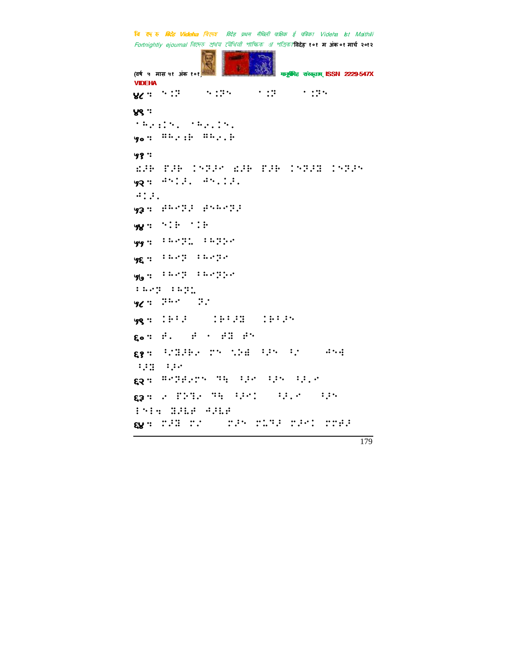```
चि एत् रू मिन्हे Videha निएन्थ विदेह प्रथम मैथिली पाक्षिक ई पत्रिका Videha Ist Maithili
Fortnightly ejournal রিদেত প্রথম মৌথিনী পাক্ষিক প্র পত্রিকা'বিदेह' १०१ म अंक०१ मार्च २०१२
(वर्ष ५ मास ५१ अंक १०१) मानुसीह संस्कृतम् ISSN 2229-547X
VIDEHA 
४८⣒!⣈⢽!0!⣈⢽!0!⣈⢽!0!⣈⢽!!
४९⣒!!
⢳⢴⣐F!⢳⢴FF!!
५०⣒!⢻⢳⢴⣐⢷!⢻⢳⢴F⢷!!
५१ "
⣎⢼⢷!0⢼⢷!⢽⢼!⣎⢼⢷!0⢼⢷!⢽⢼⣝0⢽⢼!!
५२ : <sup>45</sup>13. 45.13.
\vdots:
५३⣒!⢾⢳⢽⢼!⢾⢳⢽⢼!!
५y : २००१ : १९४
५५⣒!B⢳⢽⣅!B⢳⢽⢵!!
५६⣒!B⢳⢽!B⢳⢽!!
y_0: \cdots \cdots \cdots \cdotsBest Best
५८ : <sup>200</sup> : 22
५९ : Bº3 : 1993 : Bº3 : 1993
g_0 : \vec{r}, \vec{r} is \vec{r} : \vec{r} : \vec{r}६१⣒!⢸2⣝⢼⢷⢴!!⣁⢵⣞.⢸⢼0⢸20-!⢺⣚.
⢸⢼⣝0⢸⢼-!!
६२⣒!⢻⢽⢾⢴!⢹⣓!⢸⢼0⢸⢼0⢸⢼F!!!
६३⣒!⢴!0⢵⣙⢴!⢹⣓!⢸⢼0!⢸⢼F0!⢸⢼0!
33⣒!⣝⢼⣇⢾!⢺⢼⣇⢾!!
६४⣒!⢼⣝!2!0!⢼!⣅⢹⢼!⢼!⢾⢼!!
```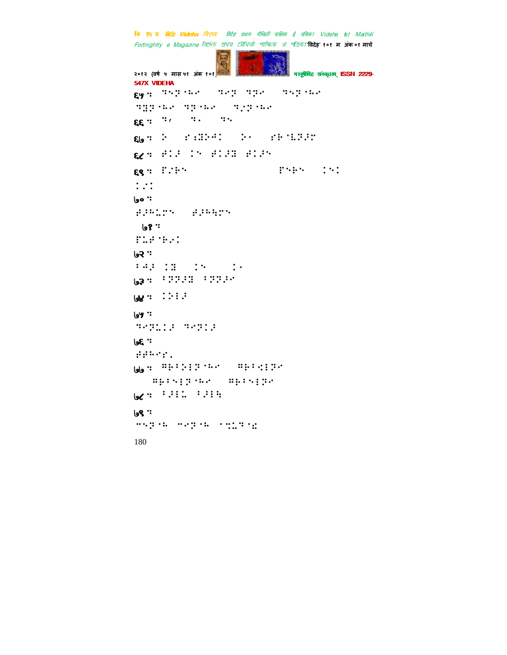```
चि एत् रू मिन्हे Videha निएन्थ विदेह प्रथम मैथिली पाक्षिक ई पत्रिका Videha Ist Maithili
Fortnightly e Magazine রিদেহ প্রথম মৌথিনী পাক্ষিক প্র পত্রিকা'বিदेह १०१ म अंक०१ मार्च
                          Country
२०१२ (वर्ष ५ मास ५१ अंक १०१) मानुसार में अधिकारिक संस्कृतम् ISSN 2229-
547X VIDEHA 
६५⣒!⢹⢽⢳0!⢹⢽!⢹⢽0!⢹⢽⢳0!
⢹⣝⢽⢳!⢹⢽⢳0!⢹2⢽⢳!!
६६ : <sup>प</sup>राणिक : प्रधान
६७⣒!⢵!) ⣐⣝⢵⢺*!⢵l!) ⢷⣇⢽⢼*!!
६८⣒!⢾⢼!!⢾⢼⣝!⢾⢼!!
६९ व में प्रतिक्रिया के लिए किया है। इस प्रतिक्रिया के लिए किया है कि इस प्रतिक्रिया की प्रतिक्रिया की प्रतिक्
\ddots७०⣒!
⢾⢼⢳⣅0!⢾⢼⢳⣓!!
 '' १७
0⣅⢾⢷⢴!!
'' ১
Bélia de la propincia de
७३⣒!B⢽⢽⢼⣝0B⢽⢽⢼!!
\mathbf{S}: \mathbf{S}99 :
⢹⢽⣅⢼!⢹⢽⢼!!
e⢾⢾⢳ F!!
७७⣒!⢻⢷B⢵3⢽⢳0!⢻⢷B⣊3⢽0!
  !!⢻⢷B3⢽⢳0!⢻⢷B3⢽!!
66 : 329 : 329 : 329\mathcal{S}_e⢽⢳!⢽⢳)⣉⣅⢹⣎*!!180
```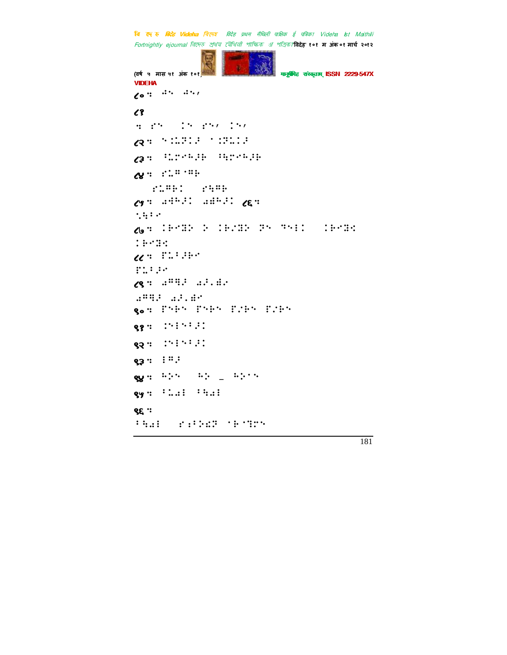```
चि एत् रू मिन्हे Videha निएन्थ विदेह प्रथम मैथिली पाक्षिक ई पत्रिका Videha Ist Maithili
Fortnightly ejournal রিদেত প্রথম মৌথিনী পাক্ষিক প্র পত্রিকা'বিदेह' १०१ म अंक०१ मार्च २०१२
(वर्ष ५ मास ५१ अंक १०१) मान<sup>ुक्रम</sup> मानुसिंह संस्कृतम् ISSN 2229-547X
VIDEHA 
\zetao: \mathbb{R}^n \mathbb{R}^n \mathbb{R}^n,
८१
H 25 (25 25) 25)
८२⣒!⣈⣅⢽⢼!⣈⢽⣅⢼!!
८३⣒!⢸⣅⢳⢼⢷!⢸⣓⢳⢼⢷!!
\alpha : \mathbb{R}^n : \mathbb{R}^n\ddotsc \ddotsc \ddotsc८५⣒!⣔⣚⢳⢼!⣔⣞⢳⢼!८६⣒!
\frac{1}{2}८७⣒!⢷⣝⢵0⢵!⢷2⣝⢵!⢽!⢹3!0⢷⣝⣊.
⢷⣝⣊!!
८८⣒!0⣅B⢼⢷!!
0⣅B⢼!!
८९⣒!⣔⢻⣛⢼.⣔⢼F⣞⢴!
⣔⢻⣛⢼.⣔⢼F⣞!!
९०९ Fren Fren Fren Fren
९१ : '' '' '' ''
९२ : ' ' ' ' ' ' ' ' '
\sqrt{93} : \frac{1}{2} : \frac{1}{2}९४ अप्रैल का साथ पर प्रदेश के प्रदेश से प्रदेश के प्रदेश के प्रदेश के प्रदेश के प्रदेश के प्रदेश के प्रदेश के प<br>जनसंख्या का प्रदेश के प्रदेश के प्रदेश के प्रदेश के प्रदेश के प्रदेश के प्रदेश के प्रदेश के प्रदेश के प्रदेश 
९५ : 'bat 'bat
९६ :
Bas Constantino
```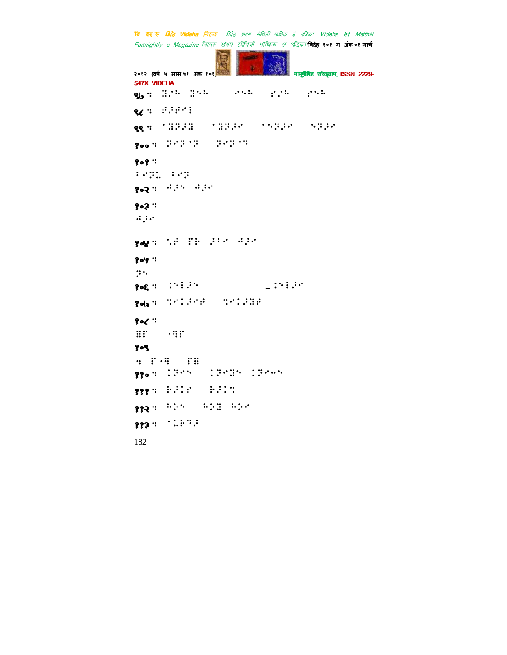```
चि एत् रू मिन्हे Videha निएन्थ विदेह प्रथम मैथिली पाक्षिक ई पत्रिका Videha Ist Maithili
Fortnightly e Magazine রিদেহ প্রথম মৌথিনী পাক্ষিক প্র পত্রিকা'বিदेह १०१ म अंक०१ मार्च
२०१२ (वर्ष ५ मास ५१ अंक १०१) मानुष्य मानुसार संस्कृतम् ISSN 2229-
547X VIDEHA 
182
९७ : 2015 : 250 : 2016 : 2016 : 250
\mathsf{S} \mathcal{C} : \mathbb{R}^3 \mathbb{R}^3 : \mathbb{R}^3 :
९९⣒!⣝⢽⢼⣝.!⣝⢽⢼0!⢽⢼0!⢽⢼!!
१००⣒!⢽⢽⢽.!⢽⢽⢹!!
१०१ :
Begin 199
803 : \frac{11}{20} : \frac{11}{20}१०३ :
\mathcal{A}jo:ejstonfou tfotfolio tfotfolio tfotfolio tfotfolio tfotfolio tfotfolio tfotfolio tfotfolio tfotfolio
१०४ मा अस्ति । अस्ति । अस्ति । अस्ति । अस्ति । अस्ति । अस्ति । अस्ति । अस्ति । अस्ति । अस्ति । अस्
30A:
\mathbf{::}306 : 30131१०७⣒!⣉⢼⢾.!⣉⢼⣝⢾!!
१०८\cdot :
\mathbf{u} ...
१०९
⣒!0C⣛.!0⣟!!
१९०५ - २००० - २००० - २००० - २०००
१११⣒!⢷⢼ .!⢷⢼⣉!!
११२ : २०१० : २०१० : २०१०
883 :: '...
```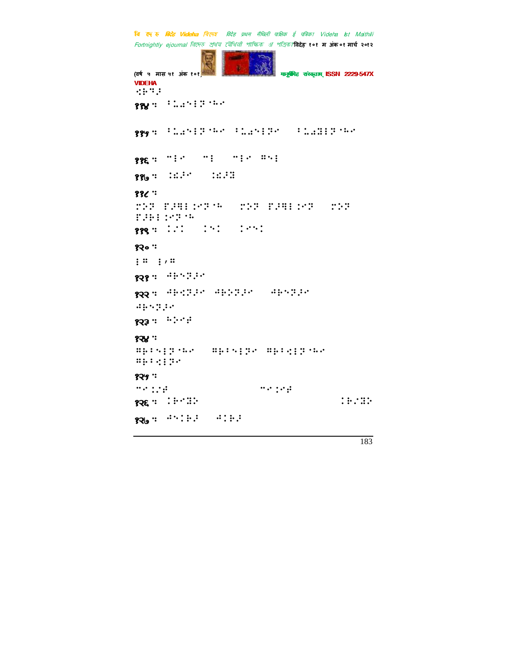```
चि एत् रू मिन्हे Videha निएन्थ विदेह प्रथम मैथिली पाक्षिक ई पत्रिका Videha Ist Maithili
Fortnightly ejournal রিদেত প্রথম মৌথিনী পাক্ষিক প্র পত্রিকা'বিदेह' १०१ म अंक०१ मार्च २०१२
(वर्ष ५ मास ५१ अंक १०१) मानुसीह संस्कृतम् ISSN 2229-547X
VIDEHA 
⣊⢷⢹⢼!!
१९४ : में प्रेजनीय करने हैं किया
११५⣒!B⣅⣔3⢽⢳0B⣅⣔3⢽0!B⣅⣔⣝3⢽⢳!
११६ में 31. 30 जाती है। 30 जाती है कि अपनी कार्य के बाद से अपनी कार्य के बाद से अपनी कार्य क
११७⣒!⣈⣎⢼.!⣈⣎⢼⣝!!
38C :
⢵⢽!0⢼⣛3⣈⢽⢳0!⢵⢽!0⢼⣛3⣈⢽0!⢵⢽!
0⢼⢷3⣈⢽⢳!!
339 = 222 222 = 222१२०⣒!
3' \vdots 3' \vdots 3'838 : \frac{11}{200}१२२ अप्रेल अप्रेल अप्रेल अप्रेल अप्रेल
⢺⢷⢽⢼!!
833 : ... , ...१२४ ः
⢻⢷B3⢽⢳0!⢻⢷B3⢽!⢻⢷B⣊3⢽⢳0!
⢻⢷B⣊3⢽!!
33.12^{\circ}. 2^{\circ}. 2^{\circ}\mathbf{326} : \mathbf{137} : \mathbf{237}92\frac{1}{9} : \frac{1}{9} : \frac{1}{9} : \frac{1}{9} : \frac{1}{9} : \frac{1}{9} : \frac{1}{9} : \frac{1}{9} : \frac{1}{9} : \frac{1}{9} : \frac{1}{9} : \frac{1}{9} : \frac{1}{9} : \frac{1}{9} : \frac{1}{9} : \frac{1}{9} : \frac{1}{9} : \frac{1}{9} : \frac
```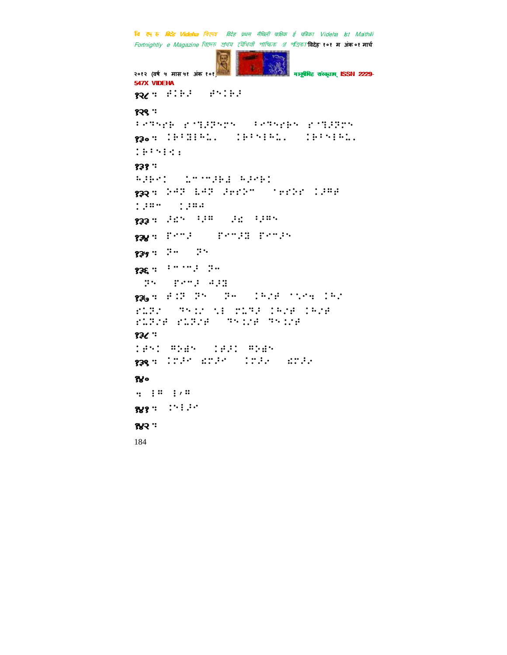```
चि एत् रू मिन्हे Videha निएन्थ विदेह प्रथम मैथिली पाक्षिक ई पत्रिका Videha Ist Maithili
Fortnightly e Magazine রিদেহ প্রথম মৌথিনী পাক্ষিক প্র পত্রিকা'বিदेह १०१ म अंक०१ मार्च
                              Separate
२०१२ (वर्ष ५ मास ५१ अंक १०१ सम्बंध में सम्बंधित संस्कृतम् ISSN 2229-
547X VIDEHA 
१२८⣒!⢾⢷⢼.!⢾⢷⢼!!
१२९⣒!!
BØRGE & MØRGE = PØRGEN & MØRGE
१३०⣒!⢷B⣝3⢳⣅F0!⢷B3⢳⣅F0!⢷B3⢳⣅F!
⢷B3⣊⣐!!
१३१⣒!
⢳⢼⢷!)⣅⢼⢷⣜!⢳⢼⢷*!!
१३२⣒!⢵⢺⢽!⣇⢺⢽!⢼⢶ ⢵0!⢶ ⢵ !⢼⢻⢾0!
⢼⢻0!⢼⢻⢺!
१३३⣒!⢼⣎!⢸⢼⢻0!⢼⣎.⢸⢼⢻!!
१३४ : Print - Printe Prints
334 : "..."336 : \cdots . : \cdots)⢽*!0⢼!⢺⢼⣝!!
१३७⣒!⢾⣈⢽!⢽!)⢽⢲*!⢳2⢾!⣁⣒!⢳20!
 ⣅⢽20!⢹⣈2!⣁3!⣅⢹⢼!⢳2⢾.⢳2⢾0!
 ⣅⢽2⢾. ⣅⢽2⢾0!⢹⣈2⢾.⢹⣈2⢾!
१३८ :
^{\circ} [#51] ^{\circ} 0 ^{\circ} 0 ^{\circ} 0 ^{\circ} 0 ^{\circ} 0 ^{\circ} 0 ^{\circ} 0 ^{\circ} 0 ^{\circ} 0 ^{\circ} 0 ^{\circ} 0 ^{\circ} 0 ^{\circ} 0 ^{\circ} 0 ^{\circ} 0 ^{\circ} 0 ^{\circ} 0 ^{\circ} 0 ^{\circ} 0 ^{\circ} 0 ^{\circ} 0 ^{\circ} 0 ^{\circ} 0 ^१३९ : 100% and 1000 inde
१४०
\frac{1}{3} : \frac{1}{3} : \frac{1}{3} : \frac{1}{3} : \frac{1}{3}883 : 393१४२ :
```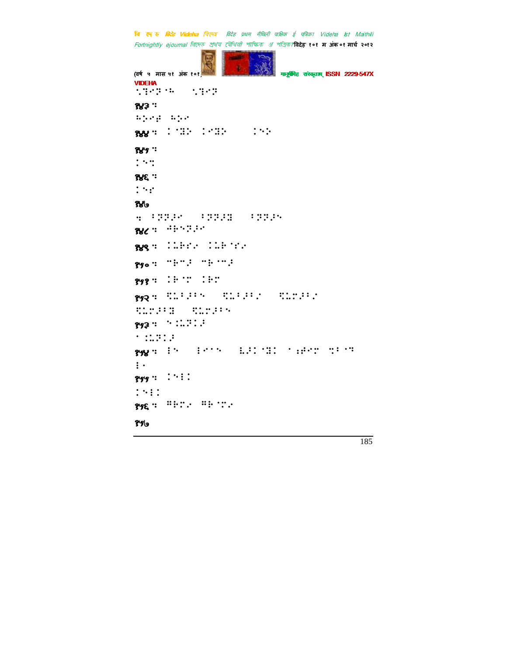```
County
(वर्ष ५ मास ५१ अंक १०१) मानुसीह संस्कृतम् ISSN 2229-547X
VIDEHA 
⣁⣙⢽⢳0!⣁⣙⢽!!
१४३⣒!!
\mathbf{h}^{\mathsf{T}}_{\mathsf{T}} \mathbf{e}^{\mathsf{T}}_{\mathsf{T}} \mathbf{f} = \mathbf{h}^{\mathsf{T}}_{\mathsf{T}} \mathbf{e}^{\mathsf{T}}१४४⣒!⣝⢵!⣝⢵!0!⢵!!
\gamma: \cdot :
१४६⣒!
\ddot{\phantom{0}}१४७
⣒!B⢽⢽⢼0!B⢽⢽⢼⣝0!B⢽⢽⢼!!
१४८ : में में भारत पर
१९९ : 11917 : 11917 : 1292
१५० : " : " : " : " : " :
१५१ : !! : : : : : : : :
१५२⣒!⣋⣅B⢼B0!⣋⣅B⢼B20!⣋⣅⢼B2!
SANDER STATE
843 \div \div \div \div \div^{\prime} :1.313
१५४⣒!30!3!)⣇⢼⣝!⣐⢾!⣉B⢹*.!
\vdots१५५⣒!30!!
3!!
१५६⣒!⢻⢷⢴!⢻⢷⢴!!
१५७
```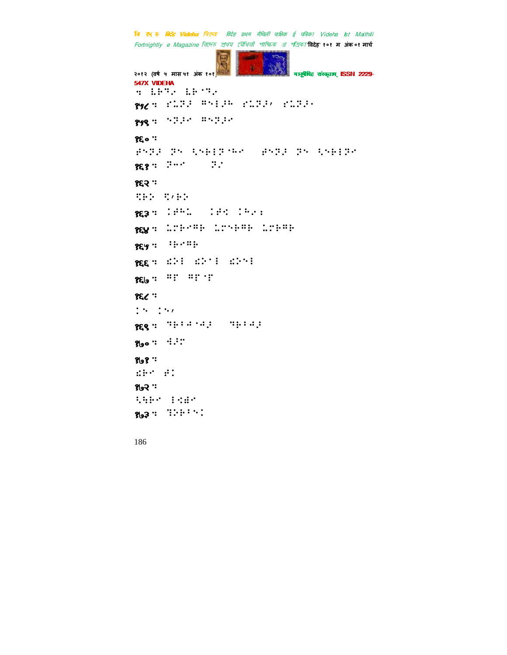```
Fortnightly e Magazine রিদেহ প্রথম মৌথিনী পাক্ষিক প্র পত্রিকা'বিदेह १०१ म अंक०१ मार्च
                        Service
२०१२ (वर्ष ५ मास ५१ अंक १०१) मानुष्य कर देखे मानुवीपित संस्कृतम् ISSN 2229-
547X VIDEHA 
⣒!⣇⢷⢹⢴!⣇⢷⢹⢴!!
१५८⣒! ⣅⢽⢼!⢻3⢼⢳! ⣅⢽⢼'0 ⣅⢽⢼l!!
१५९ : १९९३ : १९९३
१६०⣒!
⢾⢽⢼!⢽!⣃⢷3⢽⢳0!⢾⢽⢼!⢽!⣃⢷3⢽!!
868 : 2.7 2.2?88
THE U.S.
१६३⣒!⢾⢳⣅0!⢾⣊!⢳⢴⣐!!
१६४⣒!⣅⢷⢻⢷.⣅⢷⢻⢷!⣅⢷⢻⢷!!
\mathcal{H}१६६ अप्रैली अंग्रेज़ी अंग्रेज़ी
350 : 930 : 930१६८ :
\mathbb{R}^n : \mathbb{R}^n१६९ : Bible of Paper
g_{\theta}\circ : \vdots:
१७१:
⣎⢷!⢾!!
१७२ :
SHEP 1345
903 : 1.993
```
चि एत् रू मिन्हे Videha निएन्थ विदेह प्रथम मैथिली पाक्षिक ई पत्रिका Videha Ist Maithili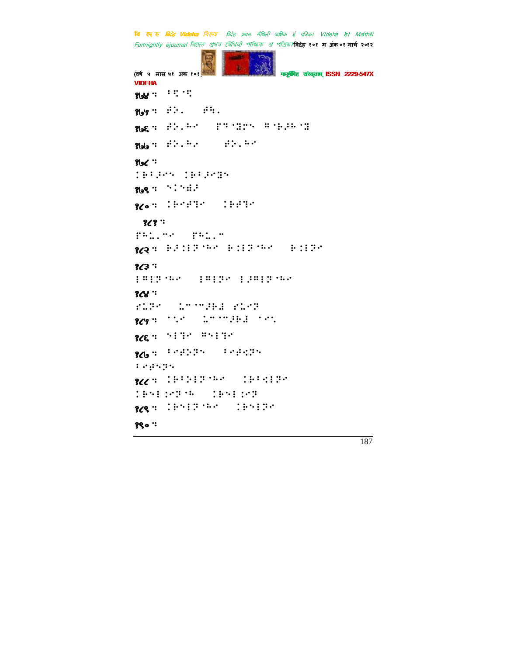```
चि एत् रू मिन्हे Videha निएन्थ विदेह प्रथम मैथिली पाक्षिक ई पत्रिका Videha Ist Maithili
Fortnightly ejournal রিদেত প্রথম মৌথিনী পাক্ষিক প্র পত্রিকা'বিदेह' १०१ म अंक०१ मार्च २०१२
(वर्ष ५ मास ५१ अंक १०१) मानुसीह संस्कृतम् ISSN 2229-547X
VIDEHA 
y \rightarrow y : \vdots : \vdotsy_{\theta}y :: \vdots: \vdots१७६९ मध्ये सम्पादन में अपनी सम्पादन करते हैं।
900 : \therefore \therefore \therefore \therefore \therefore \therefore \therefore \therefore \therefore \therefore \therefore \therefore \therefore \therefore \therefore \therefore \therefore \therefore \therefore \therefore \therefore \therefore \therefore \therefore \therefore \therefore \therefore \therefore \therefore \therefore \therefore \therefore \therefore \therefore \therefore \there१७८\cdotCBF2PN CBF2PHP
908 : \cdot : \cdot : : : :
\gamma3(3:0⢳⣅F0!0⢳⣅F!!
१८२⣒!⢷⢼⣈3⢽⢳!⢷⣈3⢽⢳0!⢷⣈3⢽!!
8(3:3⢻3⢽⢳0!3⢻3⢽!3⢼⢻3⢽⢳!!
3C3 :
 ⣅⢽!)⣅⢼⢷⣜! ⣅⢽*!!
१८५ : २०१० : २०१०: २०१३ : २०१५
१८६⣒!3⣙!⢻3⣙!!
१८७⣒!B⢾⢵⢽0!B⢾⣊⢽0!!
B⢾⢽!!
१८८ : 199313 : 1993 : 1993
⢷3⣈⢽⢳0!⢷3⣈⢽!!
१८९ : २००३ अध्यक्ष सम्बद्धाः
१९०⣒!!
```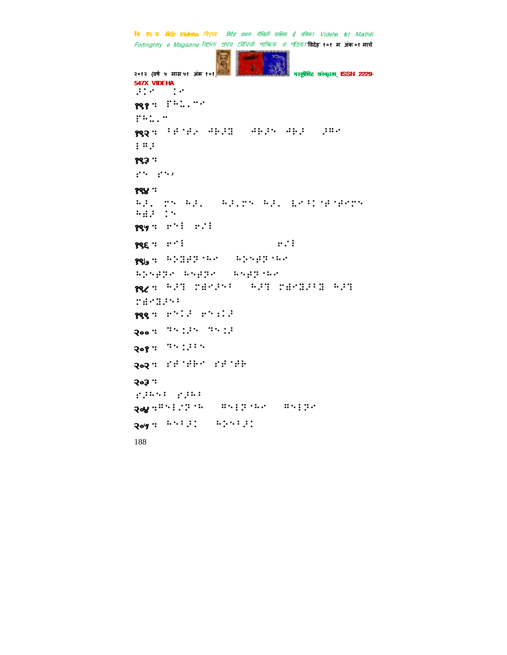```
चि एत् रू मिन्हे Videha निएन्थ विदेह प्रथम मैथिली पाक्षिक ई पत्रिका Videha Ist Maithili
Fortnightly e Magazine রিদেহ প্রথম মৌথিনী পাক্ষিক প্র পত্রিকা'বিदेह १०१ म अंक०१ मार्च
२०१२ (वर्ष ५ मास ५१ अंक १०१) मान<sup>9</sup> सम्बद्धाः अपि मानुसीनेह संस्कृताम् ISSN 2229-
547X VIDEHA 
188
⢼0!!!
१९१ : "
run ...
१९२८ में Bए अपनी प्राप्त करने के अन्य प्राप्त करने के अन्य प्राप्त करने के अन्य प्राप्त करने के अन्य प्राप्त
; " :१९३⣒!!
\mathbf{r}^{\prime\prime} , \mathbf{r}^{\prime\prime\prime} ,
१९४ :
⢳⢼F!!⢳⢼F!)⢳⢼F!⢳⢼F!⣇⢸⢾⢾!
bd3 : 15
899 : "3! "3! "3!"\mathbf{396} : \mathbf{30} \mathbf{30}१९७⣒!⢳⢵⣝⢾⢽⢳0!⢳⢵⢾⢽⢳0!
⢳⢵⢾⢽0⢳⢾⢽0!⢳⢾⢽⢳!!
१९८⣒!⢳⢼⣙!⣞⢼B0!⢳⢼⣙!⣞⣝⢼B⣝0⢳⢼⣙!
⣞⣝⢼B!!
१९९⣒!⢶⢼!⢶⣐⢼!!
२०० : २००९ : २००९ : २०
208 : 5.33333२०२ मा जनगणने जनगणने
२०३⣒!!
 ⢼⢳B! ⢼⢳B!!
२०४⣒⢻32⢽⢳0!⢻3⢽⢳0!⢻3⢽!!
२०५ : मेडिया सामाना
```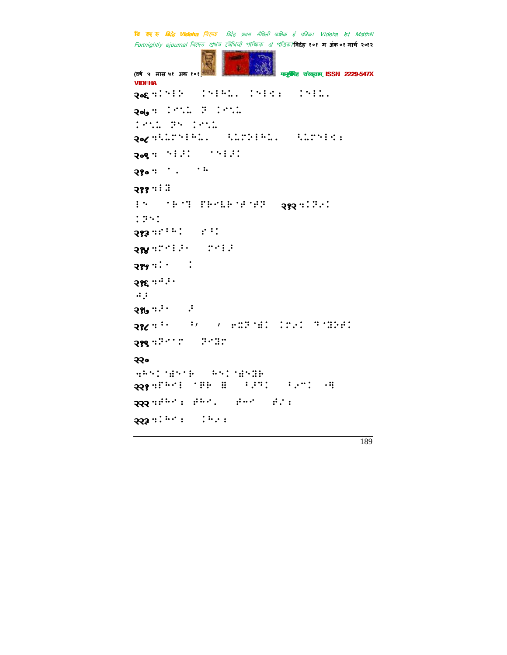```
(वर्ष ५ मास ५१ अंक १०१) मान<sup>ुक्रम</sup> मानुसिंह संस्कृतम् ISSN 2229-547X
VIDEHA 
२०६ सा २००९ मा २००९ मा २००९ मा २००९ मा २००९ सा २००९ सा २००९ सा २००९ सा २००९ सा २००९ सा २००९ सा २००९ सा २००९ सा
300 : ' : ' : " : ' : ' : ' : '1951 396 1951
२०८⣒⣃⣅3⢳⣅F0!⣃⣅⢵3⢳⣅F0!⣃⣅3⣊⣐!!
२०९ : '13% : '13%
२१०⣒!⣀0!⢳!!
288 :: 33!)⢷⣙.0⢷⣇⢷⢾⢾⢽*!२१२⣒⢽⢴0!
\ddots233 B: 101 B: 101२१४⣒3⢼l0!3⢼!!
289: \cdot :
385 .....
\ddots :
380 ::२१८⣒⢸l!0⢸'!)'!⢶⣍⢽⣞!⢴!⢹⣝⢵⢾*!!
२१९⣒⢽0!⢽⣝!!
२२०
⣒⢳⣞⢷0!⢳⣞⣝⢷!!
२२१ असमिती जिले के बाद प्राप्त करने असे
२२२ परिवेक समिति । इति समिति । इति समिति । इति समिति । इति समिति । इति समिति । इति समिति । इति समिति । इति समि<br>प्राचीन समिति । इति समिति । इति समिति । इति समिति । इति समिति । इति समिति । इति समिति । इति समिति । इति समिति
223 :: :: :: :: :: ::
```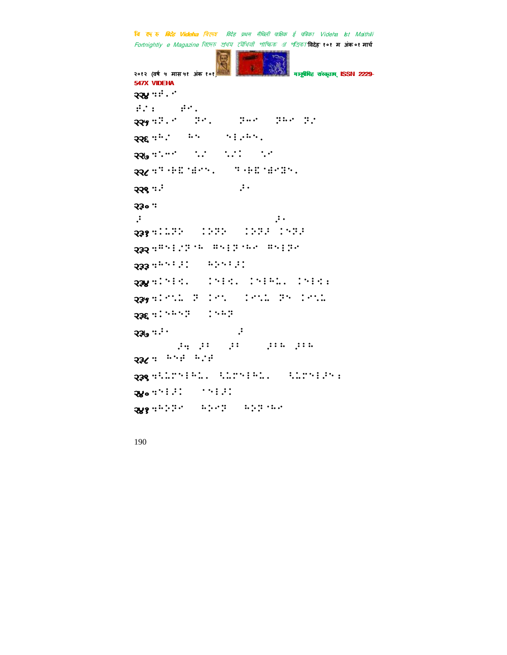Fortnightly e Magazine রিদেহ প্রথম মৌথিনী পাক্ষিক প্র পত্রিকা**'বিदेह १०१ म अंक०१ मार्च** २०१२ (वर्ष ५ मास ५१ अंक १०१ किलोमी सम्बंधित संस्कृतम् ISSN 2229-547X VIDEHA २२४ ःः . .  $f(t) = -f(t)$ २२५ मध्यप्राप्त स्थान करण प्राप्त स्थान करण प्राप्त स्थान करण प्राप्त स्थान करण प्राप्त स्थान करण २२६ प<sup>2</sup>े कर्ता कर जाता है। २२७⣒⣁⢲0!⣁20!⣁2!0⣁!! २२८⣒⢹C⢷⣏⣞F0!⢹C⢷⣏⣞⣝F!!  $228$   $\therefore$ २३०⣒!!  $\mathcal{F}$  ) denote the density of  $\mathcal{F}$  . We also also the density of  $\mathcal{F}$ २३१⣒⣅⢽⢵0!⢵⢽⢵-!⢵⢽⢼0⢽⢼! २३२⣒⢻32⢽⢳.⢻3⢽⢳.⢻3⢽! २३३ : में पारित के सिर्फ कर हो ! २३४ अमेरिकेट का प्राप्त करते हैं। अन्य स्टेड के अन्य स्टेड के अन्य स्टेड के अन्य स्टेड के अन्य स्टेड के अन्य स<br>इन्द्र स्टेड के अन्य स्टेड के अन्य स्टेड के अन्य स्टेड के अन्य स्टेड के अन्य स्टेड के अन्य स्टेड के अन्य स्टेड २३५ साल पानी के लिए किया किया है।  $536$   $\ldots$  ,  $\ldots$  :  $\ldots$  :  $\ldots$  :  $\ldots$  :  $330 \ldots$ , boe\*0, Boe\*0, Boe\*0, Boe\*0, Boe\*0, Boe\*0, Boe\*0, Boe\*0, Boe\*0, Boe\*0, Boe\*0, Boe\*0, Boe\*0, Boe\*0, Boe\*0, Boe\*0, २३८ मा असमे असमे २३९⣒⣃⣅3⢳⣅F.⣃⣅3⢳⣅F.!⣃⣅3⢼⣐! २४० : २३% : २३% : २४% : २३% : २४% : २४% : २४% : २४% : २४% : २४% : २४% : २४% : २४% : २४% : २४% : २४% : २४% : २४% : 23% : 23% : 23% : 23% : 23% : 23% : 23% : 23% : 23% : 23% : 23% : 23% : 23% : 23% : 23% : 23% : 23% : 23% : २४१⣒⢳⢵⢽.!⢳⢵⢽0!⢳⢵⢽⢳0!

चि एत् रू मिन्हे Videha निएन्थ विदेह प्रथम मैथिली पाक्षिक ई पत्रिका Videha Ist Maithili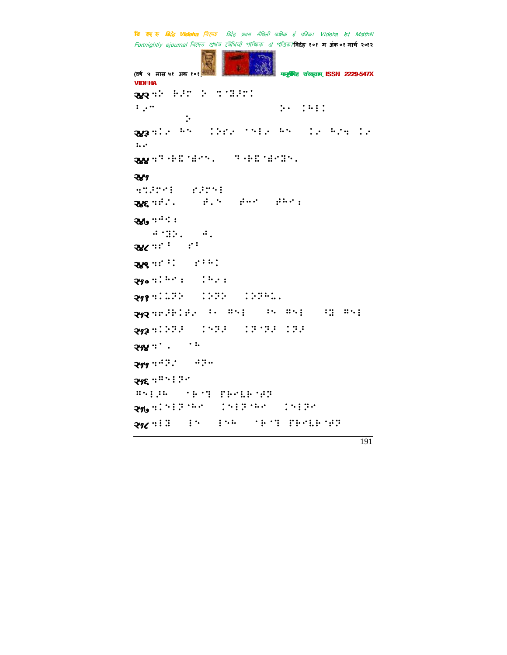```
Fortnightly ejournal রিদেত প্রথম মৌথিনী পাক্ষিক প্র পত্রিকা'বিदेह' १०१ म अंक०१ मार्च २०१२
                             Separate
(वर्ष ५ मास ५१ अंक १०१) मानुसीह संस्कृतम् ISSN 2229-547X
VIDEHA 
२४२⣒⢵.⢷⢼!⢵!⣉⣝⢼!
Boyden bokvoduje pokovoduje početki pokovoduje pokovoduje pokovoduje pokovoduje početki pokovoduje početki po
               \ddot{\cdot}२४३⣒⢴!⢳0!⢵ ⢴!3⢴!⢳0!⢴!⢳2⣒!⢴!
\ddot{\cdot}.
२४४⣒⢹C⢷⣏⣞F0!⢹C⢷⣏⣞⣝F!
२४५
⣒⣉⢼30! ⢼3!!
२४६ परिया जाती है। अन्य समिति होती है
२४७\cdotः\cdotः
     \frac{d}{dt} \frac{d}{dt} \frac{d}{dt} \frac{d}{dt} = \frac{d}{dt}२४८ पर विजय
२४९⣒ ⢸0! B⢳!
२५० : \ddots : \ddots :
२५? : 1129 : 1129 : 1129 : 1129 : 1249 : 1249 : 1249 : 1249 : 1249 : 1249 : 1249 : 1249 : 1249 : 1249 : 1249 : 
२५२ अमेरिकेट के सम्मी का सम्मी का सम्मी सम्मी
२५३⣒⢵⢽⢼0!⢽⢼0!⢽⢽⢼0⢽⢼!
२५४ : २०९
२५५ : 20
२५६ : " : ! : ! :
SAID 3 10
२५७ : 2013 : 2014 : 2015 : 2015 : 2016 : 2016 : 2016 : 2016 : 2016 : 2016 : 2016 : 2016 : 2016 : 2016 : 2017 :
२५८ अर्थ अपना अपना अधिकारण अपना अधिकारण अपना अधिकारण अपना अधिकारण अपना अधिकारण अप
```
चि एत् रू मिन्हे Videha निएन्थ विदेह प्रथम मैथिली पाक्षिक ई पत्रिका Videha Ist Maithili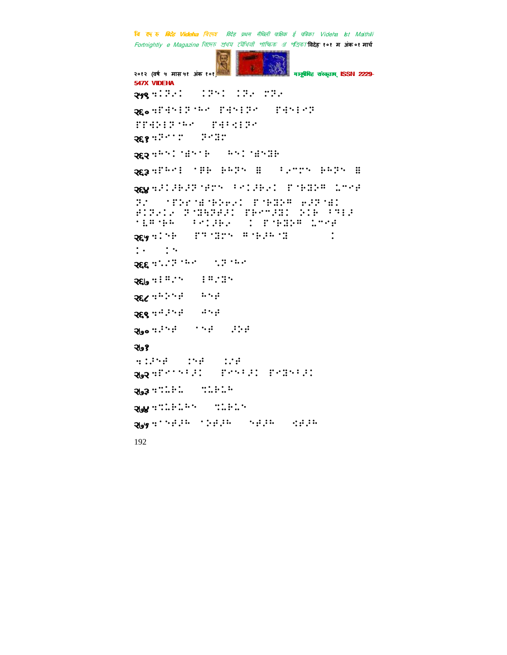**Separate** 

२०१२ (वर्ष ५ मास ५१ अंक १०१) मानुसारी मानुसारित संस्कृतम् ISSN 2229-547X VIDEHA 192 २५९ सा. २००१ - २००१ सा. २००१ सा. २६० अमेरिके अधिकारी से साथ प्राप्त करते हैं। 00⣚⢵3⢽⢳0!0⣚B⣊3⢽0! २६१⣒⢽0!⢽⣝! २६२ प्<sup>रिक</sup>ि विकास करने किया। २६३⣒0⢳3!⢿⢷!⢷⢳⢽!⣟0!B⢴!⢷⢳⢽!⣟! २६४⣒⢼⢼⢷⢼⢽⢾!B⢼⢷⢴!0⢷⣝⢵⢻!⣅⢾! ⢽20!0⢵ ⣞⢷⢵⢶⢴!0⢷⣝⢵⢻!⢶⢼⢽⣞! ⢾⢽⢴⢴!⢽⣝⣓⢽⢾⢼!0⢷⢼⣝!⢵⢷!B⢹3⢼!  $^+$  E# (B# ) = 0 // E= 0 // E= 0 // E= 0 // E= 0 // E= 0 // E= 0 // E= 0 // E= 0 // E= 0 // E= 0 // E= 0 // E= 0 // E= 0 // E= 0 // E= 0 // E= 0 // E= 0 // E= 0 // E= 0 // E= 0 // E= 0 // E= 0 // E= 0 // E= 0 // E= 0 // E २६५ ч. 100 метров от 100 метров од  $l = 15$ २६६ प्रदेशीय कर्म कर २६७⣒3⢻20!3⢻2⣝! २६८ : २००९ : २००९ २६९ : : : : : : : : : : : : : : : : : x 325 २७० ःःंःं जन्मः अप्र २७१ ⣒⣈⢼⢾0!⣈⢾0!⣈2⢾!! २७२ व्यक्तिसंबंधित विजय प्राप्त करते हो। यो विजय प्राप्त करते हो २७३⣒⣉⣅⢷⣅0!⣉⣅⢷⣅⢳! २७४ : २७४ : २००१ : २००१ : २००१ : २००१ : २००१ : २००१ : २००१ : २००१ : २००१ : २००१ : २००१ : २००१ : २००१ : २००१ : २७५ ु. पुलिस प्राप्त स्टाइट प्रस्ता स्टाइट स्टाइट स्टाइट स्टाइट स्टाइट स्टाइट स्टाइट स्टाइट स्टाइट स्टाइट स्टा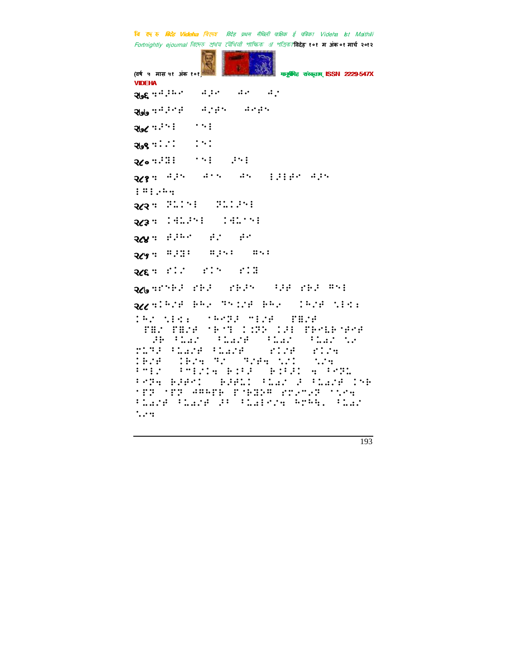(वर्ष ५ मास ५१ अंक १०१) मानुसार में मानुसार संस्कृतम् ISSN 2229-547X VIDEHA २७६ पर्यायोग स्थान करणा हो। २७७ ः प्रमुख स्थान सम्पन्न स्थान सम्पन्न सम्पन्न सम्पन्न सम्पन्न सम्पन्न सम्पन्न सम्पन्न सम्पन्न सम्<br>जन्म २७८⣒⢼30!3!  $Q_{0}$  $Q_{1}$ :  $Q_{2}$ २८०⣒⢼⣝30!30!⢼3! २८१ : नेरंग चाया चार पुरापत नाम 3⢻3⢴⢳⣒\*! २८२ : २००१ : २००१ : २००१ : २००१ : २००१ : २००१ : २००१ : २००१ : २००१ : २००१ : २००१ : २००१ : २००१ : २००१ : २००१ : 30 २८३ : २९८२ : २०१२ : २९८२ : २०१ २८४ : हेलें लाई हिंद २८५ : ".: " :: " :: " :: " :: २८६ : 2012 : 2012 : 2013 २८७ : 1999 जानिक अपनी अधिकारित का अधिकारित का अधिकारित का अधिकारित का अधिकारित का अधिकारित का अधिकारित का अधिक<br>जनसङ्ख्या २८८ºº 2010 PHY 2010 PHY 2010 PHY 2010 PHY 2010 PHY 2010 PHY 2010 PHY 2010 PHY 2010 PHY 2010 PHY 2010 PHY 2010  $292$   $2192$   $2202$   $2302$ )<br>0 30 September 1998 (Start Schule 1998)<br>1 30 September 1998 (Start Schule 1998) ..He than (thane (than)<br>State share (thane (seling) ⣅⢹⢼!B⣅⣔2⢾.B⣅⣔2⢾\*0! 2⢾0! 2⣒! leze leza qu''aua sui sura<br>Preu Preuia especteseur a Prou B320 P320 P320 P32 B<u>øde Bøde (Bøde Blaz Bøde Bøde Bød</u> 0⢽.0⢽!⢺⢻⢳0⢷!0⢷⣝⢵⢻! ⢴⢴⢽!⣁⣒! Bian Bang Bang Banggunan Bang  $\ddotsc$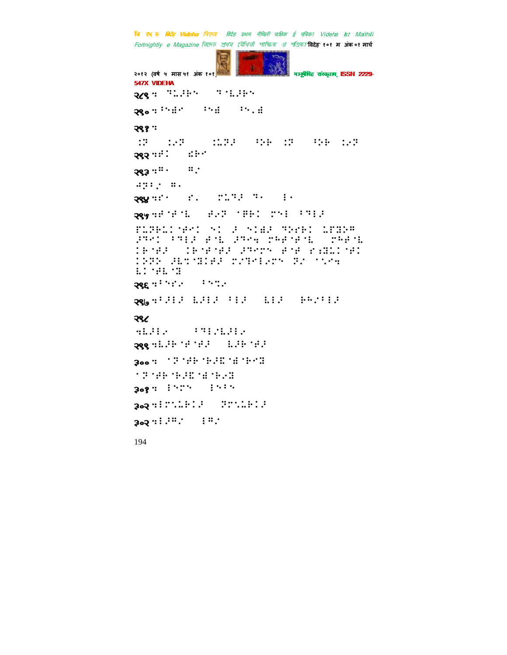```
चि एत् रू मिन्हे Videha निएन्थ विदेह प्रथम मैथिली पाक्षिक ई पत्रिका Videha Ist Maithili
Fortnightly e Magazine রিদেহ প্রথম মৌথিনী পাক্ষিক প্র পত্রিকা'বিदेह १०१ म अंक०१ मार्च
                                Service
२०१२ (वर्ष ५ मास ५१ अंक १०१ सम्बंध को सम्बंध करें मानुषीरि संस्कृताम् ISSN 2229-
547X VIDEHA 
२८९ : नजनगण पालिक
२९० : 'न्यूं' निर्माणि प्राप्तः
२९१⣒!!
 ⣈⢽0!⣈⢴⢽0!!⣈⣅⢽⢼!)⢸⢵⢷!⣈⢽0!⢸⢵⢷!⣈⢴⢽*!!
२९२ ::<sup>:</sup> :: ::: ::
283:"\cdot";
⢺⢽B2!⢻l*!
२९४ at: 10. F. 71. T. T. T. T.
२९५ तमे जिल्ला अस्ति । अस्ति अस्ति । अस्ति । अस्ति । अस्ति । अस्ति । अस्ति । अस्ति । अस्ति । अस्ति । अस्ति । अ
0⣅⢽⢷⣅⢾!!⢼!⣞⢼!⢹⢵ ⢷!⣅0⣝⢵⢻*!
⢼⢹!B⢹3⢼!⢾⣇!⢼⢹⣒!⢳⢾⢾⣇0!⢳⢾⣇0!
^{\prime} ^{\prime} ^{\prime} ^{\prime} ^{\prime} ^{\prime} ^{\prime} ^{\prime} ^{\prime} ^{\prime} ^{\prime} ^{\prime} ^{\prime} ^{\prime} ^{\prime} ^{\prime} ^{\prime} ^{\prime} ^{\prime} ^{\prime} ^{\prime} ^{\prime} ^{\prime} ^{\prime} ^{\prime} ^{\prime} ^{\prime} ^{\prime} ^{\prime} ^{\prime} ^{\prime} ^{\prime}⢵⢽⢵!⢼⣇⣉⣝⢾⢼!2⣙3⢴!⢽2!⣁⣒!
⣇⢾⣇⣝!
२९६ : २ : २ : २ : २ : २ : २
२९७⣒B⢼3⢼0⣇⢼3⢼!B3⢼0!⣇3⢼!)⢷⢳2B3⢼*!
२९८
⣒⣇⢼3⢴0!)B⢹32⣇⢼3⢴*!!
२९९ सोलील के साथ कर
३००⣒!⢽⢾⢷⢷⢼⣏⣞⢷⣝0!
⢽⢾⢷⢷⢼⣏⣞⢷⢴⣝!
308 : 15.75 15.35३०२⣒3⣁⣅⢷⢼-!⢽⣁⣅⢷⢼!
302 :3\%2 :3\%2
```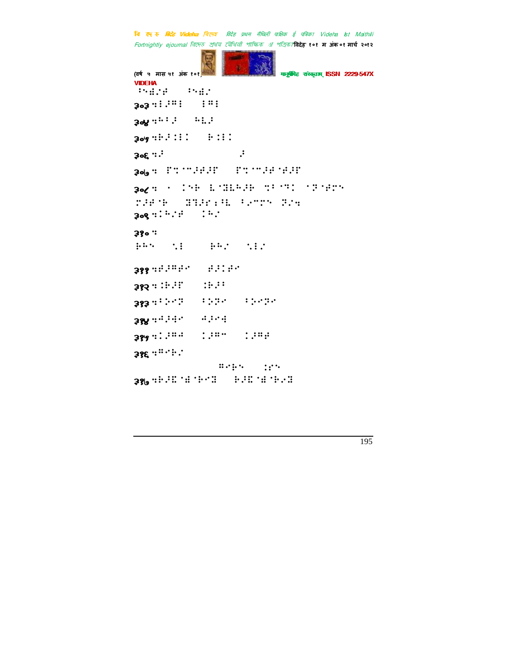```
(वर्ष ५ मास ५१ अंक १०१) मानुसीह संस्कृतम् ISSN 2229-547X
VIDEHA 
Sharp Sharp
303 :: 3\%3308 \frac{1015}{101} \frac{1015}{101}309:::::::::::::::::::
3og\therefore3% : 2000 : 300 CONTROLL SERVICE
३०८⣒!l!⢷!⣇⣝⣇⢳⢼⢷!⣉B⢹!⢽⢾!
⢼⢾⢷-!⣝⣙⢼ ⣐⢸⣇!B⢴!⢽2⣒!
308 :: 4.2 2.4३१०⣒!
₿3*0 11: $32* 11:
३११⣒⢾⢼⢻⢾0!⢾⢼⢾!
३१२⣒⣈⢷⢼00!⣈⢷⢼B!
३१३⣒B⢵⢽0!B⢵⢽0!B⢵⢽!
३१४⣒⢺⢼⣚0!⢺⢼⣚!
३१५⣒⢼⢻⢺0!⢼⢻0!⢼⢻⢾!
386:\ldotsthe property of the second second second second second second second second second second second second second second second second second second second second second second second second second second second second second
३१७⣒⢷⢼⣏⣞⢷⣝0!⢷⢼⣏⣞⢷⢴⣝!
```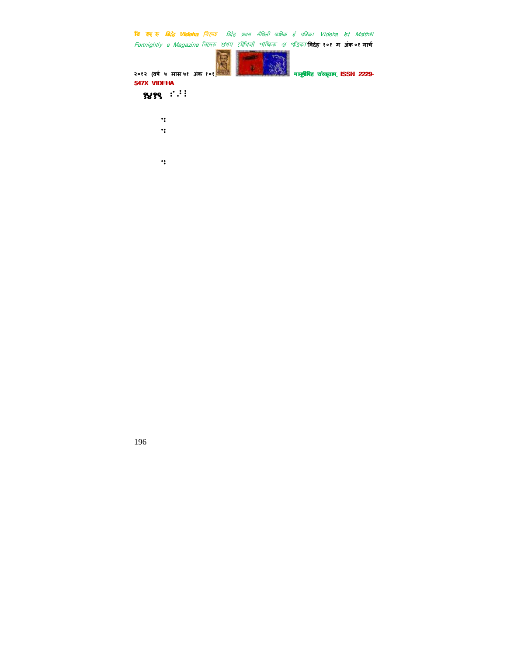

547X VIDEHA

## १४१९ : : : :

- $\mathbf{S}^2$  3122.  $\mathbf{S}^2$  312.  $\mathbf{S}^2$  312.  $\mathbf{S}^2$  313.  $\mathbf{S}^2$  313.  $\mathbf{S}^2$  313.  $\mathbf{S}^2$  313.  $\mathbf{S}^2$  313.  $\mathbf{S}^2$  313.  $\mathbf{S}^2$  313.  $\mathbf{S}^2$  313.  $\mathbf{S}^2$  313.  $\mathbf{S}^2$  313.  $\mathbf{S}^2$  3
- $\frac{1}{2}$ 
	-
- Gfc 3123. September 2123.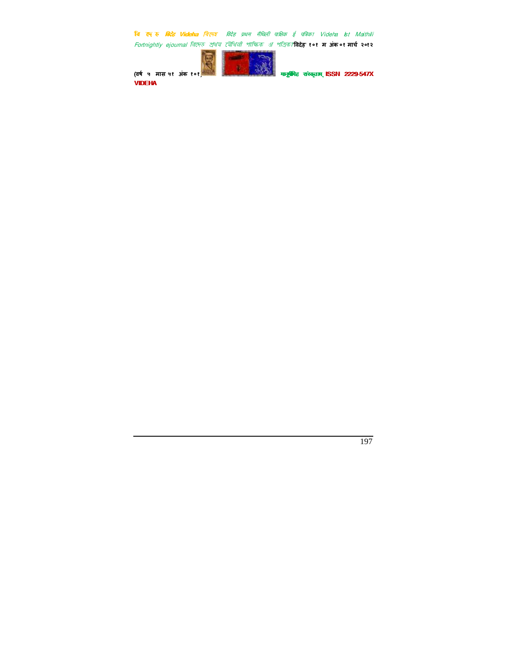

VIDEHA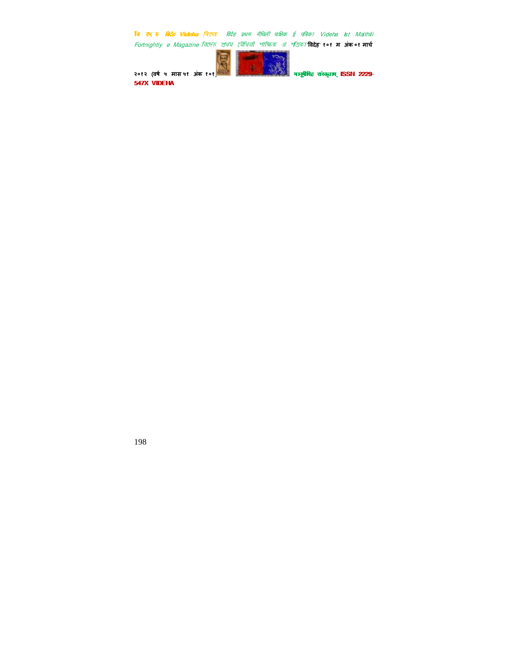

547X VIDEHA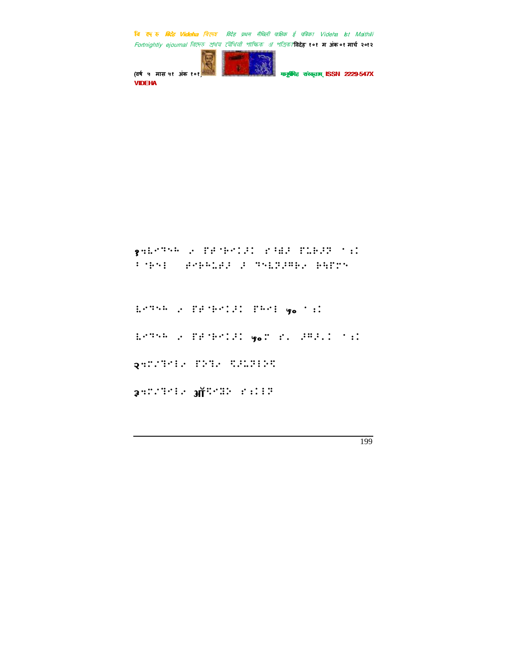

(वर्ष ५ मास ५१ अंक १०१) मानुसीह संस्कृताम् ISSN 2229-547X VIDEHA

199

१⣒⣇⢹⢳!⢴.0⢾⢷⢼! ⢸⣞⢼!0⣅⢷⢼⢽!⣐! B⢷3-!⢾⢷⢳⣅⢾⢼!⢼!⢹⣇⢽⢼⢻⢷⢴!⢷⣓0!

LATER & FROM POINT WOR IN PRESIDENT

LATAR & PROBAT: PROB 90 º 11

२⣒2⣙3⢴!0⢵⣙⢴!⣋⢼⣅⢽3⢵⣋!Nbjuijmj!

ascential and the settle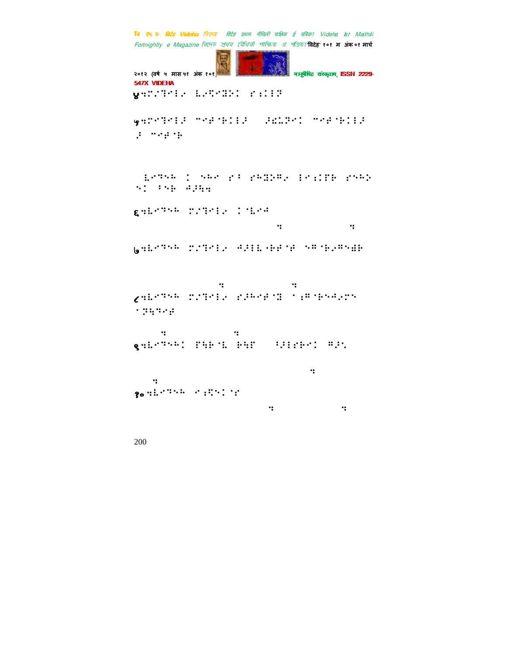```
Fortnightly e Magazine রিদেহ প্রথম মৌথিনী পাক্ষিক প্র পত্রিকা'বিदेह १०१ म अंक०१ मार्च
                                          Separate
२०१२ (वर्ष ५ मास ५१ अंक १०१) मानुबारी मानुबार संख्याम् ISSN 2229-
547X VIDEHA 
४⣒2⣙3⢴!⣇⢴⣋⣝⢵! ⣐3⢽!Nbjuijmj!
५⣒⣙3⢼!⢾⢷3⢼0!⢼⣎⣅⢽!⢾⢷3⢼!
 \mathcal{G} . Note that
   #⣇⢹⢳#!⢳! ⢸! ⢳⣝⢵⢻⢴!3⣐0⢷! ⢳⢵!
 80 1999
६⣒⣇⢹⢳!2⣙3⢴!⣇⢺!!;!!
 ius;00wjefibration;00wjefibrvidae;00wjefibrvidae;00wjefibrvidae;00wjefibrvidae;00wjefibrvidae;00wjefibrvidae;
 ७∰ि अधिकारिया प्राप्त संस्कृति । अस्य अधिकारियानि ।
 bhship shows the control of the control of the control of the control of the control of the control of the control of the control of the control of the control of the control of the control of the control of the control of
 ८⣒⣇⢹⢳!2⣙3⢴! ⢼⢳⢾⣝!⣐⢻⢷⢺⢴!
^{\prime} ^{\prime} ^{\prime} ^{\prime} ^{\prime} ^{\prime} ^{\prime} ^{\prime} ^{\prime} ^{\prime} ^{\prime} ^{\prime} ^{\prime} ^{\prime} ^{\prime} ^{\prime} ^{\prime} ^{\prime} ^{\prime} ^{\prime} ^{\prime} ^{\prime} ^{\prime} ^{\prime} ^{\prime} ^{\prime} ^{\prime} ^{\prime} ^{\prime} ^{\prime} ^{\prime} ^{\primebsuch the control of the control of the control of the control of the control of the control of the control of
९⣒⣇⢹⢳!0⣓⢷⣇.⢷⣓0!#⢸⢼3 ⢷!⢻⢼⣁#!!
 iuuq;00hbkfoesbuiblvs⣒cmphtq
       \ddot{\phantom{a}}\gammao distributi sententi di
 ius;00wjefib234,000wjefib234
```
चि एत् रू मिन्हे Videha निएन्थ विदेह प्रथम मैथिली पाक्षिक ई पत्रिका Videha Ist Maithili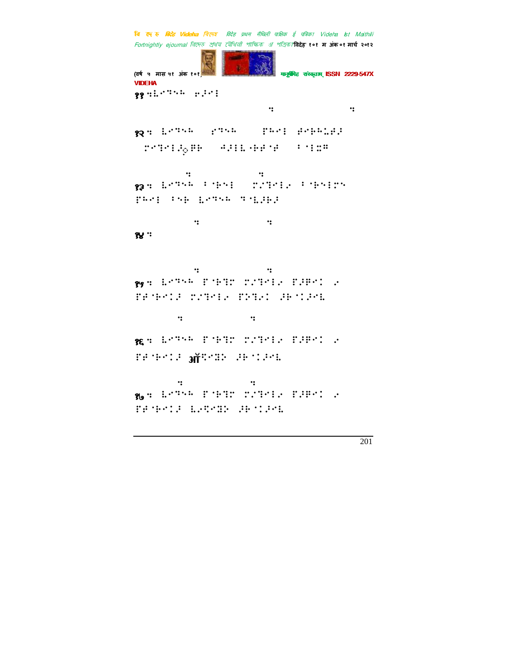(वर्ष ५ मास ५१ अंक १०१) मानुसीह संस्कृतम् ISSN 2229-547X VIDEHA ??!!! : : : : : : ? ? ? ius;00wjefib234,000wjefib234 १२⣒!⣇⢹⢳;! ⢹⢳!;!0⢳3!⢾⢷⢳⣅⢾⢼! )⣙3⢼◌़⢿⢷\*!⢺⢼3⣇C⢷⢾⢾!)B3⣍⢻\*!! tbefore the control of the control of the control of the control of the control of the control of the control of the control of the control of the control of the control of the control of the control of the control of the १३ च : Birline (Files) - 11,1973 - Files) 11,200 0⢳3!B⢷!⣇⢹⢳!⢹⣇⢼⢷⢼! csbimmed and the control of the control of the control of the control of the control of the control of the control of the control of the control of the control of the control of the control of the control of the control of  $\mathcal{W}$  is a set of the set of the set of the set of the set of the set of the set of the set of the set of the set of the set of the set of the set of the set of the set of the set of the set of the set of the set of th bsdie bedruik in der deutsche bedruik in der deutsche bedruik in der deutsche bedruik in der deutsche bedruik १५⣒!⣇⢹⢳!0⢷⣙!2⣙3⢴!0⢼⢿!⢴! 0⢾⢷⢼!2⣙3⢴!0⢵⣙⢴!⢼⢷⢼⣇!  $q_1$ cmpht $q_2$ dpuij $\alpha$ १६⣒!⣇⢹⢳!0⢷⣙!2⣙3⢴!0⢼⢿!⢴! 0⢾⢷⢼!ऑ⣋⣝⢵!⢼⢷⢼⣇! by the control of the control of the control of the control of the control of the control of the control of the १७९ : 1999 : Press Press Press Press Press 0⢾⢷⢼!⣇⢴⣋⣝⢵!⢼⢷⢼⣇!

चि एत् रू मिन्हे Videha निएन्थ विदेह प्रथम मैथिली पाक्षिक ई पत्रिका Videha Ist Maithili Fortnightly ejournal রিদেত প্রথম মৌথিনী পাক্ষিক প্র পত্রিকা**'বিदेह' १०१ म अंक०१ मार्च २०१२**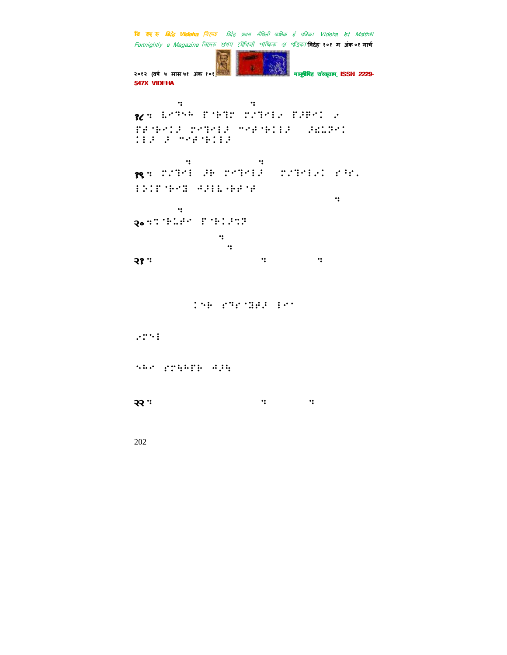चि एत् रू मिन्हे Videha निएन्थ विदेह प्रथम मैथिली पाक्षिक ई पत्रिका Videha Ist Maithili Fortnightly e Magazine রিদেহ প্রথম মৌথিনী পাক্ষিক প্র পত্রিকা**'বিदेह १०१ म अंक०१ मार्च** २०१२ (वर्ष ५ मास ५१ अंक १०१) मान्या मानुसार संस्कृतम् ISSN 2229-547X VIDEHA where  $\mathbf{q}$  is the positive point of  $\mathbf{q}$ १८⣒!⣇⢹⢳!0⢷⣙!2⣙3⢴!0⢼⢿!⢴! 0⢾⢷⢼!⣙3⢼!⢾⢷3⢼-!⢼⣎⣅⢽! 3⢼!⢼!⢾⢷3⢼! qipupta qipupta qipupta qipupta qipupta qipupta qipupta qipupta qipupta qipupta qipupta qipupta qipupta qipupt १९७ - 2019 - 25 - 2919 E.A. - 2019 E.A. - 303 E.A. -3⢵0⢷⣝!⢺⢼3⣇C⢷⢾⢾\*! ius;00nbjuijmbvsnjuijmbvsnjuijmbvsniuijmbvsniuijmbvsniuijmbvsniuijmbvsniuijmbvsniuijmbvsniuijmbvsniuijmbvsniui  $\ddot{\phantom{0}}$ २० : 100 : 100 : 100 : 100 : 100 : 100 : 100 : 100 : 100 : 100 : 100 : 100 : 100 : 100 : 100 : 100 : 100 : 100 ius in control de la control de la control de la control de la control de la control de la control de la control de la control de la control de la control de la control de la control de la control de la control de la contr  $\mathbf{q}$ २१ : परिवार परिवार को साथ परिवार को साथ परिवार को साथ परिवार को साथ परिवार को साथ परिवार को साथ परिवार को साथ <br>नेपालिक परिवार को साथ परिवार को साथ परिवार को साथ परिवार को साथ परिवार को साथ परिवार को साथ परिवार को साथ परिव INE STRANGE INT  $3:3:1$  $\sim$  0.0  $\sim$  0.0  $\sim$  0.0  $\sim$  0.0  $\sim$  0.0  $\sim$ २२ : परिवार परिवार को साथ परिवार को साथ परिवार को साथ परिवार को साथ परिवार को साथ परिवार को साथ परिवार को साथ <br>इन्द्र साथ परिवार को साथ परिवार को साथ परिवार को साथ परिवार को साथ परिवार को साथ परिवार को साथ परिवार को साथ प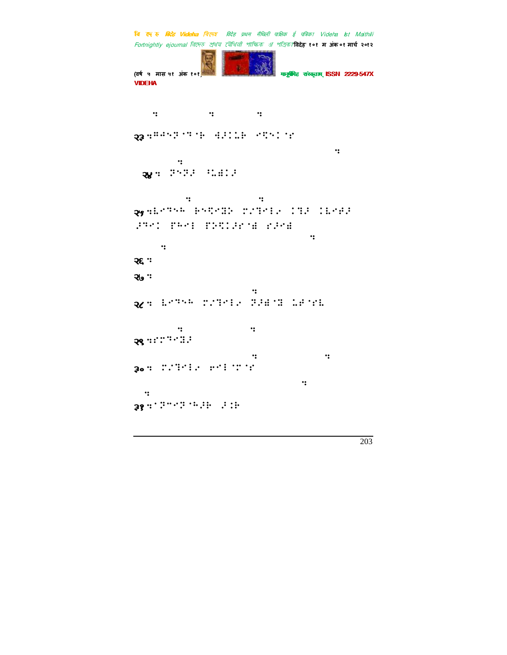```
चि एत् रू मिन्हे Videha निएन्थ विदेह प्रथम मैथिली पाक्षिक ई पत्रिका Videha Ist Maithili
Fortnightly ejournal রিদেত প্রথম মৌথিনী পাক্ষিক প্র পত্রিকা'বিदेह' १०१ म अंक०१ मार्च २०१२
(वर्ष ५ मास ५१ अंक १०१) मान<sup>ुक्रम</sup> मानुसिंह संस्कृतम् ISSN 2229-547X
VIDEHA 
    \alpha variety \alpha and \alpha२३⣒⢻⢺⢽⢹⢷!⣚⢼⣅⢷!⣋ !!
ius;00hbkgbkgbkgbkgbkgbkgbkgbkgbkg
https://www.facture.com
  २४ : इ.स. १९६१ : १९६१ : २
libcbt⣒cmphtqpu⣒dpn0!!!!
२५ min 1995 - Britali III (1995 - 1995 - 1995 - 1995 - 1995 - 1995 - 1996 <mark>-</mark>
⢼⢹!0⢳3!0⢵⣋⢼ ⣞! ⢼⣞!
ius (1983) in the control of the control of the control of the control of the control of the control of the co
 ftt⣒dpn0!
२\varepsilon :
२७ \cdot :
\mathbf{g} is a set of \mathbf{g} is a set of \mathbf{g}२८⣒!⣇⢹⢳!2⣙3⢴!⢽⢼⣞⣝!⣅⢾ ⣇!
esbnb, phtps://www.comphanet.com
२९ ::: "२२ :: "
ius;00ftbnbbesquedpnbbesquedpnbbesquedpnbbesquedpnbbesquedpnbbesquedpnbbesquedpnbbesquedpnbbesquedpnbbesquedpn
30: 223312 PMICTO
ius;00nbjuijmjegimntoja (1900-1900)
  \ddot{\phantom{1}}३१⣒⢽⢽⢳⢼⢷!⢼⣈⢷!
```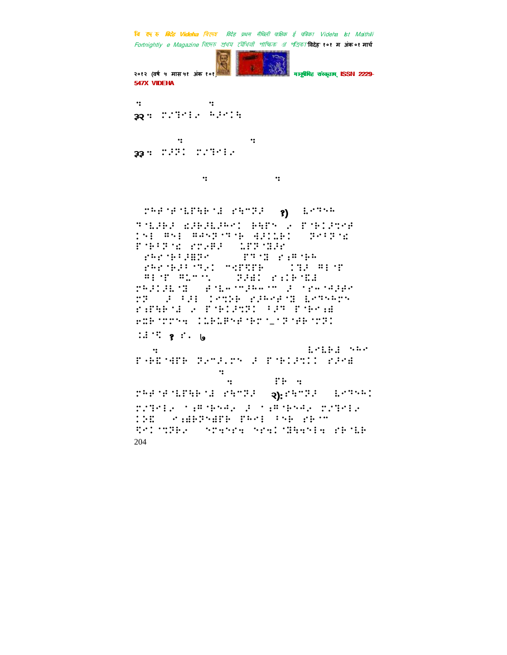

⣒cmphtqpu⣒dpn0!! ३२⣒!2⣙3⢴!⢳⢼⣓!

547X VIDEHA

ibility of the company of the company of the company of the company of the company of the company of the company of the company of the company of the company of the company of the company of the company of the company of t ३३⣒!⢼⢽!2⣙3⢴!

nbjurga (1990) og stoffen i den stoffen i den stoffen i den stoffen i den stoffen i den stoffen i den stoffen

 $10-40$  of the fiber of scheme  $\{9\}$  (see  $10^{-3}$  ) (

⢹⣇⢼⢷⢼!⣎⢼⢷⢼⣇⢼⢳!⢷⣓0!⢴.0⢷⢼⣉⢾! 3!⢻3!⢻⢺⢽⢹⢷!⣚⢼⣅⢷!!⢽B⢽⣎. 0⢷B⢽⣎. ⢴⢿⢼-!⣅0⢽⣝⢼ ! )  $\mathcal{L}$  (Fig. )  $\mathcal{L}$  (Fig. )  $\mathcal{L}$  (Fig. )  $\mathcal{L}$  (Fig. )  $\mathcal{L}$ ) ⢳ ⢷⢼B⢹⢴!⣊0⣋0⢷\*-!⣙⢼.⢻30! )⢻30.⢻⣅⣁\*-!⢽⢼⣞) ⣐⢷⣏⣜\*-! ⢳⢼⢼⣇⣝!)⢾⣇⢲⢼⢳⢲!⢼! ⢲⢺⢼⢾!  $T$ 3.  $B$  +  $B$ 3. In the second second second second second second second second second second second second second second second second second second second second second second second second second second second second s ⣐0⣓⢷⣜!⢴.0⢷⢼⣉⢽!B⢼⢹!0⢷⣐⣞! ⢶⣍⢷⣒!⣅⢷⣅⢿⢾⢷–⢽⢾⢷⢽!

 $\mathcal{L}$ .  $\mathcal{L}$   $\mathcal{L}$   $\mathcal{L}$   $\mathcal{L}$   $\mathcal{L}$   $\mathcal{L}$   $\mathcal{L}$   $\mathcal{L}$   $\mathcal{L}$   $\mathcal{L}$   $\mathcal{L}$   $\mathcal{L}$   $\mathcal{L}$   $\mathcal{L}$   $\mathcal{L}$   $\mathcal{L}$   $\mathcal{L}$   $\mathcal{L}$   $\mathcal{L}$   $\mathcal{L}$   $\mathcal{L}$   $\mathcal{L}$   $\mathcal{L}$   $\mathcal$ 

Op⣒:89.92.:1883:.8.7!⣇⣇⢷⣜!⢳! DARINE BANKIN F PARTHI RAME ius in control de la control de la control de la control de la control de la control de la control de la control de la control de la control de la control de la control de la control de la control de la control de la contr

 $\ddot{\bullet}$  , and  $\ddot{\bullet}$  , and  $\ddot{\bullet}$ 

204 ⢳⢾⢾⣇0⣓⢷⣜! ⣓⢽⢼!)२): ⣓⢽⢼;!⣇⢹⢳! 2⣙3⢴.⣐⢻⢷⢺⢴!⢼!⣐⢻⢷⢺⢴!2⣙3⢴! ⢵⣏!)⣐⣞⢷⢽⣞0⢷!0⢳3!B⢷! ⢷. SVI MIRA (STANG SPAINIRANIA PROB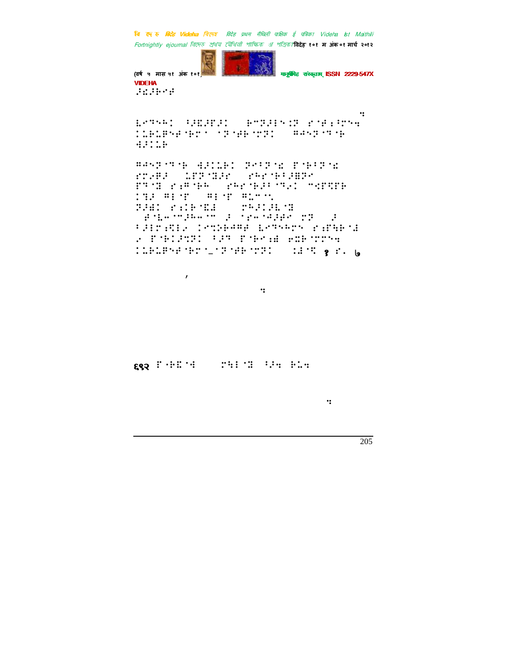

VIDEHA ⢼⣎⢼⢷⢾!.Cbtfe!po!nt.trm!tfswfs!

Fohmjti.Nbjuijmj!Ejdujpobsz⣒! ⣇⢹⢳!⢸⢼⣏⢼0⢼.!⢷⢽⢼3⣈⢽! ⢾⣐⢸⣒! ⣅⢷⣅⢿⢾⢷!⢽⢾⢷⢽.!⢻⢺⢽⢹⢷! ⣚⢼⣅⢷!

⊞ASP'R GRILE PREP'N P'BEP'N ( ⢴⢿⢼-!⣅0⢽⣝⢼ !) ⢳ ⢷B⢼⣟⢽\*!-! po de la presencia de la provincia e ⣙⢼.⢻30!)⢻30!⢻⣅⣁\*-! ⢽⢼⣞) ⣐⢷⣏⣜\*-!⢳⢼⢼⣇⣝! )⢾⣇⢲⢼⢳⢲!⢼! ⢲⢺⢼⢾!⢽\*!⢼! BESINI BESINI ⢴.0⢷⢼⣉⢽!B⢼⢹!0⢷⣐⣞!⢶⣍⢷⣒! ⣅⢷⣅⢿⢾⢷–⢽⢾⢷⢽-!⣈⣜⣋.१ F!७

 $\mathcal{G}$ 

६९२ 0C⢷⣏⣚!;!⣓3⣝!⢸⢼⣒!⢷⣅⣒!2110.

) (between the distribution of the distribution of the distribution of the distribution of the distribution of

Uiblist van die Grootste van die Grootste van die Grootste van die Grootste van die Grootste van die Grootste<br>Gebeure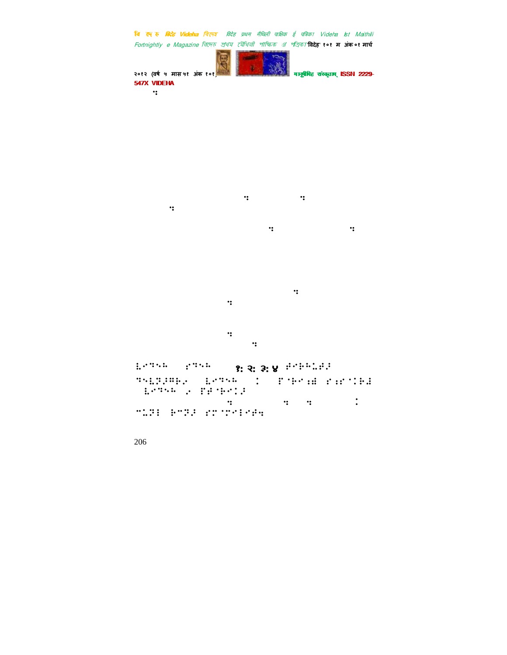

 $\ddot{\mathbf{u}}$  $\dddot{\mathbf{r}}$  $\ddot{\cdot}$ 

 $\dddot{\cdot}$  $\dddot{\bullet}$  $\ddot{\cdot}$  $\dddot{\cdot}$ 

> $\ddot{\cdot}$  $\ddot{\cdot}$

 $\mathbb{E}^{12.5\pm 0.5} \equiv \mathbb{E}^{12.5\pm 0.5} \equiv -\mathfrak{z}_1 \otimes \mathbb{I} \otimes \mathbb{I}^{12.5\pm 0.1\pm 0.1\pm 0.1\pm 0.1\pm 0.1\pm 0.1\pm 0.1\pm 0.1\pm 0.1\pm 0.1\pm 0.1\pm 0.1\pm 0.1\pm 0.1\pm 0.1\pm 0.1\pm 0.1\pm 0.1\pm 0.1\pm 0.1\pm 0.1\pm 0.1\pm 0.1\pm 0.1\pm 0$ skipjer, izske († Porod brothi)<br>Sizske 2-proroti  $\frac{1}{2}$   $\frac{1}{2}$   $\frac{1}{2}$   $\frac{1}{2}$   $\frac{1}{2}$  $\dddot{\cdot}$ MIRE BMP2 STOPPERBY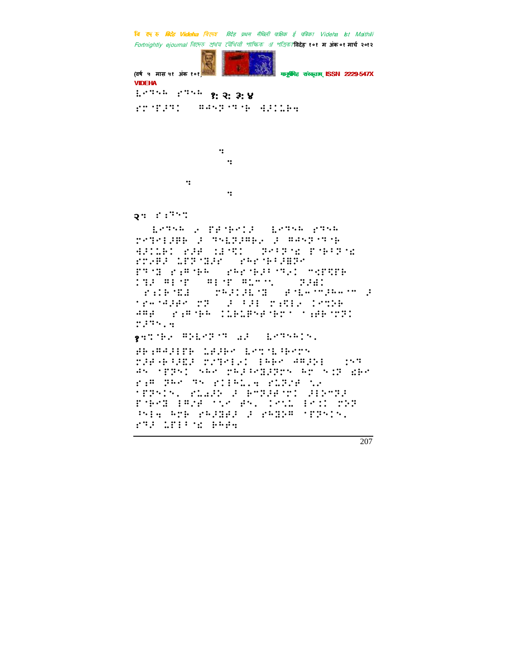

VIDEHA

⣇⢹⢳; ⢹⢳;१: २: ३: ४

0⢼⢹;!⢻⢺⢽⢹⢷!⣚⢼⣅⢷⣒!



२⣒! ⣐⢹⣉.!

 $\sim$  10000  $\sim$  10000  $\sim$  10000  $\sim$  10000  $\sim$ ⣙3⢼⢿⢷!⢼!⢹⣇⢽⢼⢻⢷⢴!⢼!⢻⢺⢽⢹⢷! ⣚⢼⣅⢷! ⢼⢾!⣈⣜⣋.!⢽B⢽⣎.0⢷B⢽⣎. ⢴⢿⢼-⣅0⢽⣝⢼ !) ⢳ ⢷B⢼⣟⢽\*!-! 0⢹⣝. ⣐⢻⢷⢳!) ⢳ ⢷⢼B⢹⢴!⣊0⣋0⢷\*-!  $\frac{1}{2}$ )  $\overline{\text{F}}$ ile<sup>1</sup>ul – † ⢲⢺⢼⢾!⢽\*!⢼!B⢼3.⣐⣋3⢴.⣉⢵⢷! ⢺⢻⢾.! ⣐⢻⢷⢳!⣅⢷⣅⢿⢾⢷!⣐⢾⢷⢽! ⢼⢹F⣒!^!

१⣒⣉⢷⢴!⢻⢵⣇⢽⢹!⣔⢼.!⣇⢹⢳F!

⢾⢷⣐⢻⢺⢼30⢷!⣅⢾⢼⢷!⣇⣉⣇⢸⢷!  $^{\circ}$  . The complete  $^{\circ}$  is the complete  $^{\circ}$  $\pm$  0  $\pm$  0.000  $\pm$  0.000  $\pm$  0.000  $\pm$  0.000  $\pm$  0.000  $\pm$  0.000  $\pm$  0.000  $\pm$  0.000  $\pm$  $f$ :# 740 75 81141.,, 21224 56 0⢽F! ⣅⣔⢼⢵!⢼!⢷⢽⢼⢾!⢼3⢵⢽⢼! D'EST IFA STAR EST (2010) 183 **JNEW PRE PRESER : PRESE 'STRYIN.** ⢹⢼!⣅03B⣎!⢷⢳⢾⣒!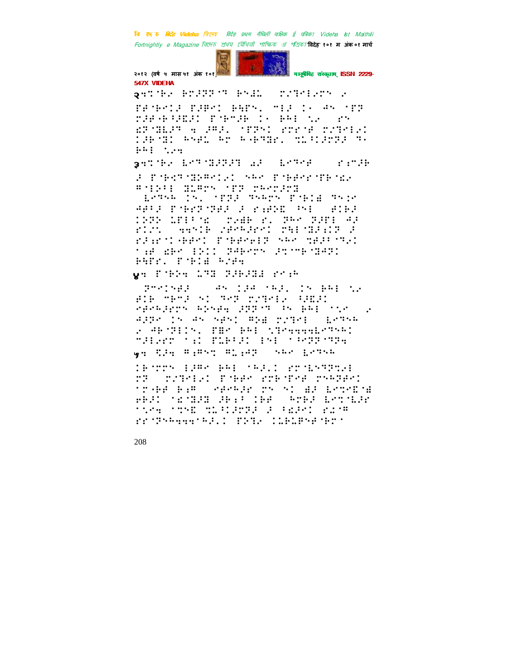

२०१२ (वर्ष ५ मास ५१ अंक १०१) 547X VIDEHA

मानूबीमेह संस्कृतम् ISSN 2229-

patter engrava essual numerus le

FACERIN FIRMI BATS, MIR IS AN OTT raegeara: Poenae is empouse pr EPSOLPH A PRAY STRAT ESPECE SVIKLAT <u>Targo eset en egeget missana (</u> 9911 129

astric betrootse af deter scree

F PARTMERS NE PARTMENE # 1241 HL#r> (FF r#cr2rH

ESTAR TAL SPER TARTA PORTE TATA APLE PORTUGE FOR RED ON STEEP **COOK AND YOUR SECTIONS AND SERVICE SERVICE** rict (Autib Sechient Theodiel P ranches Pesa presenta del 1999 the der (ESI) Paeron (Pornerbag) **CONTRACTOR** 

ye fire 178 SPRPBA rock

(48) 124 (542) 18 BRE 12  $\begin{bmatrix} 2 & 0 & 0 & 1 & 0 & 0 & 0 \\ 0 & 0 & 0 & 0 & 0 & 0 & 0 \\ 0 & 0 & 0 & 0 & 0 & 0 & 0 \\ 0 & 0 & 0 & 0 & 0 & 0 & 0 \\ 0 & 0 & 0 & 0 & 0 & 0 & 0 & 0 \\ 0 & 0 & 0 & 0 & 0 & 0 & 0 & 0 \\ 0 & 0 & 0 & 0 & 0 & 0 & 0 & 0 \\ 0 & 0 & 0 & 0 & 0 & 0 & 0 & 0 \\ 0 & 0 & 0 & 0 & 0 & 0 & 0 & 0 & 0 \\ 0 & 0 &$ BIB MEMP NI MPT TIMPER SHEED receivers absembled as each the appe ja aa apal mpg pynen (nemam , APMSIN, PBK PAI (Skaaaalryn) MALGER TAIL PLATAIN INE THREETER ws 824 RiPro Ried (Abr 1295)

IPTTP EPP PRESSED TTSPTPDE MP (MATHIA) Pobel and The Shepper trake kan sakende me et al bemedia WHIS SECRET HER THE SAMPLE ESTALLY TORE TORE ON HIPPE FOR BEACH FACE rrogsAggerAl. PDB CLELPSPORT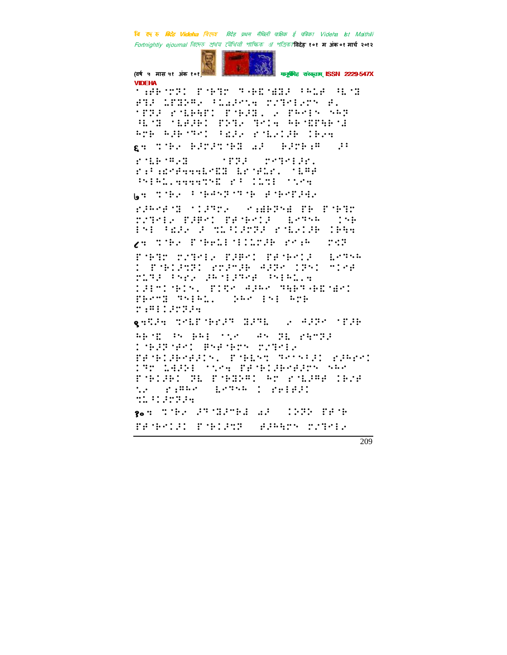

(वर्ष ५ मास ५१ अंक १०१)

मानूबीह संस्कृताम् ISSN 2229-547X

**VIDEHA THE TIL FIRT THE WALK INS AND** FIA LEIPAR (LEACH CATCLES F. **TERPORABBEL PORTEL 2 PROPORAB** HART MANN CHANNEL BY HAND And Albert (Chile Political China) ga the BRSPH AR SERBAR SP

**STREET PRINTIPS**  $2.2142333223$ rilardeedroom bridge (186 PrincementsE richnichte We the President Portion

randed tiagre companies popu TITMES FIRMI FRONTI (1875) (198 PHORES FOLKERIE FORCH THE ga the Pomentonia remover

PORT TIRES PRESS PROPER LETSE I PALESI MSPAR APPA IPAL MIAR ring three garggneg (hial.. 19851915, EIRK APAK SARSABINEN FRAME TRIAL, CAR INE AMP **MARIOLEMA** 

estis volforda dial (2003) orde

**ABOR IN BAE MUSIC AN PE PROPER THAPMAN PSPNPY TITLE** PROPERTIES PORT TO SEP (PROPERTY) 198 14221 'nig Benelbaldan nen PORTUGAL PERSONAL AN ENLIGHT IRE (Bensk i Prifil  $\mathcal{L}_{\mathcal{L}} = \{ \mathcal{L}_{\mathcal{L}} \mathcal{L}_{\mathcal{L}} \mathcal{L}_{\mathcal{L}} \}$ ti Carava

to a strike of those and strike facts FRONTIN PORTER SUPPOSE TITLE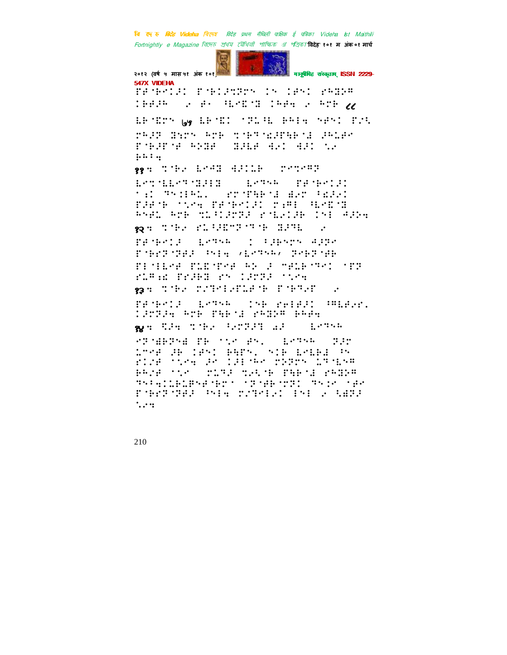

मानुबेमिह संस्कृतम् ISSN 2229-

**547X VIDEHA** FRONTIL PORTFORM IN 1851 PARAM TEERS of EXCHANGE ISEN 2002 22

२०१२ (वर्ष ५ मास ५१ अंक १०१ )

LE MONT GO LETTER TRIPLE PRINT NEND FOR PREP BYPY RPP STRETCHERE ERLAR rogros gar char de astrono

00: THE EPAN GRILE TETER

Estables della Conservaciat til Problem (sporbend av falv) FARME MOVE FROM THIS PARTY RNAL RTP TISCOTI PTESIDE IN SAIDE gon when substance the mann.

FRONTS Letter ( FRAME ART) PORTOR REAGAN ARTS AND THE THE FINISH FLENTE AN FURNIENT MET rusar Program (1978) (1978)

gan which will be a man and the second con-

PROPOSE LORGE TOP PRINCE PRESEN 19539 ASE PARTE SAGRA BARA  $\frac{1}{2}$  ,  $\frac{1}{2}$  ,  $\frac{1}{2}$  ,  $\frac{1}{2}$  ,  $\frac{1}{2}$ gyn Slim wiele Gerhleit als I

PROBERGE PROTOKO BS. CEPTRA CRED LTYP OR CANO RAPN, NOR LYLRE ON Pick (the lab idioke picklichten PROFILMO CONFIDENCIA PREMI PRIME **THE RICHCHARGE THAT AN INFORMATION CONTROL** rnerge marketer man fan  $\ddots$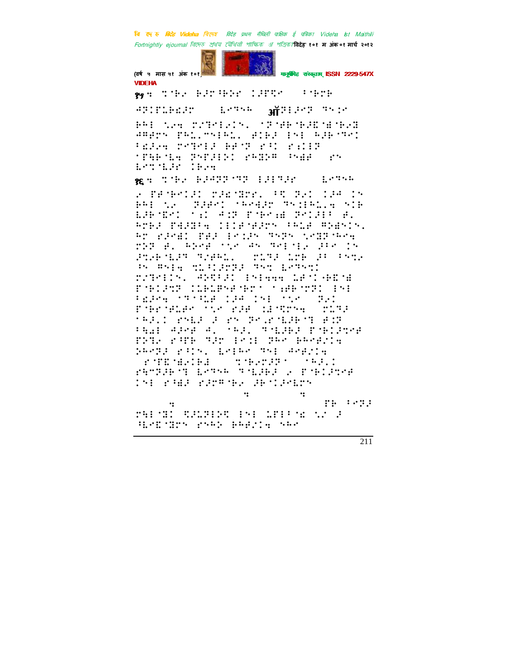

मानूबीह संस्कृताम् ISSN 2229-547X

(वर्ष ५ मास ५१ अंक १०१, **VIDEHA** 

gge Tibe Bargban (after Condre

HPIPLESSE LEPPE MAPLEPP PER

PHI NAT MATHIAIN, STARBARING 1923 AREN PROSTNERO BIBB ENE REBITAI FERRY TRIPLE REST PAI PAIDE **TERMA SYNCHOL PARAM PARE** \_\_∙: '∙ ESTAND Chem

**REAL TIME PARTY THE EVERY CONSTRUCTION** 

2 TEMPOR TREMEN PROPER CAPITA PRESS, SPRESS SPARE SYMPALE SIR ''î do rega polke e. LPP (EPT) RTES PASSER (BIG'HSPY FRLA RYBY)N. RO PAMEL PAR PRINT THEN NATE THAN TER B. PERB 150 PM TRETE DIR 15 Profiles Soft. Const. Define the Story By White Millergy Why Enghy: ratella, special latege designate PORTES TORORHOUS SHENGEL EN PERSONALE CRACKE STATE RAD pierieben ihn rae darppel oppa **SARIO PREP POPS PRIPARATE BIB** PAUL APAR A. SAP. THIRP PORTPOR rik rub de 181 de bekki PROTE PAIN, LOINO THE ROBOIN SAMPEMENTED SCHAPENS (1981)<br>ARMOUR TEAMS SCHARAGE PORTUGAE **INE RANGERSHALL GENIGARY**  $\dddot{\bullet}$ 

are terre **MARKET CONSTRUCTS OF A SERVICE CONSTRUCTS** HARTHY PAR PRESS NAM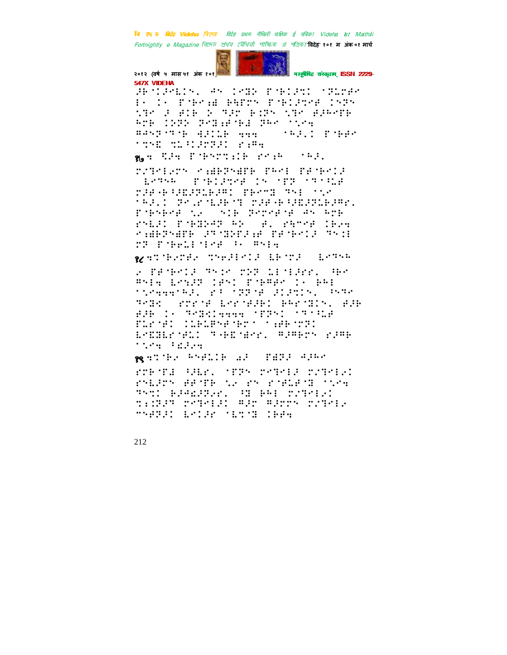

२०१२ (वर्ष ५ मास ५१ अंक १०१ ) **547X VIDEHA** 

मानुबेमिह संस्कृतम् ISSN 2229-

HERDEN WAS DER FADDED STORE Brite Poboar BATTS Poblaced 1575 the Fair Farmer Fire the Black RTB (1939) SPH (P-B) SRP (1974) sangern and the same **FOR STREET STREET** 

**Part With Political Property Property**  $\cdots$ 

DZIPLADNOSWEPNEDE DRSLOBENIA **LOTAR PORTSON IN MER MINIGE** THE REPORTED THE THE STA **SAFET RESTRIEST THERMODIATES** Portion to all the terred in An Arth rnic Posser at al range Ches rabryon crocola provision: TT PORTHOLD THAT IS WELL

gg ad theories of the Pietric (EB to Post Clienties)

a federal process around the Brig Length (Art PobBar () Bbi tingaansk programme binne **PAGE STRIP LARIBUS PROGIN, BJP** BOB 1: Tracianan (PS): (Trice TLP HI (LELPSHOPS) (HP CTI LADOLPHIC THOMAS: MINERY PIME **TACH PERSON** 

eenth. Wells af farr sinc

FTB TE SHER TTP TOTOL TITCHE PALENT BENDE NATION POBLEME CNOW Thi HAGARA SI HA TITAL tidas reads are alred reads. "SPRED LOLED 'LT'S LEEW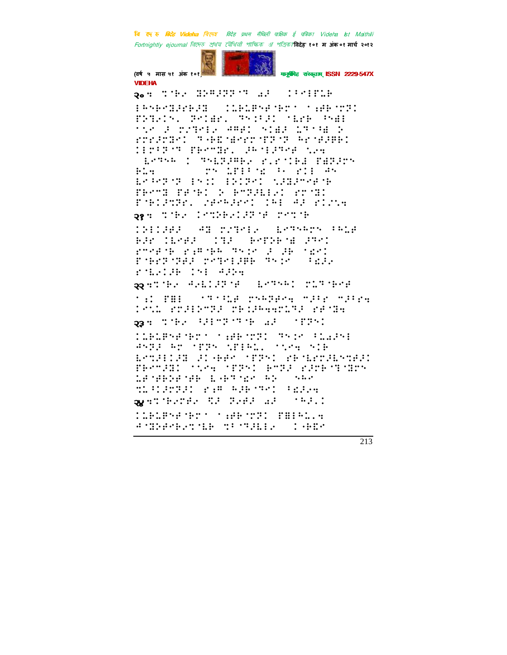

(वर्ष ५ मास ५१ अंक १०१) **VIDEHA** 

मानुबेदि संस्कृतम् ISSN 2229-547X

20: TOBE HEADY TELE  $\mathcal{L}$  :  $\mathcal{L}$  :  $\mathcal{L}$  :  $\mathcal{L}$  :  $\mathcal{L}$  :

:WWW.CO.COMMODYSTYTERY.COM TRINING PRINT, TRINING MEN PROD the Portels ARE STAR INTER spearant (1946-1952-1917) As 1998) IPPERT PROMIN SPORTSHOLDE (1875) I THERPER PLETIED PERRY ry Milita Boatles  $\mathbf{r}$  : Person tell tribut charges FROM PROBLEM POSSESSION CONS PORTAGEN SAMPARMI IPE AP RISSA

pen time letherlare retime

<u> 1919: Sal Si Minis Benggun (Sia</u> Bar (1848) (MB) Brooked Spri rmedia ramama mengeca da naet PORTUGE TETERN TER SALE rule in the Albe

QQ 87 TER CARRIER THAN SERVANIA CONTAERAR

til PB: (191826 pregade make makes ISMA PRAIDERA PROGRAMAZZA PROGR

23 : TOPA (FRINGEN 18) (FRS)

CORDENEMENT CHEMIST SNOW FOURNE AND AN MEPHONESEL MONE NIE ESTATIVE VIGHTS STRAINE PESERINTEN PROSED TOOK TERM ROBE WERE TOOK LENGINE LATNE AN  $\cdots$ that strain and all that any season ound thereby the feet all states

**CONSENSATION CONSENSATION ANDREWSING MENTALLY CHAR**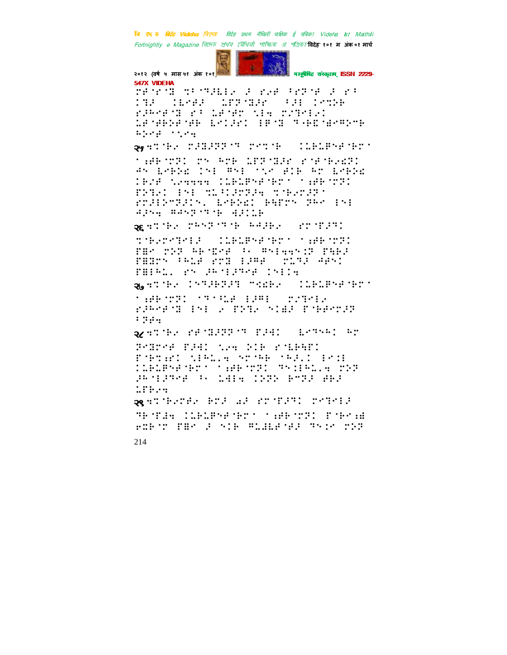

मानुबेगिह संस्कृताम् ISSN 2229-

## २०१२ (वर्ष ५ मास ५१ अंक १०१ ) **547X VIDEHA**

MESCH SPORAGE PER PRESPECTIVE **MARK COMMANDER COMMANDER** ramers ra Lemer the rasers: Le réprésire (1813) : : : : : " Partiererre  $\mathcal{L}^{\mathcal{L}}_{\mathcal{D}}\mathcal{L}^{\mathcal{L}}_{\mathcal{D}}\mathcal{L}^{\mathcal{L}}_{\mathcal{D}}\mathcal{L}^{\mathcal{L}}_{\mathcal{D}}\mathcal{L}^{\mathcal{L}}_{\mathcal{D}}\mathcal{L}^{\mathcal{L}}_{\mathcal{D}}$ 

pestible planers perchantilelements

**SAPE MORD ON SPORT LED MEAN ON MEMBERS** An Especial information and arounded TEZE SZAARA TIELESENEM MARKOZY FRIED INFORMATION SCHEMENT rrathers. Lebbal burge red in: ags4 #asperth agilb

08:47:00 PRSP TO REPORT (2010)

thermal Clausentr's Martin THE THI RESEARCH REGARD THE FARTS PALE FTA 1988 (TLTP ARS) FHIRD, an Indianap Chile

Quantifical Constanting members of Lability fability

**THEORY ORDER EPH CONTES** randed in a friendie forecar  $1.344$ 

Restrict reference reductions are

Progres place that bis returned ESPORT SPALA SOSPE SPALI PSI.<br>INFORMATOS SRPSORI PSIPOLA DRA JR 19778 (F. 1414 1978 PTP 882  $...$   $...$ 

QQ HT TELTEL (ETL) all stripped (frequency

TEMPLE COEDPANED MOSENTED PARAG FOR THE REPORT OF THE SERVICE SERVICE OF THE SERVICE OF THE SERVICE OF THE SERVICE OF THE SERVICE OF THE SERVICE OF THE SERVICE OF THE SERVICE OF THE SERVICE OF THE SERVICE OF THE SERVICE OF THE SERVICE OF THE SERVICE OF T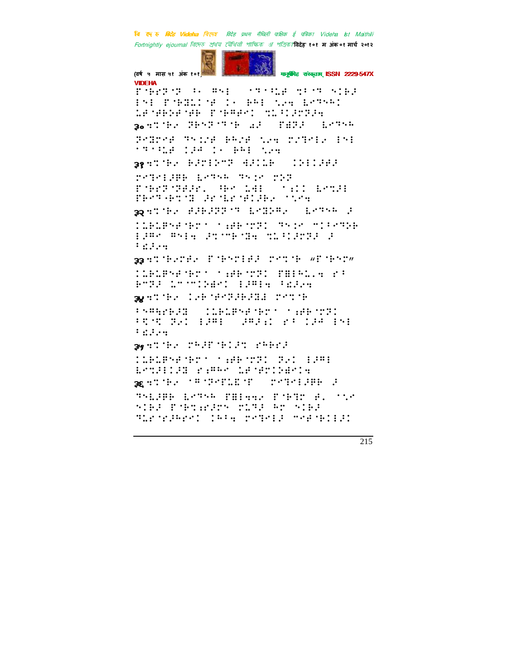

मानुभीह संस्कृतम् ISSN 2229-547X

**VIDEHA** PORTS ROWSELL TO MARKET TO STRE ENE PORTLINE IS BREACH ESTARI LEABRACH PAPPEL MILLERA 30 TTER PESPITE AP TARP ARTS PORTON TO WE EASE NOW TATOLS INE 171028 134 13 BHF 524 30 87 TER (ESTERTS (ESTAE) (1981-1983) reperson never vere rip  $\cdots$  :  $\cdots$  is the set of  $\cdots$ **PORTSHIP**, HP 181 PROTHER TO APPEAR OF HER START 30 STORY FREEDS OF LANDER ( LANDER ) TIRIRYA'NY' 'NAR'YR' RYY 'S'YR'YR EPRO RNEW STOCK THE TISSINGS S 33 87 TELEVEL ESPECIEL PROSE WESTERN **CONSENSATION CONSENSATION** 870 MARTIN 1988 MARTIN 1999 synthe lebogershall retor **CONSERVATION CONSERVATION** FER 221 1281 (28231 23 124 151  $\mathbf{1}$  :  $\mathbf{1}$  :  $\mathbf{1}$  :  $\mathbf{1}$ 39 : THE PHEP BIET PHEPE **CONSERVANT CONFIDENTIAL ESTIMA** ESTATIVA PAPPS DESETIMATA BESTORY OF THE ENTIRE CONTROLLER OF THEARD ESTAR PHINGS PODTY A. TIS **SIER PORTERRY TERR AT SIER** Sirneren dels repets mercien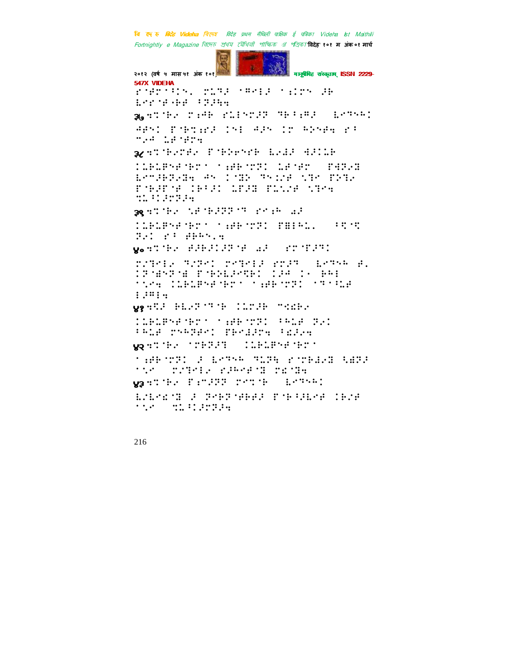remotive mind carego crime de



 $g_0$  and the construction of the second contract of  $g_0$  and the constant  $g_1$ APSI POPTER ISE APS IN APSAL PP med Carretta 3087 TERTER ESPRESE ERAP APILE <u> COORD BY 'SHEYS OPEN BROWN</u> ESTIRRER AN INDE TRINK NIM PRIP FORTH WORLD MONTHLINE TO **MARK STARTED** 30 87 TEL: NE TELEPHONE SHIP (20) **CONSENSATION CONSENSATION CONSENSATION** T. S. S. Sheep yourned Babarance as contrat ratele dade: retell rrad (Ledskop. **TARTA PARLENDI DA 10 BAI MARK CONSERVATORY MARKET PROPERTY**  $1.3814$ weall Historic Close made. CONSENSATION AND MOST PROPERTY **TALE PRADENT PROBED FERRY** yourner infects (infigurement tament a brown once rockies they **TAR TEMPER REPORTS TRIES** yand the FireFPP concrete Echoel Librard J PepPropel Protocol Core  $\mathcal{L}^{\mathcal{L}}\left(\mathcal{L}^{\mathcal{L}}\right)=\mathcal{L}^{\mathcal{L}}_{\mathcal{L}}\left(\mathcal{L}^{\mathcal{L}}_{\mathcal{L}}\right)\mathcal{L}^{\mathcal{L}}_{\mathcal{L}}\left(\mathcal{L}^{\mathcal{L}}_{\mathcal{L}}\right)\mathcal{L}^{\mathcal{L}}_{\mathcal{L}}$ 

216

**547X VIDEHA**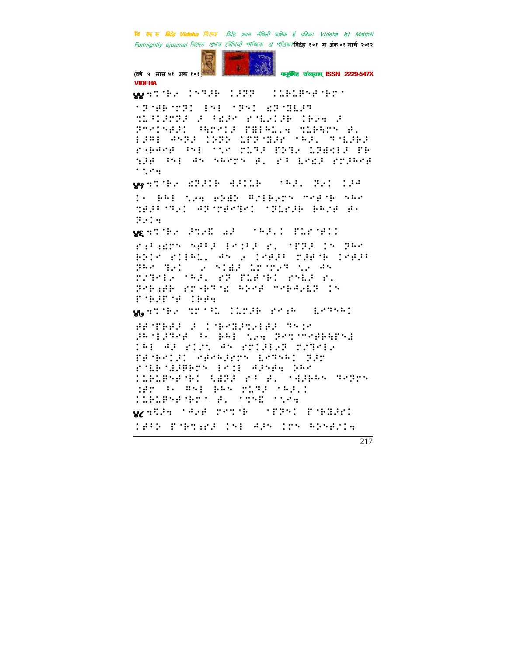बि एक रु मिनेट Videha विएक विदेह प्रथम मैथिली पाक्षिक ई पत्रिका Videha Ist Maithili Fortnightly ejournal রিদেত শ্রথম মৌথিনী পাক্ষিক *প্রা পত্রিকা*'বিदेह' १०१ म अंक०१ मार्च २०१२



(वर्ष ५ मास ५१ अंक १०१, **VIDEHA** 

मानुभीह संस्कृतम् ISSN 2229-547X

WHITE INTERNATIONAL PROPERTY

**TRANSPORT INTO TRAIN ARABLEY** tillere a lake rikide ikke a Protest Hrota PHIPL.4 SLPROV B. EPRES ANDES COOPS WORTHINGS SALL STALLARD range billier with Thir Charle Th add the day about discrete population  $\cdots$ 

West the ESSIE HOLLE (1982) SEA (199

je baj njeg podobnostičnom medzim sak MARK MAIL AP MARKEY (1912)AR (BR28) BK  $\mathbb{R} \cdot \mathbb{R}$ 

ygen the Union all (1991) film this

rilms affiliate running the BRIS BIIBNA (AN 2018) PRESENTARE<br>PROTECTOR NIER NOORD NA AN repose that an installation. Preside production about modeling to **TABINE IBER** 

Westifie that the children and show  $\mathbb{R}^n$  . The set of  $\mathbb{R}^n$ 

BRITHER & CIPAGESSER TRIP an dansk stored ster and wheeless IRE AP RIZI AN ROIPERT OUTCER FRONTIL SPEARERS ESTARD FRO rdbusser Pod Aran 250 CONDUCTS AND PIE, MADAGEMENT provide well keep chair call. **CONSENSATION EXAMPLE 1989** WARPH TAPE PATTE (TEPS) FOREPO

THIS PORTHER INFORMATION RESERTS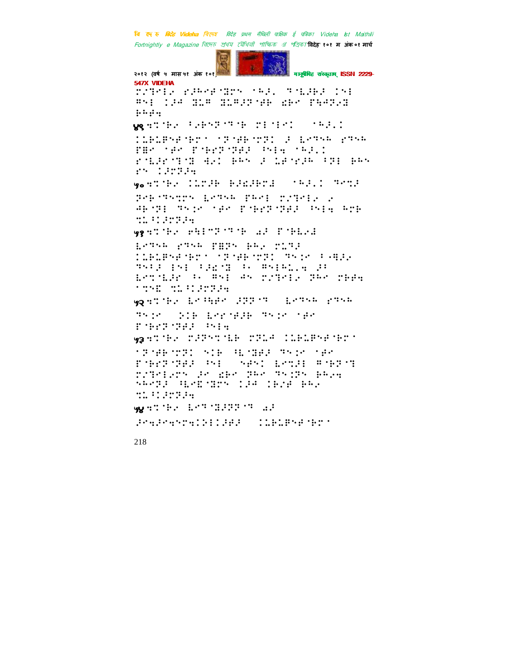बि एक रु मिनेट Videha विएक विदेह प्रथम मैथिली पाक्षिक ई पत्रिका Videha Ist Maithili Fortnightly e Magazine রিদেহ প্রথম মৌথিনী পাক্ষিক প্রা পত্রিকা**'বিदेह' १०१ म अंक०१ मार्च** 



मानुबेमिह संस्कृतम् ISSN 2229-

**547X VIDEHA** TITELE PARENTES SALL TALABA 151 ski (S 118 1182) Ar de Provin  $......$ yearth. Personnel redeel (1941)

२०१२ (वर्ष ५ मास ५१ अंक १०१)

CLELPSE SET OUT SERVICE (FOR STRAKE PROP THE SAR PORTUGAL PAIN SALL! ringriding and away in the real specials an derreg

your the Claim Bandball (1981) Tend

Prestance Ernam Park contribute AB THE TRIP OFF FORETTEE TRIA ATE **MARK PERSON** 

westime referring an finded

Benew Park Bank Britte ISBNEYEMEN (1878)-1881-1892-1993<br>1993 - Ene Caapa (1999)-1994-1994-199 Estinge : Wash as provide pas page

1950 913139334 yquitting and men grand and announcement

Thir (216 LeroHJB Thir 198

**MINE MILLAGE CENSER TRIP NEW** PORTUGAL PHOTOGRAPH # 920 ritrians in the The Teacher Beach SARPE HERBYHTS TEA TETA BAS

PrePresentational Concessions

restare man

ya di tek (2005) tie (2014) (161859 ter t

w - The Estrage of al

**MARISHER**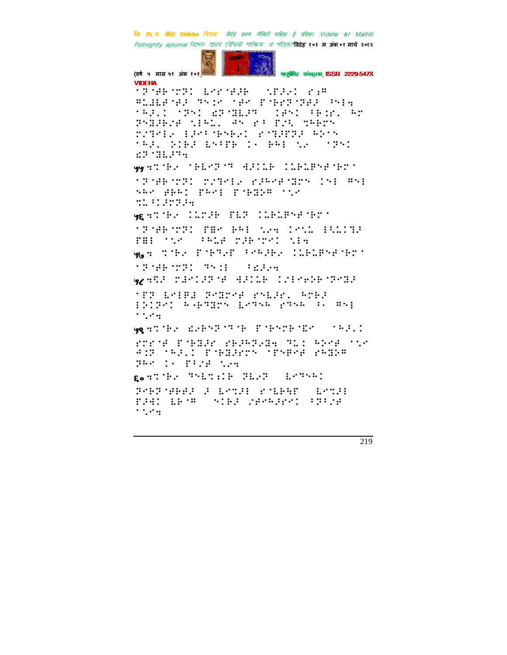बि एक रु मिनेट Videha विएक विदेह प्रथम मैथिली पाक्षिक ई पत्रिका Videha Ist Maithili Fortnightly ejournal রিদেত শ্রথম মৌথিনী পাক্ষিক *প্রা পত্রিকা*'বিदेह' १०१ म अंक०१ मार्च २०१२



मानूबीह संस्कृताम् ISSN 2229-547X

**VIDEHA MEMBERSHOWS** (SEAL) PAR BLILENED TRIP NEW PORTUGED PHA **SALE SECONDER** TEND PRINT AT PRINCE MIRL AN FI PAL THETH TITME ERSTRYER I TIRTE RETY tel Sie krief (Kael na 1951  $47.34479$ 

www.marchive.com/hart.com/hart-com/hart-com/hart-com/hart-com/hart-com/hart-com/

**TRIBUTE TRIEF PROFILES IN SOME** SAR BEAT PART POBBER 158 **MARK STREET** 

WESTER CLOSE FLE CLELPSHIPT

**STARTED THE RAIL CAR INSTRUSTION** FBI MAN (PALE PRESPECTATOR)

West Tobel Pobler (Presby Claimbert )

**SPORTS TOR SERVICE** WARE TEMPER ARTIF INFORMED

**THE LOINE PORTOR POLICY ATES** 

principal and signal provided and service and service and service and service and service and service and service  $\mathcal{L}^{\text{max}}$  ,  $\mathcal{L}^{\text{max}}$ 

we add the calendaries to the theories that of the European Company of the European Company of the European Company

rrens phalar radhavas nic hara nic **ANY MARINE EMBRETY MENBER PARAM PRACE PICE NAM** 

gonnair Shandie BarB (arshe)

SMARTHAN A LATA FALAR LATA PRED ERSE SAME PROPERT FRIM  $\cdots$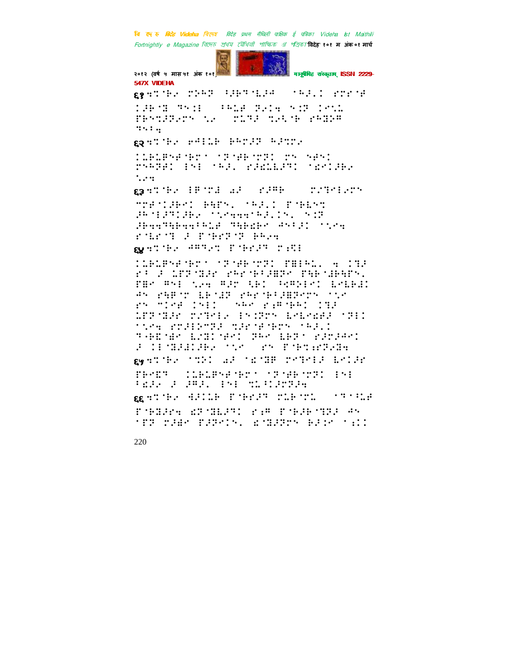gyernek (1951) al najme pedera relay **CONCRETED STORES TELL 151** para provincial FREE FORMER INFORMATION EESTING HALLE FORCAT CLEOCL  $\mathbf{r} \cdot \mathbf{r} \cdot \mathbf{r}$ rosse eroman re roseors av **TER THE EUROL RIBUS BEN TED** 

CONSENSATION OF MANAGEMENT CONSENSES FOR LEPTIE FARTHOUGH THE MENTS. EBROARSE NAAMART AFT SKAPERT EREERT<br>AN VARAT EESTE VAN NAAMART PS TIME ISED (SAM PARTERI ITE) 1PP MAR (PINPER 181PPS 181PAN) (PH) tice rolledla danshow (All THE GROENER TART TAR EACH PROPERT F HOBBING OVER THIRDE

TERMIRMI BARN, MARII RMARM PROPERTY CONTRACTS AND ST JEGGTGEGGIESE TEEKER WAIJE TSRG riri Financia guative samed forcem remai

 $\ddots$  : gancter (Bord ad Stamp) montant anni

CLELBYENERY (MICHENORI ON YEY) ryage: Exporter, Remarks: Marting

goaties efflicities (APTIC

THE TANK SEARCH AND TAL FRAMERS' WAS THE THOSE FRIEN  $3.44$ 

547X VIDEHA gencies chart submitted (indict chains

२०१२ (वर्ष ५ मास ५१ अंक १०१)



मानुबेमिह संस्कृतम् ISSN 2229-

बि एक रु मिनेट Videha विएक विदेह प्रथम मैथिली पाक्षिक ई पत्रिका Videha Ist Maithili Fortnightly e Magazine রিদেহ প্রথম মৌথিনী পাক্ষিক প্রা পত্রিকা**'বিदेह' १०१ म अंक०१ मार्च**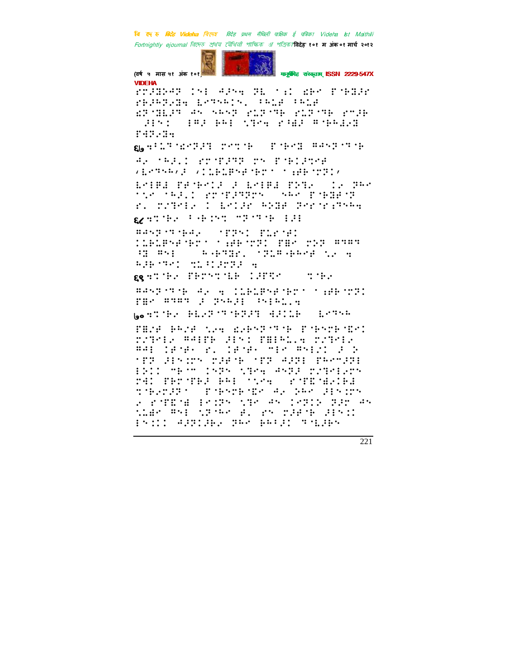बि एक रु मिनेट Videha विएक विदेह प्रथम मैथिली पाक्षिक ई पत्रिका Videha Ist Maithili Fortnightly ejournal রিদেত শ্রথম মৌথিনী পাক্ষিক *প্রা পত্রিকা*'বিदेह' १०१ म अंक०१ मार्च २०१२

FTIDAR INE APNE RE TEL ERT FYRDE

EPSILPS AN NANP PLP TH PLP TH PTPH WEND THE BAT STORY PART FOR EVE

ENSINE MOVED IN THE REPORT RANGE OF THE

EMINE TRANSPORT DESCRIPTION OF THE MA MARI PROPERTY (SAM POBBOY r. T.Tele : Belle Able Terresta

**CONSERVANT CONSERVATION CONSERVANCE** 

##SPYPE #2 # CLELPSPRYPT TARPTT?

FEAR PRAP NAME RAPARTED FOR THE CENT

rzanik meiar dini amirulu rzanik<br>Adioidzek zu idzek zin Anizi do

'FF JEST'S TJE'E 'FF AJFE FASTJE ibilinen 1986 yang asal pransips rd: Perspected the criminalist

a roman from the 45 denis new 45 MARK AND MOSAGE ALL PROVING THOMAS PRINT APPLIER PAR EARLY THERES

**SAPTED CONFIDENT LES** 

**INDEPENDENT AS DAR SINCER** 



PROPRIE LOTARIA, PRIE PRIE

AF TABLI STORATE TH POBLATE **VERTHALL VILLENENHERRY (BERTIE)** 

EZATTER FREDRICHTUNG ERE BASE SPORT (SPES) PLEASE

EQUIPMENT FEDERATORS IN LIFTING

rak sasa popula masul **Go** with the First in the sea

**APP (781-100)** 11-11-11-11-11-11

मानुभीह संस्कृताम् ISSN 2229-547X

**VIDEHA** 

ransan

 $\mathbf{H}^{\text{H}}$  and  $\mathbf{H}^{\text{H}}$ 

theraphy

(वर्ष ५ मास ५१ अंक १०१)

 $\cdots$ 

 $\mathbb{R}^n$  . The set of  $\mathbb{R}^n$ 

 $\therefore$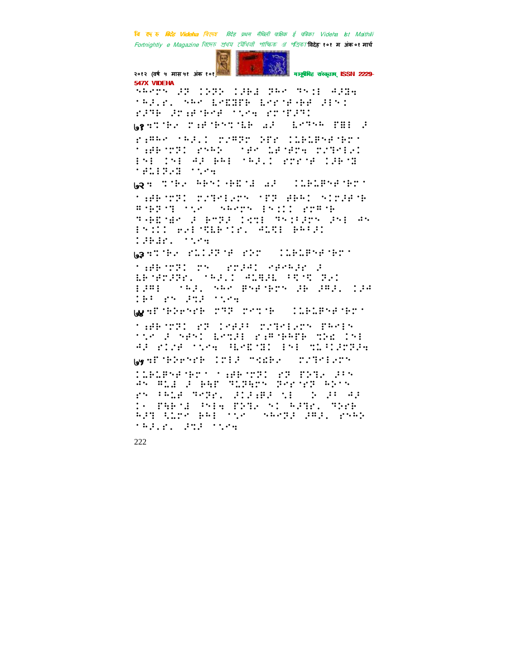बि एक रु मिनेट Videha विएक विदेह प्रथम मैथिली पाक्षिक ई पत्रिका Videha Ist Maithili Fortnightly e Magazine রিদেত প্রথম মৌথিনী পাক্ষিক প্রা পত্রিকা' **বিदेह' १०१ म अंक ०१ मार्च** 

**Service**  $\mathbf{a}$ २०१२ (वर्ष ५ मास ५१ अंक १०१) **SARPS 28 (2022 12022 842 9511 4284** 

मानुबेमिह संस्कृतम् ISSN 2229-

*'*Wild, 'Abs issued issued He Jit! rank arabier steel rrotan

West the confidential and active farmer rame (FRA) confrontra claimento

**547X VIDEHA** 

tade vizi angel (tan 18 yen vizeta)

ind the display said the presentation **MAGERYSHIPS** 

WRACK THE PERSON EXPOSURED CONSIDERATION

**TABETER CONSERVATOR BEAT STORETH PORTS ON SAMPS ENGLY PERCH** THE MANUFUL POST CONT TO PURCH USE UP

Prill BREMIENTE, ALTE BARRY TERRIT STAR

 $\sqrt{2}$  :  $\frac{1}{2}$  :  $\frac{1}{2}$  :  $\frac{1}{2}$  :  $\frac{1}{2}$  :  $\frac{1}{2}$  :  $\frac{1}{2}$  :  $\frac{1}{2}$  :  $\frac{1}{2}$  :  $\frac{1}{2}$  :  $\frac{1}{2}$  :  $\frac{1}{2}$ <u> Alian Brazilian (</u>

**TARPATE TY STERI PROBE E** EPSPIEL SALL ALBAL SUSUEL 1981 (\*69. SAR BSB/BCS 38 383. 194 TER EN STE TIME

WHITERTH THE TOTTE CLEARATET

taëre: 23 legar presenter para TAC FOREST ECOF COMMERCIAL INE AF PICA STRA (REPRODUCT) INFORMATIONS West there: Independent controllers

CLELPSHORY CONFORT 27 FRIE 395 an Will fleer Winers day who also

rs (Gle Serr) allega si co accea In PARTE PAIN PRIN SI PRIN, SPEE APS REMAINS THAT THAT PAPE SALE PART **SAPLEL PORT STATE**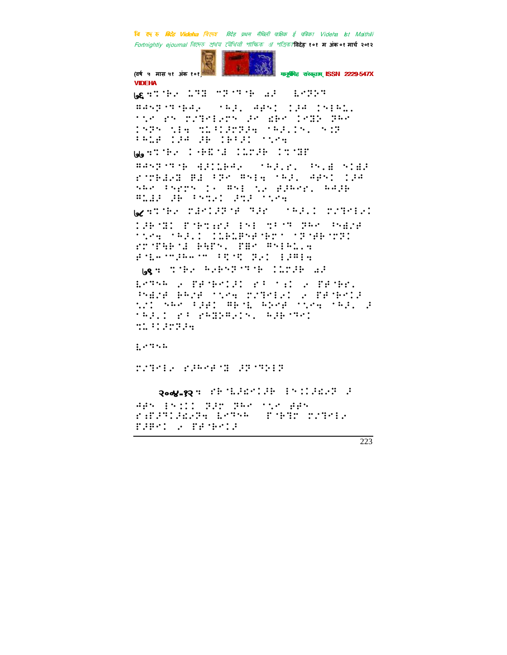बि एक रु मिनेट Videha विएक विदेह प्रथम मैथिली पाक्षिक ई पत्रिका Videha Ist Maithili Fortnightly ejournal রিদেত শ্রথম মৌথিনী পাক্ষিক প্র পত্রিকা**'বিदेह' १०१ म अंक०१ मार्च २०१२** 



मानूबीह संस्कृताम् ISSN 2229-547X

(वर्ष ५ मास ५१ अंक १०१) **VIDEHA** 

GENTIFY LTD STORES AP a a bheannan an Saonacha an S

##SPYPE#AL (S#21 ##SI 12# 151#L) tic restriction in deciding Ter INPN NEW MIRIERRA (PRAIDNI NAP PALE 194 JE 1993: Steel

**Go** with the Committee Constant

sang mangagenakan **Southern Communication** rumaan masuur mengasaan ahel 194 And Tarra is well to speer, well-Will He Print Still Mine

WHITE TESTIFIC THE SALE TERMS

THE TILL PORTLER (1910) THOUR PARTIES MARK MRAVI (DIRIPSEMENT MORMEROOD) rrothend buth, THR Whiteler FN-778-77353 SI 13814

We will discuss the control of

ESTAR A PROPOSIC PROVISION PROPINS STARING BAING STORY CONTROL ON CHOROLES<br>SOLO SARCO PROVINCE ADRESS STORY CARDO **MARINER PARPAIN, APRIMAT MARISHER** 

 $\mathbf{L}$  and  $\mathbf{L}$ 

TIME REPRISEMENT

Rook-82 : PHOLOGENE ENCLOSED P

485 ESTI PAT PRO TO 885 rachiare boys (futt conse film a finite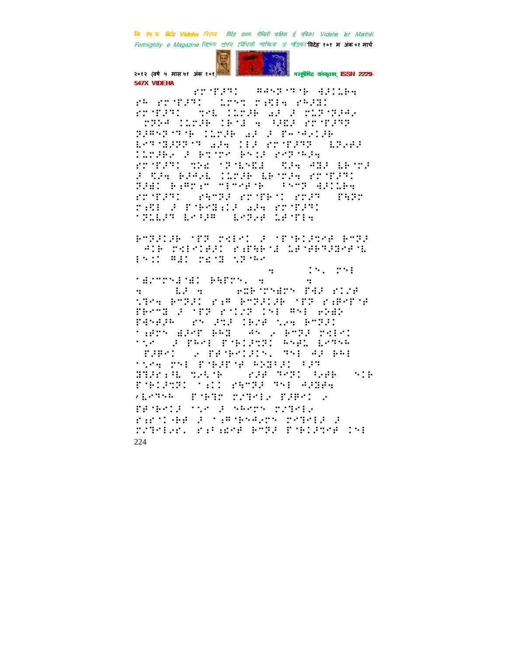बि एक रु मिनेट Videha विएक विदेह प्रथम मैथिली पाक्षिक ई पत्रिका Videha Ist Maithili Fortnightly e Magazine রিদেত প্রথম মৌথিনী পাক্ষিক প্রা পত্রিকা' **বিदेह' १०१ म अंक ०१ मार्च** 



२०१२ (वर्ष ५ मास ५१ अंक १०१) **547X VIDEHA** 

मानुबेमिह संस्कृतम् ISSN 2229-

round ment the diche PROPERTY SIDE PARENT PRACT roder (the Cone af Fourdate raya (turak terdi 4) yapa krimana presponde (thrub lar) rolled and re-EST MERRIT GEN ILL SCHERTE (ERSER TEMPER FUNCTION PRIPARTNEE FOR THE TELL OF THE SEAL **STORY AND LEATH** 2 SPA BRAGE (1258) BB 558 ST STREET DAAD BAARAH SOOMAAL SAMA WADAARA roder (rede roded roe (red rati a pjedala aak prjegt **STORY OFFICE ASTAR OFFICE** 

(AIR 241-1921) range is 19 ippider i END WELL TENT OF THE

 $\mathbb{R}^{n}$  . The  $\ddot{\cdot}$ **MARTHERS INSTITUTE**  $\dddot{\bullet}$  $\mathbf{H}^{\text{max}}$ LE 4 - POBSTADY PAP PLA the Poll ram Pollar (no rachers FRAME 2 MET BOILER INE WAS BREAK PASARA (PS ROB CEME CHA BMPR) tarr ger eg 'gro' en antarre tic a PRE PRIERR RAE Lena THE SACTOST CONTROL IS A STATE OF A STATE OF THE STATE OF THE STATE OF THE STATE OF THE STATE OF THE STATE OF THE STATE OF THE STATE OF THE STATE OF THE STATE OF THE STATE OF THE STATE OF THE STATE OF THE STATE OF THE STAT TORE THE POBJECT BOILER COP anderen Sterne (1994) från Steat (1991) POSITION IN PROFILER SHIPS ALSAMA (PORTUGATES) PRRS. 2 FRONT OUR FORMATOR PATHER randers a tampedyn report a DZIPLAR, KALARYE EMPA EMELANYE (ME 224